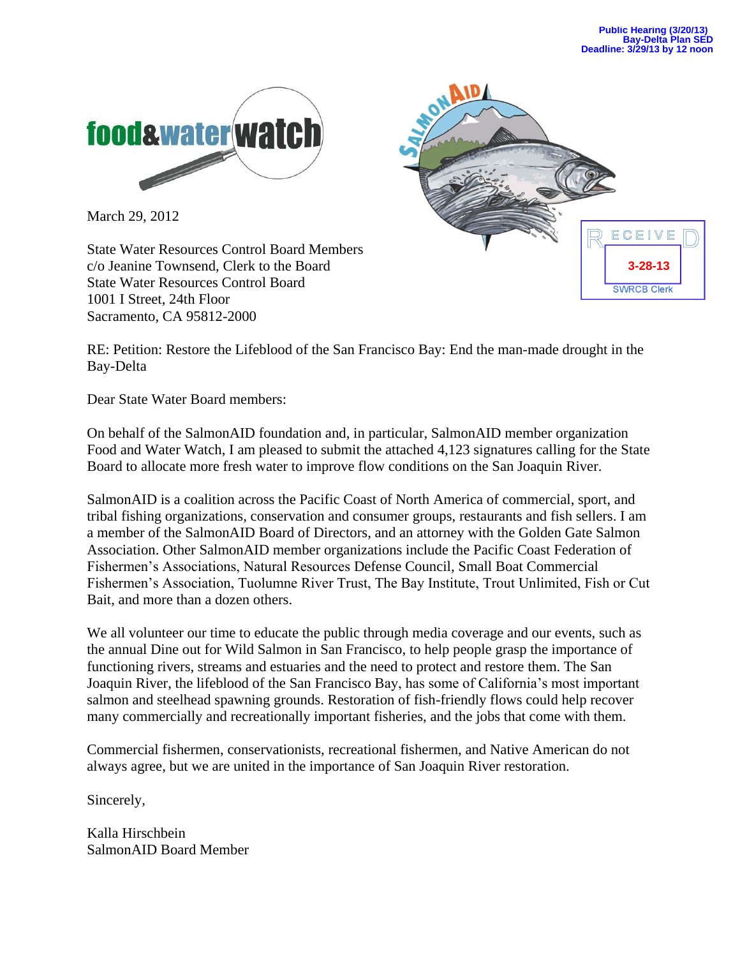

March 29, 2012

State Water Resources Control Board Members c/o Jeanine Townsend, Clerk to the Board State Water Resources Control Board 1001 I Street, 24th Floor Sacramento, CA 95812-2000



RE: Petition: Restore the Lifeblood of the San Francisco Bay: End the man-made drought in the Bay-Delta

Dear State Water Board members:

On behalf of the SalmonAID foundation and, in particular, SalmonAID member organization Food and Water Watch, I am pleased to submit the attached 4,123 signatures calling for the State Board to allocate more fresh water to improve flow conditions on the San Joaquin River.

SalmonAID is a coalition across the Pacific Coast of North America of commercial, sport, and tribal fishing organizations, conservation and consumer groups, restaurants and fish sellers. I am a member of the SalmonAID Board of Directors, and an attorney with the Golden Gate Salmon Association. Other SalmonAID member organizations include the Pacific Coast Federation of Fishermen's Associations, Natural Resources Defense Council, Small Boat Commercial Fishermen's Association, Tuolumne River Trust, The Bay Institute, Trout Unlimited, Fish or Cut Bait, and more than a dozen others.

We all volunteer our time to educate the public through media coverage and our events, such as the annual Dine out for Wild Salmon in San Francisco, to help people grasp the importance of functioning rivers, streams and estuaries and the need to protect and restore them. The San Joaquin River, the lifeblood of the San Francisco Bay, has some of California's most important salmon and steelhead spawning grounds. Restoration of fish-friendly flows could help recover many commercially and recreationally important fisheries, and the jobs that come with them.

Commercial fishermen, conservationists, recreational fishermen, and Native American do not always agree, but we are united in the importance of San Joaquin River restoration.

Sincerely,

Kalla Hirschbein SalmonAID Board Member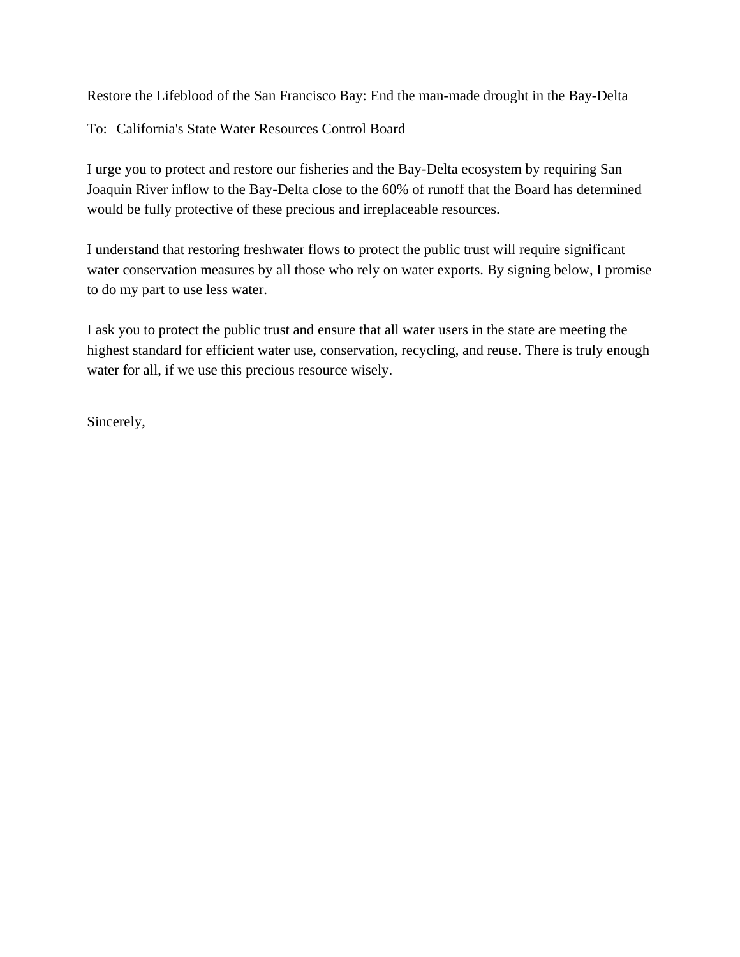Restore the Lifeblood of the San Francisco Bay: End the man-made drought in the Bay-Delta

To: California's State Water Resources Control Board

I urge you to protect and restore our fisheries and the Bay-Delta ecosystem by requiring San Joaquin River inflow to the Bay-Delta close to the 60% of runoff that the Board has determined would be fully protective of these precious and irreplaceable resources.

I understand that restoring freshwater flows to protect the public trust will require significant water conservation measures by all those who rely on water exports. By signing below, I promise to do my part to use less water.

I ask you to protect the public trust and ensure that all water users in the state are meeting the highest standard for efficient water use, conservation, recycling, and reuse. There is truly enough water for all, if we use this precious resource wisely.

Sincerely,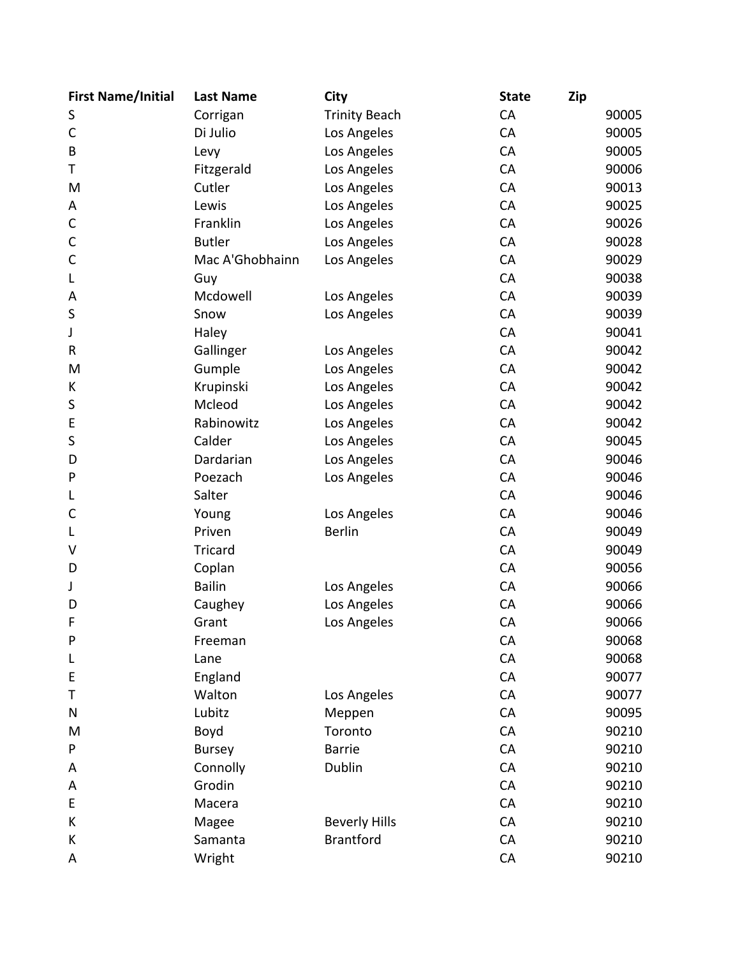| <b>First Name/Initial</b> | <b>Last Name</b> | City                 | <b>State</b> | Zip   |
|---------------------------|------------------|----------------------|--------------|-------|
| S                         | Corrigan         | <b>Trinity Beach</b> | CA           | 90005 |
| $\mathsf{C}$              | Di Julio         | Los Angeles          | CA           | 90005 |
| B                         | Levy             | Los Angeles          | CA           | 90005 |
| Τ                         | Fitzgerald       | Los Angeles          | CA           | 90006 |
| M                         | Cutler           | Los Angeles          | CA           | 90013 |
| Α                         | Lewis            | Los Angeles          | CA           | 90025 |
| C                         | Franklin         | Los Angeles          | CA           | 90026 |
| $\mathsf{C}$              | <b>Butler</b>    | Los Angeles          | CA           | 90028 |
| C                         | Mac A'Ghobhainn  | Los Angeles          | CA           | 90029 |
| L                         | Guy              |                      | CA           | 90038 |
| A                         | Mcdowell         | Los Angeles          | CA           | 90039 |
| S                         | Snow             | Los Angeles          | CA           | 90039 |
| J                         | Haley            |                      | CA           | 90041 |
| R                         | Gallinger        | Los Angeles          | CA           | 90042 |
| M                         | Gumple           | Los Angeles          | CA           | 90042 |
| К                         | Krupinski        | Los Angeles          | CA           | 90042 |
| S                         | Mcleod           | Los Angeles          | CA           | 90042 |
| E                         | Rabinowitz       | Los Angeles          | CA           | 90042 |
| S                         | Calder           | Los Angeles          | CA           | 90045 |
| D                         | Dardarian        | Los Angeles          | CA           | 90046 |
| P                         | Poezach          | Los Angeles          | CA           | 90046 |
| L                         | Salter           |                      | CA           | 90046 |
| C                         | Young            | Los Angeles          | CA           | 90046 |
| L                         | Priven           | <b>Berlin</b>        | CA           | 90049 |
| ٧                         | <b>Tricard</b>   |                      | CA           | 90049 |
| D                         | Coplan           |                      | CA           | 90056 |
| J                         | <b>Bailin</b>    | Los Angeles          | CA           | 90066 |
| D                         | Caughey          | Los Angeles          | CA           | 90066 |
| F                         | Grant            | Los Angeles          | CA           | 90066 |
| P                         | Freeman          |                      | <b>CA</b>    | 90068 |
| L                         | Lane             |                      | CA           | 90068 |
| E                         | England          |                      | CA           | 90077 |
| Т                         | Walton           | Los Angeles          | CA           | 90077 |
| N                         | Lubitz           | Meppen               | CA           | 90095 |
| M                         | Boyd             | Toronto              | CA           | 90210 |
| P                         | <b>Bursey</b>    | <b>Barrie</b>        | CA           | 90210 |
| A                         | Connolly         | Dublin               | CA           | 90210 |
| A                         | Grodin           |                      | CA           | 90210 |
| E                         | Macera           |                      | CA           | 90210 |
| Κ                         | Magee            | <b>Beverly Hills</b> | <b>CA</b>    | 90210 |
| К                         | Samanta          | <b>Brantford</b>     | CA           | 90210 |
| Α                         | Wright           |                      | CA           | 90210 |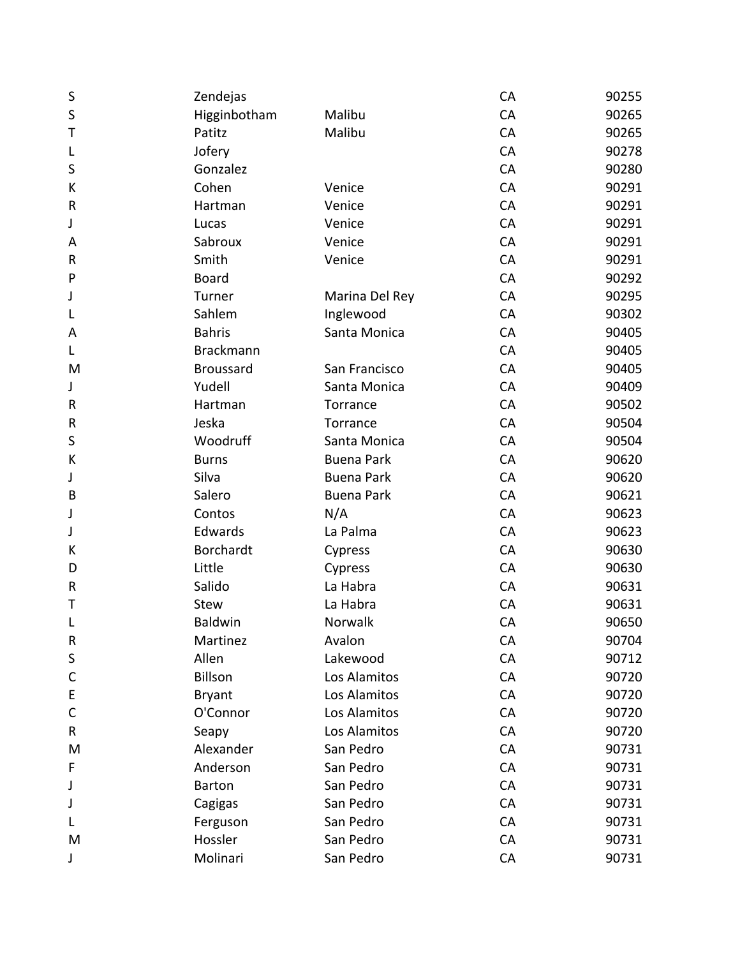| S            | Zendejas         |                   | CA | 90255 |
|--------------|------------------|-------------------|----|-------|
| S            | Higginbotham     | Malibu            | CA | 90265 |
| Т            | Patitz           | Malibu            | CA | 90265 |
| L            | Jofery           |                   | CA | 90278 |
| S            | Gonzalez         |                   | CA | 90280 |
| К            | Cohen            | Venice            | CA | 90291 |
| R            | Hartman          | Venice            | CA | 90291 |
| J            | Lucas            | Venice            | CA | 90291 |
| A            | Sabroux          | Venice            | CA | 90291 |
| R            | Smith            | Venice            | CA | 90291 |
| P            | Board            |                   | CA | 90292 |
| J            | Turner           | Marina Del Rey    | CA | 90295 |
| L            | Sahlem           | Inglewood         | CA | 90302 |
| A            | <b>Bahris</b>    | Santa Monica      | CA | 90405 |
| L            | <b>Brackmann</b> |                   | CA | 90405 |
| M            | <b>Broussard</b> | San Francisco     | CA | 90405 |
| J            | Yudell           | Santa Monica      | CA | 90409 |
| R            | Hartman          | Torrance          | CA | 90502 |
| R            | Jeska            | Torrance          | CA | 90504 |
| $\sf S$      | Woodruff         | Santa Monica      | CA | 90504 |
| К            | <b>Burns</b>     | <b>Buena Park</b> | CA | 90620 |
| J            | Silva            | <b>Buena Park</b> | CA | 90620 |
| B            | Salero           | <b>Buena Park</b> | CA | 90621 |
| J            | Contos           | N/A               | CA | 90623 |
| J            | Edwards          | La Palma          | CA | 90623 |
| К            | Borchardt        | Cypress           | CA | 90630 |
| D            | Little           | Cypress           | CA | 90630 |
| R            | Salido           | La Habra          | CA | 90631 |
| Τ            | <b>Stew</b>      | La Habra          | CA | 90631 |
| L            | <b>Baldwin</b>   | Norwalk           | CA | 90650 |
| R            | Martinez         | Avalon            | CA | 90704 |
| $\sf S$      | Allen            | Lakewood          | CA | 90712 |
| $\mathsf{C}$ | Billson          | Los Alamitos      | CA | 90720 |
| E            | <b>Bryant</b>    | Los Alamitos      | CA | 90720 |
| $\mathsf{C}$ | O'Connor         | Los Alamitos      | CA | 90720 |
| R            | Seapy            | Los Alamitos      | CA | 90720 |
| M            | Alexander        | San Pedro         | CA | 90731 |
| F            | Anderson         | San Pedro         | CA | 90731 |
| J            | Barton           | San Pedro         | CA | 90731 |
| J            | Cagigas          | San Pedro         | CA | 90731 |
| L            | Ferguson         | San Pedro         | CA | 90731 |
| M            | Hossler          | San Pedro         | CA | 90731 |
| J            | Molinari         | San Pedro         | CA | 90731 |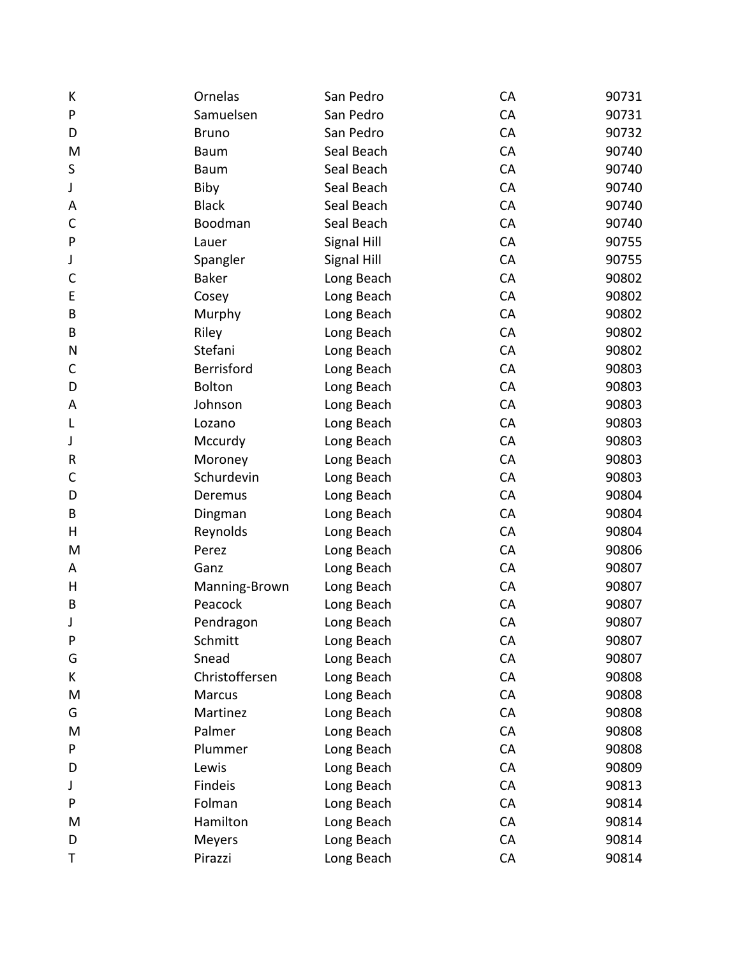| К            | Ornelas        | San Pedro   | CA | 90731 |
|--------------|----------------|-------------|----|-------|
| P            | Samuelsen      | San Pedro   | CA | 90731 |
| D            | <b>Bruno</b>   | San Pedro   | CA | 90732 |
| M            | Baum           | Seal Beach  | CA | 90740 |
| S            | <b>Baum</b>    | Seal Beach  | CA | 90740 |
| J            | Biby           | Seal Beach  | CA | 90740 |
| A            | <b>Black</b>   | Seal Beach  | CA | 90740 |
| $\mathsf C$  | Boodman        | Seal Beach  | CA | 90740 |
| P            | Lauer          | Signal Hill | CA | 90755 |
| J            | Spangler       | Signal Hill | CA | 90755 |
| $\mathsf{C}$ | <b>Baker</b>   | Long Beach  | CA | 90802 |
| E            | Cosey          | Long Beach  | CA | 90802 |
| B            | Murphy         | Long Beach  | CA | 90802 |
| B            | Riley          | Long Beach  | CA | 90802 |
| N            | Stefani        | Long Beach  | CA | 90802 |
| C            | Berrisford     | Long Beach  | CA | 90803 |
| D            | <b>Bolton</b>  | Long Beach  | CA | 90803 |
| A            | Johnson        | Long Beach  | CA | 90803 |
| L            | Lozano         | Long Beach  | CA | 90803 |
| J            | Mccurdy        | Long Beach  | CA | 90803 |
| R            | Moroney        | Long Beach  | CA | 90803 |
| C            | Schurdevin     | Long Beach  | CA | 90803 |
| D            | Deremus        | Long Beach  | CA | 90804 |
| B            | Dingman        | Long Beach  | CA | 90804 |
| н            | Reynolds       | Long Beach  | CA | 90804 |
| M            | Perez          | Long Beach  | CA | 90806 |
| A            | Ganz           | Long Beach  | CA | 90807 |
| H            | Manning-Brown  | Long Beach  | CA | 90807 |
| B            | Peacock        | Long Beach  | CA | 90807 |
| J            | Pendragon      | Long Beach  | CA | 90807 |
| P            | Schmitt        | Long Beach  | CA | 90807 |
| G            | Snead          | Long Beach  | CA | 90807 |
| К            | Christoffersen | Long Beach  | CA | 90808 |
| M            | Marcus         | Long Beach  | CA | 90808 |
| G            | Martinez       | Long Beach  | CA | 90808 |
| M            | Palmer         | Long Beach  | CA | 90808 |
| P            | Plummer        | Long Beach  | CA | 90808 |
| D            | Lewis          | Long Beach  | CA | 90809 |
| J            | Findeis        | Long Beach  | CA | 90813 |
| P            | Folman         | Long Beach  | CA | 90814 |
| M            | Hamilton       | Long Beach  | CA | 90814 |
| D            | Meyers         | Long Beach  | CA | 90814 |
| Τ            | Pirazzi        | Long Beach  | CA | 90814 |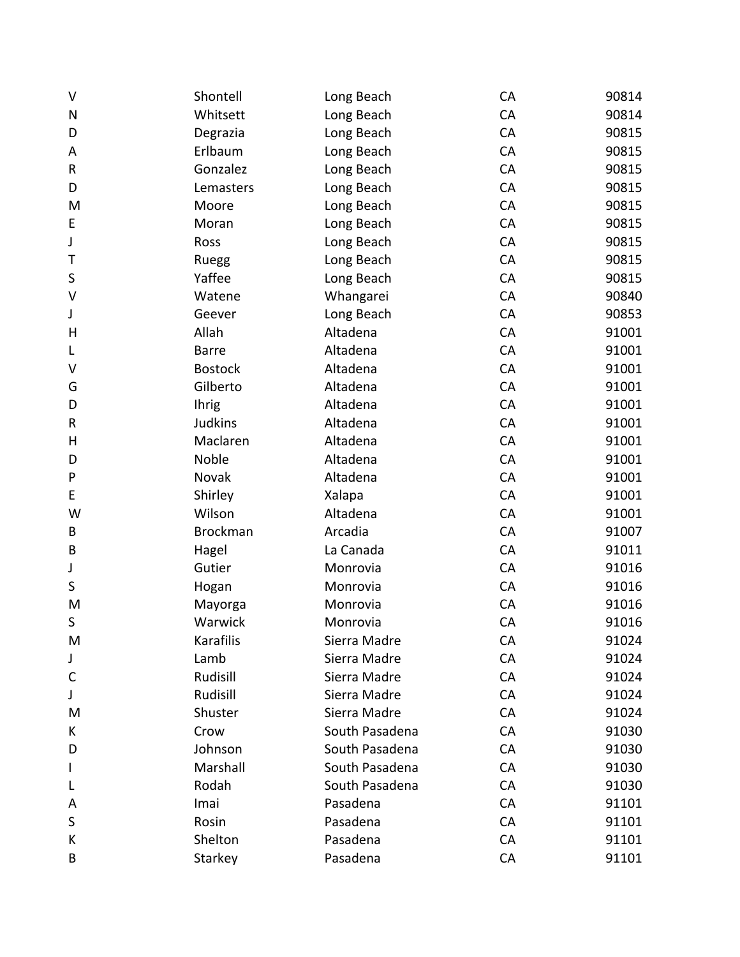| $\vee$       | Shontell        | Long Beach     | CA        | 90814 |
|--------------|-----------------|----------------|-----------|-------|
| N            | Whitsett        | Long Beach     | CA        | 90814 |
| D            | Degrazia        | Long Beach     | CA        | 90815 |
| Α            | Erlbaum         | Long Beach     | CA        | 90815 |
| R            | Gonzalez        | Long Beach     | CA        | 90815 |
| D            | Lemasters       | Long Beach     | CA        | 90815 |
| M            | Moore           | Long Beach     | CA        | 90815 |
| E            | Moran           | Long Beach     | CA        | 90815 |
| J            | Ross            | Long Beach     | CA        | 90815 |
| Т            | Ruegg           | Long Beach     | CA        | 90815 |
| S            | Yaffee          | Long Beach     | CA        | 90815 |
| V            | Watene          | Whangarei      | CA        | 90840 |
| J            | Geever          | Long Beach     | CA        | 90853 |
| H            | Allah           | Altadena       | CA        | 91001 |
| L            | <b>Barre</b>    | Altadena       | CA        | 91001 |
| V            | <b>Bostock</b>  | Altadena       | CA        | 91001 |
| G            | Gilberto        | Altadena       | CA        | 91001 |
| D            | <b>Ihrig</b>    | Altadena       | CA        | 91001 |
| R            | <b>Judkins</b>  | Altadena       | CA        | 91001 |
| H            | Maclaren        | Altadena       | CA        | 91001 |
| D            | Noble           | Altadena       | CA        | 91001 |
| P            | Novak           | Altadena       | CA        | 91001 |
| E            | Shirley         | Xalapa         | CA        | 91001 |
| W            | Wilson          | Altadena       | CA        | 91001 |
| B            | <b>Brockman</b> | Arcadia        | CA        | 91007 |
| B            | Hagel           | La Canada      | CA        | 91011 |
| J            | Gutier          | Monrovia       | CA        | 91016 |
| S            | Hogan           | Monrovia       | CA        | 91016 |
| M            | Mayorga         | Monrovia       | CA        | 91016 |
| S            | Warwick         | Monrovia       | CA        | 91016 |
| M            | Karafilis       | Sierra Madre   | CA        | 91024 |
| J            | Lamb            | Sierra Madre   | CA        | 91024 |
| $\mathsf{C}$ | Rudisill        | Sierra Madre   | CA        | 91024 |
| J            | Rudisill        | Sierra Madre   | CA        | 91024 |
| M            | Shuster         | Sierra Madre   | CA        | 91024 |
| К            | Crow            | South Pasadena | CA        | 91030 |
| D            | Johnson         | South Pasadena | CA        | 91030 |
|              | Marshall        | South Pasadena | CA        | 91030 |
| L            | Rodah           | South Pasadena | CA        | 91030 |
| A            | Imai            | Pasadena       | CA        | 91101 |
| S            | Rosin           | Pasadena       | CA        | 91101 |
| К            | Shelton         | Pasadena       | <b>CA</b> | 91101 |
| В            | Starkey         | Pasadena       | CA        | 91101 |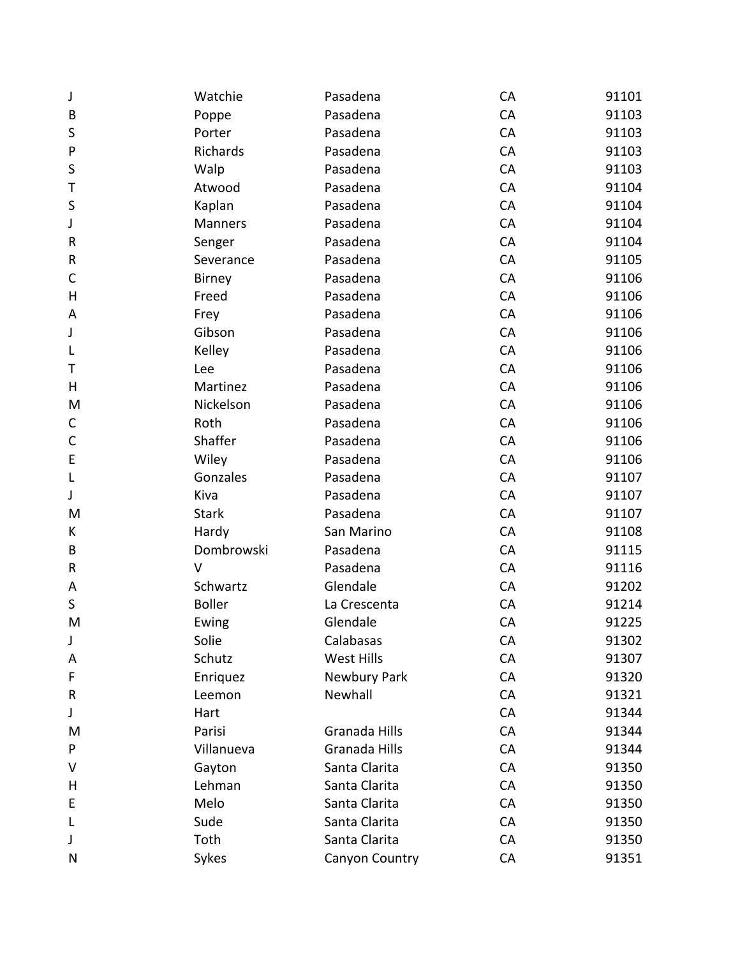| J            | Watchie       | Pasadena       | CA | 91101 |
|--------------|---------------|----------------|----|-------|
| B            | Poppe         | Pasadena       | CA | 91103 |
| S            | Porter        | Pasadena       | CA | 91103 |
| P            | Richards      | Pasadena       | CA | 91103 |
| S            | Walp          | Pasadena       | CA | 91103 |
| T            | Atwood        | Pasadena       | CA | 91104 |
| S            | Kaplan        | Pasadena       | CA | 91104 |
| J            | Manners       | Pasadena       | CA | 91104 |
| R            | Senger        | Pasadena       | CA | 91104 |
| ${\sf R}$    | Severance     | Pasadena       | CA | 91105 |
| $\mathsf C$  | Birney        | Pasadena       | CA | 91106 |
| Н            | Freed         | Pasadena       | CA | 91106 |
| A            | Frey          | Pasadena       | CA | 91106 |
| J            | Gibson        | Pasadena       | CA | 91106 |
| L            | Kelley        | Pasadena       | CA | 91106 |
| Τ            | Lee           | Pasadena       | CA | 91106 |
| H            | Martinez      | Pasadena       | CA | 91106 |
| M            | Nickelson     | Pasadena       | CA | 91106 |
| C            | Roth          | Pasadena       | CA | 91106 |
| $\mathsf{C}$ | Shaffer       | Pasadena       | CA | 91106 |
| E            | Wiley         | Pasadena       | CA | 91106 |
| L            | Gonzales      | Pasadena       | CA | 91107 |
| J            | Kiva          | Pasadena       | CA | 91107 |
| M            | <b>Stark</b>  | Pasadena       | CA | 91107 |
| K            | Hardy         | San Marino     | CA | 91108 |
| B            | Dombrowski    | Pasadena       | CA | 91115 |
| ${\sf R}$    | v             | Pasadena       | CA | 91116 |
| Α            | Schwartz      | Glendale       | CA | 91202 |
| $\sf S$      | <b>Boller</b> | La Crescenta   | CA | 91214 |
| M            | Ewing         | Glendale       | CA | 91225 |
| J            | Solie         | Calabasas      | CA | 91302 |
| Α            | Schutz        | West Hills     | CA | 91307 |
| F            | Enriquez      | Newbury Park   | CA | 91320 |
| R            | Leemon        | Newhall        | CA | 91321 |
| J            | Hart          |                | CA | 91344 |
| M            | Parisi        | Granada Hills  | CA | 91344 |
| P            | Villanueva    | Granada Hills  | CA | 91344 |
| V            | Gayton        | Santa Clarita  | CA | 91350 |
| H            | Lehman        | Santa Clarita  | CA | 91350 |
| E            | Melo          | Santa Clarita  | CA | 91350 |
| L            | Sude          | Santa Clarita  | CA | 91350 |
| J            | Toth          | Santa Clarita  | CA | 91350 |
| N            | Sykes         | Canyon Country | CA | 91351 |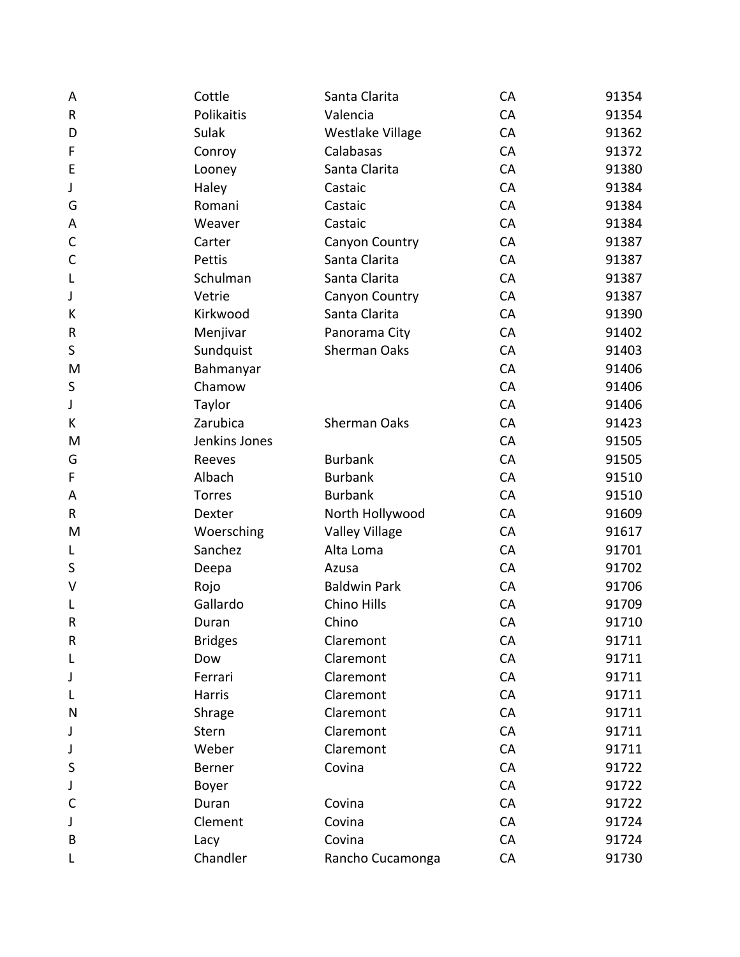| A            | Cottle         | Santa Clarita         | CA        | 91354 |
|--------------|----------------|-----------------------|-----------|-------|
| $\sf R$      | Polikaitis     | Valencia              | CA        | 91354 |
| D            | Sulak          | Westlake Village      | CA        | 91362 |
| F            | Conroy         | Calabasas             | CA        | 91372 |
| E            | Looney         | Santa Clarita         | CA        | 91380 |
| J            | Haley          | Castaic               | CA        | 91384 |
| G            | Romani         | Castaic               | CA        | 91384 |
| Α            | Weaver         | Castaic               | CA        | 91384 |
| $\mathsf{C}$ | Carter         | Canyon Country        | CA        | 91387 |
| $\mathsf{C}$ | Pettis         | Santa Clarita         | CA        | 91387 |
| L            | Schulman       | Santa Clarita         | CA        | 91387 |
| J            | Vetrie         | Canyon Country        | CA        | 91387 |
| К            | Kirkwood       | Santa Clarita         | CA        | 91390 |
| R            | Menjivar       | Panorama City         | CA        | 91402 |
| S            | Sundquist      | <b>Sherman Oaks</b>   | CA        | 91403 |
| M            | Bahmanyar      |                       | CA        | 91406 |
| S            | Chamow         |                       | CA        | 91406 |
| J            | Taylor         |                       | CA        | 91406 |
| Κ            | Zarubica       | <b>Sherman Oaks</b>   | CA        | 91423 |
| M            | Jenkins Jones  |                       | CA        | 91505 |
| G            | Reeves         | <b>Burbank</b>        | CA        | 91505 |
| F            | Albach         | <b>Burbank</b>        | CA        | 91510 |
| A            | <b>Torres</b>  | <b>Burbank</b>        | CA        | 91510 |
| R            | Dexter         | North Hollywood       | CA        | 91609 |
| M            | Woersching     | <b>Valley Village</b> | CA        | 91617 |
| L            | Sanchez        | Alta Loma             | CA        | 91701 |
| S            | Deepa          | Azusa                 | CA        | 91702 |
| V            | Rojo           | <b>Baldwin Park</b>   | CA        | 91706 |
| L            | Gallardo       | Chino Hills           | CA        | 91709 |
| $\mathsf R$  | Duran          | Chino                 | CA        | 91710 |
| R            | <b>Bridges</b> | Claremont             | <b>CA</b> | 91711 |
| L            | Dow            | Claremont             | CA        | 91711 |
| J            | Ferrari        | Claremont             | CA        | 91711 |
| L            | Harris         | Claremont             | CA        | 91711 |
| N            | Shrage         | Claremont             | CA        | 91711 |
| J            | Stern          | Claremont             | CA        | 91711 |
| J            | Weber          | Claremont             | CA        | 91711 |
| S            | Berner         | Covina                | CA        | 91722 |
| J            | Boyer          |                       | CA        | 91722 |
| C            | Duran          | Covina                | CA        | 91722 |
| J            | Clement        | Covina                | CA        | 91724 |
| B            | Lacy           | Covina                | CA        | 91724 |
| L            | Chandler       | Rancho Cucamonga      | CA        | 91730 |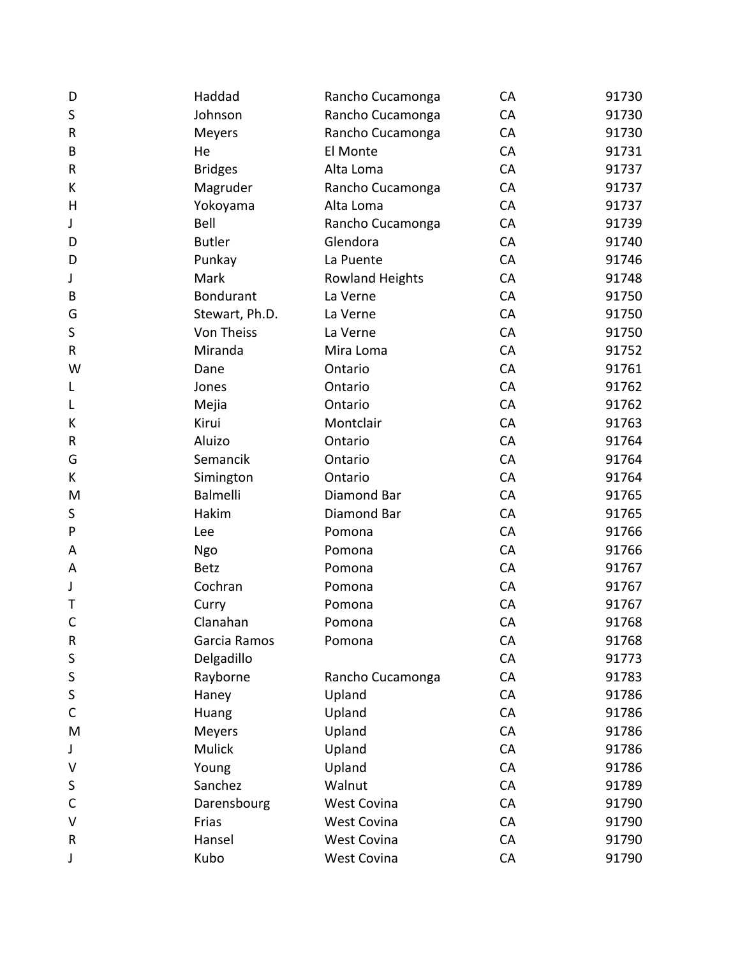| D            | Haddad           | Rancho Cucamonga       | CA | 91730 |
|--------------|------------------|------------------------|----|-------|
| $\sf S$      | Johnson          | Rancho Cucamonga       | CA | 91730 |
| ${\sf R}$    | Meyers           | Rancho Cucamonga       | CA | 91730 |
| B            | He               | El Monte               | CA | 91731 |
| ${\sf R}$    | <b>Bridges</b>   | Alta Loma              | CA | 91737 |
| К            | Magruder         | Rancho Cucamonga       | CA | 91737 |
| H            | Yokoyama         | Alta Loma              | CA | 91737 |
| J            | Bell             | Rancho Cucamonga       | CA | 91739 |
| D            | <b>Butler</b>    | Glendora               | CA | 91740 |
| D            | Punkay           | La Puente              | CA | 91746 |
| J            | Mark             | <b>Rowland Heights</b> | CA | 91748 |
| B            | <b>Bondurant</b> | La Verne               | CA | 91750 |
| G            | Stewart, Ph.D.   | La Verne               | CA | 91750 |
| $\sf S$      | Von Theiss       | La Verne               | CA | 91750 |
| $\sf R$      | Miranda          | Mira Loma              | CA | 91752 |
| W            | Dane             | Ontario                | CA | 91761 |
| L            | Jones            | Ontario                | CA | 91762 |
| L            | Mejia            | Ontario                | CA | 91762 |
| К            | Kirui            | Montclair              | CA | 91763 |
| ${\sf R}$    | Aluizo           | Ontario                | CA | 91764 |
| G            | Semancik         | Ontario                | CA | 91764 |
| K            | Simington        | Ontario                | CA | 91764 |
| M            | <b>Balmelli</b>  | Diamond Bar            | CA | 91765 |
| $\sf S$      | Hakim            | Diamond Bar            | CA | 91765 |
| P            | Lee              | Pomona                 | CA | 91766 |
| A            | Ngo              | Pomona                 | CA | 91766 |
| Α            | <b>Betz</b>      | Pomona                 | CA | 91767 |
| J            | Cochran          | Pomona                 | CA | 91767 |
| Τ            | Curry            | Pomona                 | CA | 91767 |
| $\mathsf{C}$ | Clanahan         | Pomona                 | CA | 91768 |
| ${\sf R}$    | Garcia Ramos     | Pomona                 | CA | 91768 |
| S            | Delgadillo       |                        | CA | 91773 |
| S            | Rayborne         | Rancho Cucamonga       | CA | 91783 |
| S            | Haney            | Upland                 | CA | 91786 |
| C            | Huang            | Upland                 | CA | 91786 |
| M            | Meyers           | Upland                 | CA | 91786 |
| J            | Mulick           | Upland                 | CA | 91786 |
| V            | Young            | Upland                 | CA | 91786 |
| S            | Sanchez          | Walnut                 | CA | 91789 |
| С            | Darensbourg      | <b>West Covina</b>     | CA | 91790 |
| V            | Frias            | <b>West Covina</b>     | CA | 91790 |
| R            | Hansel           | <b>West Covina</b>     | CA | 91790 |
| J            | Kubo             | West Covina            | CA | 91790 |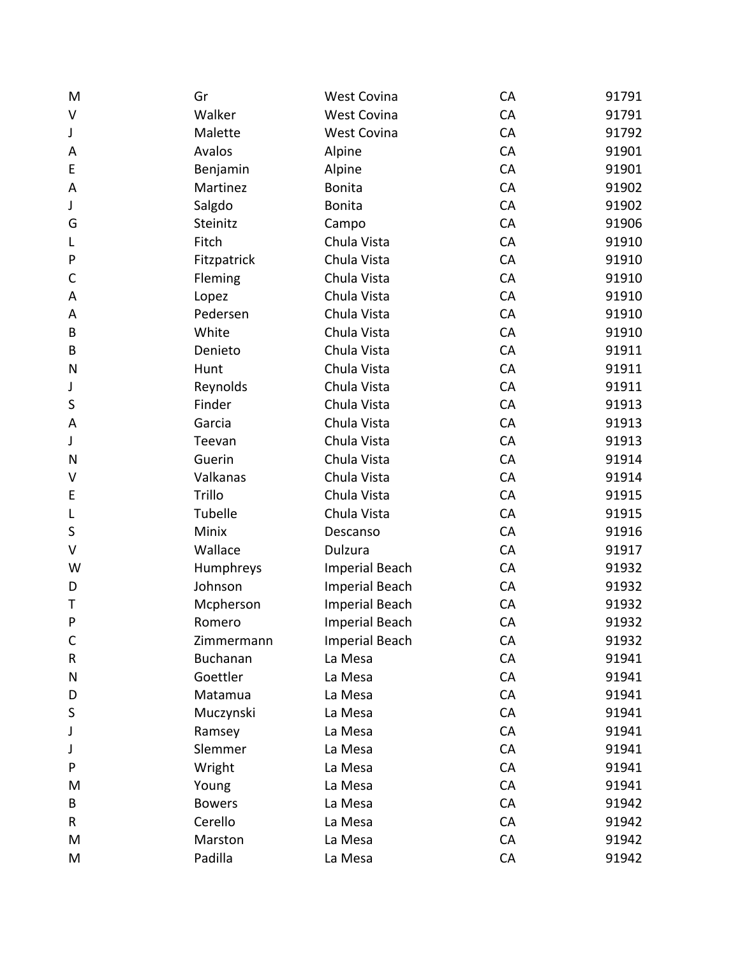| M            | Gr              | <b>West Covina</b>    | CA | 91791 |
|--------------|-----------------|-----------------------|----|-------|
| V            | Walker          | <b>West Covina</b>    | CA | 91791 |
| J            | Malette         | <b>West Covina</b>    | CA | 91792 |
| A            | Avalos          | Alpine                | CA | 91901 |
| E            | Benjamin        | Alpine                | CA | 91901 |
| A            | Martinez        | <b>Bonita</b>         | CA | 91902 |
| J            | Salgdo          | <b>Bonita</b>         | CA | 91902 |
| G            | Steinitz        | Campo                 | CA | 91906 |
| L            | Fitch           | Chula Vista           | CA | 91910 |
| ${\sf P}$    | Fitzpatrick     | Chula Vista           | CA | 91910 |
| $\mathsf{C}$ | Fleming         | Chula Vista           | CA | 91910 |
| A            | Lopez           | Chula Vista           | CA | 91910 |
| A            | Pedersen        | Chula Vista           | CA | 91910 |
| B            | White           | Chula Vista           | CA | 91910 |
| B            | Denieto         | Chula Vista           | CA | 91911 |
| $\mathsf{N}$ | Hunt            | Chula Vista           | CA | 91911 |
| J            | Reynolds        | Chula Vista           | CA | 91911 |
| S            | Finder          | Chula Vista           | CA | 91913 |
| A            | Garcia          | Chula Vista           | CA | 91913 |
| J            | Teevan          | Chula Vista           | CA | 91913 |
| N            | Guerin          | Chula Vista           | CA | 91914 |
| V            | Valkanas        | Chula Vista           | CA | 91914 |
| E            | Trillo          | Chula Vista           | CA | 91915 |
| L            | Tubelle         | Chula Vista           | CA | 91915 |
| $\sf S$      | Minix           | Descanso              | CA | 91916 |
| V            | Wallace         | Dulzura               | CA | 91917 |
| W            | Humphreys       | <b>Imperial Beach</b> | CA | 91932 |
| D            | Johnson         | <b>Imperial Beach</b> | CA | 91932 |
| T            | Mcpherson       | <b>Imperial Beach</b> | CA | 91932 |
| $\mathsf{P}$ | Romero          | <b>Imperial Beach</b> | CA | 91932 |
| $\mathsf{C}$ | Zimmermann      | <b>Imperial Beach</b> | CA | 91932 |
| $\sf R$      | <b>Buchanan</b> | La Mesa               | CA | 91941 |
| N            | Goettler        | La Mesa               | CA | 91941 |
| D            | Matamua         | La Mesa               | CA | 91941 |
| S            | Muczynski       | La Mesa               | CA | 91941 |
| J            | Ramsey          | La Mesa               | CA | 91941 |
| J            | Slemmer         | La Mesa               | CA | 91941 |
| P            | Wright          | La Mesa               | CA | 91941 |
| M            | Young           | La Mesa               | CA | 91941 |
| B            | <b>Bowers</b>   | La Mesa               | CA | 91942 |
| R            | Cerello         | La Mesa               | CA | 91942 |
| M            | Marston         | La Mesa               | CA | 91942 |
| M            | Padilla         | La Mesa               | CA | 91942 |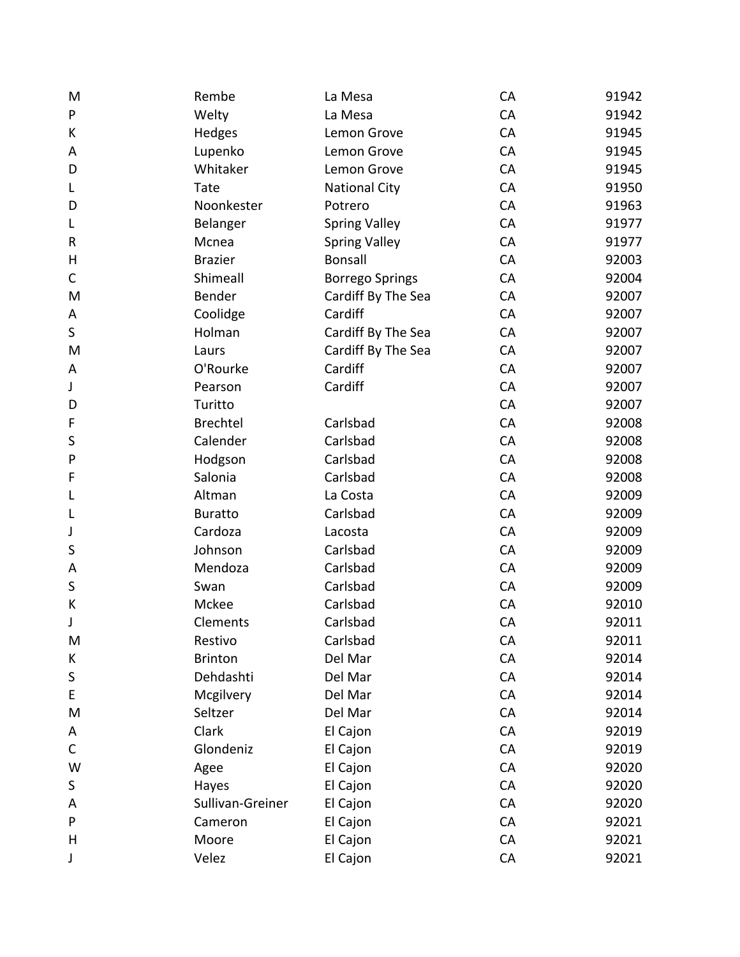| M           | Rembe            | La Mesa                | CA | 91942 |
|-------------|------------------|------------------------|----|-------|
| P           | Welty            | La Mesa                | CA | 91942 |
| К           | Hedges           | Lemon Grove            | CA | 91945 |
| A           | Lupenko          | Lemon Grove            | CA | 91945 |
| D           | Whitaker         | Lemon Grove            | CA | 91945 |
| L           | Tate             | <b>National City</b>   | CA | 91950 |
| D           | Noonkester       | Potrero                | CA | 91963 |
| L           | Belanger         | <b>Spring Valley</b>   | CA | 91977 |
| R           | Mcnea            | <b>Spring Valley</b>   | CA | 91977 |
| H           | <b>Brazier</b>   | <b>Bonsall</b>         | CA | 92003 |
| C           | Shimeall         | <b>Borrego Springs</b> | CA | 92004 |
| M           | Bender           | Cardiff By The Sea     | CA | 92007 |
| Α           | Coolidge         | Cardiff                | CA | 92007 |
| $\sf S$     | Holman           | Cardiff By The Sea     | CA | 92007 |
| M           | Laurs            | Cardiff By The Sea     | CA | 92007 |
| Α           | O'Rourke         | Cardiff                | CA | 92007 |
| J           | Pearson          | Cardiff                | CA | 92007 |
| D           | Turitto          |                        | CA | 92007 |
| F           | <b>Brechtel</b>  | Carlsbad               | CA | 92008 |
| S           | Calender         | Carlsbad               | CA | 92008 |
| P           | Hodgson          | Carlsbad               | CA | 92008 |
| F           | Salonia          | Carlsbad               | CA | 92008 |
| L           | Altman           | La Costa               | CA | 92009 |
| L           | <b>Buratto</b>   | Carlsbad               | CA | 92009 |
| J           | Cardoza          | Lacosta                | CA | 92009 |
| S           | Johnson          | Carlsbad               | CA | 92009 |
| Α           | Mendoza          | Carlsbad               | CA | 92009 |
| $\sf S$     | Swan             | Carlsbad               | CA | 92009 |
| К           | Mckee            | Carlsbad               | CA | 92010 |
| J           | Clements         | Carlsbad               | CA | 92011 |
| M           | Restivo          | Carlsbad               | CA | 92011 |
| К           | <b>Brinton</b>   | Del Mar                | CA | 92014 |
| $\sf S$     | Dehdashti        | Del Mar                | CA | 92014 |
| E           | Mcgilvery        | Del Mar                | CA | 92014 |
| M           | Seltzer          | Del Mar                | CA | 92014 |
| Α           | Clark            | El Cajon               | CA | 92019 |
| $\mathsf C$ | Glondeniz        | El Cajon               | CA | 92019 |
| W           | Agee             | El Cajon               | CA | 92020 |
| S           | Hayes            | El Cajon               | CA | 92020 |
| A           | Sullivan-Greiner | El Cajon               | CA | 92020 |
| P           | Cameron          | El Cajon               | CA | 92021 |
| H           | Moore            | El Cajon               | CA | 92021 |
| J           | Velez            | El Cajon               | CA | 92021 |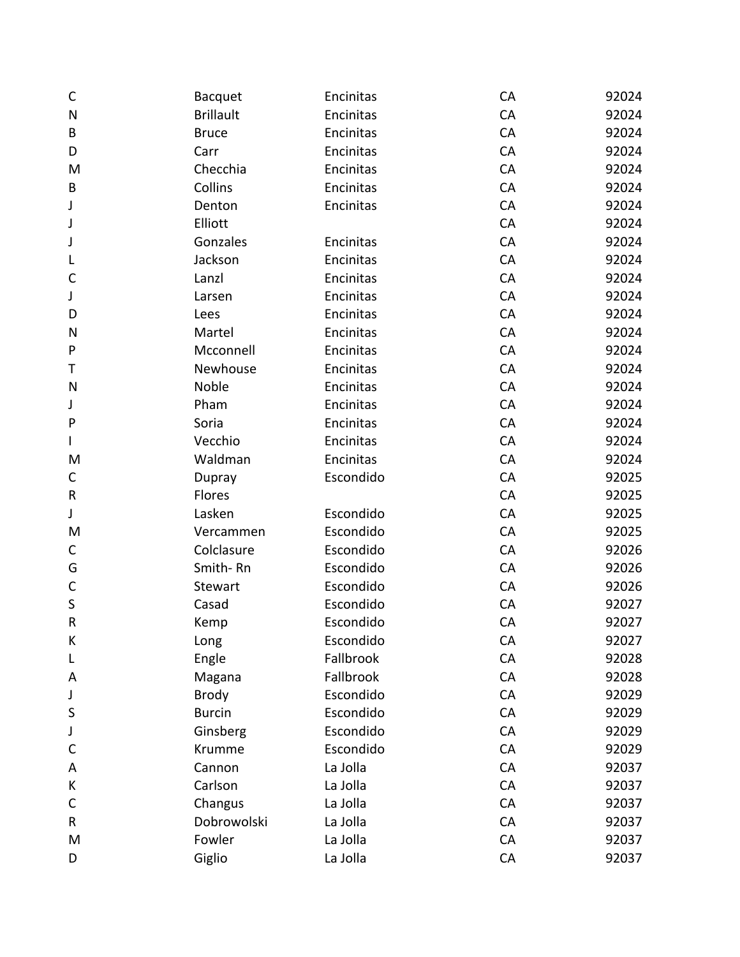| $\mathsf{C}$ | <b>Bacquet</b>   | Encinitas | CA | 92024 |
|--------------|------------------|-----------|----|-------|
| $\mathsf{N}$ | <b>Brillault</b> | Encinitas | CA | 92024 |
| B            | <b>Bruce</b>     | Encinitas | CA | 92024 |
| D            | Carr             | Encinitas | CA | 92024 |
| M            | Checchia         | Encinitas | CA | 92024 |
| B            | Collins          | Encinitas | CA | 92024 |
| J            | Denton           | Encinitas | CA | 92024 |
| J            | Elliott          |           | CA | 92024 |
| J            | Gonzales         | Encinitas | CA | 92024 |
| L            | Jackson          | Encinitas | CA | 92024 |
| C            | Lanzl            | Encinitas | CA | 92024 |
| J            | Larsen           | Encinitas | CA | 92024 |
| D            | Lees             | Encinitas | CA | 92024 |
| N            | Martel           | Encinitas | CA | 92024 |
| P            | Mcconnell        | Encinitas | CA | 92024 |
| Τ            | Newhouse         | Encinitas | CA | 92024 |
| N            | Noble            | Encinitas | CA | 92024 |
| J            | Pham             | Encinitas | CA | 92024 |
| P            | Soria            | Encinitas | CA | 92024 |
| $\mathbf{I}$ | Vecchio          | Encinitas | CA | 92024 |
| M            | Waldman          | Encinitas | CA | 92024 |
| $\mathsf C$  | Dupray           | Escondido | CA | 92025 |
| ${\sf R}$    | Flores           |           | CA | 92025 |
| J            | Lasken           | Escondido | CA | 92025 |
| M            | Vercammen        | Escondido | CA | 92025 |
| $\mathsf C$  | Colclasure       | Escondido | CA | 92026 |
| G            | Smith-Rn         | Escondido | CA | 92026 |
| $\mathsf C$  | Stewart          | Escondido | CA | 92026 |
| $\sf S$      | Casad            | Escondido | CA | 92027 |
| $\sf R$      | Kemp             | Escondido | CA | 92027 |
| К            | Long             | Escondido | CA | 92027 |
| L            | Engle            | Fallbrook | CA | 92028 |
| Α            | Magana           | Fallbrook | CA | 92028 |
| J            | <b>Brody</b>     | Escondido | CA | 92029 |
| S            | <b>Burcin</b>    | Escondido | CA | 92029 |
| J            | Ginsberg         | Escondido | CA | 92029 |
| C            | Krumme           | Escondido | CA | 92029 |
| A            | Cannon           | La Jolla  | CA | 92037 |
| К            | Carlson          | La Jolla  | CA | 92037 |
| C            | Changus          | La Jolla  | CA | 92037 |
| R            | Dobrowolski      | La Jolla  | CA | 92037 |
| M            | Fowler           | La Jolla  | CA | 92037 |
| D            | Giglio           | La Jolla  | CA | 92037 |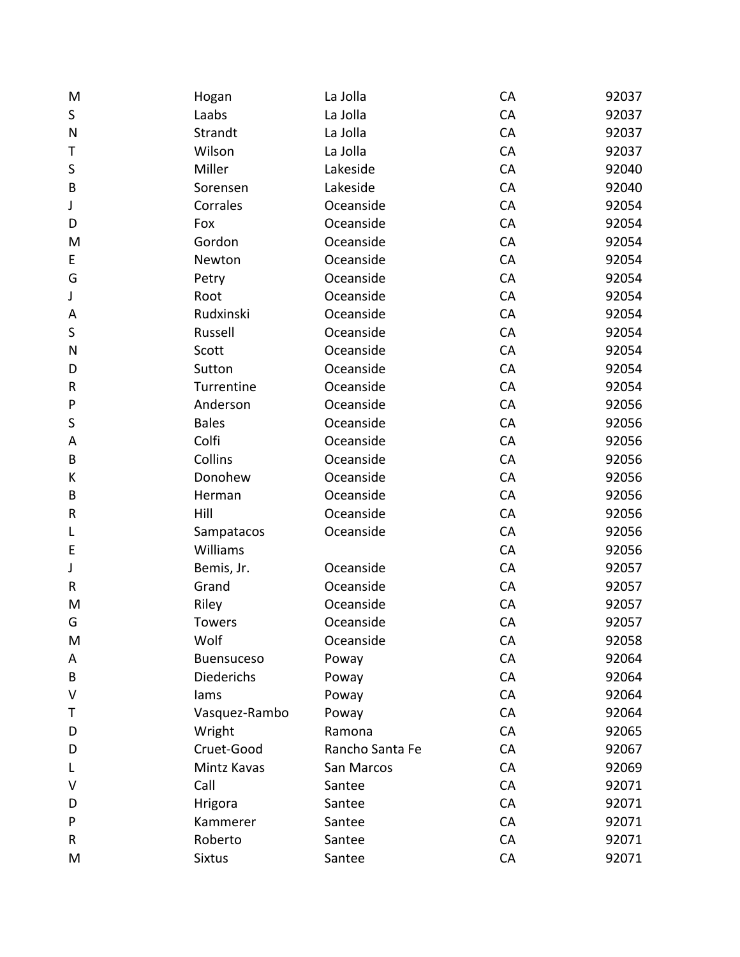| M            | Hogan             | La Jolla        | CA | 92037 |
|--------------|-------------------|-----------------|----|-------|
| $\sf S$      | Laabs             | La Jolla        | CA | 92037 |
| $\mathsf{N}$ | Strandt           | La Jolla        | CA | 92037 |
| Τ            | Wilson            | La Jolla        | CA | 92037 |
| $\sf S$      | Miller            | Lakeside        | CA | 92040 |
| $\sf B$      | Sorensen          | Lakeside        | CA | 92040 |
| J            | Corrales          | Oceanside       | CA | 92054 |
| D            | Fox               | Oceanside       | CA | 92054 |
| M            | Gordon            | Oceanside       | CA | 92054 |
| E            | Newton            | Oceanside       | CA | 92054 |
| G            | Petry             | Oceanside       | CA | 92054 |
| J            | Root              | Oceanside       | CA | 92054 |
| A            | Rudxinski         | Oceanside       | CA | 92054 |
| $\sf S$      | Russell           | Oceanside       | CA | 92054 |
| N            | Scott             | Oceanside       | CA | 92054 |
| D            | Sutton            | Oceanside       | CA | 92054 |
| ${\sf R}$    | Turrentine        | Oceanside       | CA | 92054 |
| ${\sf P}$    | Anderson          | Oceanside       | CA | 92056 |
| $\sf S$      | <b>Bales</b>      | Oceanside       | CA | 92056 |
| A            | Colfi             | Oceanside       | CA | 92056 |
| B            | Collins           | Oceanside       | CA | 92056 |
| К            | Donohew           | Oceanside       | CA | 92056 |
| B            | Herman            | Oceanside       | CA | 92056 |
| ${\sf R}$    | Hill              | Oceanside       | CA | 92056 |
| L            | Sampatacos        | Oceanside       | CA | 92056 |
| E            | Williams          |                 | CA | 92056 |
| J            | Bemis, Jr.        | Oceanside       | CA | 92057 |
| ${\sf R}$    | Grand             | Oceanside       | CA | 92057 |
| M            | Riley             | Oceanside       | CA | 92057 |
| G            | <b>Towers</b>     | Oceanside       | CA | 92057 |
| M            | Wolf              | Oceanside       | CA | 92058 |
| A            | <b>Buensuceso</b> | Poway           | CA | 92064 |
| B            | Diederichs        | Poway           | CA | 92064 |
| V            | lams              | Poway           | CA | 92064 |
| Τ            | Vasquez-Rambo     | Poway           | CA | 92064 |
| D            | Wright            | Ramona          | CA | 92065 |
| D            | Cruet-Good        | Rancho Santa Fe | CA | 92067 |
| L            | Mintz Kavas       | San Marcos      | CA | 92069 |
| v            | Call              | Santee          | CA | 92071 |
| D            | Hrigora           | Santee          | CA | 92071 |
| P            | Kammerer          | Santee          | CA | 92071 |
| R            | Roberto           | Santee          | CA | 92071 |
| M            | <b>Sixtus</b>     | Santee          | CA | 92071 |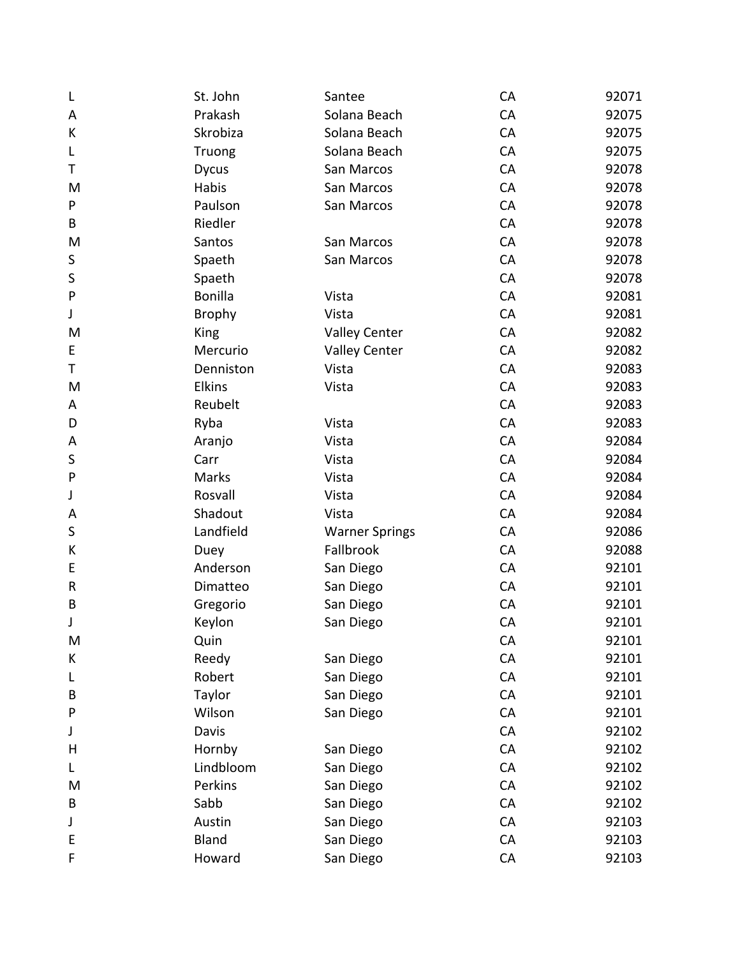| L            | St. John      | Santee                | CA | 92071 |
|--------------|---------------|-----------------------|----|-------|
| A            | Prakash       | Solana Beach          | CA | 92075 |
| К            | Skrobiza      | Solana Beach          | CA | 92075 |
| L            | Truong        | Solana Beach          | CA | 92075 |
| Τ            | <b>Dycus</b>  | San Marcos            | CA | 92078 |
| M            | Habis         | San Marcos            | CA | 92078 |
| P            | Paulson       | San Marcos            | CA | 92078 |
| B            | Riedler       |                       | CA | 92078 |
| M            | Santos        | San Marcos            | CA | 92078 |
| S            | Spaeth        | San Marcos            | CA | 92078 |
| S            | Spaeth        |                       | CA | 92078 |
| P            | Bonilla       | Vista                 | CA | 92081 |
| J            | <b>Brophy</b> | Vista                 | CA | 92081 |
| M            | King          | <b>Valley Center</b>  | CA | 92082 |
| E            | Mercurio      | <b>Valley Center</b>  | CA | 92082 |
| Τ            | Denniston     | Vista                 | CA | 92083 |
| M            | Elkins        | Vista                 | CA | 92083 |
| Α            | Reubelt       |                       | CA | 92083 |
| D            | Ryba          | Vista                 | CA | 92083 |
| Α            | Aranjo        | Vista                 | CA | 92084 |
| S            | Carr          | Vista                 | CA | 92084 |
| $\mathsf{P}$ | Marks         | Vista                 | CA | 92084 |
| J            | Rosvall       | Vista                 | CA | 92084 |
| A            | Shadout       | Vista                 | CA | 92084 |
| S            | Landfield     | <b>Warner Springs</b> | CA | 92086 |
| К            | Duey          | Fallbrook             | CA | 92088 |
| E            | Anderson      | San Diego             | CA | 92101 |
| R            | Dimatteo      | San Diego             | CA | 92101 |
| B            | Gregorio      | San Diego             | CA | 92101 |
| J            | Keylon        | San Diego             | CA | 92101 |
| M            | Quin          |                       | CA | 92101 |
| K            | Reedy         | San Diego             | CA | 92101 |
| L            | Robert        | San Diego             | CA | 92101 |
| B            | Taylor        | San Diego             | CA | 92101 |
| P            | Wilson        | San Diego             | CA | 92101 |
| J            | Davis         |                       | CA | 92102 |
| Н            | Hornby        | San Diego             | CA | 92102 |
| L            | Lindbloom     | San Diego             | CA | 92102 |
| M            | Perkins       | San Diego             | CA | 92102 |
| B            | Sabb          | San Diego             | CA | 92102 |
| J            | Austin        | San Diego             | CA | 92103 |
| E            | <b>Bland</b>  | San Diego             | CA | 92103 |
| F            | Howard        | San Diego             | CA | 92103 |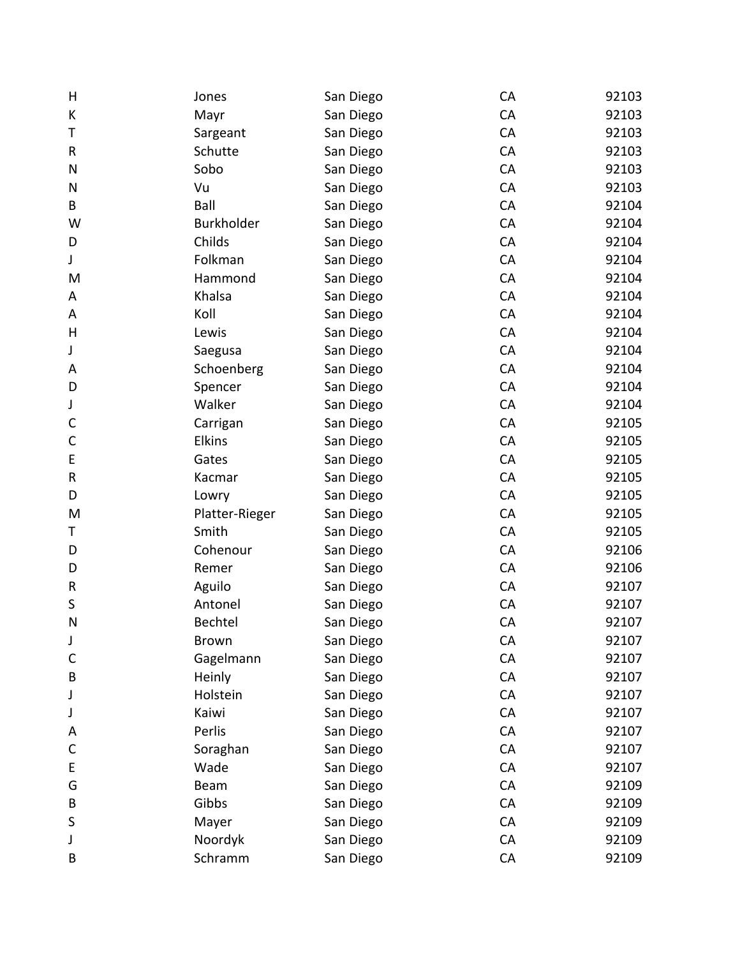| H            | Jones          | San Diego | CA | 92103 |
|--------------|----------------|-----------|----|-------|
| К            | Mayr           | San Diego | CA | 92103 |
| Τ            | Sargeant       | San Diego | CA | 92103 |
| R            | Schutte        | San Diego | CA | 92103 |
| N            | Sobo           | San Diego | CA | 92103 |
| N            | Vu             | San Diego | CA | 92103 |
| B            | Ball           | San Diego | CA | 92104 |
| W            | Burkholder     | San Diego | CA | 92104 |
| D            | Childs         | San Diego | CA | 92104 |
| J            | Folkman        | San Diego | CA | 92104 |
| M            | Hammond        | San Diego | CA | 92104 |
| Α            | Khalsa         | San Diego | CA | 92104 |
| A            | Koll           | San Diego | CA | 92104 |
| $\sf H$      | Lewis          | San Diego | CA | 92104 |
| J            | Saegusa        | San Diego | CA | 92104 |
| Α            | Schoenberg     | San Diego | CA | 92104 |
| D            | Spencer        | San Diego | CA | 92104 |
| J            | Walker         | San Diego | CA | 92104 |
| $\mathsf{C}$ | Carrigan       | San Diego | CA | 92105 |
| C            | <b>Elkins</b>  | San Diego | CA | 92105 |
| E            | Gates          | San Diego | CA | 92105 |
| ${\sf R}$    | Kacmar         | San Diego | CA | 92105 |
| D            | Lowry          | San Diego | CA | 92105 |
| M            | Platter-Rieger | San Diego | CA | 92105 |
| Τ            | Smith          | San Diego | CA | 92105 |
| D            | Cohenour       | San Diego | CA | 92106 |
| D            | Remer          | San Diego | CA | 92106 |
| ${\sf R}$    | Aguilo         | San Diego | CA | 92107 |
| S            | Antonel        | San Diego | CA | 92107 |
| N            | Bechtel        | San Diego | CA | 92107 |
| J            | <b>Brown</b>   | San Diego | CA | 92107 |
| C            | Gagelmann      | San Diego | CA | 92107 |
| B            | Heinly         | San Diego | CA | 92107 |
| J            | Holstein       | San Diego | CA | 92107 |
| J            | Kaiwi          | San Diego | CA | 92107 |
| A            | Perlis         | San Diego | CA | 92107 |
| C            | Soraghan       | San Diego | CA | 92107 |
| E            | Wade           | San Diego | CA | 92107 |
| G            | Beam           | San Diego | CA | 92109 |
| B            | Gibbs          | San Diego | CA | 92109 |
| S            | Mayer          | San Diego | CA | 92109 |
| J            | Noordyk        | San Diego | CA | 92109 |
| B            | Schramm        | San Diego | CA | 92109 |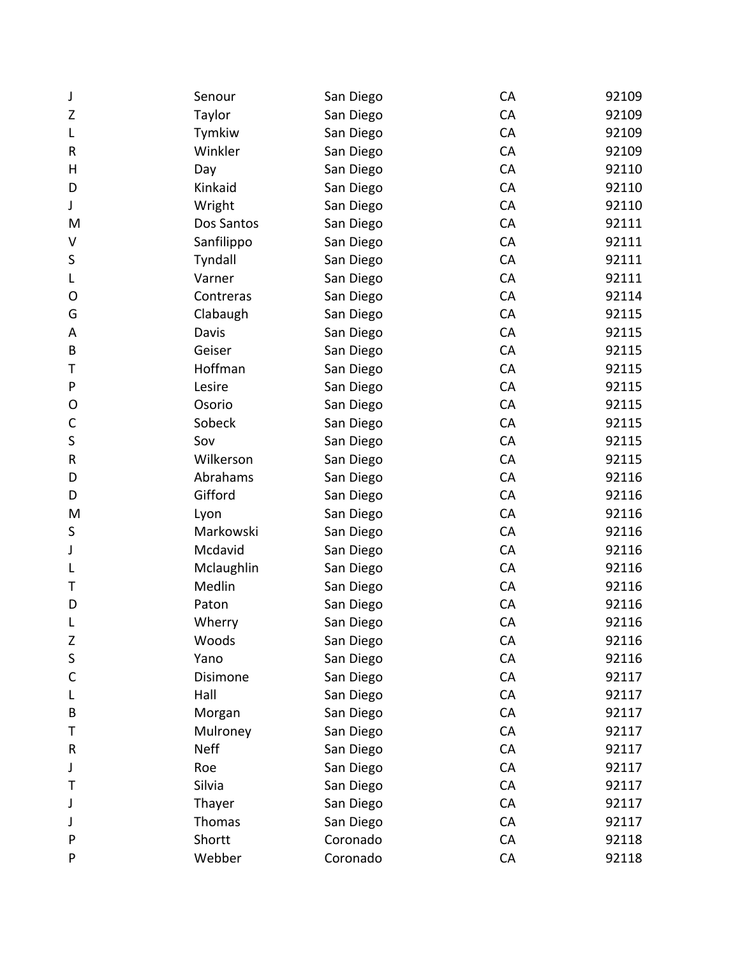| J            | Senour      | San Diego | CA | 92109 |
|--------------|-------------|-----------|----|-------|
| Z            | Taylor      | San Diego | CA | 92109 |
| L            | Tymkiw      | San Diego | CA | 92109 |
| R            | Winkler     | San Diego | CA | 92109 |
| H            | Day         | San Diego | CA | 92110 |
| D            | Kinkaid     | San Diego | CA | 92110 |
| J            | Wright      | San Diego | CA | 92110 |
| M            | Dos Santos  | San Diego | CA | 92111 |
| V            | Sanfilippo  | San Diego | CA | 92111 |
| $\sf S$      | Tyndall     | San Diego | CA | 92111 |
| L            | Varner      | San Diego | CA | 92111 |
| O            | Contreras   | San Diego | CA | 92114 |
| G            | Clabaugh    | San Diego | CA | 92115 |
| A            | Davis       | San Diego | CA | 92115 |
| B            | Geiser      | San Diego | CA | 92115 |
| Τ            | Hoffman     | San Diego | CA | 92115 |
| P            | Lesire      | San Diego | CA | 92115 |
| O            | Osorio      | San Diego | CA | 92115 |
| $\mathsf{C}$ | Sobeck      | San Diego | CA | 92115 |
| $\sf S$      | Sov         | San Diego | CA | 92115 |
| R            | Wilkerson   | San Diego | CA | 92115 |
| D            | Abrahams    | San Diego | CA | 92116 |
| D            | Gifford     | San Diego | CA | 92116 |
| M            | Lyon        | San Diego | CA | 92116 |
| S            | Markowski   | San Diego | CA | 92116 |
| J            | Mcdavid     | San Diego | CA | 92116 |
| L            | Mclaughlin  | San Diego | CA | 92116 |
| Т            | Medlin      | San Diego | CA | 92116 |
| D            | Paton       | San Diego | CA | 92116 |
| L            | Wherry      | San Diego | CA | 92116 |
| Ζ            | Woods       | San Diego | CA | 92116 |
| $\sf S$      | Yano        | San Diego | CA | 92116 |
| $\mathsf{C}$ | Disimone    | San Diego | CA | 92117 |
| L            | Hall        | San Diego | CA | 92117 |
| B            | Morgan      | San Diego | CA | 92117 |
| Т            | Mulroney    | San Diego | CA | 92117 |
| R            | <b>Neff</b> | San Diego | CA | 92117 |
| J            | Roe         | San Diego | CA | 92117 |
| Т            | Silvia      | San Diego | CA | 92117 |
| J            | Thayer      | San Diego | CA | 92117 |
| J            | Thomas      | San Diego | CA | 92117 |
| P            | Shortt      | Coronado  | CA | 92118 |
| P            | Webber      | Coronado  | CA | 92118 |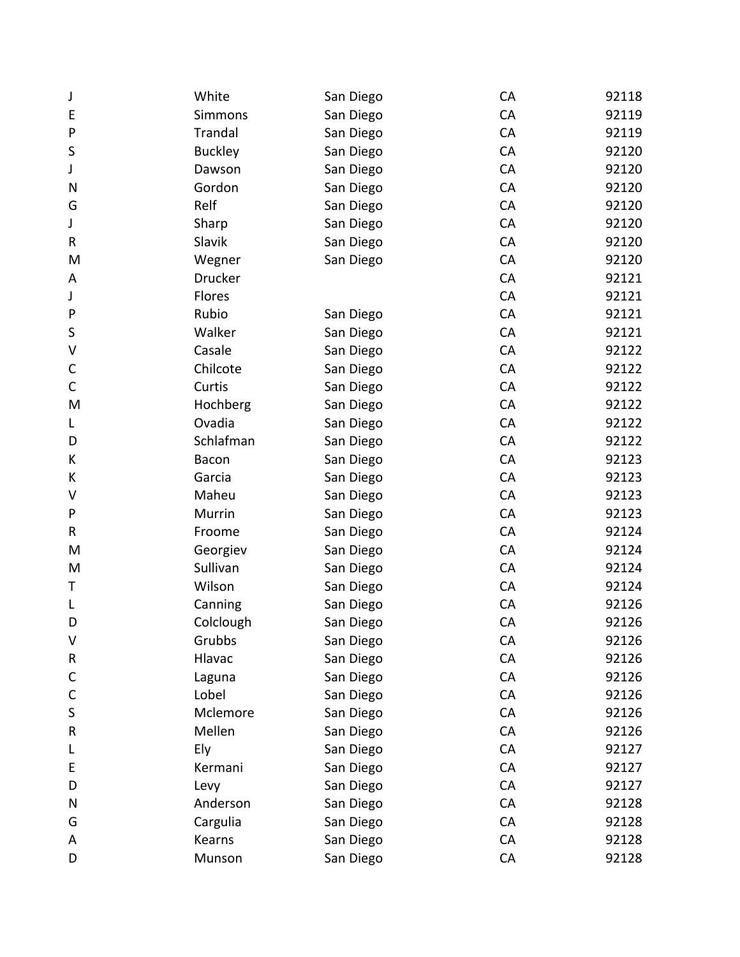| J            | White          | San Diego | CA | 92118 |
|--------------|----------------|-----------|----|-------|
| E            | Simmons        | San Diego | CA | 92119 |
| P            | <b>Trandal</b> | San Diego | CA | 92119 |
| S            | <b>Buckley</b> | San Diego | CA | 92120 |
| J            | Dawson         | San Diego | CA | 92120 |
| N            | Gordon         | San Diego | CA | 92120 |
| G            | Relf           | San Diego | CA | 92120 |
| J            | Sharp          | San Diego | CA | 92120 |
| R            | Slavik         | San Diego | CA | 92120 |
| M            | Wegner         | San Diego | CA | 92120 |
| A            | <b>Drucker</b> |           | CA | 92121 |
| J            | Flores         |           | CA | 92121 |
| P            | Rubio          | San Diego | CA | 92121 |
| S            | Walker         | San Diego | CA | 92121 |
| V            | Casale         | San Diego | CA | 92122 |
| $\mathsf{C}$ | Chilcote       | San Diego | CA | 92122 |
| $\mathsf C$  | Curtis         | San Diego | CA | 92122 |
| M            | Hochberg       | San Diego | CA | 92122 |
| L            | Ovadia         | San Diego | CA | 92122 |
| D            | Schlafman      | San Diego | CA | 92122 |
| К            | Bacon          | San Diego | CA | 92123 |
| К            | Garcia         | San Diego | CA | 92123 |
| V            | Maheu          | San Diego | CA | 92123 |
| P            | Murrin         | San Diego | CA | 92123 |
| R            | Froome         | San Diego | CA | 92124 |
| M            | Georgiev       | San Diego | CA | 92124 |
| M            | Sullivan       | San Diego | CA | 92124 |
| Τ            | Wilson         | San Diego | CA | 92124 |
| L            | Canning        | San Diego | CA | 92126 |
| D            | Colclough      | San Diego | CA | 92126 |
| V            | Grubbs         | San Diego | CA | 92126 |
| R            | Hlavac         | San Diego | CA | 92126 |
| C            | Laguna         | San Diego | CA | 92126 |
| C            | Lobel          | San Diego | CA | 92126 |
| S            | Mclemore       | San Diego | CA | 92126 |
| R            | Mellen         | San Diego | CA | 92126 |
| L            | Ely            | San Diego | CA | 92127 |
| E            | Kermani        | San Diego | CA | 92127 |
| D            | Levy           | San Diego | CA | 92127 |
| N            | Anderson       | San Diego | CA | 92128 |
| G            | Cargulia       | San Diego | CA | 92128 |
| A            | Kearns         | San Diego | CA | 92128 |
| D            | Munson         | San Diego | CA | 92128 |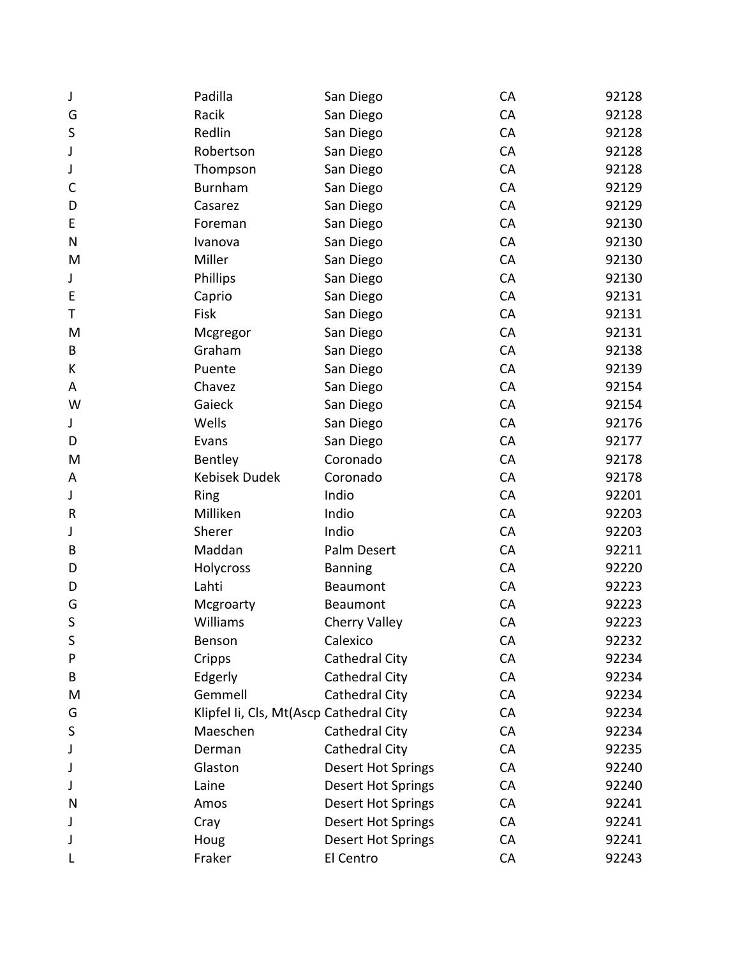| J            | Padilla                                 | San Diego                 | CA        | 92128 |
|--------------|-----------------------------------------|---------------------------|-----------|-------|
| G            | Racik                                   | San Diego                 | CA        | 92128 |
| S            | Redlin                                  | San Diego                 | CA        | 92128 |
| J            | Robertson                               | San Diego                 | CA        | 92128 |
| J            | Thompson                                | San Diego                 | CA        | 92128 |
| $\mathsf{C}$ | <b>Burnham</b>                          | San Diego                 | CA        | 92129 |
| D            | Casarez                                 | San Diego                 | CA        | 92129 |
| E            | Foreman                                 | San Diego                 | CA        | 92130 |
| $\mathsf{N}$ | Ivanova                                 | San Diego                 | CA        | 92130 |
| M            | Miller                                  | San Diego                 | CA        | 92130 |
| J            | Phillips                                | San Diego                 | CA        | 92130 |
| E            | Caprio                                  | San Diego                 | CA        | 92131 |
| Τ            | Fisk                                    | San Diego                 | CA        | 92131 |
| M            | Mcgregor                                | San Diego                 | CA        | 92131 |
| B            | Graham                                  | San Diego                 | CA        | 92138 |
| K            | Puente                                  | San Diego                 | CA        | 92139 |
| A            | Chavez                                  | San Diego                 | CA        | 92154 |
| W            | Gaieck                                  | San Diego                 | CA        | 92154 |
| J            | Wells                                   | San Diego                 | CA        | 92176 |
| D            | Evans                                   | San Diego                 | CA        | 92177 |
| M            | Bentley                                 | Coronado                  | CA        | 92178 |
| A            | <b>Kebisek Dudek</b>                    | Coronado                  | CA        | 92178 |
| J            | Ring                                    | Indio                     | CA        | 92201 |
| R            | Milliken                                | Indio                     | CA        | 92203 |
| J            | Sherer                                  | Indio                     | CA        | 92203 |
| B            | Maddan                                  | Palm Desert               | CA        | 92211 |
| D            | Holycross                               | <b>Banning</b>            | CA        | 92220 |
| D            | Lahti                                   | Beaumont                  | CA        | 92223 |
| G            | Mcgroarty                               | Beaumont                  | CA        | 92223 |
| S            | Williams                                | <b>Cherry Valley</b>      | CA        | 92223 |
| S            | Benson                                  | Calexico                  | <b>CA</b> | 92232 |
| P            | Cripps                                  | Cathedral City            | CA        | 92234 |
| B            | Edgerly                                 | Cathedral City            | CA        | 92234 |
| M            | Gemmell                                 | Cathedral City            | CA        | 92234 |
| G            | Klipfel Ii, Cls, Mt(Ascp Cathedral City |                           | CA        | 92234 |
| S            | Maeschen                                | Cathedral City            | CA        | 92234 |
| J            | Derman                                  | Cathedral City            | <b>CA</b> | 92235 |
| J            | Glaston                                 | <b>Desert Hot Springs</b> | CA        | 92240 |
| J            | Laine                                   | <b>Desert Hot Springs</b> | CA        | 92240 |
| N            | Amos                                    | <b>Desert Hot Springs</b> | CA        | 92241 |
| J            | Cray                                    | <b>Desert Hot Springs</b> | <b>CA</b> | 92241 |
| J            | Houg                                    | <b>Desert Hot Springs</b> | CA        | 92241 |
|              | Fraker                                  | El Centro                 | CA        | 92243 |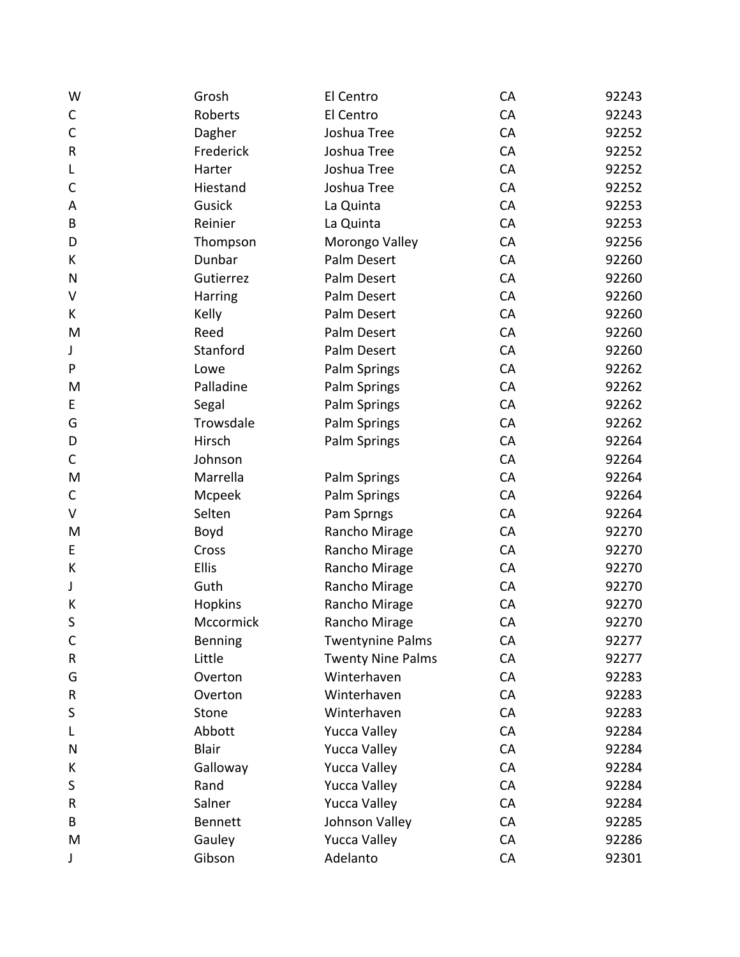| W            | Grosh          | El Centro                | CA | 92243 |
|--------------|----------------|--------------------------|----|-------|
| $\mathsf C$  | Roberts        | El Centro                | CA | 92243 |
| $\mathsf{C}$ | Dagher         | Joshua Tree              | CA | 92252 |
| ${\sf R}$    | Frederick      | Joshua Tree              | CA | 92252 |
| L            | Harter         | Joshua Tree              | CA | 92252 |
| C            | Hiestand       | Joshua Tree              | CA | 92252 |
| A            | Gusick         | La Quinta                | CA | 92253 |
| B            | Reinier        | La Quinta                | CA | 92253 |
| D            | Thompson       | Morongo Valley           | CA | 92256 |
| К            | Dunbar         | Palm Desert              | CA | 92260 |
| N            | Gutierrez      | Palm Desert              | CA | 92260 |
| V            | Harring        | Palm Desert              | CA | 92260 |
| K            | Kelly          | Palm Desert              | CA | 92260 |
| M            | Reed           | Palm Desert              | CA | 92260 |
| J            | Stanford       | Palm Desert              | CA | 92260 |
| P            | Lowe           | Palm Springs             | CA | 92262 |
| M            | Palladine      | Palm Springs             | CA | 92262 |
| E            | Segal          | Palm Springs             | CA | 92262 |
| G            | Trowsdale      | Palm Springs             | CA | 92262 |
| D            | Hirsch         | Palm Springs             | CA | 92264 |
| C            | Johnson        |                          | CA | 92264 |
| M            | Marrella       | <b>Palm Springs</b>      | CA | 92264 |
| C            | Mcpeek         | Palm Springs             | CA | 92264 |
| V            | Selten         | Pam Sprngs               | CA | 92264 |
| M            | Boyd           | Rancho Mirage            | CA | 92270 |
| E            | Cross          | Rancho Mirage            | CA | 92270 |
| К            | Ellis          | Rancho Mirage            | CA | 92270 |
| J            | Guth           | Rancho Mirage            | CA | 92270 |
| К            | Hopkins        | Rancho Mirage            | CA | 92270 |
| S            | Mccormick      | Rancho Mirage            | CA | 92270 |
| C            | Benning        | <b>Twentynine Palms</b>  | CA | 92277 |
| ${\sf R}$    | Little         | <b>Twenty Nine Palms</b> | CA | 92277 |
| G            | Overton        | Winterhaven              | CA | 92283 |
| ${\sf R}$    | Overton        | Winterhaven              | CA | 92283 |
| S            | Stone          | Winterhaven              | CA | 92283 |
| L            | Abbott         | <b>Yucca Valley</b>      | CA | 92284 |
| N            | <b>Blair</b>   | <b>Yucca Valley</b>      | CA | 92284 |
| К            | Galloway       | <b>Yucca Valley</b>      | CA | 92284 |
| S            | Rand           | <b>Yucca Valley</b>      | CA | 92284 |
| R            | Salner         | <b>Yucca Valley</b>      | CA | 92284 |
| B            | <b>Bennett</b> | Johnson Valley           | CA | 92285 |
| M            | Gauley         | <b>Yucca Valley</b>      | CA | 92286 |
| J            | Gibson         | Adelanto                 | CA | 92301 |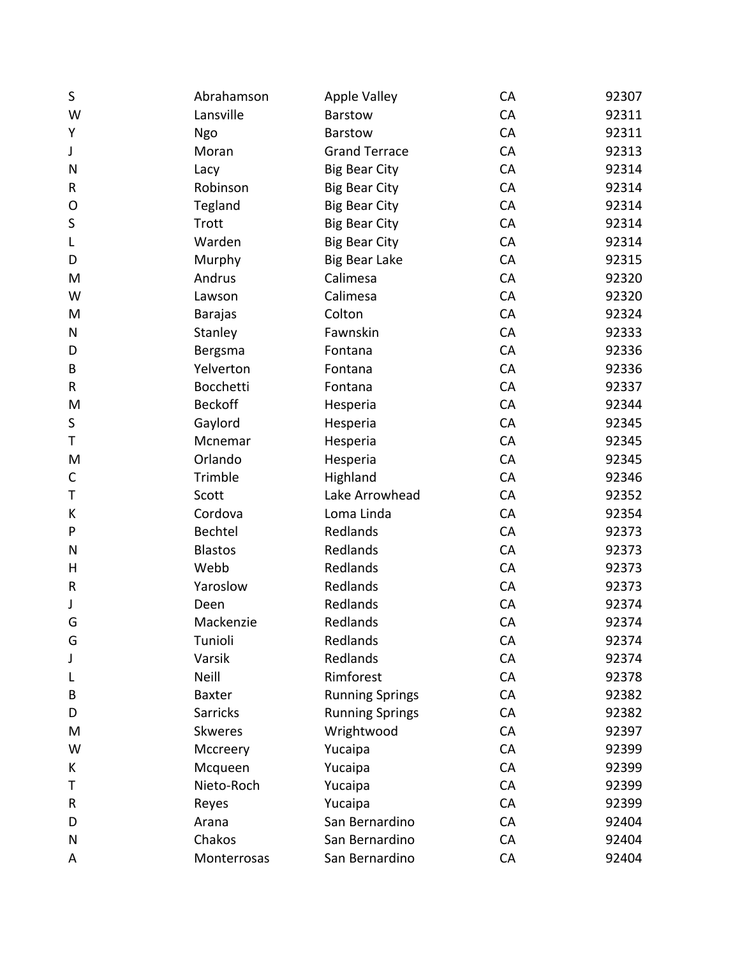| S         | Abrahamson       | <b>Apple Valley</b>    | CA | 92307 |
|-----------|------------------|------------------------|----|-------|
| W         | Lansville        | Barstow                | CA | 92311 |
| Υ         | Ngo              | Barstow                | CA | 92311 |
| J         | Moran            | <b>Grand Terrace</b>   | CA | 92313 |
| N         | Lacy             | <b>Big Bear City</b>   | CA | 92314 |
| R         | Robinson         | <b>Big Bear City</b>   | CA | 92314 |
| O         | Tegland          | <b>Big Bear City</b>   | CA | 92314 |
| S         | Trott            | <b>Big Bear City</b>   | CA | 92314 |
| L         | Warden           | <b>Big Bear City</b>   | CA | 92314 |
| D         | Murphy           | <b>Big Bear Lake</b>   | CA | 92315 |
| M         | Andrus           | Calimesa               | CA | 92320 |
| W         | Lawson           | Calimesa               | CA | 92320 |
| M         | <b>Barajas</b>   | Colton                 | CA | 92324 |
| ${\sf N}$ | Stanley          | Fawnskin               | CA | 92333 |
| D         | Bergsma          | Fontana                | CA | 92336 |
| B         | Yelverton        | Fontana                | CA | 92336 |
| R         | <b>Bocchetti</b> | Fontana                | CA | 92337 |
| M         | <b>Beckoff</b>   | Hesperia               | CA | 92344 |
| S         | Gaylord          | Hesperia               | CA | 92345 |
| Τ         | Mcnemar          | Hesperia               | CA | 92345 |
| M         | Orlando          | Hesperia               | CA | 92345 |
| C         | Trimble          | Highland               | CA | 92346 |
| T         | Scott            | Lake Arrowhead         | CA | 92352 |
| К         | Cordova          | Loma Linda             | CA | 92354 |
| P         | Bechtel          | Redlands               | CA | 92373 |
| N         | <b>Blastos</b>   | Redlands               | CA | 92373 |
| Н         | Webb             | Redlands               | CA | 92373 |
| R         | Yaroslow         | Redlands               | CA | 92373 |
| J         | Deen             | Redlands               | CA | 92374 |
| G         | Mackenzie        | Redlands               | CA | 92374 |
| G         | Tunioli          | Redlands               | CA | 92374 |
| J         | Varsik           | Redlands               | CA | 92374 |
| L         | <b>Neill</b>     | Rimforest              | CA | 92378 |
| В         | <b>Baxter</b>    | <b>Running Springs</b> | CA | 92382 |
| D         | <b>Sarricks</b>  | <b>Running Springs</b> | CA | 92382 |
| M         | <b>Skweres</b>   | Wrightwood             | CA | 92397 |
| W         | Mccreery         | Yucaipa                | CA | 92399 |
| К         | Mcqueen          | Yucaipa                | CA | 92399 |
| Τ         | Nieto-Roch       | Yucaipa                | CA | 92399 |
| R         | Reyes            | Yucaipa                | CA | 92399 |
| D         | Arana            | San Bernardino         | CA | 92404 |
| N         | Chakos           | San Bernardino         | CA | 92404 |
| A         | Monterrosas      | San Bernardino         | CA | 92404 |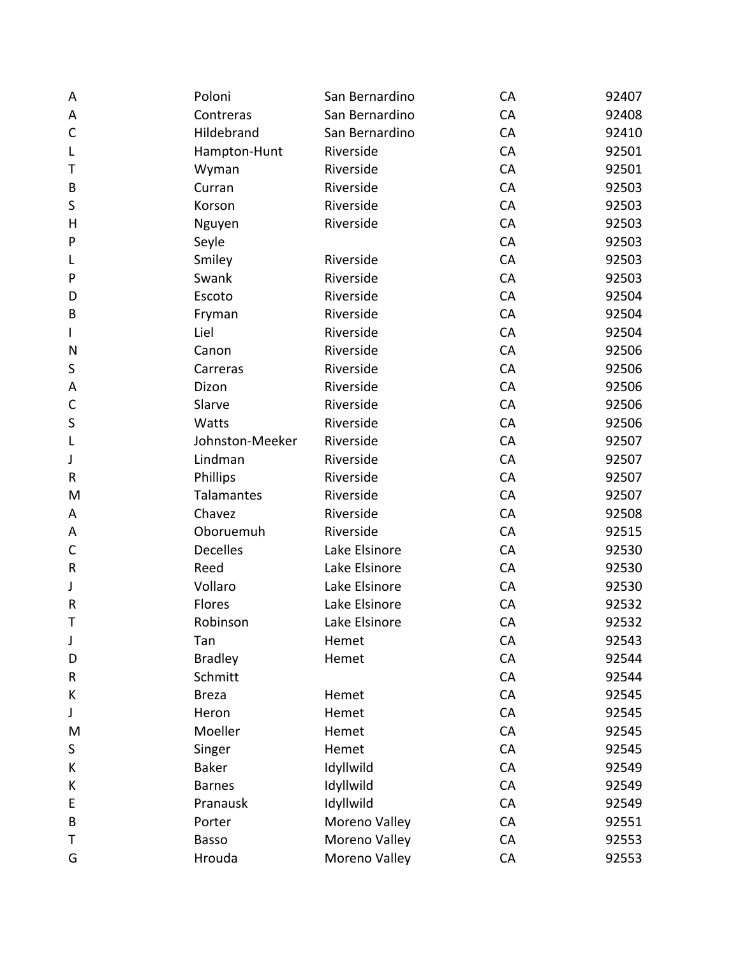| A            | Poloni          | San Bernardino | CA | 92407 |
|--------------|-----------------|----------------|----|-------|
| Α            | Contreras       | San Bernardino | CA | 92408 |
| $\mathsf{C}$ | Hildebrand      | San Bernardino | CA | 92410 |
| L            | Hampton-Hunt    | Riverside      | CA | 92501 |
| т            | Wyman           | Riverside      | CA | 92501 |
| B            | Curran          | Riverside      | CA | 92503 |
| S            | Korson          | Riverside      | CA | 92503 |
| Н            | Nguyen          | Riverside      | CA | 92503 |
| P            | Seyle           |                | CA | 92503 |
| L            | Smiley          | Riverside      | CA | 92503 |
| P            | Swank           | Riverside      | CA | 92503 |
| D            | Escoto          | Riverside      | CA | 92504 |
| B            | Fryman          | Riverside      | CA | 92504 |
| I            | Liel            | Riverside      | CA | 92504 |
| N            | Canon           | Riverside      | CA | 92506 |
| S            | Carreras        | Riverside      | CA | 92506 |
| A            | Dizon           | Riverside      | CA | 92506 |
| $\mathsf{C}$ | Slarve          | Riverside      | CA | 92506 |
| S            | Watts           | Riverside      | CA | 92506 |
| L            | Johnston-Meeker | Riverside      | CA | 92507 |
| J            | Lindman         | Riverside      | CA | 92507 |
| $\sf R$      | Phillips        | Riverside      | CA | 92507 |
| M            | Talamantes      | Riverside      | CA | 92507 |
| Α            | Chavez          | Riverside      | CA | 92508 |
| Α            | Oboruemuh       | Riverside      | CA | 92515 |
| $\mathsf C$  | <b>Decelles</b> | Lake Elsinore  | CA | 92530 |
| R            | Reed            | Lake Elsinore  | CA | 92530 |
| J            | Vollaro         | Lake Elsinore  | CA | 92530 |
| $\mathsf R$  | Flores          | Lake Elsinore  | CA | 92532 |
| т            | Robinson        | Lake Elsinore  | CA | 92532 |
| J            | Tan             | Hemet          | CA | 92543 |
| D            | <b>Bradley</b>  | Hemet          | CA | 92544 |
| R            | Schmitt         |                | CA | 92544 |
| К            | <b>Breza</b>    | Hemet          | CA | 92545 |
| J            | Heron           | Hemet          | CA | 92545 |
| M            | Moeller         | Hemet          | CA | 92545 |
| S            | Singer          | Hemet          | CA | 92545 |
| К            | <b>Baker</b>    | Idyllwild      | CA | 92549 |
| К            | <b>Barnes</b>   | Idyllwild      | CA | 92549 |
| E            | Pranausk        | Idyllwild      | CA | 92549 |
| B            | Porter          | Moreno Valley  | CA | 92551 |
| т            | Basso           | Moreno Valley  | CA | 92553 |
| G            | Hrouda          | Moreno Valley  | CA | 92553 |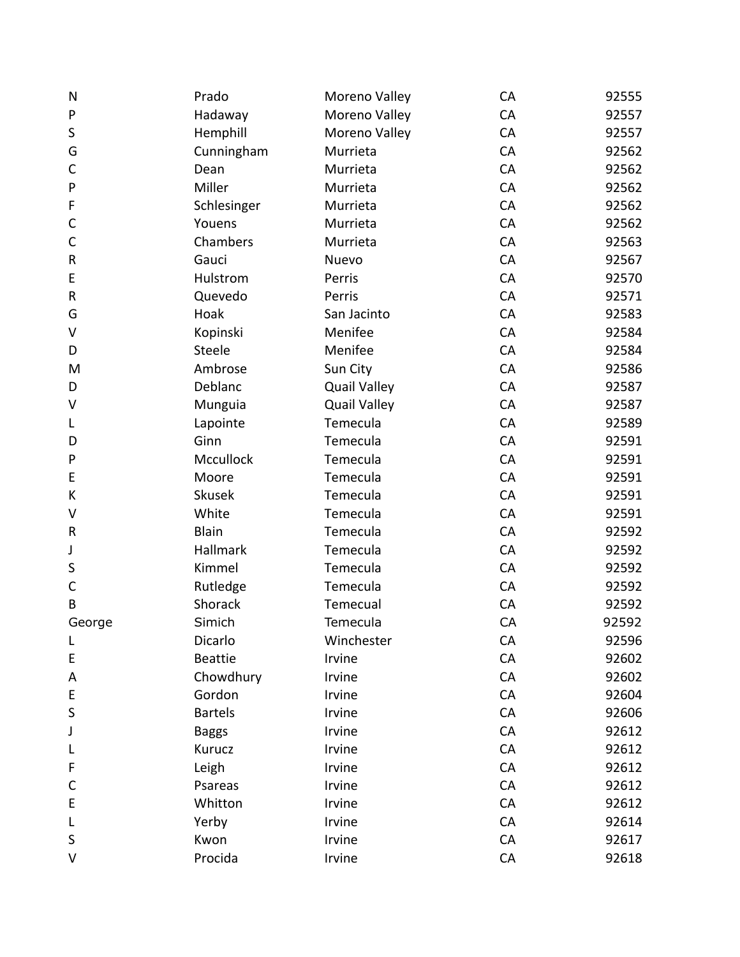| ${\sf N}$    | Prado          | Moreno Valley       | CA | 92555 |
|--------------|----------------|---------------------|----|-------|
| ${\sf P}$    | Hadaway        | Moreno Valley       | CA | 92557 |
| $\sf S$      | Hemphill       | Moreno Valley       | CA | 92557 |
| G            | Cunningham     | Murrieta            | CA | 92562 |
| C            | Dean           | Murrieta            | CA | 92562 |
| P            | Miller         | Murrieta            | CA | 92562 |
| F            | Schlesinger    | Murrieta            | CA | 92562 |
| $\mathsf{C}$ | Youens         | Murrieta            | CA | 92562 |
| $\mathsf C$  | Chambers       | Murrieta            | CA | 92563 |
| ${\sf R}$    | Gauci          | Nuevo               | CA | 92567 |
| E            | Hulstrom       | Perris              | CA | 92570 |
| ${\sf R}$    | Quevedo        | Perris              | CA | 92571 |
| G            | Hoak           | San Jacinto         | CA | 92583 |
| V            | Kopinski       | Menifee             | CA | 92584 |
| D            | <b>Steele</b>  | Menifee             | CA | 92584 |
| M            | Ambrose        | Sun City            | CA | 92586 |
| D            | Deblanc        | <b>Quail Valley</b> | CA | 92587 |
| V            | Munguia        | <b>Quail Valley</b> | CA | 92587 |
| L            | Lapointe       | Temecula            | CA | 92589 |
| D            | Ginn           | Temecula            | CA | 92591 |
| P            | Mccullock      | Temecula            | CA | 92591 |
| E            | Moore          | Temecula            | CA | 92591 |
| К            | <b>Skusek</b>  | Temecula            | CA | 92591 |
| V            | White          | Temecula            | CA | 92591 |
| R            | <b>Blain</b>   | Temecula            | CA | 92592 |
| J            | Hallmark       | Temecula            | CA | 92592 |
| S            | Kimmel         | Temecula            | CA | 92592 |
| $\mathsf C$  | Rutledge       | Temecula            | CA | 92592 |
| B            | Shorack        | Temecual            | CA | 92592 |
| George       | Simich         | Temecula            | CA | 92592 |
| L            | Dicarlo        | Winchester          | CA | 92596 |
| E            | <b>Beattie</b> | Irvine              | CA | 92602 |
| Α            | Chowdhury      | Irvine              | CA | 92602 |
| E            | Gordon         | Irvine              | CA | 92604 |
| S            | <b>Bartels</b> | Irvine              | CA | 92606 |
| J            | <b>Baggs</b>   | Irvine              | CA | 92612 |
| L            | Kurucz         | Irvine              | CA | 92612 |
| F            | Leigh          | Irvine              | CA | 92612 |
| C            | Psareas        | Irvine              | CA | 92612 |
| E            | Whitton        | Irvine              | CA | 92612 |
| L            | Yerby          | Irvine              | CA | 92614 |
| $\sf S$      | Kwon           | Irvine              | CA | 92617 |
| V            | Procida        | Irvine              | CA | 92618 |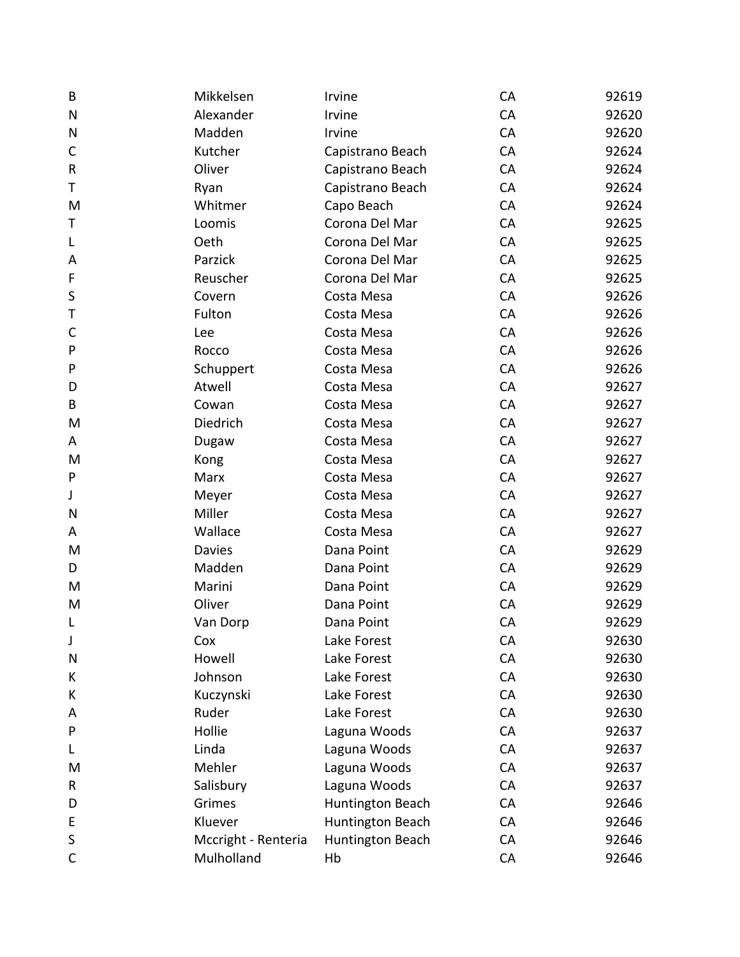| B            | Mikkelsen           | Irvine           | CA | 92619 |
|--------------|---------------------|------------------|----|-------|
| ${\sf N}$    | Alexander           | Irvine           | CA | 92620 |
| N            | Madden              | Irvine           | CA | 92620 |
| $\mathsf C$  | Kutcher             | Capistrano Beach | CA | 92624 |
| $\sf R$      | Oliver              | Capistrano Beach | CA | 92624 |
| Т            | Ryan                | Capistrano Beach | CA | 92624 |
| M            | Whitmer             | Capo Beach       | CA | 92624 |
| Т            | Loomis              | Corona Del Mar   | CA | 92625 |
| L            | Oeth                | Corona Del Mar   | CA | 92625 |
| A            | Parzick             | Corona Del Mar   | CA | 92625 |
| F            | Reuscher            | Corona Del Mar   | CA | 92625 |
| $\sf S$      | Covern              | Costa Mesa       | CA | 92626 |
| Τ            | Fulton              | Costa Mesa       | CA | 92626 |
| $\mathsf{C}$ | Lee                 | Costa Mesa       | CA | 92626 |
| ${\sf P}$    | Rocco               | Costa Mesa       | CA | 92626 |
| P            | Schuppert           | Costa Mesa       | CA | 92626 |
| D            | Atwell              | Costa Mesa       | CA | 92627 |
| B            | Cowan               | Costa Mesa       | CA | 92627 |
| M            | Diedrich            | Costa Mesa       | CA | 92627 |
| A            | Dugaw               | Costa Mesa       | CA | 92627 |
| M            | Kong                | Costa Mesa       | CA | 92627 |
| ${\sf P}$    | Marx                | Costa Mesa       | CA | 92627 |
| J            | Meyer               | Costa Mesa       | CA | 92627 |
| N            | Miller              | Costa Mesa       | CA | 92627 |
| Α            | Wallace             | Costa Mesa       | CA | 92627 |
| M            | <b>Davies</b>       | Dana Point       | CA | 92629 |
| D            | Madden              | Dana Point       | CA | 92629 |
| M            | Marini              | Dana Point       | CA | 92629 |
| M            | Oliver              | Dana Point       | CA | 92629 |
| L            | Van Dorp            | Dana Point       | CA | 92629 |
| J            | Cox                 | Lake Forest      | CA | 92630 |
| N            | Howell              | Lake Forest      | CA | 92630 |
| К            | Johnson             | Lake Forest      | CA | 92630 |
| К            | Kuczynski           | Lake Forest      | CA | 92630 |
| Α            | Ruder               | Lake Forest      | CA | 92630 |
| P            | Hollie              | Laguna Woods     | CA | 92637 |
| L            | Linda               | Laguna Woods     | CA | 92637 |
| M            | Mehler              | Laguna Woods     | CA | 92637 |
| R            | Salisbury           | Laguna Woods     | CA | 92637 |
| D            | Grimes              | Huntington Beach | CA | 92646 |
| E            | Kluever             | Huntington Beach | CA | 92646 |
| $\sf S$      | Mccright - Renteria | Huntington Beach | CA | 92646 |
| $\mathsf{C}$ | Mulholland          | Hb               | CA | 92646 |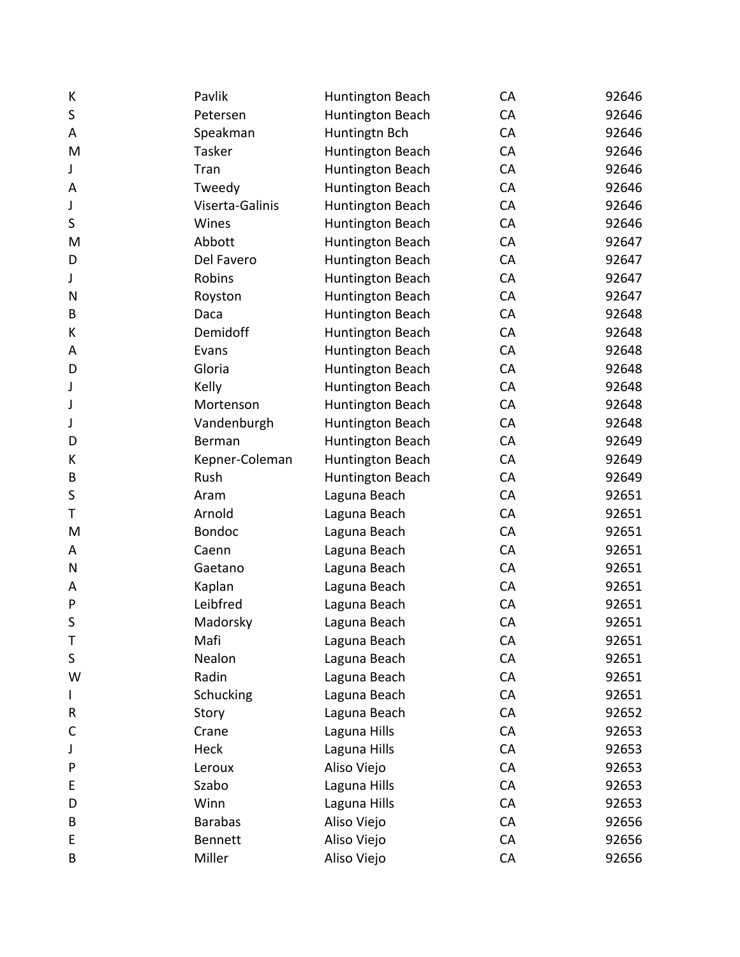| К            | Pavlik          | Huntington Beach | CA | 92646 |
|--------------|-----------------|------------------|----|-------|
| $\sf S$      | Petersen        | Huntington Beach | CA | 92646 |
| Α            | Speakman        | Huntingtn Bch    | CA | 92646 |
| M            | Tasker          | Huntington Beach | CA | 92646 |
| J            | Tran            | Huntington Beach | CA | 92646 |
| A            | Tweedy          | Huntington Beach | CA | 92646 |
| J            | Viserta-Galinis | Huntington Beach | CA | 92646 |
| S            | Wines           | Huntington Beach | CA | 92646 |
| M            | Abbott          | Huntington Beach | CA | 92647 |
| D            | Del Favero      | Huntington Beach | CA | 92647 |
| J            | Robins          | Huntington Beach | CA | 92647 |
| N            | Royston         | Huntington Beach | CA | 92647 |
| B            | Daca            | Huntington Beach | CA | 92648 |
| К            | Demidoff        | Huntington Beach | CA | 92648 |
| A            | Evans           | Huntington Beach | CA | 92648 |
| D            | Gloria          | Huntington Beach | CA | 92648 |
| J            | Kelly           | Huntington Beach | CA | 92648 |
| J            | Mortenson       | Huntington Beach | CA | 92648 |
| J            | Vandenburgh     | Huntington Beach | CA | 92648 |
| D            | Berman          | Huntington Beach | CA | 92649 |
| К            | Kepner-Coleman  | Huntington Beach | CA | 92649 |
| B            | Rush            | Huntington Beach | CA | 92649 |
| $\sf S$      | Aram            | Laguna Beach     | CA | 92651 |
| Т            | Arnold          | Laguna Beach     | CA | 92651 |
| M            | <b>Bondoc</b>   | Laguna Beach     | CA | 92651 |
| A            | Caenn           | Laguna Beach     | CA | 92651 |
| N            | Gaetano         | Laguna Beach     | CA | 92651 |
| A            | Kaplan          | Laguna Beach     | CA | 92651 |
| P            | Leibfred        | Laguna Beach     | CA | 92651 |
| S            | Madorsky        | Laguna Beach     | CA | 92651 |
| Τ            | Mafi            | Laguna Beach     | CA | 92651 |
| $\sf S$      | Nealon          | Laguna Beach     | CA | 92651 |
| W            | Radin           | Laguna Beach     | CA | 92651 |
| L            | Schucking       | Laguna Beach     | CA | 92651 |
| R            | Story           | Laguna Beach     | CA | 92652 |
| $\mathsf{C}$ | Crane           | Laguna Hills     | CA | 92653 |
| J            | Heck            | Laguna Hills     | CA | 92653 |
| P            | Leroux          | Aliso Viejo      | CA | 92653 |
| E            | Szabo           | Laguna Hills     | CA | 92653 |
| D            | Winn            | Laguna Hills     | CA | 92653 |
| B            | <b>Barabas</b>  | Aliso Viejo      | CA | 92656 |
| E            | <b>Bennett</b>  | Aliso Viejo      | CA | 92656 |
| B            | Miller          | Aliso Viejo      | CA | 92656 |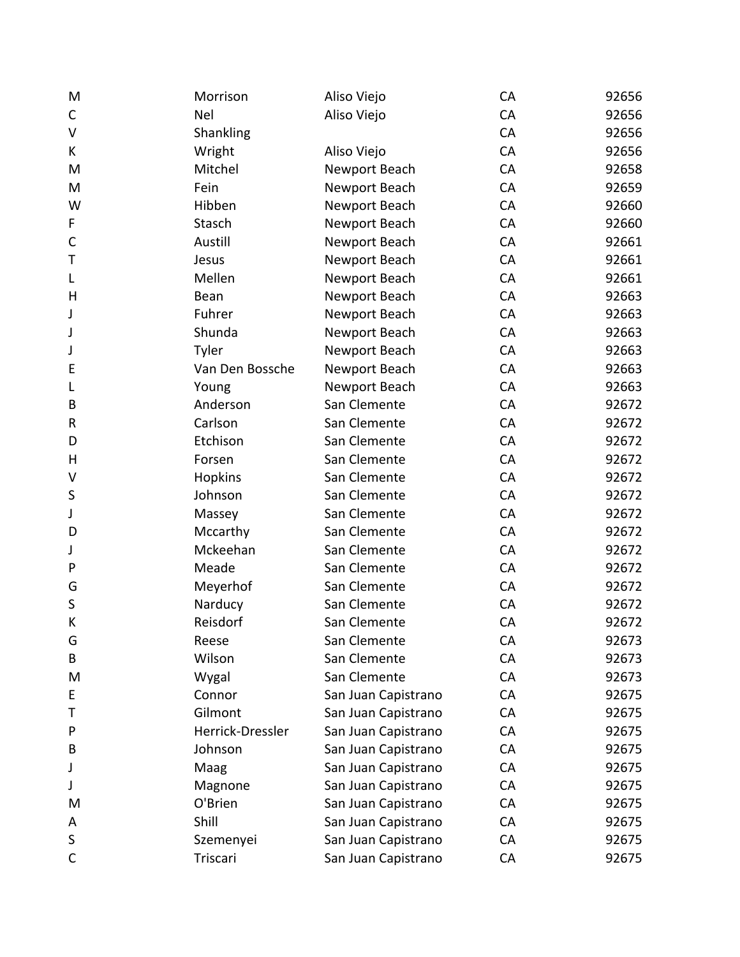| M           | Morrison         | Aliso Viejo         | CA | 92656 |
|-------------|------------------|---------------------|----|-------|
| C           | Nel              | Aliso Viejo         | CA | 92656 |
| V           | Shankling        |                     | CA | 92656 |
| K           | Wright           | Aliso Viejo         | CA | 92656 |
| M           | Mitchel          | Newport Beach       | CA | 92658 |
| M           | Fein             | Newport Beach       | CA | 92659 |
| W           | Hibben           | Newport Beach       | CA | 92660 |
| F           | Stasch           | Newport Beach       | CA | 92660 |
| $\mathsf C$ | Austill          | Newport Beach       | CA | 92661 |
| Τ           | Jesus            | Newport Beach       | CA | 92661 |
| L           | Mellen           | Newport Beach       | CA | 92661 |
| H           | Bean             | Newport Beach       | CA | 92663 |
| J           | Fuhrer           | Newport Beach       | CA | 92663 |
| J           | Shunda           | Newport Beach       | CA | 92663 |
| J           | Tyler            | Newport Beach       | CA | 92663 |
| E           | Van Den Bossche  | Newport Beach       | CA | 92663 |
| L           | Young            | Newport Beach       | CA | 92663 |
| B           | Anderson         | San Clemente        | CA | 92672 |
| R           | Carlson          | San Clemente        | CA | 92672 |
| D           | Etchison         | San Clemente        | CA | 92672 |
| Н           | Forsen           | San Clemente        | CA | 92672 |
| V           | Hopkins          | San Clemente        | CA | 92672 |
| S           | Johnson          | San Clemente        | CA | 92672 |
| J           | Massey           | San Clemente        | CA | 92672 |
| D           | Mccarthy         | San Clemente        | CA | 92672 |
| J           | Mckeehan         | San Clemente        | CA | 92672 |
| P           | Meade            | San Clemente        | CA | 92672 |
| G           | Meyerhof         | San Clemente        | CA | 92672 |
| S           | Narducy          | San Clemente        | CA | 92672 |
| К           | Reisdorf         | San Clemente        | CA | 92672 |
| G           | Reese            | San Clemente        | CA | 92673 |
| В           | Wilson           | San Clemente        | CA | 92673 |
| M           | Wygal            | San Clemente        | CA | 92673 |
| E           | Connor           | San Juan Capistrano | CA | 92675 |
| т           | Gilmont          | San Juan Capistrano | CA | 92675 |
| P           | Herrick-Dressler | San Juan Capistrano | CA | 92675 |
| B           | Johnson          | San Juan Capistrano | CA | 92675 |
| J           | Maag             | San Juan Capistrano | CA | 92675 |
| J           | Magnone          | San Juan Capistrano | CA | 92675 |
| M           | O'Brien          | San Juan Capistrano | CA | 92675 |
| A           | Shill            | San Juan Capistrano | CA | 92675 |
| S           | Szemenyei        | San Juan Capistrano | CA | 92675 |
| $\mathsf C$ | Triscari         | San Juan Capistrano | CA | 92675 |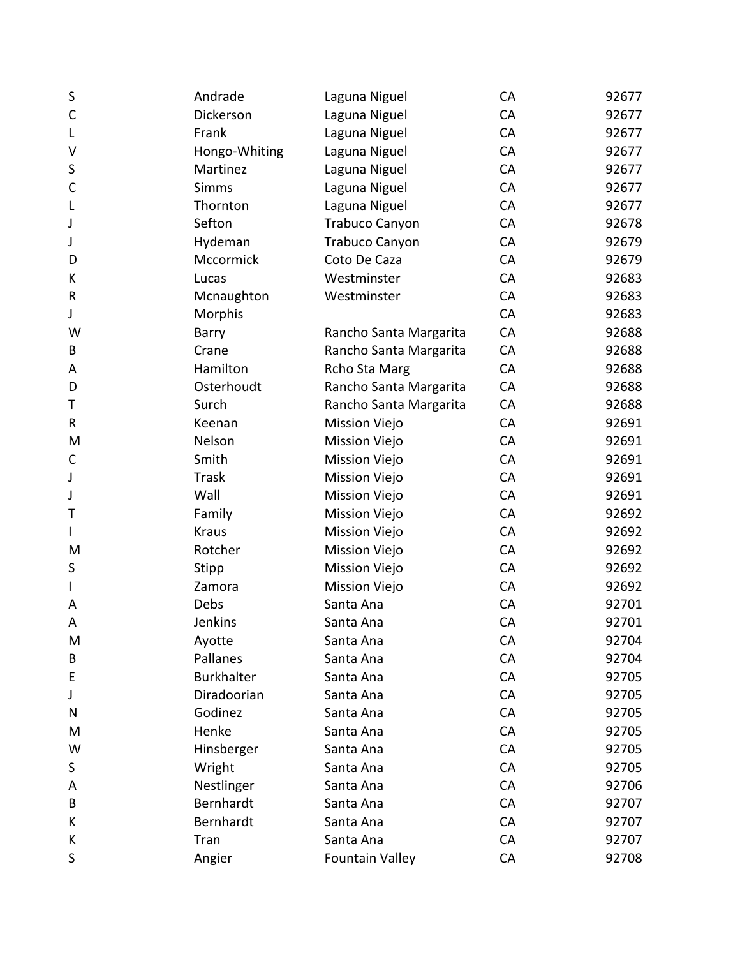| S            | Andrade           | Laguna Niguel          | CA | 92677 |
|--------------|-------------------|------------------------|----|-------|
| $\mathsf{C}$ | Dickerson         | Laguna Niguel          | CA | 92677 |
| L            | Frank             | Laguna Niguel          | CA | 92677 |
| ٧            | Hongo-Whiting     | Laguna Niguel          | CA | 92677 |
| S            | Martinez          | Laguna Niguel          | CA | 92677 |
| C            | <b>Simms</b>      | Laguna Niguel          | CA | 92677 |
| L            | Thornton          | Laguna Niguel          | CA | 92677 |
| J            | Sefton            | Trabuco Canyon         | CA | 92678 |
| J            | Hydeman           | Trabuco Canyon         | CA | 92679 |
| D            | Mccormick         | Coto De Caza           | CA | 92679 |
| К            | Lucas             | Westminster            | CA | 92683 |
| R            | Mcnaughton        | Westminster            | CA | 92683 |
| J            | Morphis           |                        | CA | 92683 |
| W            | Barry             | Rancho Santa Margarita | CA | 92688 |
| B            | Crane             | Rancho Santa Margarita | CA | 92688 |
| A            | Hamilton          | Rcho Sta Marg          | CA | 92688 |
| D            | Osterhoudt        | Rancho Santa Margarita | CA | 92688 |
| Τ            | Surch             | Rancho Santa Margarita | CA | 92688 |
| R            | Keenan            | <b>Mission Viejo</b>   | CA | 92691 |
| M            | Nelson            | <b>Mission Viejo</b>   | CA | 92691 |
| C            | Smith             | <b>Mission Viejo</b>   | CA | 92691 |
| J            | <b>Trask</b>      | <b>Mission Viejo</b>   | CA | 92691 |
| J            | Wall              | <b>Mission Viejo</b>   | CA | 92691 |
| Т            | Family            | <b>Mission Viejo</b>   | CA | 92692 |
| L            | <b>Kraus</b>      | <b>Mission Viejo</b>   | CA | 92692 |
| M            | Rotcher           | <b>Mission Viejo</b>   | CA | 92692 |
| S            | Stipp             | <b>Mission Viejo</b>   | CA | 92692 |
| L            | Zamora            | <b>Mission Viejo</b>   | CA | 92692 |
| A            | Debs              | Santa Ana              | CA | 92701 |
| A            | Jenkins           | Santa Ana              | CA | 92701 |
| M            | Ayotte            | Santa Ana              | CA | 92704 |
| B            | Pallanes          | Santa Ana              | CA | 92704 |
| E            | <b>Burkhalter</b> | Santa Ana              | CA | 92705 |
| J            | Diradoorian       | Santa Ana              | CA | 92705 |
| N            | Godinez           | Santa Ana              | CA | 92705 |
| M            | Henke             | Santa Ana              | CA | 92705 |
| W            | Hinsberger        | Santa Ana              | CA | 92705 |
| S            | Wright            | Santa Ana              | CA | 92705 |
| Α            | Nestlinger        | Santa Ana              | CA | 92706 |
| B            | Bernhardt         | Santa Ana              | CA | 92707 |
| К            | Bernhardt         | Santa Ana              | CA | 92707 |
| К            | Tran              | Santa Ana              | CA | 92707 |
| S            | Angier            | <b>Fountain Valley</b> | CA | 92708 |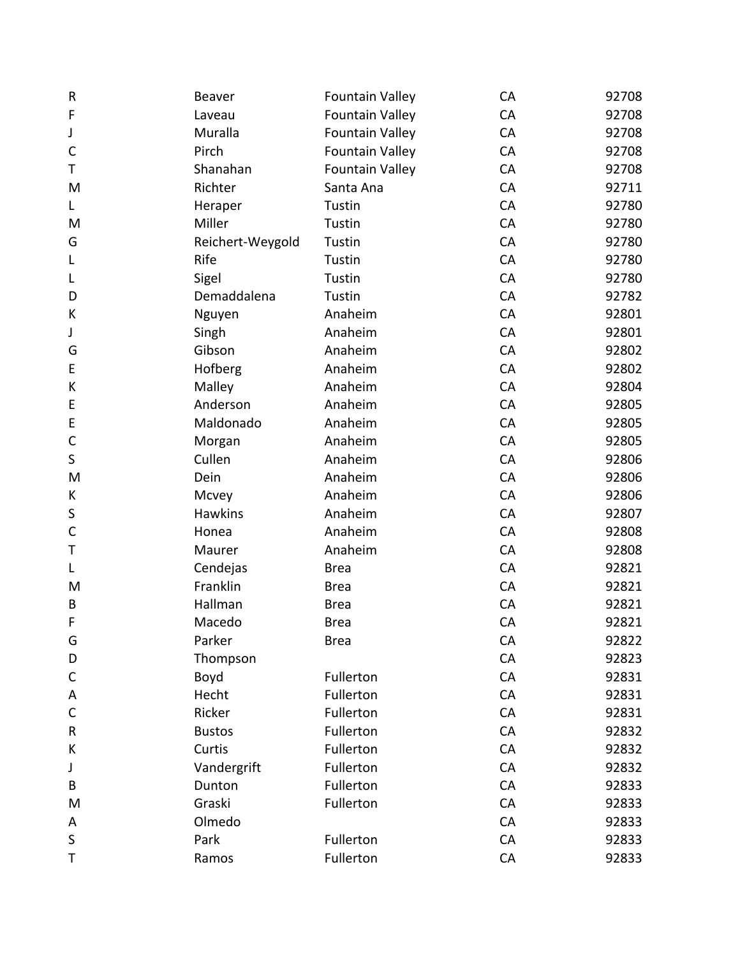| $\sf R$      | Beaver           | Fountain Valley        | CA | 92708 |
|--------------|------------------|------------------------|----|-------|
| F            | Laveau           | <b>Fountain Valley</b> | CA | 92708 |
| J            | Muralla          | <b>Fountain Valley</b> | CA | 92708 |
| $\mathsf{C}$ | Pirch            | <b>Fountain Valley</b> | CA | 92708 |
| Т            | Shanahan         | Fountain Valley        | CA | 92708 |
| M            | Richter          | Santa Ana              | CA | 92711 |
| L            | Heraper          | Tustin                 | CA | 92780 |
| M            | Miller           | Tustin                 | CA | 92780 |
| G            | Reichert-Weygold | Tustin                 | CA | 92780 |
| L            | Rife             | Tustin                 | CA | 92780 |
| L            | Sigel            | Tustin                 | CA | 92780 |
| D            | Demaddalena      | Tustin                 | CA | 92782 |
| К            | Nguyen           | Anaheim                | CA | 92801 |
| J            | Singh            | Anaheim                | CA | 92801 |
| G            | Gibson           | Anaheim                | CA | 92802 |
| E            | Hofberg          | Anaheim                | CA | 92802 |
| К            | Malley           | Anaheim                | CA | 92804 |
| E            | Anderson         | Anaheim                | CA | 92805 |
| E            | Maldonado        | Anaheim                | CA | 92805 |
| $\mathsf C$  | Morgan           | Anaheim                | CA | 92805 |
| $\sf S$      | Cullen           | Anaheim                | CA | 92806 |
| M            | Dein             | Anaheim                | CA | 92806 |
| K            | Mcvey            | Anaheim                | CA | 92806 |
| S            | <b>Hawkins</b>   | Anaheim                | CA | 92807 |
| $\mathsf{C}$ | Honea            | Anaheim                | CA | 92808 |
| Т            | Maurer           | Anaheim                | CA | 92808 |
| L            | Cendejas         | <b>Brea</b>            | CA | 92821 |
| M            | Franklin         | <b>Brea</b>            | CA | 92821 |
| B            | Hallman          | <b>Brea</b>            | CA | 92821 |
| F            | Macedo           | <b>Brea</b>            | CA | 92821 |
| G            | Parker           | <b>Brea</b>            | CA | 92822 |
| D            | Thompson         |                        | CA | 92823 |
| $\mathsf{C}$ | Boyd             | Fullerton              | CA | 92831 |
| A            | Hecht            | Fullerton              | CA | 92831 |
| $\mathsf{C}$ | Ricker           | Fullerton              | CA | 92831 |
| ${\sf R}$    | <b>Bustos</b>    | Fullerton              | CA | 92832 |
| К            | Curtis           | Fullerton              | CA | 92832 |
| J            | Vandergrift      | Fullerton              | CA | 92832 |
| B            | Dunton           | Fullerton              | CA | 92833 |
| M            | Graski           | Fullerton              | CA | 92833 |
| Α            | Olmedo           |                        | CA | 92833 |
| $\sf S$      | Park             | Fullerton              | CA | 92833 |
| Τ            | Ramos            | Fullerton              | CA | 92833 |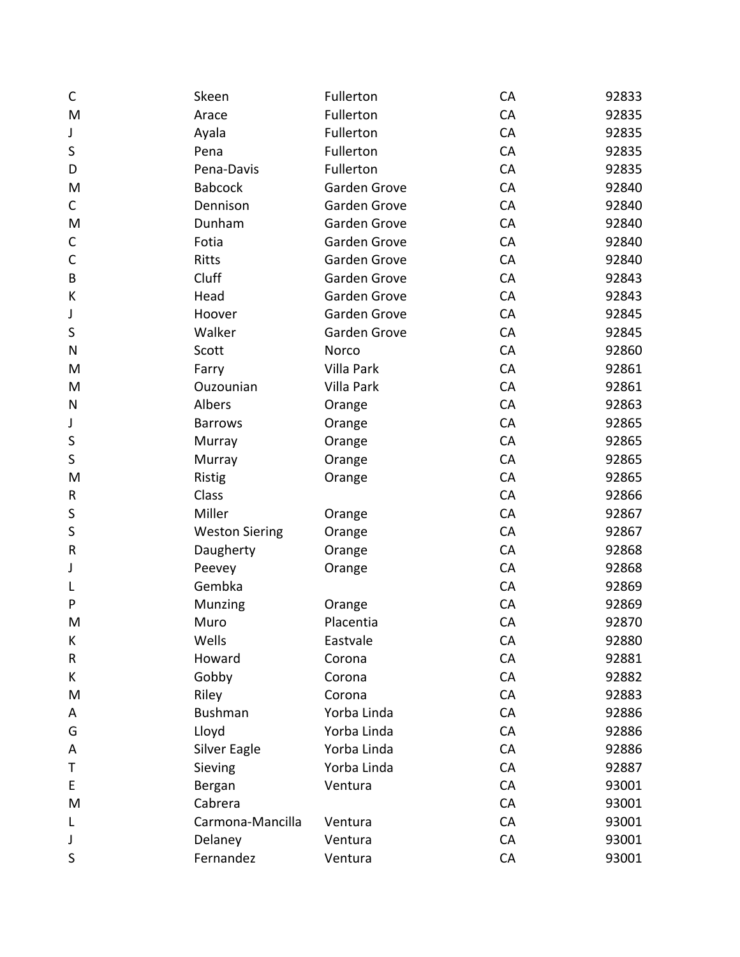| C            | Skeen                 | Fullerton    | CA | 92833 |
|--------------|-----------------------|--------------|----|-------|
| M            | Arace                 | Fullerton    | CA | 92835 |
| J            | Ayala                 | Fullerton    | CA | 92835 |
| S            | Pena                  | Fullerton    | CA | 92835 |
| D            | Pena-Davis            | Fullerton    | CA | 92835 |
| M            | <b>Babcock</b>        | Garden Grove | CA | 92840 |
| $\mathsf{C}$ | Dennison              | Garden Grove | CA | 92840 |
| M            | Dunham                | Garden Grove | CA | 92840 |
| С            | Fotia                 | Garden Grove | CA | 92840 |
| $\mathsf C$  | Ritts                 | Garden Grove | CA | 92840 |
| B            | Cluff                 | Garden Grove | CA | 92843 |
| К            | Head                  | Garden Grove | CA | 92843 |
| J            | Hoover                | Garden Grove | CA | 92845 |
| S            | Walker                | Garden Grove | CA | 92845 |
| $\mathsf{N}$ | Scott                 | Norco        | CA | 92860 |
| M            | Farry                 | Villa Park   | CA | 92861 |
| M            | Ouzounian             | Villa Park   | CA | 92861 |
| ${\sf N}$    | Albers                | Orange       | CA | 92863 |
| J            | <b>Barrows</b>        | Orange       | CA | 92865 |
| S            | Murray                | Orange       | CA | 92865 |
| S            | Murray                | Orange       | CA | 92865 |
| M            | <b>Ristig</b>         | Orange       | CA | 92865 |
| ${\sf R}$    | Class                 |              | CA | 92866 |
| S            | Miller                | Orange       | CA | 92867 |
| S            | <b>Weston Siering</b> | Orange       | CA | 92867 |
| $\mathsf R$  | Daugherty             | Orange       | CA | 92868 |
| J            | Peevey                | Orange       | CA | 92868 |
|              | Gembka                |              | CA | 92869 |
| P            | Munzing               | Orange       | CA | 92869 |
| M            | Muro                  | Placentia    | CA | 92870 |
| К            | Wells                 | Eastvale     | CA | 92880 |
| ${\sf R}$    | Howard                | Corona       | CA | 92881 |
| K            | Gobby                 | Corona       | CA | 92882 |
| M            | Riley                 | Corona       | CA | 92883 |
| A            | <b>Bushman</b>        | Yorba Linda  | CA | 92886 |
| G            | Lloyd                 | Yorba Linda  | CA | 92886 |
| A            | Silver Eagle          | Yorba Linda  | CA | 92886 |
| Τ            | Sieving               | Yorba Linda  | CA | 92887 |
| E            | Bergan                | Ventura      | CA | 93001 |
| M            | Cabrera               |              | CA | 93001 |
| L            | Carmona-Mancilla      | Ventura      | CA | 93001 |
| J            | Delaney               | Ventura      | CA | 93001 |
| S            | Fernandez             | Ventura      | CA | 93001 |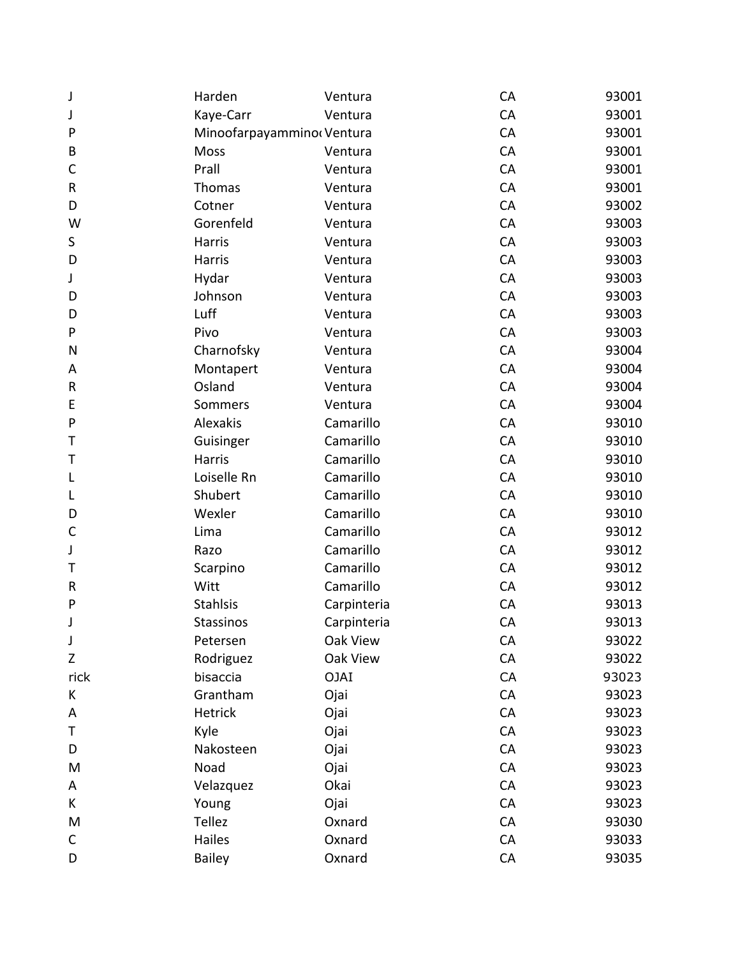| J            | Harden                     | Ventura     | CA | 93001 |
|--------------|----------------------------|-------------|----|-------|
| J            | Kaye-Carr                  | Ventura     | CA | 93001 |
| P            | Minoofarpayamminor Ventura |             | CA | 93001 |
| B            | Moss                       | Ventura     | CA | 93001 |
| C            | Prall                      | Ventura     | CA | 93001 |
| ${\sf R}$    | Thomas                     | Ventura     | CA | 93001 |
| D            | Cotner                     | Ventura     | CA | 93002 |
| W            | Gorenfeld                  | Ventura     | CA | 93003 |
| S            | Harris                     | Ventura     | CA | 93003 |
| D            | Harris                     | Ventura     | CA | 93003 |
| J            | Hydar                      | Ventura     | CA | 93003 |
| D            | Johnson                    | Ventura     | CA | 93003 |
| D            | Luff                       | Ventura     | CA | 93003 |
| P            | Pivo                       | Ventura     | CA | 93003 |
| N            | Charnofsky                 | Ventura     | CA | 93004 |
| Α            | Montapert                  | Ventura     | CA | 93004 |
| $\sf R$      | Osland                     | Ventura     | CA | 93004 |
| E            | Sommers                    | Ventura     | CA | 93004 |
| $\mathsf{P}$ | Alexakis                   | Camarillo   | CA | 93010 |
| Τ            | Guisinger                  | Camarillo   | CA | 93010 |
| Τ            | Harris                     | Camarillo   | CA | 93010 |
| L            | Loiselle Rn                | Camarillo   | CA | 93010 |
| L            | Shubert                    | Camarillo   | CA | 93010 |
| D            | Wexler                     | Camarillo   | CA | 93010 |
| $\mathsf{C}$ | Lima                       | Camarillo   | CA | 93012 |
| J            | Razo                       | Camarillo   | CA | 93012 |
| Т            | Scarpino                   | Camarillo   | CA | 93012 |
| R            | Witt                       | Camarillo   | CA | 93012 |
| ${\sf P}$    | <b>Stahlsis</b>            | Carpinteria | CA | 93013 |
| J            | <b>Stassinos</b>           | Carpinteria | CA | 93013 |
| J            | Petersen                   | Oak View    | CA | 93022 |
| Z            | Rodriguez                  | Oak View    | CA | 93022 |
| rick         | bisaccia                   | <b>OJAI</b> | CA | 93023 |
| К            | Grantham                   | Ojai        | CA | 93023 |
| A            | <b>Hetrick</b>             | Ojai        | CA | 93023 |
| Τ            | Kyle                       | Ojai        | CA | 93023 |
| D            | Nakosteen                  | Ojai        | CA | 93023 |
| M            | Noad                       | Ojai        | CA | 93023 |
| A            | Velazquez                  | Okai        | CA | 93023 |
| K            | Young                      | Ojai        | CA | 93023 |
| M            | Tellez                     | Oxnard      | CA | 93030 |
| C            | Hailes                     | Oxnard      | CA | 93033 |
| D            | <b>Bailey</b>              | Oxnard      | CA | 93035 |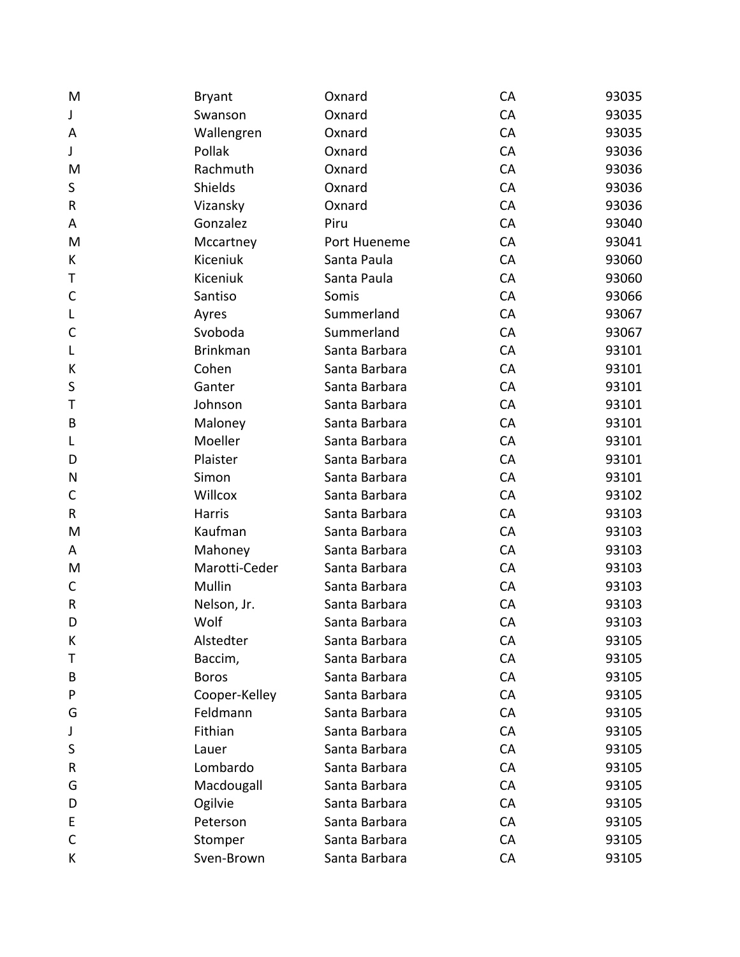| M            | <b>Bryant</b>   | Oxnard        | CA | 93035 |
|--------------|-----------------|---------------|----|-------|
| J            | Swanson         | Oxnard        | CA | 93035 |
| Α            | Wallengren      | Oxnard        | CA | 93035 |
| J            | Pollak          | Oxnard        | CA | 93036 |
| M            | Rachmuth        | Oxnard        | CA | 93036 |
| $\sf S$      | Shields         | Oxnard        | CA | 93036 |
| ${\sf R}$    | Vizansky        | Oxnard        | CA | 93036 |
| Α            | Gonzalez        | Piru          | CA | 93040 |
| M            | Mccartney       | Port Hueneme  | CA | 93041 |
| K            | Kiceniuk        | Santa Paula   | CA | 93060 |
| Т            | Kiceniuk        | Santa Paula   | CA | 93060 |
| $\mathsf C$  | Santiso         | Somis         | CA | 93066 |
| L            | Ayres           | Summerland    | CA | 93067 |
| $\mathsf{C}$ | Svoboda         | Summerland    | CA | 93067 |
| L            | <b>Brinkman</b> | Santa Barbara | CA | 93101 |
| К            | Cohen           | Santa Barbara | CA | 93101 |
| $\sf S$      | Ganter          | Santa Barbara | CA | 93101 |
| Τ            | Johnson         | Santa Barbara | CA | 93101 |
| B            | Maloney         | Santa Barbara | CA | 93101 |
| L            | Moeller         | Santa Barbara | CA | 93101 |
| D            | Plaister        | Santa Barbara | CA | 93101 |
| N            | Simon           | Santa Barbara | CA | 93101 |
| $\mathsf{C}$ | Willcox         | Santa Barbara | CA | 93102 |
| $\sf R$      | Harris          | Santa Barbara | CA | 93103 |
| M            | Kaufman         | Santa Barbara | CA | 93103 |
| A            | Mahoney         | Santa Barbara | CA | 93103 |
| M            | Marotti-Ceder   | Santa Barbara | CA | 93103 |
| С            | Mullin          | Santa Barbara | CA | 93103 |
| $\sf R$      | Nelson, Jr.     | Santa Barbara | CA | 93103 |
| D            | Wolf            | Santa Barbara | CA | 93103 |
| К            | Alstedter       | Santa Barbara | CA | 93105 |
| Τ            | Baccim,         | Santa Barbara | CA | 93105 |
| B            | <b>Boros</b>    | Santa Barbara | CA | 93105 |
| P            | Cooper-Kelley   | Santa Barbara | CA | 93105 |
| G            | Feldmann        | Santa Barbara | CA | 93105 |
| J            | Fithian         | Santa Barbara | CA | 93105 |
| S            | Lauer           | Santa Barbara | CA | 93105 |
| R            | Lombardo        | Santa Barbara | CA | 93105 |
| G            | Macdougall      | Santa Barbara | CA | 93105 |
| D            | Ogilvie         | Santa Barbara | CA | 93105 |
| E            | Peterson        | Santa Barbara | CA | 93105 |
| C            | Stomper         | Santa Barbara | CA | 93105 |
| K            | Sven-Brown      | Santa Barbara | CA | 93105 |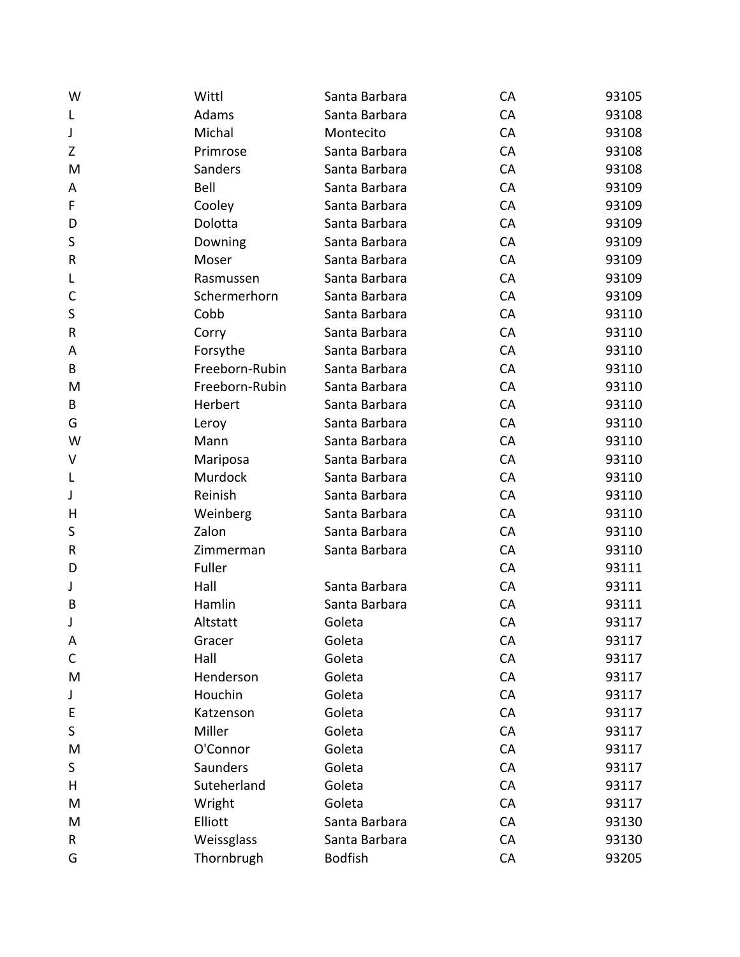| W            | Wittl          | Santa Barbara  | <b>CA</b> | 93105 |
|--------------|----------------|----------------|-----------|-------|
| L            | Adams          | Santa Barbara  | CA        | 93108 |
| J            | Michal         | Montecito      | CA        | 93108 |
| Z            | Primrose       | Santa Barbara  | CA        | 93108 |
| M            | Sanders        | Santa Barbara  | CA        | 93108 |
| Α            | Bell           | Santa Barbara  | CA        | 93109 |
| F            | Cooley         | Santa Barbara  | CA        | 93109 |
| D            | Dolotta        | Santa Barbara  | CA        | 93109 |
| $\sf S$      | Downing        | Santa Barbara  | CA        | 93109 |
| ${\sf R}$    | Moser          | Santa Barbara  | CA        | 93109 |
| L            | Rasmussen      | Santa Barbara  | CA        | 93109 |
| $\mathsf{C}$ | Schermerhorn   | Santa Barbara  | CA        | 93109 |
| $\sf S$      | Cobb           | Santa Barbara  | CA        | 93110 |
| ${\sf R}$    | Corry          | Santa Barbara  | CA        | 93110 |
| A            | Forsythe       | Santa Barbara  | CA        | 93110 |
| B            | Freeborn-Rubin | Santa Barbara  | CA        | 93110 |
| M            | Freeborn-Rubin | Santa Barbara  | CA        | 93110 |
| $\sf{B}$     | Herbert        | Santa Barbara  | CA        | 93110 |
| G            | Leroy          | Santa Barbara  | CA        | 93110 |
| W            | Mann           | Santa Barbara  | CA        | 93110 |
| V            | Mariposa       | Santa Barbara  | CA        | 93110 |
| L            | Murdock        | Santa Barbara  | CA        | 93110 |
| J            | Reinish        | Santa Barbara  | CA        | 93110 |
| H            | Weinberg       | Santa Barbara  | CA        | 93110 |
| $\sf S$      | Zalon          | Santa Barbara  | CA        | 93110 |
| ${\sf R}$    | Zimmerman      | Santa Barbara  | CA        | 93110 |
| D            | Fuller         |                | CA        | 93111 |
| J            | Hall           | Santa Barbara  | CA        | 93111 |
| B            | Hamlin         | Santa Barbara  | CA        | 93111 |
| J            | Altstatt       | Goleta         | CA        | 93117 |
| A            | Gracer         | Goleta         | CA        | 93117 |
| $\mathsf C$  | Hall           | Goleta         | CA        | 93117 |
| M            | Henderson      | Goleta         | CA        | 93117 |
| J            | Houchin        | Goleta         | CA        | 93117 |
| E            | Katzenson      | Goleta         | CA        | 93117 |
| $\sf S$      | Miller         | Goleta         | CA        | 93117 |
| M            | O'Connor       | Goleta         | CA        | 93117 |
| $\sf S$      | Saunders       | Goleta         | CA        | 93117 |
| H            | Suteherland    | Goleta         | CA        | 93117 |
| M            | Wright         | Goleta         | CA        | 93117 |
| M            | Elliott        | Santa Barbara  | CA        | 93130 |
| R            | Weissglass     | Santa Barbara  | CA        | 93130 |
| G            | Thornbrugh     | <b>Bodfish</b> | CA        | 93205 |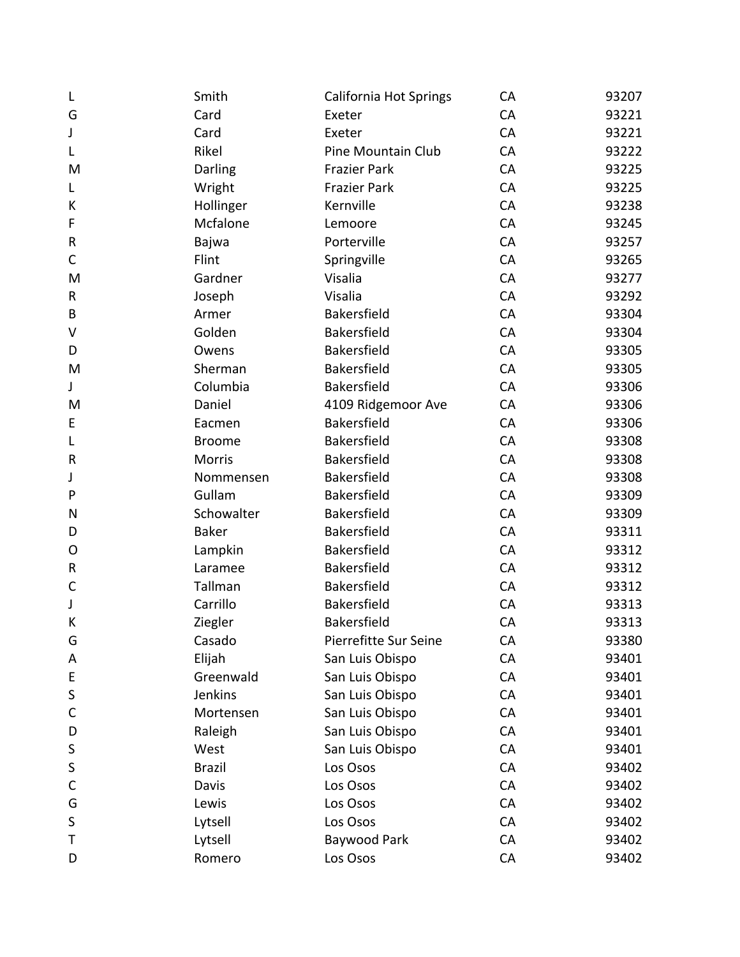| L            | Smith         | <b>California Hot Springs</b> | CA | 93207 |
|--------------|---------------|-------------------------------|----|-------|
| G            | Card          | Exeter                        | CA | 93221 |
| J            | Card          | Exeter                        | CA | 93221 |
| L            | Rikel         | Pine Mountain Club            | CA | 93222 |
| M            | Darling       | <b>Frazier Park</b>           | CA | 93225 |
| L            | Wright        | <b>Frazier Park</b>           | CA | 93225 |
| К            | Hollinger     | Kernville                     | CA | 93238 |
| F            | Mcfalone      | Lemoore                       | CA | 93245 |
| ${\sf R}$    | Bajwa         | Porterville                   | CA | 93257 |
| $\mathsf C$  | Flint         | Springville                   | CA | 93265 |
| M            | Gardner       | Visalia                       | CA | 93277 |
| ${\sf R}$    | Joseph        | Visalia                       | CA | 93292 |
| B            | Armer         | Bakersfield                   | CA | 93304 |
| V            | Golden        | Bakersfield                   | CA | 93304 |
| D            | Owens         | Bakersfield                   | CA | 93305 |
| M            | Sherman       | Bakersfield                   | CA | 93305 |
| J            | Columbia      | Bakersfield                   | CA | 93306 |
| M            | Daniel        | 4109 Ridgemoor Ave            | CA | 93306 |
| E            | Eacmen        | Bakersfield                   | CA | 93306 |
| L            | <b>Broome</b> | Bakersfield                   | CA | 93308 |
| ${\sf R}$    | <b>Morris</b> | Bakersfield                   | CA | 93308 |
| J            | Nommensen     | Bakersfield                   | CA | 93308 |
| P            | Gullam        | Bakersfield                   | CA | 93309 |
| N            | Schowalter    | Bakersfield                   | CA | 93309 |
| D            | <b>Baker</b>  | Bakersfield                   | CA | 93311 |
| $\mathsf{O}$ | Lampkin       | Bakersfield                   | CA | 93312 |
| ${\sf R}$    | Laramee       | Bakersfield                   | CA | 93312 |
| $\mathsf C$  | Tallman       | Bakersfield                   | CA | 93312 |
| J            | Carrillo      | Bakersfield                   | CA | 93313 |
| К            | Ziegler       | Bakersfield                   | CA | 93313 |
| G            | Casado        | Pierrefitte Sur Seine         | CA | 93380 |
| Α            | Elijah        | San Luis Obispo               | CA | 93401 |
| E            | Greenwald     | San Luis Obispo               | CA | 93401 |
| S            | Jenkins       | San Luis Obispo               | CA | 93401 |
| C            | Mortensen     | San Luis Obispo               | CA | 93401 |
| D            | Raleigh       | San Luis Obispo               | CA | 93401 |
| S            | West          | San Luis Obispo               | CA | 93401 |
| S            | <b>Brazil</b> | Los Osos                      | CA | 93402 |
| C            | Davis         | Los Osos                      | CA | 93402 |
| G            | Lewis         | Los Osos                      | CA | 93402 |
| S            | Lytsell       | Los Osos                      | CA | 93402 |
| Τ            | Lytsell       | Baywood Park                  | CA | 93402 |
| D            | Romero        | Los Osos                      | CA | 93402 |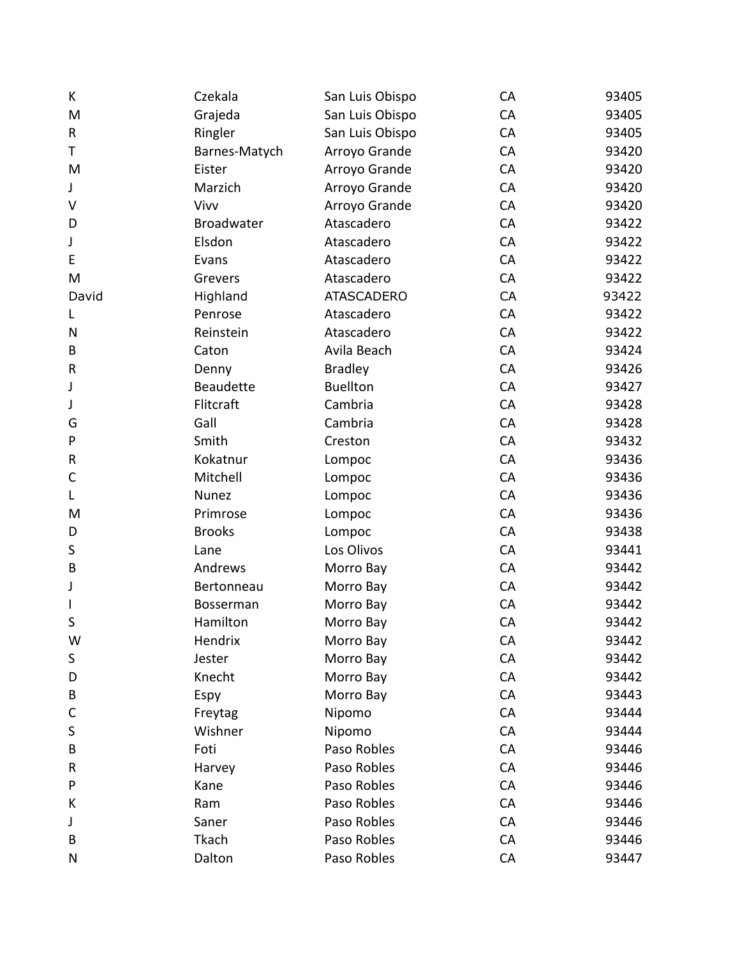| K            | Czekala           | San Luis Obispo   | CA | 93405 |
|--------------|-------------------|-------------------|----|-------|
| M            | Grajeda           | San Luis Obispo   | CA | 93405 |
| $\sf R$      | Ringler           | San Luis Obispo   | CA | 93405 |
| Τ            | Barnes-Matych     | Arroyo Grande     | CA | 93420 |
| M            | Eister            | Arroyo Grande     | CA | 93420 |
| J            | Marzich           | Arroyo Grande     | CA | 93420 |
| $\vee$       | Vivv              | Arroyo Grande     | CA | 93420 |
| D            | <b>Broadwater</b> | Atascadero        | CA | 93422 |
| J            | Elsdon            | Atascadero        | CA | 93422 |
| E            | Evans             | Atascadero        | CA | 93422 |
| M            | Grevers           | Atascadero        | CA | 93422 |
| David        | Highland          | <b>ATASCADERO</b> | CA | 93422 |
| L            | Penrose           | Atascadero        | CA | 93422 |
| N            | Reinstein         | Atascadero        | CA | 93422 |
| B            | Caton             | Avila Beach       | CA | 93424 |
| ${\sf R}$    | Denny             | <b>Bradley</b>    | CA | 93426 |
| J            | <b>Beaudette</b>  | <b>Buellton</b>   | CA | 93427 |
| J            | Flitcraft         | Cambria           | CA | 93428 |
| G            | Gall              | Cambria           | CA | 93428 |
| P            | Smith             | Creston           | CA | 93432 |
| ${\sf R}$    | Kokatnur          | Lompoc            | CA | 93436 |
| C            | Mitchell          | Lompoc            | CA | 93436 |
| L            | <b>Nunez</b>      | Lompoc            | CA | 93436 |
| M            | Primrose          | Lompoc            | CA | 93436 |
| D            | <b>Brooks</b>     | Lompoc            | CA | 93438 |
| S            | Lane              | Los Olivos        | CA | 93441 |
| B            | Andrews           | Morro Bay         | CA | 93442 |
| J            | Bertonneau        | Morro Bay         | CA | 93442 |
| $\mathbf{I}$ | Bosserman         | Morro Bay         | CA | 93442 |
| S            | Hamilton          | Morro Bay         | CA | 93442 |
| W            | Hendrix           | Morro Bay         | CA | 93442 |
| S            | Jester            | Morro Bay         | CA | 93442 |
| D            | Knecht            | Morro Bay         | CA | 93442 |
| B            | Espy              | Morro Bay         | CA | 93443 |
| C            | Freytag           | Nipomo            | CA | 93444 |
| S            | Wishner           | Nipomo            | CA | 93444 |
| B            | Foti              | Paso Robles       | CA | 93446 |
| R            | Harvey            | Paso Robles       | CA | 93446 |
| P            | Kane              | Paso Robles       | CA | 93446 |
| К            | Ram               | Paso Robles       | CA | 93446 |
| J            | Saner             | Paso Robles       | CA | 93446 |
| B            | Tkach             | Paso Robles       | CA | 93446 |
| N            | Dalton            | Paso Robles       | CA | 93447 |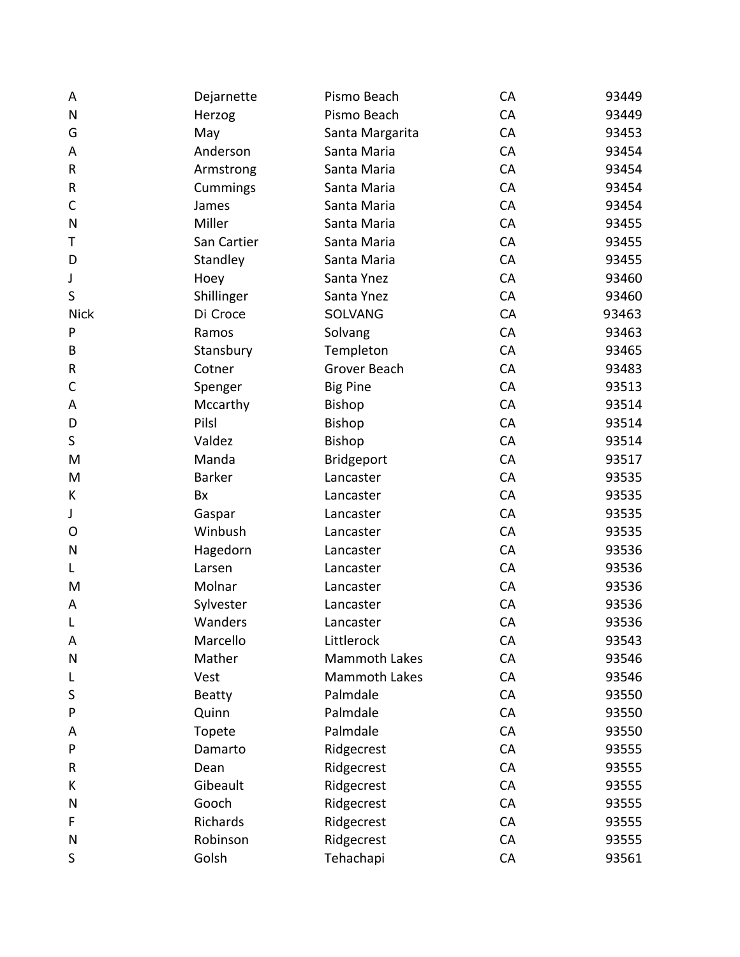| A            | Dejarnette    | Pismo Beach          | CA | 93449 |
|--------------|---------------|----------------------|----|-------|
| $\mathsf{N}$ | Herzog        | Pismo Beach          | CA | 93449 |
| G            | May           | Santa Margarita      | CA | 93453 |
| A            | Anderson      | Santa Maria          | CA | 93454 |
| ${\sf R}$    | Armstrong     | Santa Maria          | CA | 93454 |
| ${\sf R}$    | Cummings      | Santa Maria          | CA | 93454 |
| $\mathsf{C}$ | James         | Santa Maria          | CA | 93454 |
| N            | Miller        | Santa Maria          | CA | 93455 |
| Τ            | San Cartier   | Santa Maria          | CA | 93455 |
| D            | Standley      | Santa Maria          | CA | 93455 |
| J            | Hoey          | Santa Ynez           | CA | 93460 |
| S            | Shillinger    | Santa Ynez           | CA | 93460 |
| <b>Nick</b>  | Di Croce      | SOLVANG              | CA | 93463 |
| P            | Ramos         | Solvang              | CA | 93463 |
| B            | Stansbury     | Templeton            | CA | 93465 |
| ${\sf R}$    | Cotner        | Grover Beach         | CA | 93483 |
| C            | Spenger       | <b>Big Pine</b>      | CA | 93513 |
| A            | Mccarthy      | Bishop               | CA | 93514 |
| D            | Pilsl         | Bishop               | CA | 93514 |
| $\sf S$      | Valdez        | Bishop               | CA | 93514 |
| M            | Manda         | Bridgeport           | CA | 93517 |
| M            | <b>Barker</b> | Lancaster            | CA | 93535 |
| K            | Bx            | Lancaster            | CA | 93535 |
| J            | Gaspar        | Lancaster            | CA | 93535 |
| O            | Winbush       | Lancaster            | CA | 93535 |
| $\mathsf{N}$ | Hagedorn      | Lancaster            | CA | 93536 |
| L            | Larsen        | Lancaster            | CA | 93536 |
| M            | Molnar        | Lancaster            | CA | 93536 |
| A            | Sylvester     | Lancaster            | CA | 93536 |
| L            | Wanders       | Lancaster            | CA | 93536 |
| A            | Marcello      | Littlerock           | CA | 93543 |
| $\mathsf{N}$ | Mather        | <b>Mammoth Lakes</b> | CA | 93546 |
| L            | Vest          | <b>Mammoth Lakes</b> | CA | 93546 |
| S            | <b>Beatty</b> | Palmdale             | CA | 93550 |
| P            | Quinn         | Palmdale             | CA | 93550 |
| Α            | Topete        | Palmdale             | CA | 93550 |
| P            | Damarto       | Ridgecrest           | CA | 93555 |
| R            | Dean          | Ridgecrest           | CA | 93555 |
| К            | Gibeault      | Ridgecrest           | CA | 93555 |
| N            | Gooch         | Ridgecrest           | CA | 93555 |
| F            | Richards      | Ridgecrest           | CA | 93555 |
| N            | Robinson      | Ridgecrest           | CA | 93555 |
| S            | Golsh         | Tehachapi            | CA | 93561 |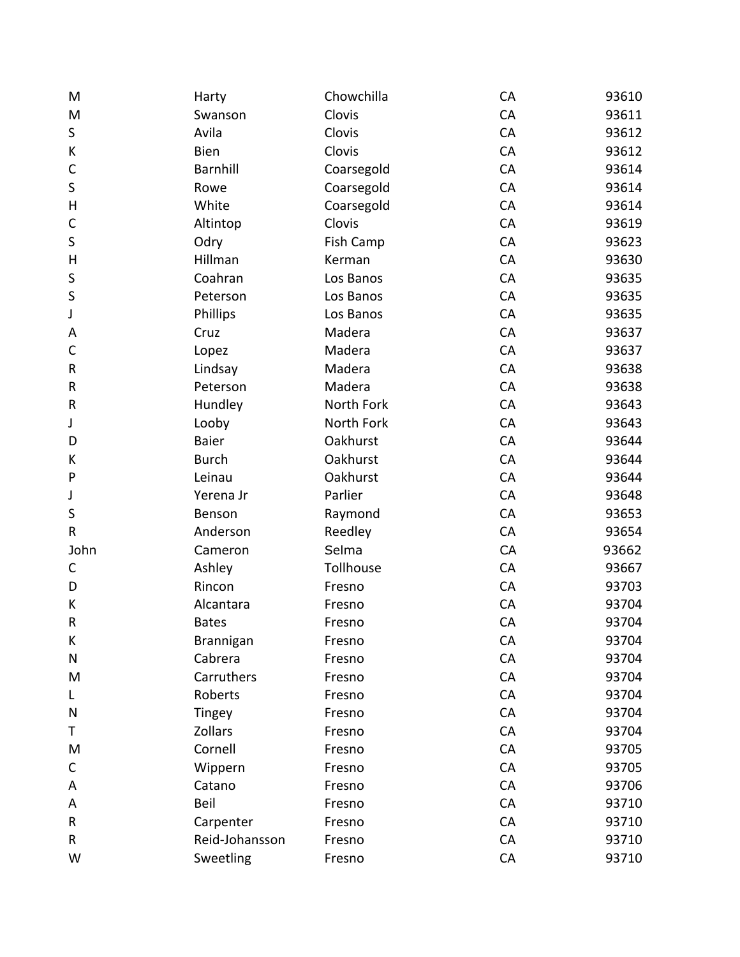| M            | Harty           | Chowchilla | CA | 93610 |
|--------------|-----------------|------------|----|-------|
| M            | Swanson         | Clovis     | CA | 93611 |
| S            | Avila           | Clovis     | CA | 93612 |
| К            | <b>Bien</b>     | Clovis     | CA | 93612 |
| $\mathsf{C}$ | <b>Barnhill</b> | Coarsegold | CA | 93614 |
| $\sf S$      | Rowe            | Coarsegold | CA | 93614 |
| H            | White           | Coarsegold | CA | 93614 |
| $\mathsf{C}$ | Altintop        | Clovis     | CA | 93619 |
| $\sf S$      | Odry            | Fish Camp  | CA | 93623 |
| $\sf H$      | Hillman         | Kerman     | CA | 93630 |
| S            | Coahran         | Los Banos  | CA | 93635 |
| S            | Peterson        | Los Banos  | CA | 93635 |
| J            | Phillips        | Los Banos  | CA | 93635 |
| Α            | Cruz            | Madera     | CA | 93637 |
| $\mathsf{C}$ | Lopez           | Madera     | CA | 93637 |
| ${\sf R}$    | Lindsay         | Madera     | CA | 93638 |
| R            | Peterson        | Madera     | CA | 93638 |
| ${\sf R}$    | Hundley         | North Fork | CA | 93643 |
| J            | Looby           | North Fork | CA | 93643 |
| D            | <b>Baier</b>    | Oakhurst   | CA | 93644 |
| К            | <b>Burch</b>    | Oakhurst   | CA | 93644 |
| $\mathsf{P}$ | Leinau          | Oakhurst   | CA | 93644 |
| J            | Yerena Jr       | Parlier    | CA | 93648 |
| S            | Benson          | Raymond    | CA | 93653 |
| R            | Anderson        | Reedley    | CA | 93654 |
| John         | Cameron         | Selma      | CA | 93662 |
| $\mathsf{C}$ | Ashley          | Tollhouse  | CA | 93667 |
| D            | Rincon          | Fresno     | CA | 93703 |
| К            | Alcantara       | Fresno     | CA | 93704 |
| $\sf R$      | <b>Bates</b>    | Fresno     | CA | 93704 |
| К            | Brannigan       | Fresno     | CA | 93704 |
| N            | Cabrera         | Fresno     | CA | 93704 |
| M            | Carruthers      | Fresno     | CA | 93704 |
| L            | Roberts         | Fresno     | CA | 93704 |
| N            | Tingey          | Fresno     | CA | 93704 |
| Т            | Zollars         | Fresno     | CA | 93704 |
| M            | Cornell         | Fresno     | CA | 93705 |
| C            | Wippern         | Fresno     | CA | 93705 |
| Α            | Catano          | Fresno     | CA | 93706 |
| A            | Beil            | Fresno     | CA | 93710 |
| R            | Carpenter       | Fresno     | CA | 93710 |
| R            | Reid-Johansson  | Fresno     | CA | 93710 |
| W            | Sweetling       | Fresno     | CA | 93710 |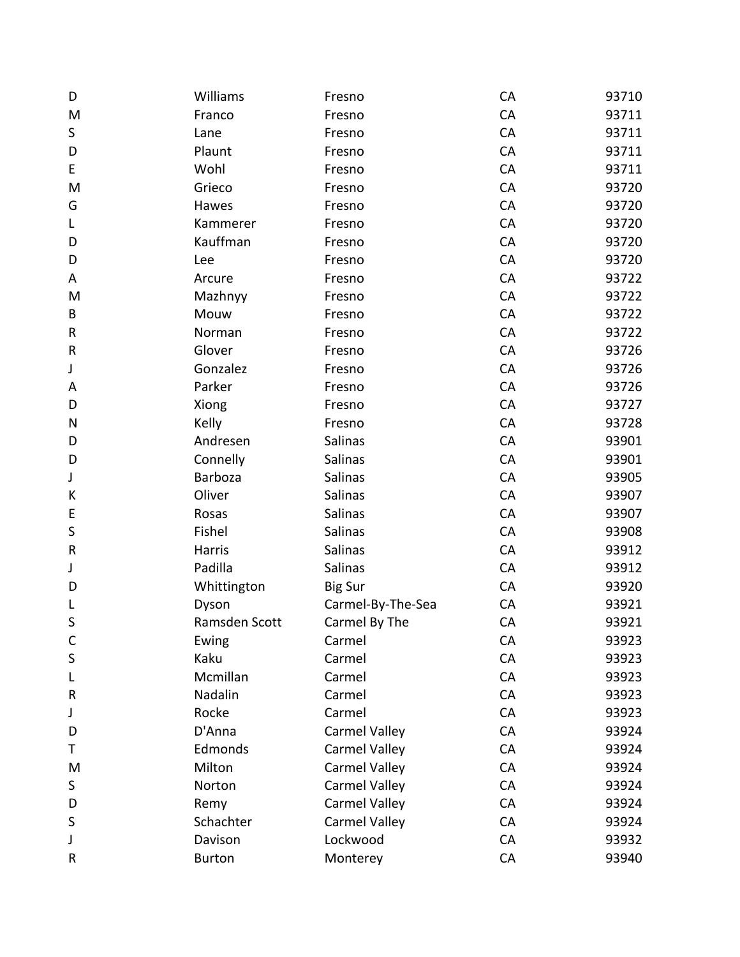| D         | Williams      | Fresno               | CA | 93710 |
|-----------|---------------|----------------------|----|-------|
| M         | Franco        | Fresno               | CA | 93711 |
| S         | Lane          | Fresno               | CA | 93711 |
| D         | Plaunt        | Fresno               | CA | 93711 |
| E         | Wohl          | Fresno               | CA | 93711 |
| M         | Grieco        | Fresno               | CA | 93720 |
| G         | Hawes         | Fresno               | CA | 93720 |
| L         | Kammerer      | Fresno               | CA | 93720 |
| D         | Kauffman      | Fresno               | CA | 93720 |
| D         | Lee           | Fresno               | CA | 93720 |
| A         | Arcure        | Fresno               | CA | 93722 |
| M         | Mazhnyy       | Fresno               | CA | 93722 |
| B         | Mouw          | Fresno               | CA | 93722 |
| R         | Norman        | Fresno               | CA | 93722 |
| $\sf R$   | Glover        | Fresno               | CA | 93726 |
| J         | Gonzalez      | Fresno               | CA | 93726 |
| A         | Parker        | Fresno               | CA | 93726 |
| D         | Xiong         | Fresno               | CA | 93727 |
| N         | Kelly         | Fresno               | CA | 93728 |
| D         | Andresen      | Salinas              | CA | 93901 |
| D         | Connelly      | Salinas              | CA | 93901 |
| J         | Barboza       | Salinas              | CA | 93905 |
| К         | Oliver        | Salinas              | CA | 93907 |
| E         | Rosas         | Salinas              | CA | 93907 |
| $\sf S$   | Fishel        | Salinas              | CA | 93908 |
| ${\sf R}$ | Harris        | Salinas              | CA | 93912 |
| J         | Padilla       | Salinas              | CA | 93912 |
| D         | Whittington   | <b>Big Sur</b>       | CA | 93920 |
| L         | Dyson         | Carmel-By-The-Sea    | CA | 93921 |
| S         | Ramsden Scott | Carmel By The        | CA | 93921 |
| C         | Ewing         | Carmel               | CA | 93923 |
| S         | Kaku          | Carmel               | CA | 93923 |
| L         | Mcmillan      | Carmel               | CA | 93923 |
| R         | Nadalin       | Carmel               | CA | 93923 |
| J         | Rocke         | Carmel               | CA | 93923 |
| D         | D'Anna        | <b>Carmel Valley</b> | CA | 93924 |
| Τ         | Edmonds       | <b>Carmel Valley</b> | CA | 93924 |
| M         | Milton        | <b>Carmel Valley</b> | CA | 93924 |
| S         | Norton        | <b>Carmel Valley</b> | CA | 93924 |
| D         | Remy          | <b>Carmel Valley</b> | CA | 93924 |
| S         | Schachter     | <b>Carmel Valley</b> | CA | 93924 |
| J         | Davison       | Lockwood             | CA | 93932 |
| R         | <b>Burton</b> | Monterey             | CA | 93940 |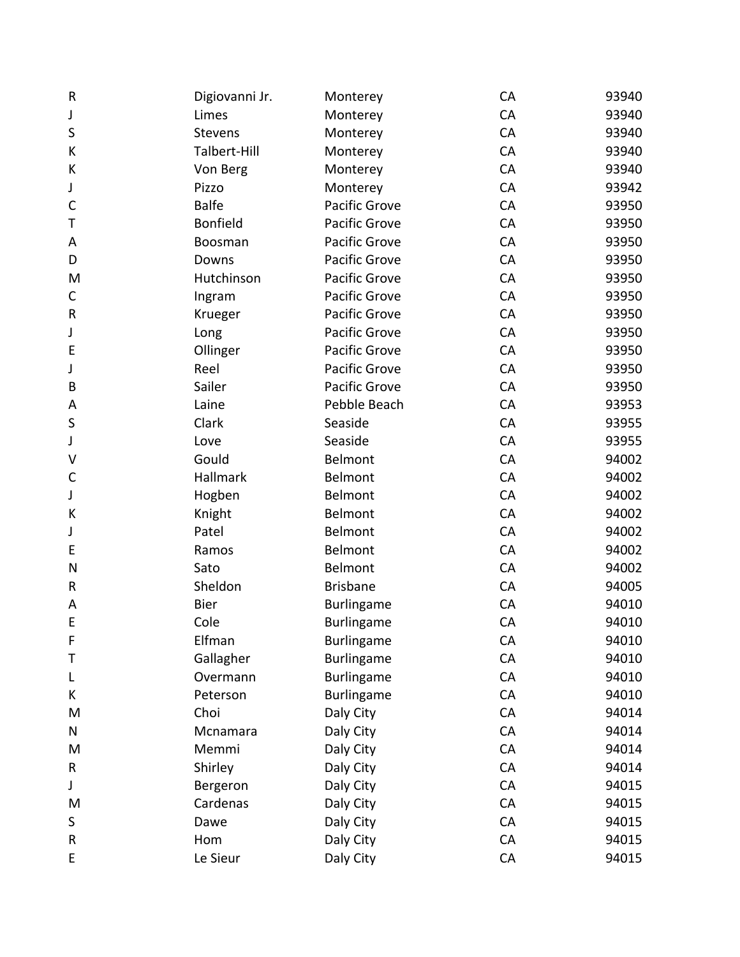| $\mathsf R$  | Digiovanni Jr.  | Monterey             | CA | 93940 |
|--------------|-----------------|----------------------|----|-------|
| J            | Limes           | Monterey             | CA | 93940 |
| S            | Stevens         | Monterey             | CA | 93940 |
| К            | Talbert-Hill    | Monterey             | CA | 93940 |
| К            | Von Berg        | Monterey             | CA | 93940 |
| J            | Pizzo           | Monterey             | CA | 93942 |
| $\mathsf{C}$ | <b>Balfe</b>    | Pacific Grove        | CA | 93950 |
| Т            | <b>Bonfield</b> | <b>Pacific Grove</b> | CA | 93950 |
| Α            | Boosman         | Pacific Grove        | CA | 93950 |
| D            | Downs           | Pacific Grove        | CA | 93950 |
| M            | Hutchinson      | <b>Pacific Grove</b> | CA | 93950 |
| $\mathsf C$  | Ingram          | Pacific Grove        | CA | 93950 |
| ${\sf R}$    | Krueger         | <b>Pacific Grove</b> | CA | 93950 |
| J            | Long            | <b>Pacific Grove</b> | CA | 93950 |
| E            | Ollinger        | Pacific Grove        | CA | 93950 |
| J            | Reel            | <b>Pacific Grove</b> | CA | 93950 |
| B            | Sailer          | Pacific Grove        | CA | 93950 |
| A            | Laine           | Pebble Beach         | CA | 93953 |
| $\sf S$      | Clark           | Seaside              | CA | 93955 |
| J            | Love            | Seaside              | CA | 93955 |
| V            | Gould           | Belmont              | CA | 94002 |
| $\mathsf{C}$ | Hallmark        | Belmont              | CA | 94002 |
| J            | Hogben          | Belmont              | CA | 94002 |
| К            | Knight          | Belmont              | CA | 94002 |
| J            | Patel           | Belmont              | CA | 94002 |
| E            | Ramos           | Belmont              | CA | 94002 |
| N            | Sato            | Belmont              | CA | 94002 |
| ${\sf R}$    | Sheldon         | <b>Brisbane</b>      | CA | 94005 |
| A            | Bier            | Burlingame           | CA | 94010 |
| E            | Cole            | <b>Burlingame</b>    | CA | 94010 |
| F            | Elfman          | <b>Burlingame</b>    | CA | 94010 |
| Τ            | Gallagher       | <b>Burlingame</b>    | CA | 94010 |
| L            | Overmann        | <b>Burlingame</b>    | CA | 94010 |
| K            | Peterson        | <b>Burlingame</b>    | CA | 94010 |
| M            | Choi            | Daly City            | CA | 94014 |
| N            | Mcnamara        | Daly City            | CA | 94014 |
| M            | Memmi           | Daly City            | CA | 94014 |
| $\sf R$      | Shirley         | Daly City            | CA | 94014 |
| J            | Bergeron        | Daly City            | CA | 94015 |
| M            | Cardenas        | Daly City            | CA | 94015 |
| S            | Dawe            | Daly City            | CA | 94015 |
| ${\sf R}$    | Hom             | Daly City            | CA | 94015 |
| E            | Le Sieur        | Daly City            | CA | 94015 |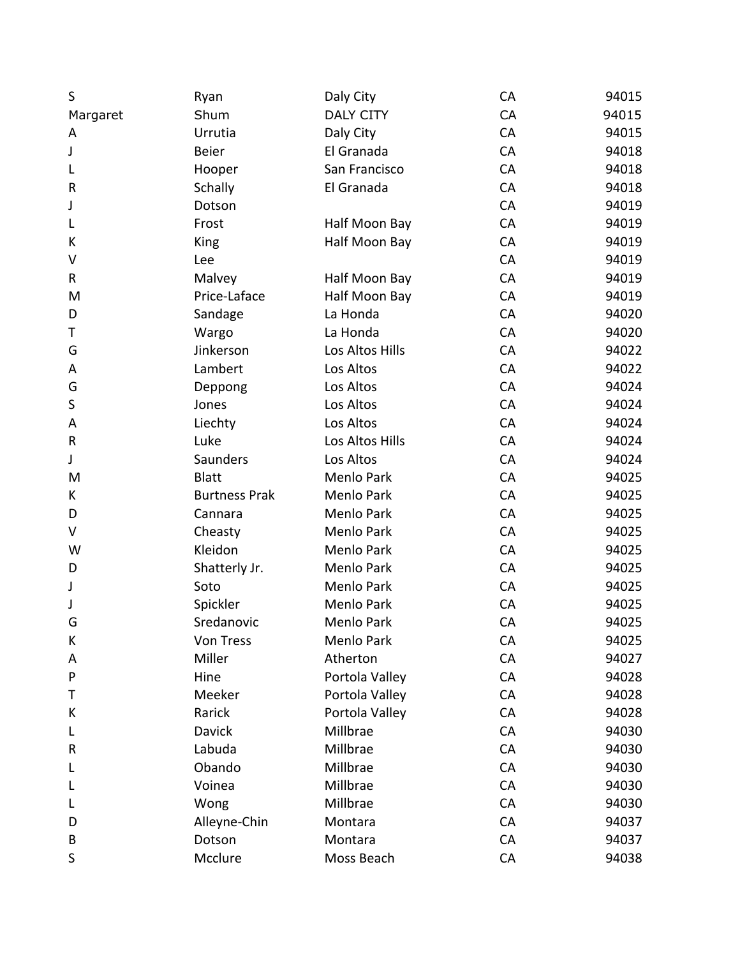| S         | Ryan                 | Daly City        | CA | 94015 |
|-----------|----------------------|------------------|----|-------|
| Margaret  | Shum                 | <b>DALY CITY</b> | CA | 94015 |
| Α         | Urrutia              | Daly City        | CA | 94015 |
| J         | <b>Beier</b>         | El Granada       | CA | 94018 |
| L         | Hooper               | San Francisco    | CA | 94018 |
| ${\sf R}$ | <b>Schally</b>       | El Granada       | CA | 94018 |
| J         | Dotson               |                  | CA | 94019 |
| L         | Frost                | Half Moon Bay    | CA | 94019 |
| К         | King                 | Half Moon Bay    | CA | 94019 |
| V         | Lee                  |                  | CA | 94019 |
| R         | Malvey               | Half Moon Bay    | CA | 94019 |
| M         | Price-Laface         | Half Moon Bay    | CA | 94019 |
| D         | Sandage              | La Honda         | CA | 94020 |
| Т         | Wargo                | La Honda         | CA | 94020 |
| G         | Jinkerson            | Los Altos Hills  | CA | 94022 |
| A         | Lambert              | Los Altos        | CA | 94022 |
| G         | Deppong              | Los Altos        | CA | 94024 |
| $\sf S$   | Jones                | Los Altos        | CA | 94024 |
| Α         | Liechty              | Los Altos        | CA | 94024 |
| ${\sf R}$ | Luke                 | Los Altos Hills  | CA | 94024 |
| J         | Saunders             | Los Altos        | CA | 94024 |
| M         | <b>Blatt</b>         | Menlo Park       | CA | 94025 |
| K         | <b>Burtness Prak</b> | Menlo Park       | CA | 94025 |
| D         | Cannara              | Menlo Park       | CA | 94025 |
| V         | Cheasty              | Menlo Park       | CA | 94025 |
| W         | Kleidon              | Menlo Park       | CA | 94025 |
| D         | Shatterly Jr.        | Menlo Park       | CA | 94025 |
| J         | Soto                 | Menlo Park       | CA | 94025 |
| J         | Spickler             | Menlo Park       | CA | 94025 |
| G         | Sredanovic           | Menlo Park       | CA | 94025 |
| К         | Von Tress            | Menlo Park       | CA | 94025 |
| Α         | Miller               | Atherton         | CA | 94027 |
| P         | Hine                 | Portola Valley   | CA | 94028 |
| Τ         | Meeker               | Portola Valley   | CA | 94028 |
| К         | Rarick               | Portola Valley   | CA | 94028 |
| L         | <b>Davick</b>        | Millbrae         | CA | 94030 |
| R         | Labuda               | Millbrae         | CA | 94030 |
| L         | Obando               | Millbrae         | CA | 94030 |
| L         | Voinea               | Millbrae         | CA | 94030 |
| L         | Wong                 | Millbrae         | CA | 94030 |
| D         | Alleyne-Chin         | Montara          | CA | 94037 |
| B         | Dotson               | Montara          | CA | 94037 |
| S         | Mcclure              | Moss Beach       | CA | 94038 |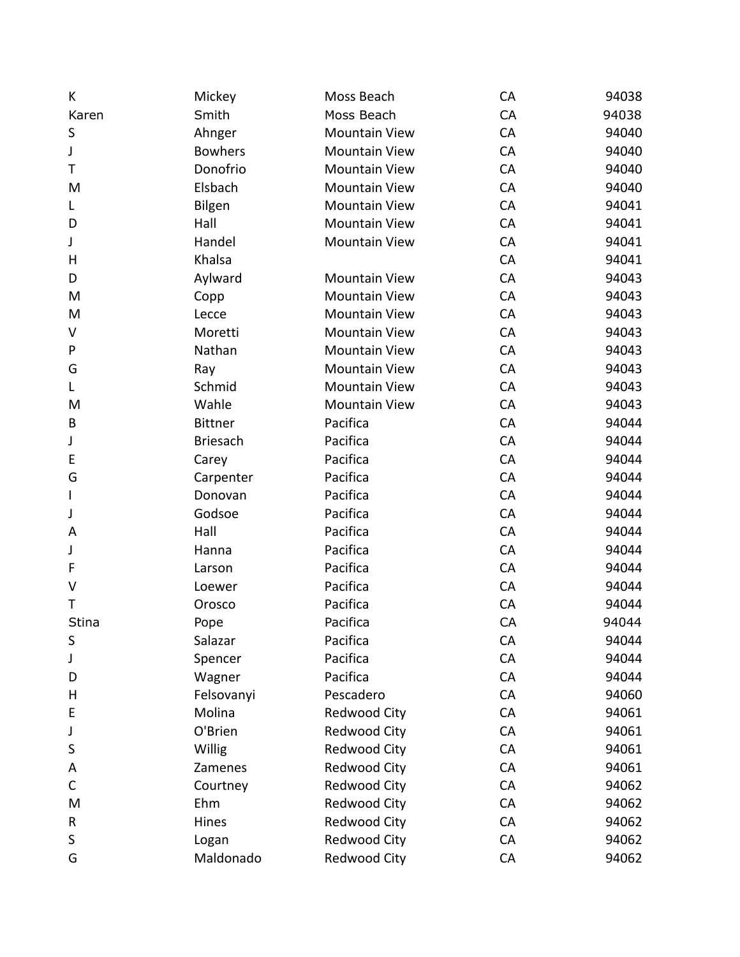| K            | Mickey          | Moss Beach           | CA | 94038 |
|--------------|-----------------|----------------------|----|-------|
| Karen        | Smith           | Moss Beach           | CA | 94038 |
| S            | Ahnger          | <b>Mountain View</b> | CA | 94040 |
| J            | <b>Bowhers</b>  | <b>Mountain View</b> | CA | 94040 |
| Τ            | Donofrio        | <b>Mountain View</b> | CA | 94040 |
| M            | Elsbach         | <b>Mountain View</b> | CA | 94040 |
| L            | Bilgen          | <b>Mountain View</b> | CA | 94041 |
| D            | Hall            | <b>Mountain View</b> | CA | 94041 |
| J            | Handel          | <b>Mountain View</b> | CA | 94041 |
| Н            | Khalsa          |                      | CA | 94041 |
| D            | Aylward         | <b>Mountain View</b> | CA | 94043 |
| M            | Copp            | <b>Mountain View</b> | CA | 94043 |
| M            | Lecce           | <b>Mountain View</b> | CA | 94043 |
| V            | Moretti         | <b>Mountain View</b> | CA | 94043 |
| P            | Nathan          | <b>Mountain View</b> | CA | 94043 |
| G            | Ray             | <b>Mountain View</b> | CA | 94043 |
| L            | Schmid          | <b>Mountain View</b> | CA | 94043 |
| M            | Wahle           | <b>Mountain View</b> | CA | 94043 |
| B            | <b>Bittner</b>  | Pacifica             | CA | 94044 |
| J            | <b>Briesach</b> | Pacifica             | CA | 94044 |
| E            | Carey           | Pacifica             | CA | 94044 |
| G            | Carpenter       | Pacifica             | CA | 94044 |
| $\mathbf{I}$ | Donovan         | Pacifica             | CA | 94044 |
| J            | Godsoe          | Pacifica             | CA | 94044 |
| A            | Hall            | Pacifica             | CA | 94044 |
| J            | Hanna           | Pacifica             | CA | 94044 |
| F            | Larson          | Pacifica             | CA | 94044 |
| $\vee$       | Loewer          | Pacifica             | CA | 94044 |
| T            | Orosco          | Pacifica             | CA | 94044 |
| Stina        | Pope            | Pacifica             | CA | 94044 |
| S            | Salazar         | Pacifica             | CA | 94044 |
| J            | Spencer         | Pacifica             | CA | 94044 |
| D            | Wagner          | Pacifica             | CA | 94044 |
| Н            | Felsovanyi      | Pescadero            | CA | 94060 |
| E            | Molina          | Redwood City         | CA | 94061 |
| J            | O'Brien         | Redwood City         | CA | 94061 |
| S            | Willig          | Redwood City         | CA | 94061 |
| Α            | Zamenes         | Redwood City         | CA | 94061 |
| С            | Courtney        | <b>Redwood City</b>  | CA | 94062 |
| M            | Ehm             | Redwood City         | CA | 94062 |
| R            | Hines           | Redwood City         | CA | 94062 |
| S            | Logan           | Redwood City         | CA | 94062 |
| G            | Maldonado       | Redwood City         | CA | 94062 |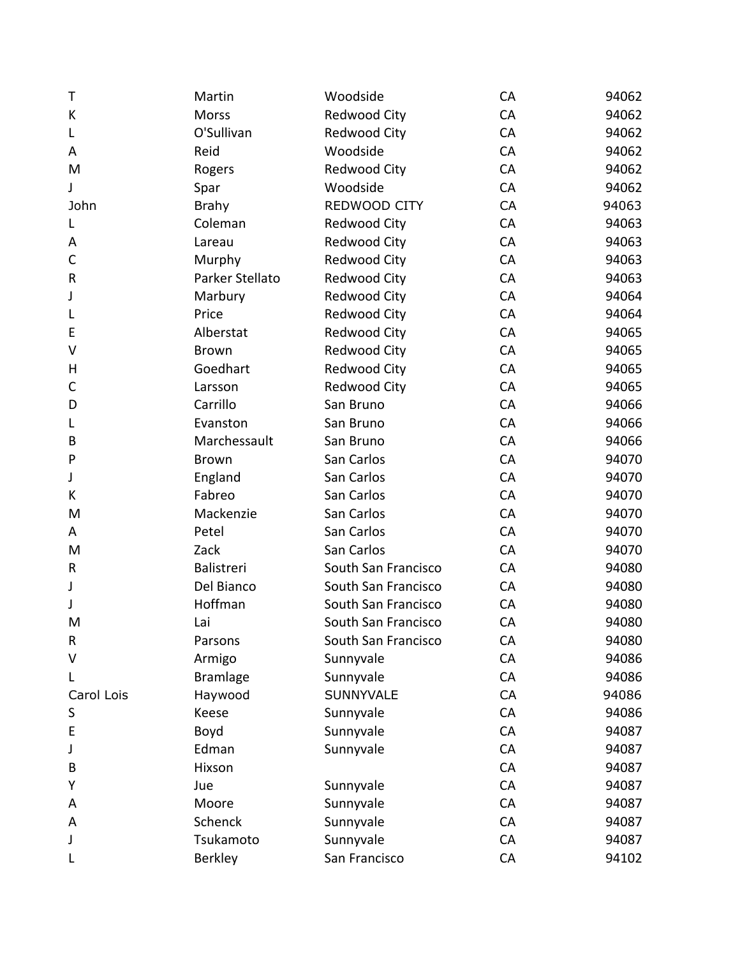| Τ           | Martin          | Woodside            | CA | 94062 |
|-------------|-----------------|---------------------|----|-------|
| K           | <b>Morss</b>    | Redwood City        | CA | 94062 |
| L           | O'Sullivan      | Redwood City        | CA | 94062 |
| A           | Reid            | Woodside            | CA | 94062 |
| M           | Rogers          | Redwood City        | CA | 94062 |
| J           | Spar            | Woodside            | CA | 94062 |
| John        | <b>Brahy</b>    | REDWOOD CITY        | CA | 94063 |
| L           | Coleman         | <b>Redwood City</b> | CA | 94063 |
| Α           | Lareau          | <b>Redwood City</b> | CA | 94063 |
| $\mathsf C$ | Murphy          | Redwood City        | CA | 94063 |
| R           | Parker Stellato | <b>Redwood City</b> | CA | 94063 |
| J           | Marbury         | <b>Redwood City</b> | CA | 94064 |
| L           | Price           | <b>Redwood City</b> | CA | 94064 |
| E           | Alberstat       | <b>Redwood City</b> | CA | 94065 |
| V           | <b>Brown</b>    | Redwood City        | CA | 94065 |
| Н           | Goedhart        | <b>Redwood City</b> | CA | 94065 |
| C           | Larsson         | Redwood City        | CA | 94065 |
| D           | Carrillo        | San Bruno           | CA | 94066 |
| L           | Evanston        | San Bruno           | CA | 94066 |
| В           | Marchessault    | San Bruno           | CA | 94066 |
| P           | <b>Brown</b>    | San Carlos          | CA | 94070 |
| J           | England         | San Carlos          | CA | 94070 |
| K           | Fabreo          | San Carlos          | CA | 94070 |
| M           | Mackenzie       | San Carlos          | CA | 94070 |
| A           | Petel           | San Carlos          | CA | 94070 |
| M           | Zack            | San Carlos          | CA | 94070 |
| R           | Balistreri      | South San Francisco | CA | 94080 |
| J           | Del Bianco      | South San Francisco | CA | 94080 |
| J           | Hoffman         | South San Francisco | CA | 94080 |
| M           | Lai             | South San Francisco | CA | 94080 |
| R           | Parsons         | South San Francisco | CA | 94080 |
| V           | Armigo          | Sunnyvale           | CA | 94086 |
|             | <b>Bramlage</b> | Sunnyvale           | CA | 94086 |
| Carol Lois  | Haywood         | SUNNYVALE           | CA | 94086 |
| S           | Keese           | Sunnyvale           | CA | 94086 |
| E           | Boyd            | Sunnyvale           | CA | 94087 |
| J           | Edman           | Sunnyvale           | CA | 94087 |
| В           | Hixson          |                     | CA | 94087 |
| Y           | Jue             | Sunnyvale           | CA | 94087 |
| A           | Moore           | Sunnyvale           | CA | 94087 |
| A           | Schenck         | Sunnyvale           | CA | 94087 |
| J           | Tsukamoto       | Sunnyvale           | CA | 94087 |
| L           | Berkley         | San Francisco       | CA | 94102 |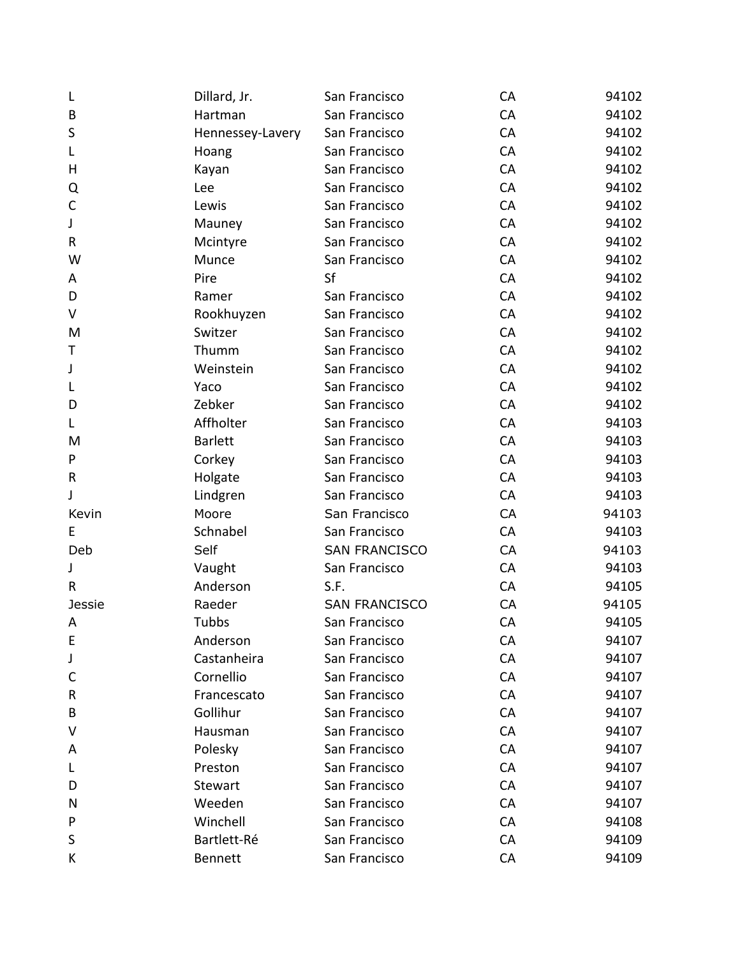| L             | Dillard, Jr.     | San Francisco        | CA | 94102 |
|---------------|------------------|----------------------|----|-------|
| B             | Hartman          | San Francisco        | CA | 94102 |
| S             | Hennessey-Lavery | San Francisco        | CA | 94102 |
| L             | Hoang            | San Francisco        | CA | 94102 |
| н             | Kayan            | San Francisco        | CA | 94102 |
| Q             | Lee              | San Francisco        | CA | 94102 |
| C             | Lewis            | San Francisco        | CA | 94102 |
| J             | Mauney           | San Francisco        | CA | 94102 |
| R             | Mcintyre         | San Francisco        | CA | 94102 |
| W             | Munce            | San Francisco        | CA | 94102 |
| A             | Pire             | Sf                   | CA | 94102 |
| D             | Ramer            | San Francisco        | CA | 94102 |
| V             | Rookhuyzen       | San Francisco        | CA | 94102 |
| M             | Switzer          | San Francisco        | CA | 94102 |
| Т             | Thumm            | San Francisco        | CA | 94102 |
| J             | Weinstein        | San Francisco        | CA | 94102 |
| L             | Yaco             | San Francisco        | CA | 94102 |
| D             | Zebker           | San Francisco        | CA | 94102 |
| L.            | Affholter        | San Francisco        | CA | 94103 |
| M             | <b>Barlett</b>   | San Francisco        | CA | 94103 |
| P             | Corkey           | San Francisco        | CA | 94103 |
| R             | Holgate          | San Francisco        | CA | 94103 |
| J             | Lindgren         | San Francisco        | CA | 94103 |
| Kevin         | Moore            | San Francisco        | CA | 94103 |
| Е             | Schnabel         | San Francisco        | CA | 94103 |
| Deb           | Self             | <b>SAN FRANCISCO</b> | CA | 94103 |
| J             | Vaught           | San Francisco        | CA | 94103 |
| R             | Anderson         | S.F.                 | CA | 94105 |
| <b>Jessie</b> | Raeder           | <b>SAN FRANCISCO</b> | CA | 94105 |
| A             | Tubbs            | San Francisco        | CA | 94105 |
| E             | Anderson         | San Francisco        | CA | 94107 |
| J             | Castanheira      | San Francisco        | CA | 94107 |
| C             | Cornellio        | San Francisco        | CA | 94107 |
| R             | Francescato      | San Francisco        | CA | 94107 |
| В             | Gollihur         | San Francisco        | CA | 94107 |
| V             | Hausman          | San Francisco        | CA | 94107 |
| A             | Polesky          | San Francisco        | CA | 94107 |
| L             | Preston          | San Francisco        | CA | 94107 |
| D             | Stewart          | San Francisco        | CA | 94107 |
| N             | Weeden           | San Francisco        | CA | 94107 |
| P             | Winchell         | San Francisco        | CA | 94108 |
| S             | Bartlett-Ré      | San Francisco        | CA | 94109 |
| К             | <b>Bennett</b>   | San Francisco        | CA | 94109 |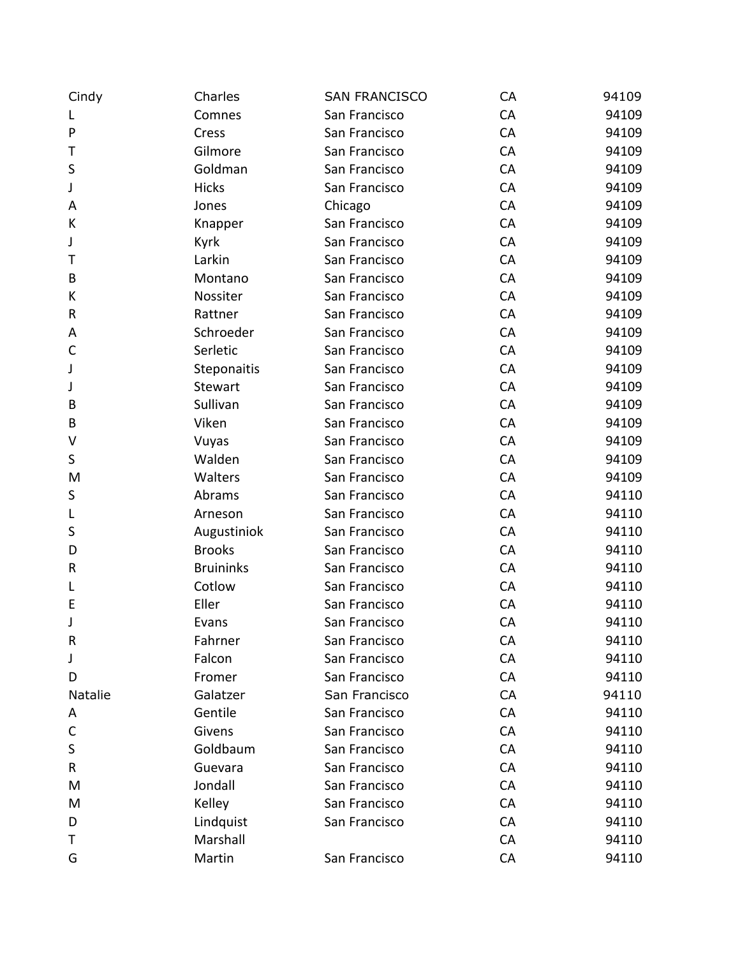| Cindy        | Charles          | <b>SAN FRANCISCO</b> | CA | 94109 |
|--------------|------------------|----------------------|----|-------|
| L            | Comnes           | San Francisco        | CA | 94109 |
| $\mathsf{P}$ | Cress            | San Francisco        | CA | 94109 |
| Τ            | Gilmore          | San Francisco        | CA | 94109 |
| S            | Goldman          | San Francisco        | CA | 94109 |
| J            | <b>Hicks</b>     | San Francisco        | CA | 94109 |
| A            | Jones            | Chicago              | CA | 94109 |
| К            | Knapper          | San Francisco        | CA | 94109 |
| J            | Kyrk             | San Francisco        | CA | 94109 |
| Τ            | Larkin           | San Francisco        | CA | 94109 |
| B            | Montano          | San Francisco        | CA | 94109 |
| К            | Nossiter         | San Francisco        | CA | 94109 |
| R            | Rattner          | San Francisco        | CA | 94109 |
| Α            | Schroeder        | San Francisco        | CA | 94109 |
| $\mathsf{C}$ | Serletic         | San Francisco        | CA | 94109 |
| J            | Steponaitis      | San Francisco        | CA | 94109 |
| J            | <b>Stewart</b>   | San Francisco        | CA | 94109 |
| B            | Sullivan         | San Francisco        | CA | 94109 |
| B            | Viken            | San Francisco        | CA | 94109 |
| V            | Vuyas            | San Francisco        | CA | 94109 |
| S            | Walden           | San Francisco        | CA | 94109 |
| M            | Walters          | San Francisco        | CA | 94109 |
| S            | Abrams           | San Francisco        | CA | 94110 |
| L            | Arneson          | San Francisco        | CA | 94110 |
| S            | Augustiniok      | San Francisco        | CA | 94110 |
| D            | <b>Brooks</b>    | San Francisco        | CA | 94110 |
| $\mathsf R$  | <b>Bruininks</b> | San Francisco        | CA | 94110 |
| L            | Cotlow           | San Francisco        | CA | 94110 |
| E            | Eller            | San Francisco        | CA | 94110 |
| J            | Evans            | San Francisco        | CA | 94110 |
| $\mathsf R$  | Fahrner          | San Francisco        | CA | 94110 |
| J            | Falcon           | San Francisco        | CA | 94110 |
| D            | Fromer           | San Francisco        | CA | 94110 |
| Natalie      | Galatzer         | San Francisco        | CA | 94110 |
| A            | Gentile          | San Francisco        | CA | 94110 |
| $\mathsf C$  | Givens           | San Francisco        | CA | 94110 |
| $\sf S$      | Goldbaum         | San Francisco        | CA | 94110 |
| R            | Guevara          | San Francisco        | CA | 94110 |
| M            | Jondall          | San Francisco        | CA | 94110 |
| M            | Kelley           | San Francisco        | CA | 94110 |
| D            | Lindquist        | San Francisco        | CA | 94110 |
| Τ            | Marshall         |                      | CA | 94110 |
| G            | Martin           | San Francisco        | CA | 94110 |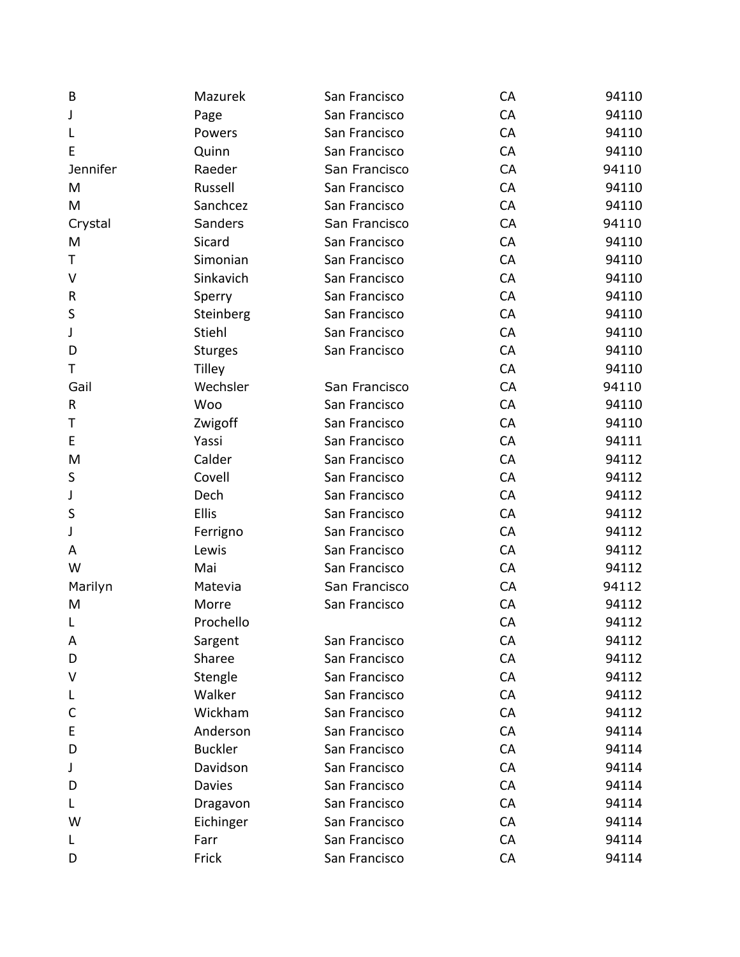| B        | Mazurek        | San Francisco | CA | 94110 |
|----------|----------------|---------------|----|-------|
| J        | Page           | San Francisco | CA | 94110 |
| L        | Powers         | San Francisco | CA | 94110 |
| Е        | Quinn          | San Francisco | CA | 94110 |
| Jennifer | Raeder         | San Francisco | CA | 94110 |
| M        | Russell        | San Francisco | CA | 94110 |
| M        | Sanchcez       | San Francisco | CA | 94110 |
| Crystal  | Sanders        | San Francisco | CA | 94110 |
| M        | Sicard         | San Francisco | CA | 94110 |
| Т        | Simonian       | San Francisco | CA | 94110 |
| V        | Sinkavich      | San Francisco | CA | 94110 |
| R        | Sperry         | San Francisco | CA | 94110 |
| S        | Steinberg      | San Francisco | CA | 94110 |
| J        | Stiehl         | San Francisco | CA | 94110 |
| D        | <b>Sturges</b> | San Francisco | CA | 94110 |
| т        | Tilley         |               | CA | 94110 |
| Gail     | Wechsler       | San Francisco | CA | 94110 |
| R        | Woo            | San Francisco | CA | 94110 |
| Τ        | Zwigoff        | San Francisco | CA | 94110 |
| E        | Yassi          | San Francisco | CA | 94111 |
| M        | Calder         | San Francisco | CA | 94112 |
| $\sf S$  | Covell         | San Francisco | CA | 94112 |
| J        | Dech           | San Francisco | CA | 94112 |
| S        | Ellis          | San Francisco | CA | 94112 |
| J        | Ferrigno       | San Francisco | CA | 94112 |
| A        | Lewis          | San Francisco | CA | 94112 |
| W        | Mai            | San Francisco | CA | 94112 |
| Marilyn  | Matevia        | San Francisco | CA | 94112 |
| M        | Morre          | San Francisco | CA | 94112 |
| L        | Prochello      |               | CA | 94112 |
| A        | Sargent        | San Francisco | CA | 94112 |
| D        | Sharee         | San Francisco | CA | 94112 |
| v        | Stengle        | San Francisco | CA | 94112 |
| L        | Walker         | San Francisco | CA | 94112 |
| C        | Wickham        | San Francisco | CA | 94112 |
| Ε        | Anderson       | San Francisco | CA | 94114 |
| D        | <b>Buckler</b> | San Francisco | CA | 94114 |
| J        | Davidson       | San Francisco | CA | 94114 |
| D        | <b>Davies</b>  | San Francisco | CA | 94114 |
| L        | Dragavon       | San Francisco | CA | 94114 |
| W        | Eichinger      | San Francisco | CA | 94114 |
| L        | Farr           | San Francisco | CA | 94114 |
| D        | Frick          | San Francisco | CA | 94114 |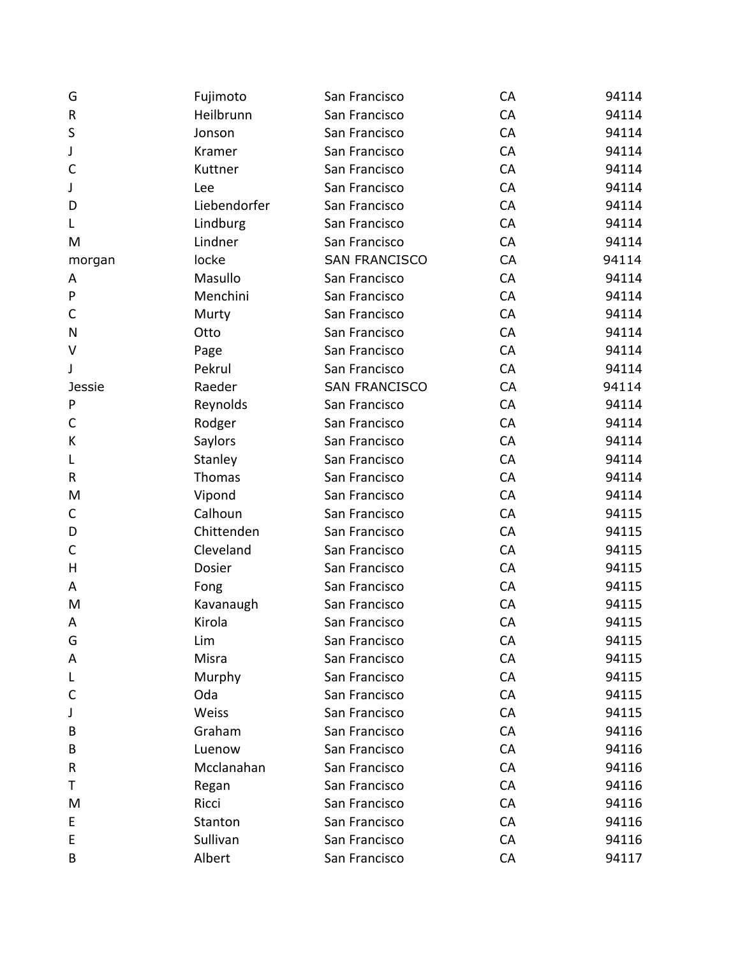| G             | Fujimoto     | San Francisco        | CA | 94114 |
|---------------|--------------|----------------------|----|-------|
| R             | Heilbrunn    | San Francisco        | CA | 94114 |
| $\sf S$       | Jonson       | San Francisco        | CA | 94114 |
| J             | Kramer       | San Francisco        | CA | 94114 |
| $\mathsf{C}$  | Kuttner      | San Francisco        | CA | 94114 |
| J             | Lee          | San Francisco        | CA | 94114 |
| D             | Liebendorfer | San Francisco        | CA | 94114 |
| L             | Lindburg     | San Francisco        | CA | 94114 |
| M             | Lindner      | San Francisco        | CA | 94114 |
| morgan        | locke        | <b>SAN FRANCISCO</b> | CA | 94114 |
| Α             | Masullo      | San Francisco        | CA | 94114 |
| P             | Menchini     | San Francisco        | CA | 94114 |
| C             | Murty        | San Francisco        | CA | 94114 |
| N             | Otto         | San Francisco        | CA | 94114 |
| $\vee$        | Page         | San Francisco        | CA | 94114 |
| J             | Pekrul       | San Francisco        | CA | 94114 |
| <b>Jessie</b> | Raeder       | <b>SAN FRANCISCO</b> | CA | 94114 |
| P             | Reynolds     | San Francisco        | CA | 94114 |
| C             | Rodger       | San Francisco        | CA | 94114 |
| K             | Saylors      | San Francisco        | CA | 94114 |
| L             | Stanley      | San Francisco        | CA | 94114 |
| R             | Thomas       | San Francisco        | CA | 94114 |
| M             | Vipond       | San Francisco        | CA | 94114 |
| С             | Calhoun      | San Francisco        | CA | 94115 |
| D             | Chittenden   | San Francisco        | CA | 94115 |
| C             | Cleveland    | San Francisco        | CA | 94115 |
| H             | Dosier       | San Francisco        | CA | 94115 |
| A             | Fong         | San Francisco        | CA | 94115 |
| M             | Kavanaugh    | San Francisco        | CA | 94115 |
| A             | Kirola       | San Francisco        | CA | 94115 |
| G             | Lim          | San Francisco        | CA | 94115 |
| Α             | Misra        | San Francisco        | CA | 94115 |
| L             | Murphy       | San Francisco        | CA | 94115 |
| C             | Oda          | San Francisco        | CA | 94115 |
| J             | Weiss        | San Francisco        | CA | 94115 |
| B             | Graham       | San Francisco        | CA | 94116 |
| B             | Luenow       | San Francisco        | CA | 94116 |
| R             | Mcclanahan   | San Francisco        | CA | 94116 |
| Т             | Regan        | San Francisco        | CA | 94116 |
| M             | Ricci        | San Francisco        | CA | 94116 |
| E             | Stanton      | San Francisco        | CA | 94116 |
| E             | Sullivan     | San Francisco        | CA | 94116 |
| B             | Albert       | San Francisco        | CA | 94117 |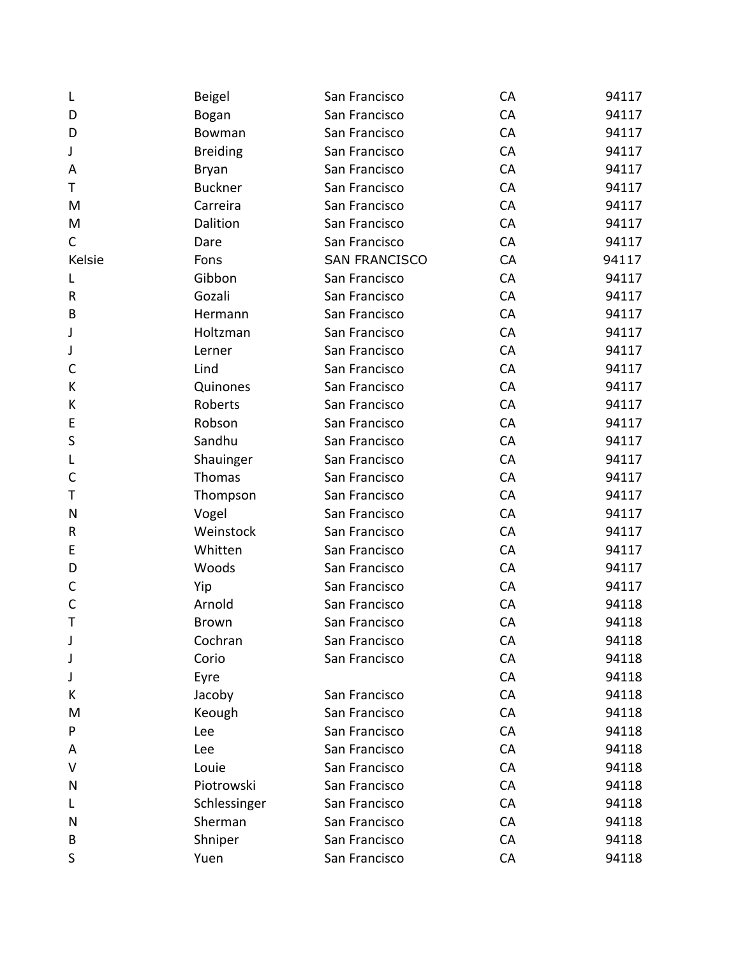| L            | <b>Beigel</b>   | San Francisco        | CA        | 94117 |
|--------------|-----------------|----------------------|-----------|-------|
| D            | Bogan           | San Francisco        | CA        | 94117 |
| D            | Bowman          | San Francisco        | CA        | 94117 |
| J            | <b>Breiding</b> | San Francisco        | CA        | 94117 |
| A            | <b>Bryan</b>    | San Francisco        | CA        | 94117 |
| Τ            | <b>Buckner</b>  | San Francisco        | CA        | 94117 |
| M            | Carreira        | San Francisco        | CA        | 94117 |
| M            | Dalition        | San Francisco        | CA        | 94117 |
| C            | Dare            | San Francisco        | CA        | 94117 |
| Kelsie       | Fons            | <b>SAN FRANCISCO</b> | CA        | 94117 |
| L            | Gibbon          | San Francisco        | CA        | 94117 |
| R            | Gozali          | San Francisco        | CA        | 94117 |
| B            | Hermann         | San Francisco        | CA        | 94117 |
| J            | Holtzman        | San Francisco        | CA        | 94117 |
| J            | Lerner          | San Francisco        | CA        | 94117 |
| $\mathsf{C}$ | Lind            | San Francisco        | CA        | 94117 |
| К            | Quinones        | San Francisco        | CA        | 94117 |
| К            | Roberts         | San Francisco        | CA        | 94117 |
| E            | Robson          | San Francisco        | CA        | 94117 |
| S            | Sandhu          | San Francisco        | CA        | 94117 |
| L            | Shauinger       | San Francisco        | CA        | 94117 |
| $\mathsf C$  | Thomas          | San Francisco        | CA        | 94117 |
| Τ            | Thompson        | San Francisco        | CA        | 94117 |
| N            | Vogel           | San Francisco        | CA        | 94117 |
| R            | Weinstock       | San Francisco        | CA        | 94117 |
| E            | Whitten         | San Francisco        | CA        | 94117 |
| D            | Woods           | San Francisco        | CA        | 94117 |
| $\mathsf C$  | Yip             | San Francisco        | CA        | 94117 |
| $\mathsf{C}$ | Arnold          | San Francisco        | CA        | 94118 |
| T            | <b>Brown</b>    | San Francisco        | CA        | 94118 |
| J            | Cochran         | San Francisco        | CA        | 94118 |
| J            | Corio           | San Francisco        | CA        | 94118 |
| J            | Eyre            |                      | CA        | 94118 |
| K            | Jacoby          | San Francisco        | CA        | 94118 |
| M            | Keough          | San Francisco        | CA        | 94118 |
| P            | Lee             | San Francisco        | CA        | 94118 |
| Α            | Lee             | San Francisco        | <b>CA</b> | 94118 |
| V            | Louie           | San Francisco        | CA        | 94118 |
| N            | Piotrowski      | San Francisco        | CA        | 94118 |
| L            | Schlessinger    | San Francisco        | CA        | 94118 |
| N            | Sherman         | San Francisco        | CA        | 94118 |
| B            | Shniper         | San Francisco        | <b>CA</b> | 94118 |
| S            | Yuen            | San Francisco        | CA        | 94118 |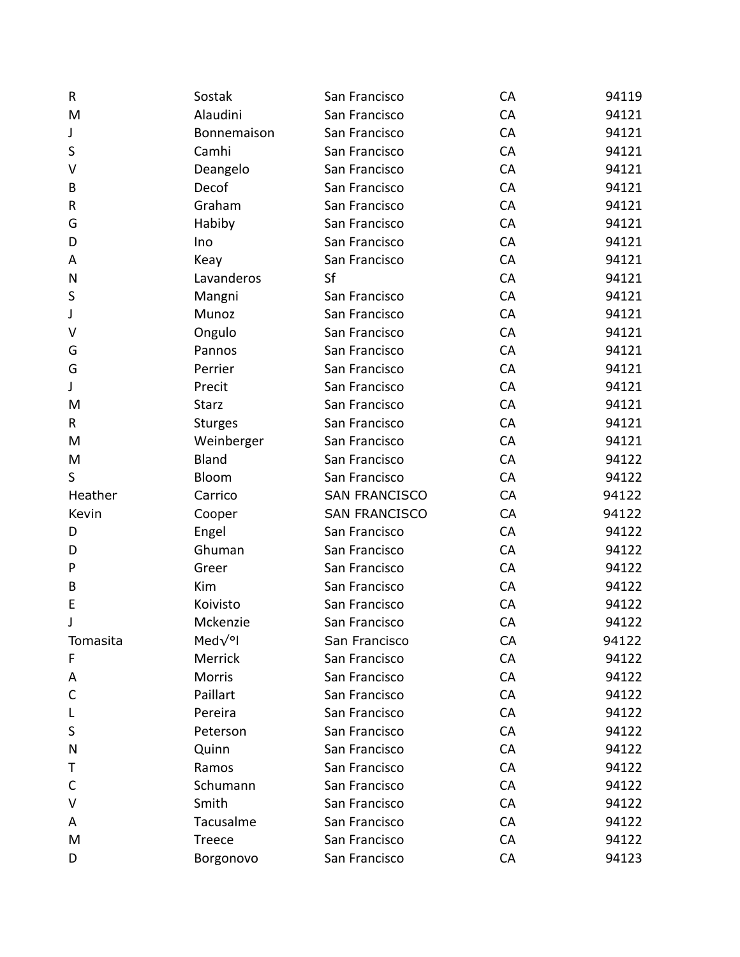| R         | Sostak         | San Francisco        | CA | 94119 |
|-----------|----------------|----------------------|----|-------|
| M         | Alaudini       | San Francisco        | CA | 94121 |
| J         | Bonnemaison    | San Francisco        | CA | 94121 |
| S         | Camhi          | San Francisco        | CA | 94121 |
| V         | Deangelo       | San Francisco        | CA | 94121 |
| B         | Decof          | San Francisco        | CA | 94121 |
| ${\sf R}$ | Graham         | San Francisco        | CA | 94121 |
| G         | Habiby         | San Francisco        | CA | 94121 |
| D         | Ino            | San Francisco        | CA | 94121 |
| A         | Keay           | San Francisco        | CA | 94121 |
| N         | Lavanderos     | Sf                   | CA | 94121 |
| S         | Mangni         | San Francisco        | CA | 94121 |
| J         | Munoz          | San Francisco        | CA | 94121 |
| V         | Ongulo         | San Francisco        | CA | 94121 |
| G         | Pannos         | San Francisco        | CA | 94121 |
| G         | Perrier        | San Francisco        | CA | 94121 |
| J         | Precit         | San Francisco        | CA | 94121 |
| M         | <b>Starz</b>   | San Francisco        | CA | 94121 |
| R         | <b>Sturges</b> | San Francisco        | CA | 94121 |
| M         | Weinberger     | San Francisco        | CA | 94121 |
| M         | <b>Bland</b>   | San Francisco        | CA | 94122 |
| S         | Bloom          | San Francisco        | CA | 94122 |
| Heather   | Carrico        | <b>SAN FRANCISCO</b> | CA | 94122 |
| Kevin     | Cooper         | <b>SAN FRANCISCO</b> | CA | 94122 |
| D         | Engel          | San Francisco        | CA | 94122 |
| D         | Ghuman         | San Francisco        | CA | 94122 |
| P         | Greer          | San Francisco        | CA | 94122 |
| B         | Kim            | San Francisco        | CA | 94122 |
| E         | Koivisto       | San Francisco        | CA | 94122 |
| J         | Mckenzie       | San Francisco        | CA | 94122 |
| Tomasita  | Med $\sqrt{9}$ | San Francisco        | CA | 94122 |
| F         | Merrick        | San Francisco        | CA | 94122 |
| A         | Morris         | San Francisco        | CA | 94122 |
| C         | Paillart       | San Francisco        | CA | 94122 |
| L         | Pereira        | San Francisco        | CA | 94122 |
| S         | Peterson       | San Francisco        | CA | 94122 |
| N         | Quinn          | San Francisco        | CA | 94122 |
| Т         | Ramos          | San Francisco        | CA | 94122 |
| C         | Schumann       | San Francisco        | CA | 94122 |
| V         | Smith          | San Francisco        | CA | 94122 |
| Α         | Tacusalme      | San Francisco        | CA | 94122 |
| M         | Treece         | San Francisco        | CA | 94122 |
| D         | Borgonovo      | San Francisco        | CA | 94123 |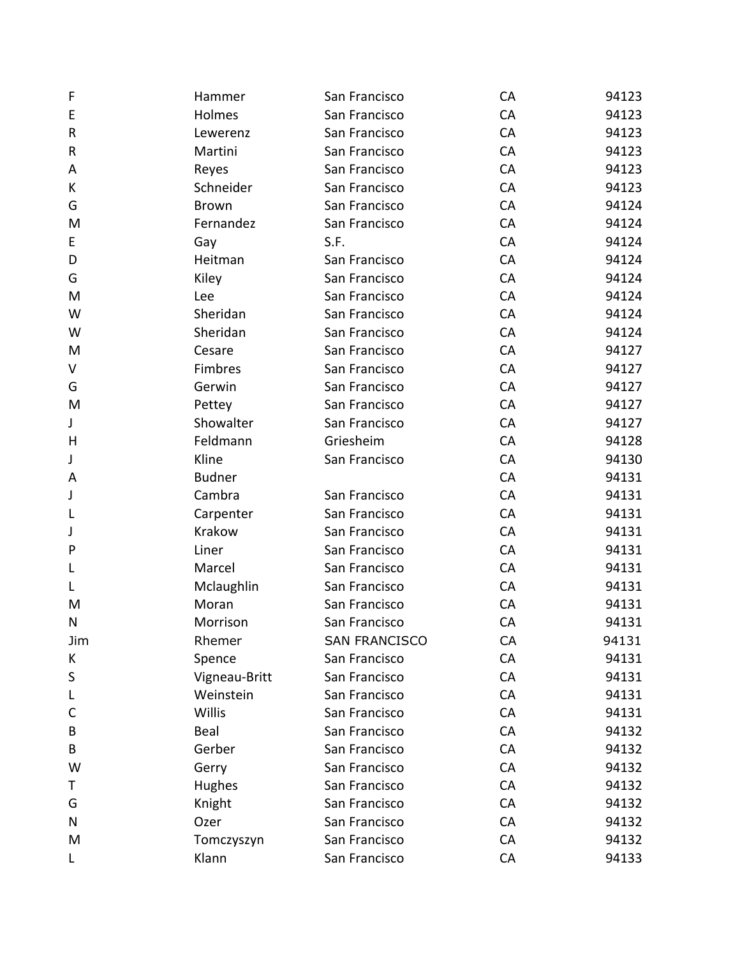| F            | Hammer        | San Francisco        | CA | 94123 |
|--------------|---------------|----------------------|----|-------|
| E            | Holmes        | San Francisco        | CA | 94123 |
| ${\sf R}$    | Lewerenz      | San Francisco        | CA | 94123 |
| ${\sf R}$    | Martini       | San Francisco        | CA | 94123 |
| Α            | Reyes         | San Francisco        | CA | 94123 |
| К            | Schneider     | San Francisco        | CA | 94123 |
| G            | <b>Brown</b>  | San Francisco        | CA | 94124 |
| M            | Fernandez     | San Francisco        | CA | 94124 |
| E            | Gay           | S.F.                 | CA | 94124 |
| D            | Heitman       | San Francisco        | CA | 94124 |
| G            | Kiley         | San Francisco        | CA | 94124 |
| M            | Lee           | San Francisco        | CA | 94124 |
| W            | Sheridan      | San Francisco        | CA | 94124 |
| W            | Sheridan      | San Francisco        | CA | 94124 |
| M            | Cesare        | San Francisco        | CA | 94127 |
| V            | Fimbres       | San Francisco        | CA | 94127 |
| G            | Gerwin        | San Francisco        | CA | 94127 |
| M            | Pettey        | San Francisco        | CA | 94127 |
| J            | Showalter     | San Francisco        | CA | 94127 |
| H            | Feldmann      | Griesheim            | CA | 94128 |
| J            | Kline         | San Francisco        | CA | 94130 |
| A            | <b>Budner</b> |                      | CA | 94131 |
| J            | Cambra        | San Francisco        | CA | 94131 |
| L            | Carpenter     | San Francisco        | CA | 94131 |
| J            | Krakow        | San Francisco        | CA | 94131 |
| $\mathsf{P}$ | Liner         | San Francisco        | CA | 94131 |
| L            | Marcel        | San Francisco        | CA | 94131 |
| L            | Mclaughlin    | San Francisco        | CA | 94131 |
| M            | Moran         | San Francisco        | CA | 94131 |
| $\mathsf{N}$ | Morrison      | San Francisco        | CA | 94131 |
| Jim          | Rhemer        | <b>SAN FRANCISCO</b> | CA | 94131 |
| К            | Spence        | San Francisco        | CA | 94131 |
| S            | Vigneau-Britt | San Francisco        | CA | 94131 |
| L            | Weinstein     | San Francisco        | CA | 94131 |
| C            | Willis        | San Francisco        | CA | 94131 |
| B            | Beal          | San Francisco        | CA | 94132 |
| B            | Gerber        | San Francisco        | CA | 94132 |
| W            | Gerry         | San Francisco        | CA | 94132 |
| Τ            | Hughes        | San Francisco        | CA | 94132 |
| G            | Knight        | San Francisco        | CA | 94132 |
| N            | Ozer          | San Francisco        | CA | 94132 |
| M            | Tomczyszyn    | San Francisco        | CA | 94132 |
| L            | Klann         | San Francisco        | CA | 94133 |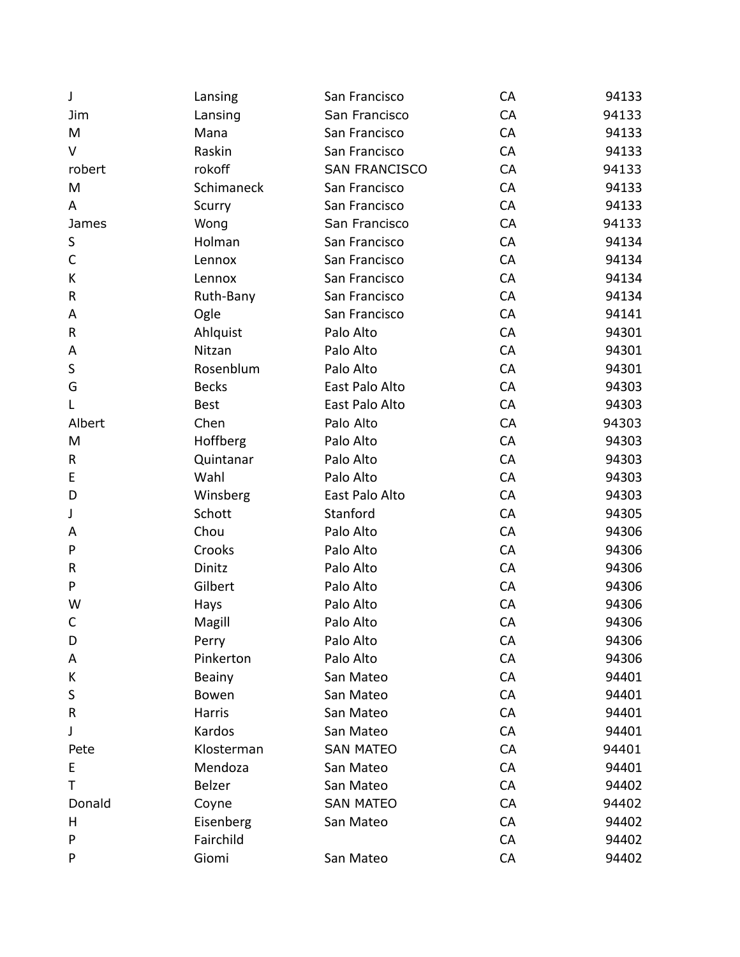| J           | Lansing      | San Francisco        | CA | 94133 |
|-------------|--------------|----------------------|----|-------|
| Jim         | Lansing      | San Francisco        | CA | 94133 |
| M           | Mana         | San Francisco        | CA | 94133 |
| $\vee$      | Raskin       | San Francisco        | CA | 94133 |
| robert      | rokoff       | <b>SAN FRANCISCO</b> | CA | 94133 |
| M           | Schimaneck   | San Francisco        | CA | 94133 |
| A           | Scurry       | San Francisco        | CA | 94133 |
| James       | Wong         | San Francisco        | CA | 94133 |
| S           | Holman       | San Francisco        | CA | 94134 |
| $\mathsf C$ | Lennox       | San Francisco        | CA | 94134 |
| K           | Lennox       | San Francisco        | CA | 94134 |
| R           | Ruth-Bany    | San Francisco        | CA | 94134 |
| A           | Ogle         | San Francisco        | CA | 94141 |
| R           | Ahlquist     | Palo Alto            | CA | 94301 |
| Α           | Nitzan       | Palo Alto            | CA | 94301 |
| S           | Rosenblum    | Palo Alto            | CA | 94301 |
| G           | <b>Becks</b> | East Palo Alto       | CA | 94303 |
| L           | <b>Best</b>  | East Palo Alto       | CA | 94303 |
| Albert      | Chen         | Palo Alto            | CA | 94303 |
| M           | Hoffberg     | Palo Alto            | CA | 94303 |
| R           | Quintanar    | Palo Alto            | CA | 94303 |
| E           | Wahl         | Palo Alto            | CA | 94303 |
| D           | Winsberg     | East Palo Alto       | CA | 94303 |
| J           | Schott       | Stanford             | CA | 94305 |
| A           | Chou         | Palo Alto            | CA | 94306 |
| P           | Crooks       | Palo Alto            | CA | 94306 |
| R           | Dinitz       | Palo Alto            | CA | 94306 |
| P           | Gilbert      | Palo Alto            | CA | 94306 |
| W           | Hays         | Palo Alto            | CA | 94306 |
| C           | Magill       | Palo Alto            | CA | 94306 |
| D           | Perry        | Palo Alto            | CA | 94306 |
| Α           | Pinkerton    | Palo Alto            | CA | 94306 |
| K           | Beainy       | San Mateo            | CA | 94401 |
| S           | Bowen        | San Mateo            | CA | 94401 |
| R           | Harris       | San Mateo            | CA | 94401 |
| J           | Kardos       | San Mateo            | CA | 94401 |
| Pete        | Klosterman   | <b>SAN MATEO</b>     | CA | 94401 |
| E           | Mendoza      | San Mateo            | CA | 94401 |
| т           | Belzer       | San Mateo            | CA | 94402 |
| Donald      | Coyne        | <b>SAN MATEO</b>     | CA | 94402 |
| Н           | Eisenberg    | San Mateo            | CA | 94402 |
| P           | Fairchild    |                      | CA | 94402 |
| P           | Giomi        | San Mateo            | CA | 94402 |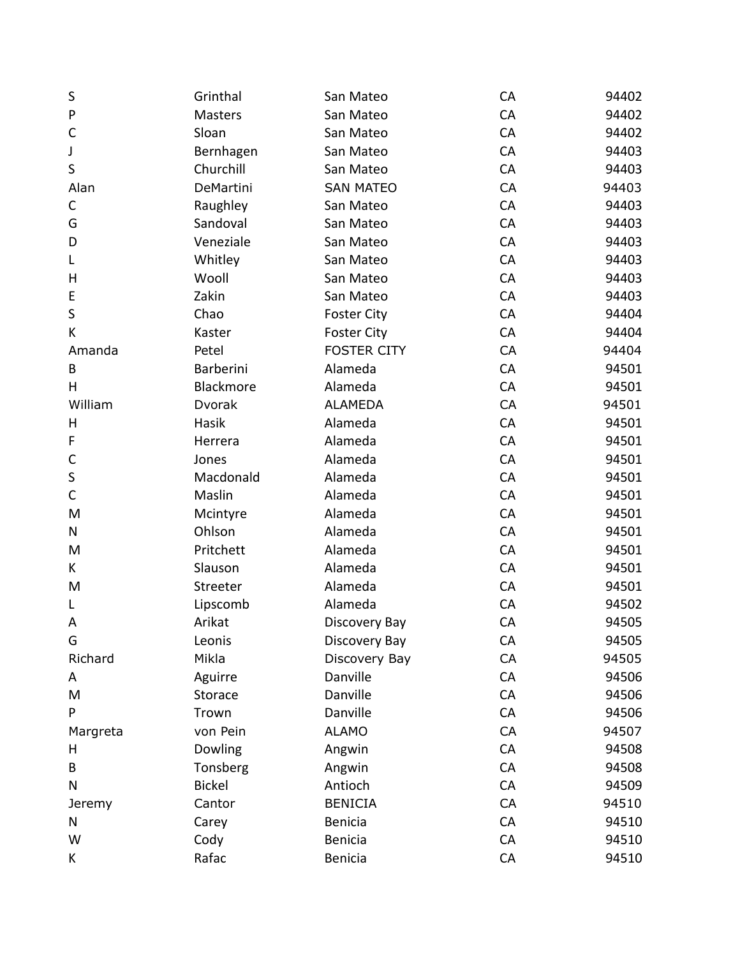| S            | Grinthal      | San Mateo          | CA | 94402 |
|--------------|---------------|--------------------|----|-------|
| ${\sf P}$    | Masters       | San Mateo          | CA | 94402 |
| $\mathsf C$  | Sloan         | San Mateo          | CA | 94402 |
| J            | Bernhagen     | San Mateo          | CA | 94403 |
| S            | Churchill     | San Mateo          | CA | 94403 |
| Alan         | DeMartini     | <b>SAN MATEO</b>   | CA | 94403 |
| $\mathsf C$  | Raughley      | San Mateo          | CA | 94403 |
| G            | Sandoval      | San Mateo          | CA | 94403 |
| D            | Veneziale     | San Mateo          | CA | 94403 |
| L            | Whitley       | San Mateo          | CA | 94403 |
| Η            | Wooll         | San Mateo          | CA | 94403 |
| E            | Zakin         | San Mateo          | CA | 94403 |
| S            | Chao          | <b>Foster City</b> | CA | 94404 |
| K            | Kaster        | <b>Foster City</b> | CA | 94404 |
| Amanda       | Petel         | <b>FOSTER CITY</b> | CA | 94404 |
| B            | Barberini     | Alameda            | CA | 94501 |
| н            | Blackmore     | Alameda            | CA | 94501 |
| William      | Dvorak        | <b>ALAMEDA</b>     | CA | 94501 |
| Н            | Hasik         | Alameda            | CA | 94501 |
| F            | Herrera       | Alameda            | CA | 94501 |
| $\mathsf C$  | Jones         | Alameda            | CA | 94501 |
| S            | Macdonald     | Alameda            | CA | 94501 |
| $\mathsf{C}$ | Maslin        | Alameda            | CA | 94501 |
| M            | Mcintyre      | Alameda            | CA | 94501 |
| Ν            | Ohlson        | Alameda            | CA | 94501 |
| M            | Pritchett     | Alameda            | CA | 94501 |
| K            | Slauson       | Alameda            | CA | 94501 |
| M            | Streeter      | Alameda            | CA | 94501 |
| L            | Lipscomb      | Alameda            | CA | 94502 |
| A            | Arikat        | Discovery Bay      | CA | 94505 |
| G            | Leonis        | Discovery Bay      | CA | 94505 |
| Richard      | Mikla         | Discovery Bay      | CA | 94505 |
| A            | Aguirre       | Danville           | CA | 94506 |
| M            | Storace       | Danville           | CA | 94506 |
| P            | Trown         | Danville           | CA | 94506 |
| Margreta     | von Pein      | <b>ALAMO</b>       | CA | 94507 |
| H            | Dowling       | Angwin             | CA | 94508 |
| B            | Tonsberg      | Angwin             | CA | 94508 |
| N            | <b>Bickel</b> | Antioch            | CA | 94509 |
| Jeremy       | Cantor        | <b>BENICIA</b>     | CA | 94510 |
| N            | Carey         | Benicia            | CA | 94510 |
| W            | Cody          | <b>Benicia</b>     | CA | 94510 |
| K            | Rafac         | Benicia            | CA | 94510 |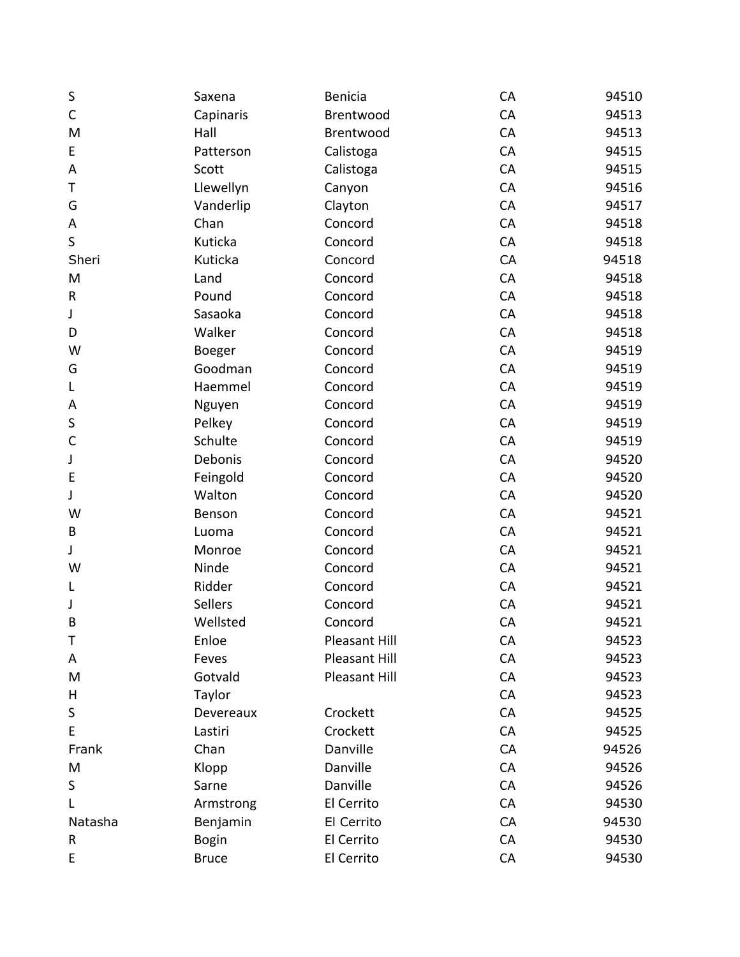| S           | Saxena         | Benicia       | CA | 94510 |
|-------------|----------------|---------------|----|-------|
| $\mathsf C$ | Capinaris      | Brentwood     | CA | 94513 |
| M           | Hall           | Brentwood     | CA | 94513 |
| E           | Patterson      | Calistoga     | CA | 94515 |
| A           | Scott          | Calistoga     | CA | 94515 |
| Τ           | Llewellyn      | Canyon        | CA | 94516 |
| G           | Vanderlip      | Clayton       | CA | 94517 |
| A           | Chan           | Concord       | CA | 94518 |
| S           | Kuticka        | Concord       | CA | 94518 |
| Sheri       | Kuticka        | Concord       | CA | 94518 |
| M           | Land           | Concord       | CA | 94518 |
| ${\sf R}$   | Pound          | Concord       | CA | 94518 |
| J           | Sasaoka        | Concord       | CA | 94518 |
| D           | Walker         | Concord       | CA | 94518 |
| W           | Boeger         | Concord       | CA | 94519 |
| G           | Goodman        | Concord       | CA | 94519 |
| L           | Haemmel        | Concord       | CA | 94519 |
| A           | Nguyen         | Concord       | CA | 94519 |
| S           | Pelkey         | Concord       | CA | 94519 |
| $\mathsf C$ | Schulte        | Concord       | CA | 94519 |
| J           | Debonis        | Concord       | CA | 94520 |
| E           | Feingold       | Concord       | CA | 94520 |
| J           | Walton         | Concord       | CA | 94520 |
| W           | Benson         | Concord       | CA | 94521 |
| B           | Luoma          | Concord       | CA | 94521 |
| J           | Monroe         | Concord       | CA | 94521 |
| W           | Ninde          | Concord       | CA | 94521 |
| L           | Ridder         | Concord       | CA | 94521 |
| J           | <b>Sellers</b> | Concord       | CA | 94521 |
| B           | Wellsted       | Concord       | CA | 94521 |
| Τ           | Enloe          | Pleasant Hill | CA | 94523 |
| Α           | Feves          | Pleasant Hill | CA | 94523 |
| M           | Gotvald        | Pleasant Hill | CA | 94523 |
| Н           | Taylor         |               | CA | 94523 |
| S           | Devereaux      | Crockett      | CA | 94525 |
| E           | Lastiri        | Crockett      | CA | 94525 |
| Frank       | Chan           | Danville      | CA | 94526 |
| M           | Klopp          | Danville      | CA | 94526 |
| S           | Sarne          | Danville      | CA | 94526 |
|             | Armstrong      | El Cerrito    | CA | 94530 |
| Natasha     | Benjamin       | El Cerrito    | CA | 94530 |
| R           | <b>Bogin</b>   | El Cerrito    | CA | 94530 |
| E           | <b>Bruce</b>   | El Cerrito    | CA | 94530 |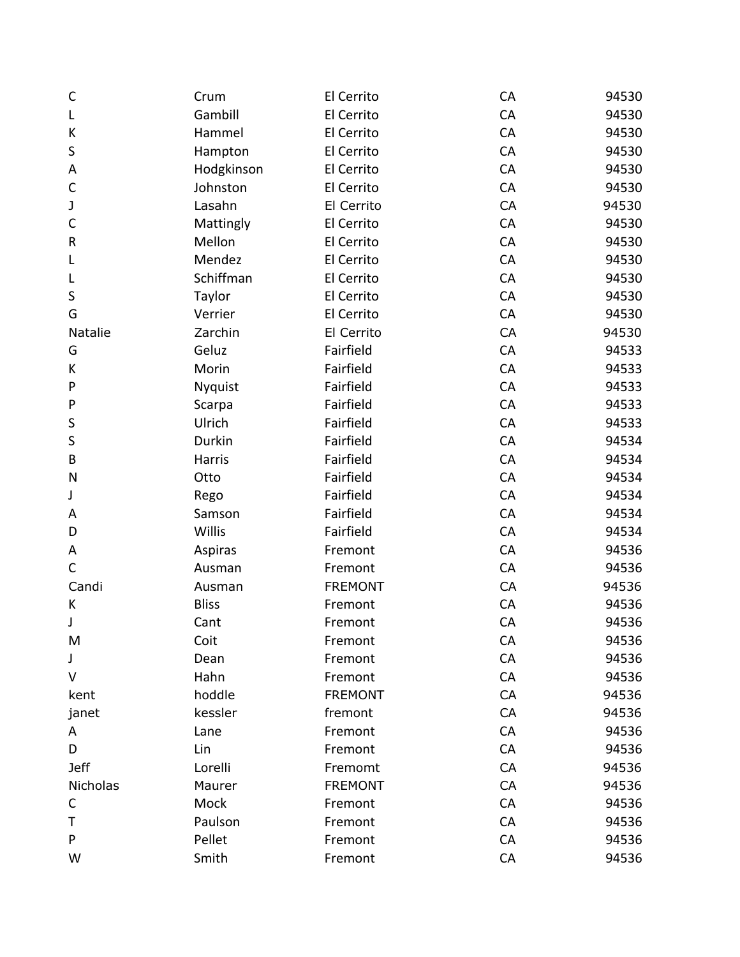| $\mathsf{C}$   | Crum           | El Cerrito     | CA | 94530 |
|----------------|----------------|----------------|----|-------|
| L              | Gambill        | El Cerrito     | CA | 94530 |
| К              | Hammel         | El Cerrito     | CA | 94530 |
| $\sf S$        | Hampton        | El Cerrito     | CA | 94530 |
| A              | Hodgkinson     | El Cerrito     | CA | 94530 |
| $\mathsf{C}$   | Johnston       | El Cerrito     | CA | 94530 |
| J              | Lasahn         | El Cerrito     | CA | 94530 |
| $\mathsf C$    | Mattingly      | El Cerrito     | CA | 94530 |
| R              | Mellon         | El Cerrito     | CA | 94530 |
| L              | Mendez         | El Cerrito     | CA | 94530 |
| L              | Schiffman      | El Cerrito     | CA | 94530 |
| $\sf S$        | Taylor         | El Cerrito     | CA | 94530 |
| G              | Verrier        | El Cerrito     | CA | 94530 |
| <b>Natalie</b> | Zarchin        | El Cerrito     | CA | 94530 |
| G              | Geluz          | Fairfield      | CA | 94533 |
| K              | Morin          | Fairfield      | CA | 94533 |
| P              | <b>Nyquist</b> | Fairfield      | CA | 94533 |
| P              | Scarpa         | Fairfield      | CA | 94533 |
| $\sf S$        | Ulrich         | Fairfield      | CA | 94533 |
| $\sf S$        | Durkin         | Fairfield      | CA | 94534 |
| B              | Harris         | Fairfield      | CA | 94534 |
| N              | Otto           | Fairfield      | CA | 94534 |
| J              | Rego           | Fairfield      | CA | 94534 |
| A              | Samson         | Fairfield      | CA | 94534 |
| D              | Willis         | Fairfield      | CA | 94534 |
| A              | Aspiras        | Fremont        | CA | 94536 |
| C              | Ausman         | Fremont        | CA | 94536 |
| Candi          | Ausman         | <b>FREMONT</b> | CA | 94536 |
| K              | <b>Bliss</b>   | Fremont        | CA | 94536 |
| J              | Cant           | Fremont        | CA | 94536 |
| M              | Coit           | Fremont        | CA | 94536 |
| J              | Dean           | Fremont        | CA | 94536 |
| V              | Hahn           | Fremont        | CA | 94536 |
| kent           | hoddle         | <b>FREMONT</b> | CA | 94536 |
| janet          | kessler        | fremont        | CA | 94536 |
| A              | Lane           | Fremont        | CA | 94536 |
| D              | Lin            | Fremont        | CA | 94536 |
| <b>Jeff</b>    | Lorelli        | Fremomt        | CA | 94536 |
| Nicholas       | Maurer         | <b>FREMONT</b> | CA | 94536 |
| С              | Mock           | Fremont        | CA | 94536 |
| Т              | Paulson        | Fremont        | CA | 94536 |
| P              | Pellet         | Fremont        | CA | 94536 |
| W              | Smith          | Fremont        | CA | 94536 |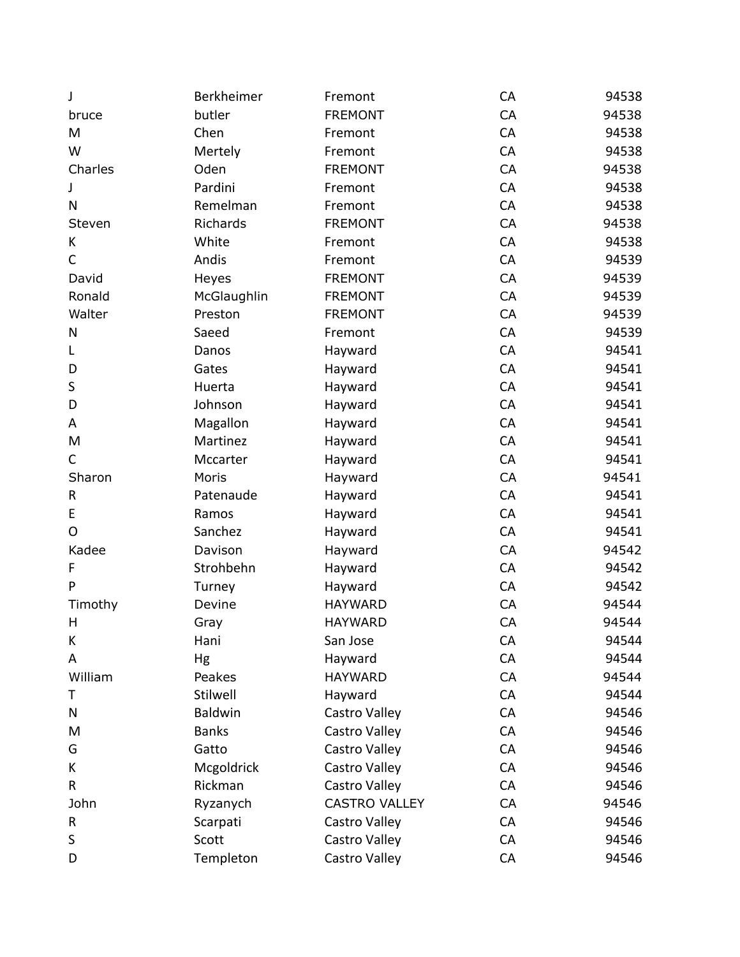| J            | Berkheimer     | Fremont              | CA | 94538 |
|--------------|----------------|----------------------|----|-------|
| bruce        | butler         | <b>FREMONT</b>       | CA | 94538 |
| M            | Chen           | Fremont              | CA | 94538 |
| W            | Mertely        | Fremont              | CA | 94538 |
| Charles      | Oden           | <b>FREMONT</b>       | CA | 94538 |
| J            | Pardini        | Fremont              | CA | 94538 |
| N            | Remelman       | Fremont              | CA | 94538 |
| Steven       | Richards       | <b>FREMONT</b>       | CA | 94538 |
| K            | White          | Fremont              | CA | 94538 |
| $\mathsf{C}$ | Andis          | Fremont              | CA | 94539 |
| David        | Heyes          | <b>FREMONT</b>       | CA | 94539 |
| Ronald       | McGlaughlin    | <b>FREMONT</b>       | CA | 94539 |
| Walter       | Preston        | <b>FREMONT</b>       | CA | 94539 |
| Ν            | Saeed          | Fremont              | CA | 94539 |
| L            | Danos          | Hayward              | CA | 94541 |
| D            | Gates          | Hayward              | CA | 94541 |
| S            | Huerta         | Hayward              | CA | 94541 |
| D            | Johnson        | Hayward              | CA | 94541 |
| Α            | Magallon       | Hayward              | CA | 94541 |
| M            | Martinez       | Hayward              | CA | 94541 |
| C            | Mccarter       | Hayward              | CA | 94541 |
| Sharon       | Moris          | Hayward              | CA | 94541 |
| R            | Patenaude      | Hayward              | CA | 94541 |
| E            | Ramos          | Hayward              | CA | 94541 |
| O            | Sanchez        | Hayward              | CA | 94541 |
| Kadee        | Davison        | Hayward              | CA | 94542 |
| F            | Strohbehn      | Hayward              | CA | 94542 |
| P            | Turney         | Hayward              | CA | 94542 |
| Timothy      | Devine         | <b>HAYWARD</b>       | CA | 94544 |
| Н            | Gray           | <b>HAYWARD</b>       | CA | 94544 |
| К            | Hani           | San Jose             | CA | 94544 |
| A            | Hg             | Hayward              | CA | 94544 |
| William      | Peakes         | <b>HAYWARD</b>       | CA | 94544 |
| т            | Stilwell       | Hayward              | CA | 94544 |
| Ν            | <b>Baldwin</b> | Castro Valley        | CA | 94546 |
| M            | <b>Banks</b>   | Castro Valley        | CA | 94546 |
| G            | Gatto          | Castro Valley        | CA | 94546 |
| K            | Mcgoldrick     | Castro Valley        | CA | 94546 |
| R            | Rickman        | Castro Valley        | CA | 94546 |
| John         | Ryzanych       | <b>CASTRO VALLEY</b> | CA | 94546 |
| R            | Scarpati       | Castro Valley        | CA | 94546 |
| S            | Scott          | Castro Valley        | CA | 94546 |
| D            | Templeton      | Castro Valley        | CA | 94546 |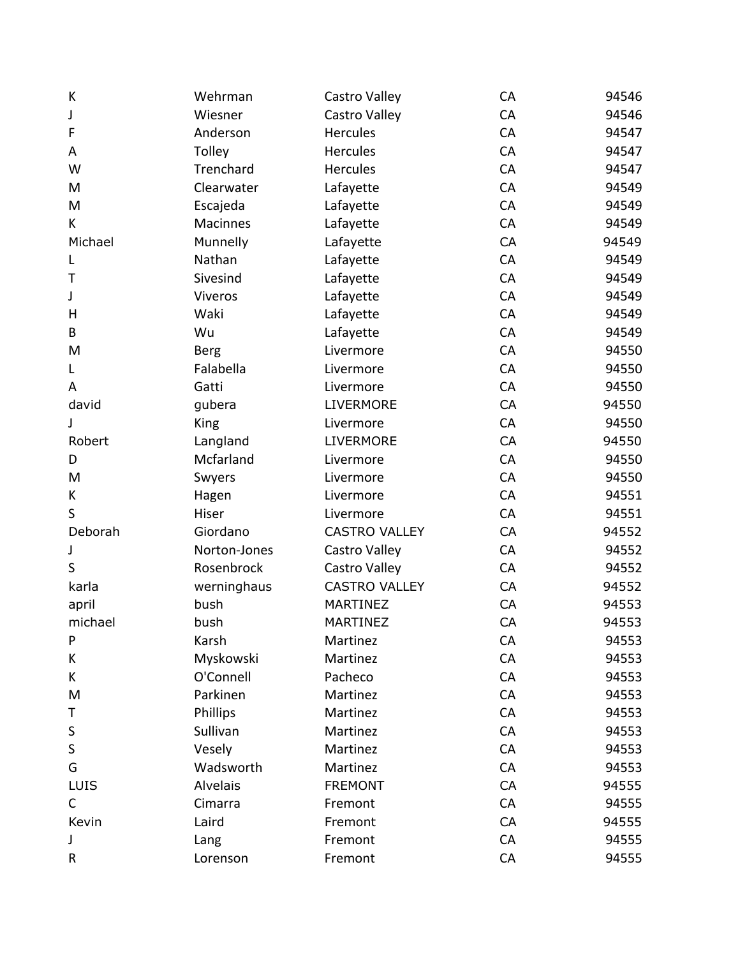| К           | Wehrman      | Castro Valley        | CA | 94546 |
|-------------|--------------|----------------------|----|-------|
| J           | Wiesner      | Castro Valley        | CA | 94546 |
| F           | Anderson     | <b>Hercules</b>      | CA | 94547 |
| A           | Tolley       | <b>Hercules</b>      | CA | 94547 |
| W           | Trenchard    | <b>Hercules</b>      | CA | 94547 |
| M           | Clearwater   | Lafayette            | CA | 94549 |
| M           | Escajeda     | Lafayette            | CA | 94549 |
| K           | Macinnes     | Lafayette            | CA | 94549 |
| Michael     | Munnelly     | Lafayette            | CA | 94549 |
| L           | Nathan       | Lafayette            | CA | 94549 |
| Τ           | Sivesind     | Lafayette            | CA | 94549 |
| J           | Viveros      | Lafayette            | CA | 94549 |
| н           | Waki         | Lafayette            | CA | 94549 |
| B           | Wu           | Lafayette            | CA | 94549 |
| M           | <b>Berg</b>  | Livermore            | CA | 94550 |
| L           | Falabella    | Livermore            | CA | 94550 |
| A           | Gatti        | Livermore            | CA | 94550 |
| david       | gubera       | <b>LIVERMORE</b>     | CA | 94550 |
| J           | <b>King</b>  | Livermore            | CA | 94550 |
| Robert      | Langland     | <b>LIVERMORE</b>     | CA | 94550 |
| D           | Mcfarland    | Livermore            | CA | 94550 |
| M           | Swyers       | Livermore            | CA | 94550 |
| K           | Hagen        | Livermore            | CA | 94551 |
| S           | Hiser        | Livermore            | CA | 94551 |
| Deborah     | Giordano     | <b>CASTRO VALLEY</b> | CA | 94552 |
| J           | Norton-Jones | Castro Valley        | CA | 94552 |
| S           | Rosenbrock   | Castro Valley        | CA | 94552 |
| karla       | werninghaus  | <b>CASTRO VALLEY</b> | CA | 94552 |
| april       | bush         | MARTINEZ             | CA | 94553 |
| michael     | bush         | <b>MARTINEZ</b>      | CA | 94553 |
| P           | Karsh        | Martinez             | CA | 94553 |
| K           | Myskowski    | Martinez             | CA | 94553 |
| K           | O'Connell    | Pacheco              | CA | 94553 |
| M           | Parkinen     | Martinez             | CA | 94553 |
| Т           | Phillips     | Martinez             | CA | 94553 |
| $\sf S$     | Sullivan     | Martinez             | CA | 94553 |
| $\sf S$     | Vesely       | Martinez             | CA | 94553 |
| G           | Wadsworth    | Martinez             | CA | 94553 |
| LUIS        | Alvelais     | <b>FREMONT</b>       | CA | 94555 |
| $\mathsf C$ | Cimarra      | Fremont              | CA | 94555 |
| Kevin       | Laird        | Fremont              | CA | 94555 |
| J           | Lang         | Fremont              | CA | 94555 |
| R           | Lorenson     | Fremont              | CA | 94555 |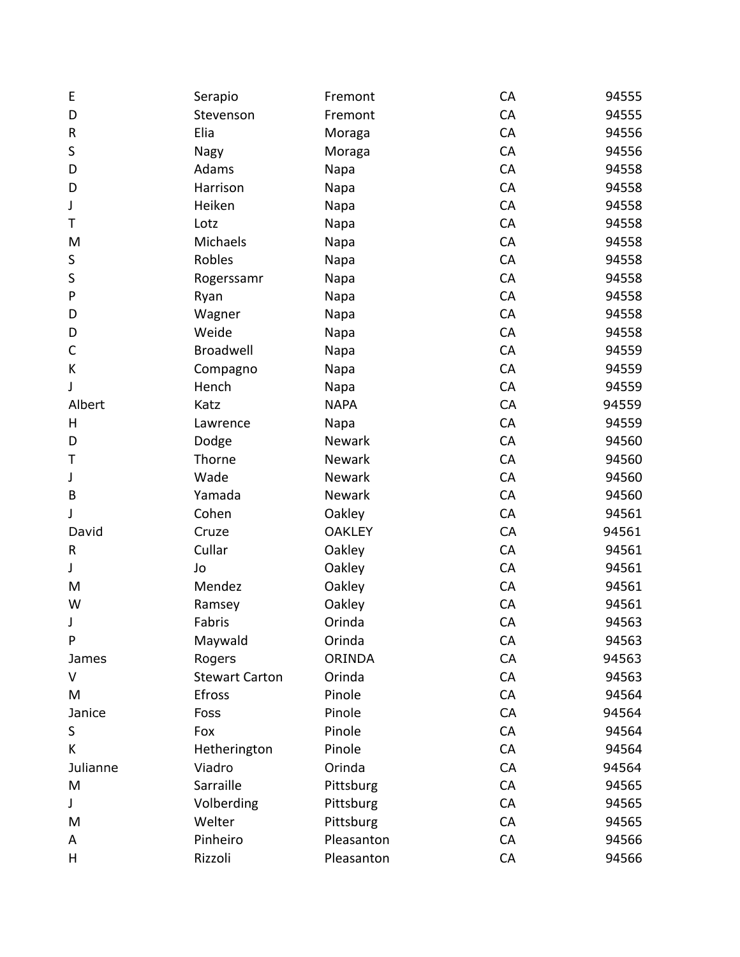| Ε           | Serapio               | Fremont       | CA | 94555 |
|-------------|-----------------------|---------------|----|-------|
| D           | Stevenson             | Fremont       | CA | 94555 |
| R           | Elia                  | Moraga        | CA | 94556 |
| S           | Nagy                  | Moraga        | CA | 94556 |
| D           | Adams                 | Napa          | CA | 94558 |
| D           | Harrison              | Napa          | CA | 94558 |
| J           | Heiken                | Napa          | CA | 94558 |
| Τ           | Lotz                  | Napa          | CA | 94558 |
| M           | Michaels              | Napa          | CA | 94558 |
| S           | Robles                | Napa          | CA | 94558 |
| $\sf S$     | Rogerssamr            | Napa          | CA | 94558 |
| P           | Ryan                  | Napa          | CA | 94558 |
| D           | Wagner                | Napa          | CA | 94558 |
| D           | Weide                 | Napa          | CA | 94558 |
| C           | Broadwell             | Napa          | CA | 94559 |
| К           | Compagno              | Napa          | CA | 94559 |
| J           | Hench                 | Napa          | CA | 94559 |
| Albert      | Katz                  | <b>NAPA</b>   | CA | 94559 |
| Н           | Lawrence              | Napa          | CA | 94559 |
| D           | Dodge                 | Newark        | CA | 94560 |
| Τ           | Thorne                | Newark        | CA | 94560 |
| J           | Wade                  | Newark        | CA | 94560 |
| B           | Yamada                | Newark        | CA | 94560 |
| J           | Cohen                 | Oakley        | CA | 94561 |
| David       | Cruze                 | <b>OAKLEY</b> | CA | 94561 |
| R           | Cullar                | Oakley        | CA | 94561 |
| J           | Jo                    | Oakley        | CA | 94561 |
| M           | Mendez                | Oakley        | CA | 94561 |
| W           | Ramsey                | Oakley        | CA | 94561 |
| J           | Fabris                | Orinda        | CA | 94563 |
| P           | Maywald               | Orinda        | CA | 94563 |
| James       | Rogers                | <b>ORINDA</b> | CA | 94563 |
| V           | <b>Stewart Carton</b> | Orinda        | CA | 94563 |
| M           | Efross                | Pinole        | CA | 94564 |
| Janice      | Foss                  | Pinole        | CA | 94564 |
| $\sf S$     | Fox                   | Pinole        | CA | 94564 |
| K           | Hetherington          | Pinole        | CA | 94564 |
| Julianne    | Viadro                | Orinda        | CA | 94564 |
| M           | Sarraille             | Pittsburg     | CA | 94565 |
| $\mathsf J$ | Volberding            | Pittsburg     | CA | 94565 |
| M           | Welter                | Pittsburg     | CA | 94565 |
| A           | Pinheiro              | Pleasanton    | CA | 94566 |
| Н           | Rizzoli               | Pleasanton    | CA | 94566 |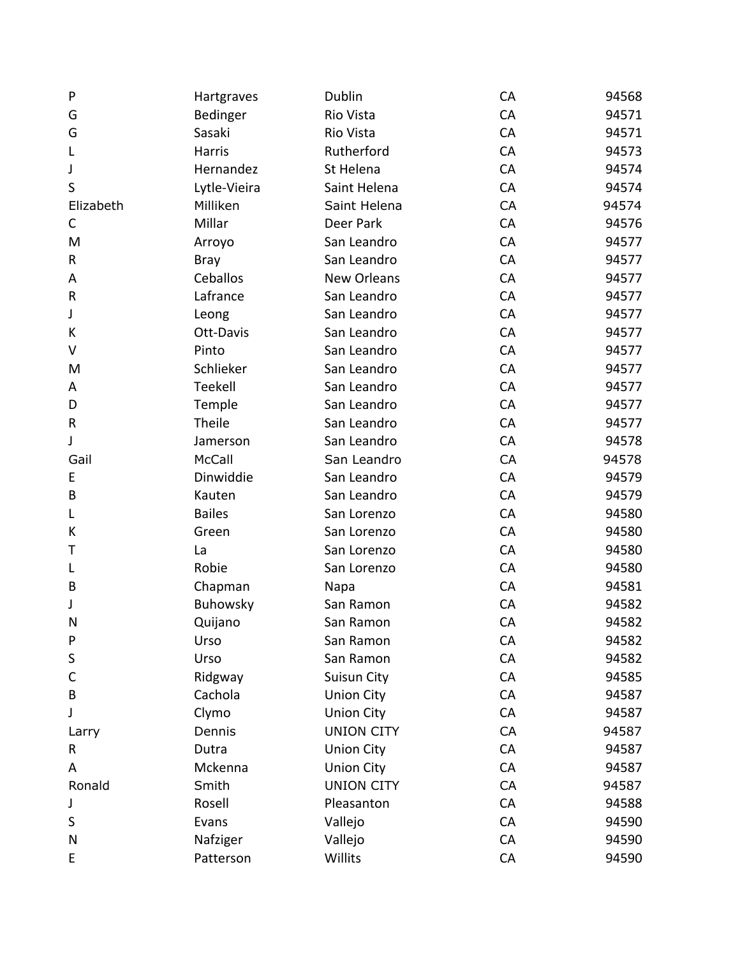| P           | Hartgraves    | Dublin             | CA | 94568 |
|-------------|---------------|--------------------|----|-------|
| G           | Bedinger      | Rio Vista          | CA | 94571 |
| G           | Sasaki        | Rio Vista          | CA | 94571 |
| L           | Harris        | Rutherford         | CA | 94573 |
| J           | Hernandez     | St Helena          | CA | 94574 |
| S           | Lytle-Vieira  | Saint Helena       | CA | 94574 |
| Elizabeth   | Milliken      | Saint Helena       | CA | 94574 |
| C           | Millar        | Deer Park          | CA | 94576 |
| M           | Arroyo        | San Leandro        | CA | 94577 |
| $\sf R$     | <b>Bray</b>   | San Leandro        | CA | 94577 |
| A           | Ceballos      | <b>New Orleans</b> | CA | 94577 |
| $\mathsf R$ | Lafrance      | San Leandro        | CA | 94577 |
| J           | Leong         | San Leandro        | CA | 94577 |
| К           | Ott-Davis     | San Leandro        | CA | 94577 |
| V           | Pinto         | San Leandro        | CA | 94577 |
| M           | Schlieker     | San Leandro        | CA | 94577 |
| A           | Teekell       | San Leandro        | CA | 94577 |
| D           | Temple        | San Leandro        | CA | 94577 |
| ${\sf R}$   | Theile        | San Leandro        | CA | 94577 |
| J           | Jamerson      | San Leandro        | CA | 94578 |
| Gail        | McCall        | San Leandro        | CA | 94578 |
| E           | Dinwiddie     | San Leandro        | CA | 94579 |
| B           | Kauten        | San Leandro        | CA | 94579 |
| L           | <b>Bailes</b> | San Lorenzo        | CA | 94580 |
| К           | Green         | San Lorenzo        | CA | 94580 |
| Τ           | La            | San Lorenzo        | CA | 94580 |
| L           | Robie         | San Lorenzo        | CA | 94580 |
| B           | Chapman       | Napa               | CA | 94581 |
| J           | Buhowsky      | San Ramon          | CA | 94582 |
| N           | Quijano       | San Ramon          | CA | 94582 |
| P           | Urso          | San Ramon          | CA | 94582 |
| S           | Urso          | San Ramon          | CA | 94582 |
| C           | Ridgway       | Suisun City        | CA | 94585 |
| B           | Cachola       | <b>Union City</b>  | CA | 94587 |
| J           | Clymo         | <b>Union City</b>  | CA | 94587 |
| Larry       | Dennis        | <b>UNION CITY</b>  | CA | 94587 |
| R           | Dutra         | <b>Union City</b>  | CA | 94587 |
| A           | Mckenna       | <b>Union City</b>  | CA | 94587 |
| Ronald      | Smith         | <b>UNION CITY</b>  | CA | 94587 |
| J           | Rosell        | Pleasanton         | CA | 94588 |
| S           | Evans         | Vallejo            | CA | 94590 |
| N           | Nafziger      | Vallejo            | CA | 94590 |
| E           | Patterson     | Willits            | CA | 94590 |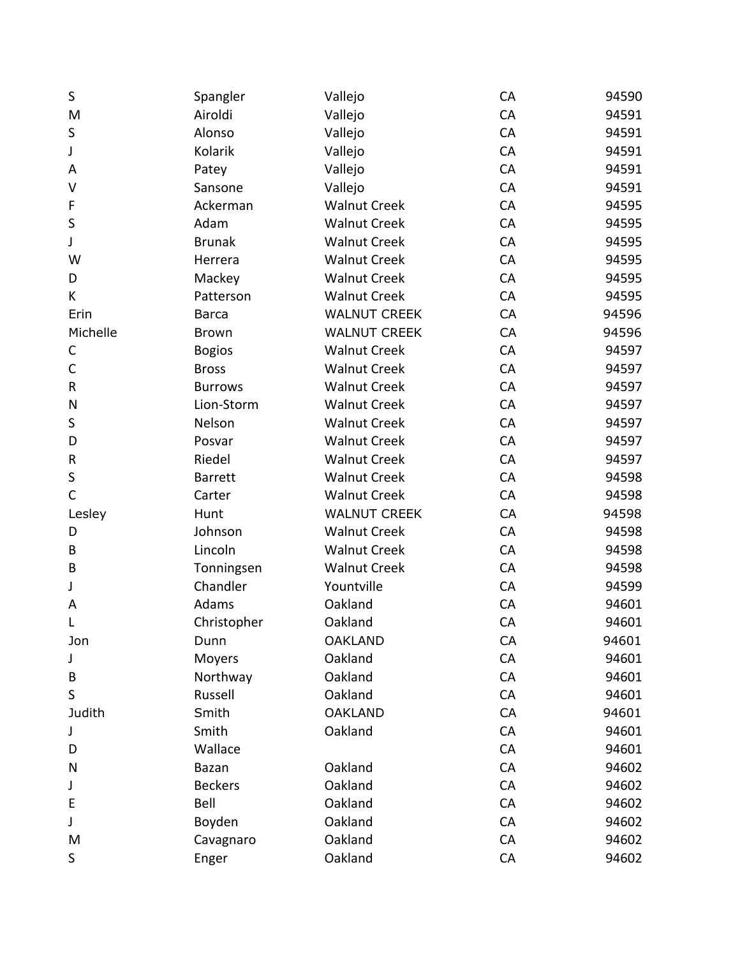| S            | Spangler       | Vallejo             | CA | 94590 |
|--------------|----------------|---------------------|----|-------|
| M            | Airoldi        | Vallejo             | CA | 94591 |
| S            | Alonso         | Vallejo             | CA | 94591 |
| J            | Kolarik        | Vallejo             | CA | 94591 |
| A            | Patey          | Vallejo             | CA | 94591 |
| V            | Sansone        | Vallejo             | CA | 94591 |
| F            | Ackerman       | <b>Walnut Creek</b> | CA | 94595 |
| $\sf S$      | Adam           | <b>Walnut Creek</b> | CA | 94595 |
| J            | <b>Brunak</b>  | <b>Walnut Creek</b> | CA | 94595 |
| W            | Herrera        | <b>Walnut Creek</b> | CA | 94595 |
| D            | Mackey         | <b>Walnut Creek</b> | CA | 94595 |
| K            | Patterson      | <b>Walnut Creek</b> | CA | 94595 |
| Erin         | <b>Barca</b>   | <b>WALNUT CREEK</b> | CA | 94596 |
| Michelle     | <b>Brown</b>   | <b>WALNUT CREEK</b> | CA | 94596 |
| С            | <b>Bogios</b>  | <b>Walnut Creek</b> | CA | 94597 |
| $\mathsf C$  | <b>Bross</b>   | <b>Walnut Creek</b> | CA | 94597 |
| $\sf R$      | <b>Burrows</b> | <b>Walnut Creek</b> | CA | 94597 |
| N            | Lion-Storm     | <b>Walnut Creek</b> | CA | 94597 |
| S            | Nelson         | <b>Walnut Creek</b> | CA | 94597 |
| D            | Posvar         | <b>Walnut Creek</b> | CA | 94597 |
| R            | Riedel         | <b>Walnut Creek</b> | CA | 94597 |
| $\sf S$      | <b>Barrett</b> | <b>Walnut Creek</b> | CA | 94598 |
| $\mathsf{C}$ | Carter         | <b>Walnut Creek</b> | CA | 94598 |
| Lesley       | Hunt           | <b>WALNUT CREEK</b> | CA | 94598 |
| D            | Johnson        | <b>Walnut Creek</b> | CA | 94598 |
| B            | Lincoln        | <b>Walnut Creek</b> | CA | 94598 |
| B            | Tonningsen     | <b>Walnut Creek</b> | CA | 94598 |
| J            | Chandler       | Yountville          | CA | 94599 |
| A            | Adams          | Oakland             | CA | 94601 |
| L            | Christopher    | Oakland             | CA | 94601 |
| Jon          | Dunn           | <b>OAKLAND</b>      | CA | 94601 |
| J            | Moyers         | Oakland             | CA | 94601 |
| B            | Northway       | Oakland             | CA | 94601 |
| S            | Russell        | Oakland             | CA | 94601 |
| Judith       | Smith          | <b>OAKLAND</b>      | CA | 94601 |
| J            | Smith          | Oakland             | CA | 94601 |
| D            | Wallace        |                     | CA | 94601 |
| N            | Bazan          | Oakland             | CA | 94602 |
| J            | <b>Beckers</b> | Oakland             | CA | 94602 |
| E            | Bell           | Oakland             | CA | 94602 |
| J            | Boyden         | Oakland             | CA | 94602 |
| M            | Cavagnaro      | Oakland             | CA | 94602 |
| S            | Enger          | Oakland             | CA | 94602 |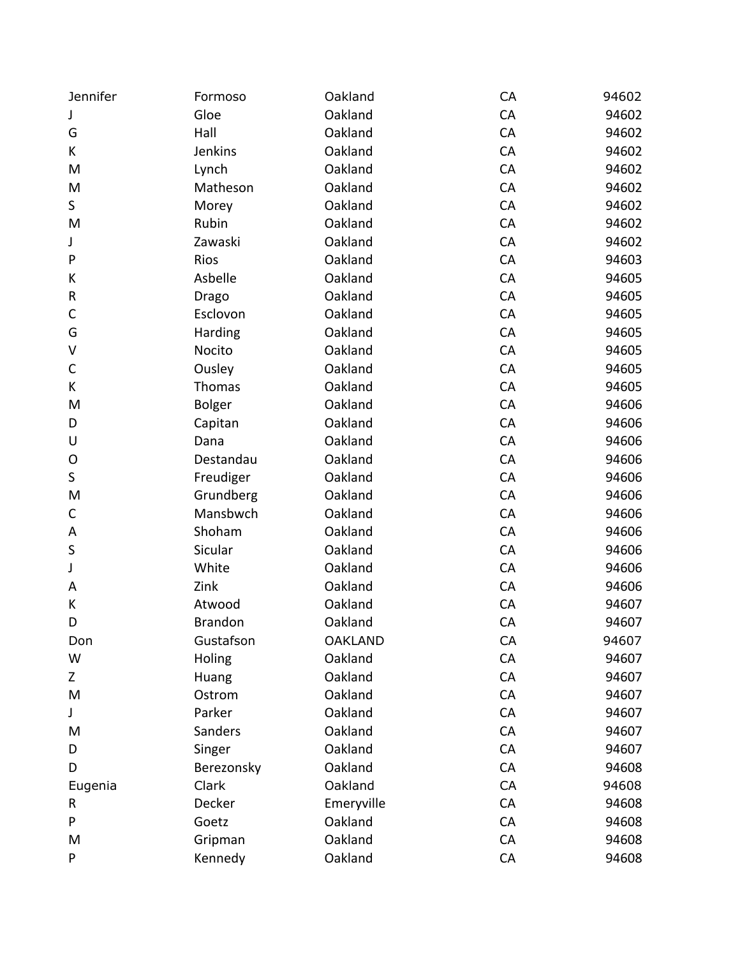| Jennifer    | Formoso        | Oakland        | CA | 94602 |
|-------------|----------------|----------------|----|-------|
| J           | Gloe           | Oakland        | CA | 94602 |
| G           | Hall           | Oakland        | CA | 94602 |
| K           | Jenkins        | Oakland        | CA | 94602 |
| M           | Lynch          | Oakland        | CA | 94602 |
| M           | Matheson       | Oakland        | CA | 94602 |
| S           | Morey          | Oakland        | CA | 94602 |
| M           | Rubin          | Oakland        | CA | 94602 |
| J           | Zawaski        | Oakland        | CA | 94602 |
| ${\sf P}$   | Rios           | Oakland        | CA | 94603 |
| К           | Asbelle        | Oakland        | CA | 94605 |
| ${\sf R}$   | Drago          | Oakland        | CA | 94605 |
| $\mathsf C$ | Esclovon       | Oakland        | CA | 94605 |
| G           | Harding        | Oakland        | CA | 94605 |
| V           | Nocito         | Oakland        | CA | 94605 |
| C           | Ousley         | Oakland        | CA | 94605 |
| K           | Thomas         | Oakland        | CA | 94605 |
| M           | Bolger         | Oakland        | CA | 94606 |
| D           | Capitan        | Oakland        | CA | 94606 |
| U           | Dana           | Oakland        | CA | 94606 |
| O           | Destandau      | Oakland        | CA | 94606 |
| $\sf S$     | Freudiger      | Oakland        | CA | 94606 |
| M           | Grundberg      | Oakland        | CA | 94606 |
| $\mathsf C$ | Mansbwch       | Oakland        | CA | 94606 |
| A           | Shoham         | Oakland        | CA | 94606 |
| S           | Sicular        | Oakland        | CA | 94606 |
| J           | White          | Oakland        | CA | 94606 |
| A           | Zink           | Oakland        | CA | 94606 |
| К           | Atwood         | Oakland        | CA | 94607 |
| D           | <b>Brandon</b> | Oakland        | CA | 94607 |
| Don         | Gustafson      | <b>OAKLAND</b> | CA | 94607 |
| W           | Holing         | Oakland        | CA | 94607 |
| Z           | Huang          | Oakland        | CA | 94607 |
| M           | Ostrom         | Oakland        | CA | 94607 |
| J           | Parker         | Oakland        | CA | 94607 |
| M           | <b>Sanders</b> | Oakland        | CA | 94607 |
| D           | Singer         | Oakland        | CA | 94607 |
| D           | Berezonsky     | Oakland        | CA | 94608 |
| Eugenia     | Clark          | Oakland        | CA | 94608 |
| R           | Decker         | Emeryville     | CA | 94608 |
| P           | Goetz          | Oakland        | CA | 94608 |
| M           | Gripman        | Oakland        | CA | 94608 |
| P           | Kennedy        | Oakland        | CA | 94608 |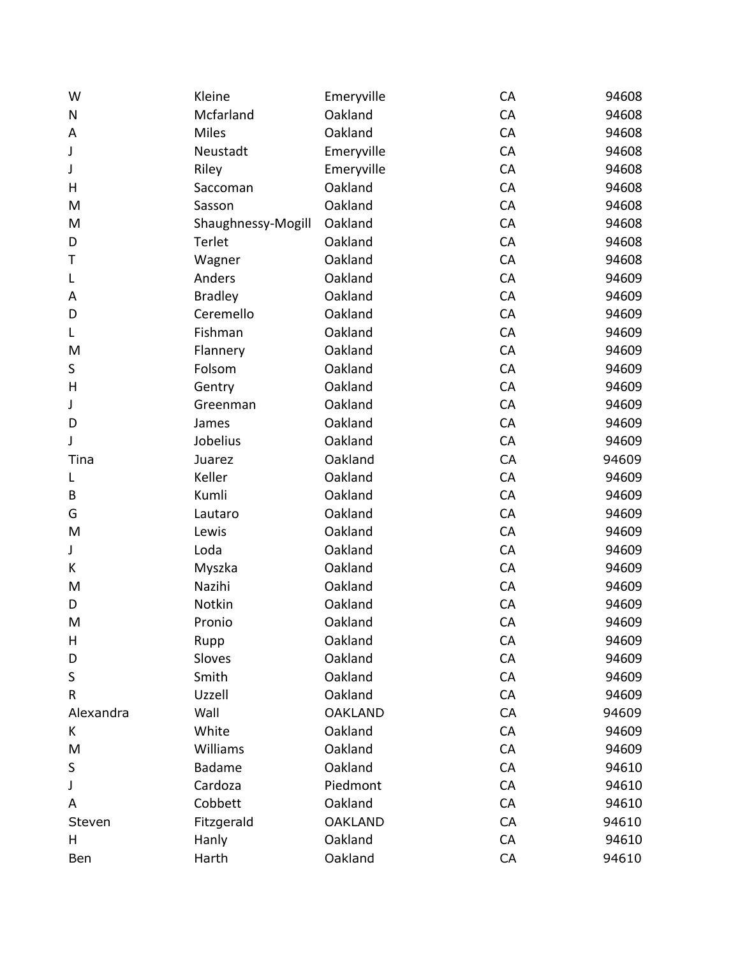| W           | Kleine             | Emeryville     | CA | 94608 |
|-------------|--------------------|----------------|----|-------|
| N           | Mcfarland          | Oakland        | CA | 94608 |
| A           | Miles              | Oakland        | CA | 94608 |
| J           | Neustadt           | Emeryville     | CA | 94608 |
| J           | Riley              | Emeryville     | CA | 94608 |
| Н           | Saccoman           | Oakland        | CA | 94608 |
| M           | Sasson             | Oakland        | CA | 94608 |
| M           | Shaughnessy-Mogill | Oakland        | CA | 94608 |
| D           | Terlet             | Oakland        | CA | 94608 |
| Т           | Wagner             | Oakland        | CA | 94608 |
| L           | Anders             | Oakland        | CA | 94609 |
| A           | <b>Bradley</b>     | Oakland        | CA | 94609 |
| D           | Ceremello          | Oakland        | CA | 94609 |
| L           | Fishman            | Oakland        | CA | 94609 |
| M           | Flannery           | Oakland        | CA | 94609 |
| S           | Folsom             | Oakland        | CA | 94609 |
| H           | Gentry             | Oakland        | CA | 94609 |
| J           | Greenman           | Oakland        | CA | 94609 |
| D           | James              | Oakland        | CA | 94609 |
| J           | Jobelius           | Oakland        | CA | 94609 |
| Tina        | Juarez             | Oakland        | CA | 94609 |
| L           | Keller             | Oakland        | CA | 94609 |
| В           | Kumli              | Oakland        | CA | 94609 |
| G           | Lautaro            | Oakland        | CA | 94609 |
| M           | Lewis              | Oakland        | CA | 94609 |
| $\mathsf J$ | Loda               | Oakland        | CA | 94609 |
| K           | Myszka             | Oakland        | CA | 94609 |
| M           | Nazihi             | Oakland        | CA | 94609 |
| D           | Notkin             | Oakland        | CA | 94609 |
| M           | Pronio             | Oakland        | CA | 94609 |
| Н           | Rupp               | Oakland        | CA | 94609 |
| D           | Sloves             | Oakland        | CA | 94609 |
| S           | Smith              | Oakland        | CA | 94609 |
| R           | Uzzell             | Oakland        | CA | 94609 |
| Alexandra   | Wall               | <b>OAKLAND</b> | CA | 94609 |
| K           | White              | Oakland        | CA | 94609 |
| M           | Williams           | Oakland        | CA | 94609 |
| S           | <b>Badame</b>      | Oakland        | CA | 94610 |
| J           | Cardoza            | Piedmont       | CA | 94610 |
| A           | Cobbett            | Oakland        | CA | 94610 |
| Steven      | Fitzgerald         | <b>OAKLAND</b> | CA | 94610 |
| Η           | Hanly              | Oakland        | CA | 94610 |
| Ben         | Harth              | Oakland        | CA | 94610 |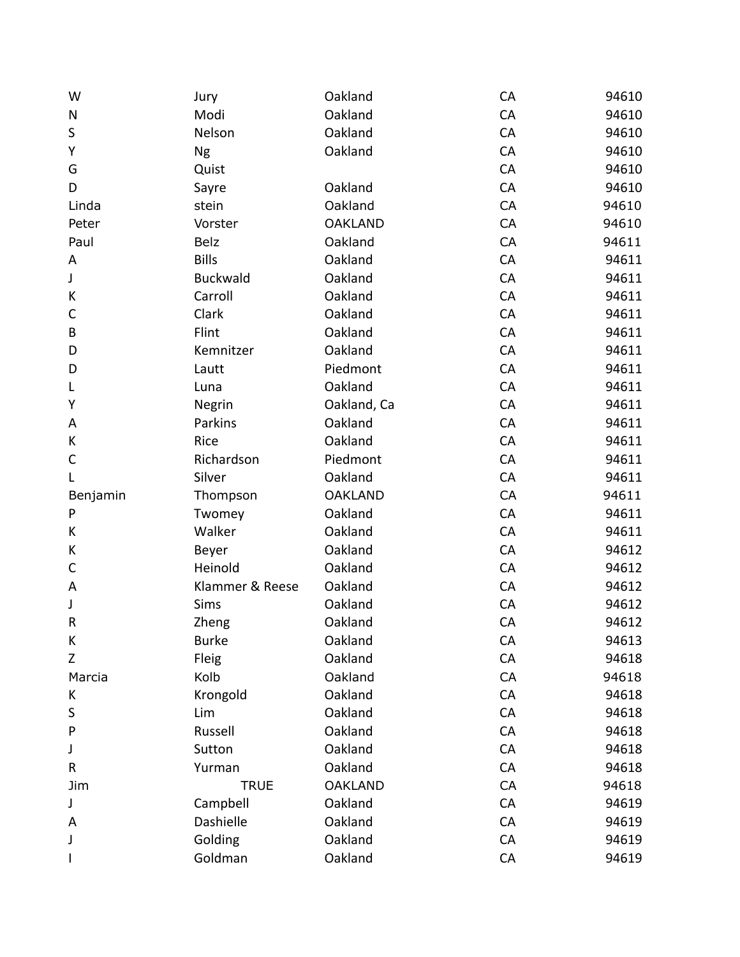| W        | Jury            | Oakland        | CA        | 94610 |
|----------|-----------------|----------------|-----------|-------|
| N        | Modi            | Oakland        | CA        | 94610 |
| $\sf S$  | Nelson          | Oakland        | CA        | 94610 |
| Υ        | <b>Ng</b>       | Oakland        | CA        | 94610 |
| G        | Quist           |                | CA        | 94610 |
| D        | Sayre           | Oakland        | CA        | 94610 |
| Linda    | stein           | Oakland        | CA        | 94610 |
| Peter    | Vorster         | <b>OAKLAND</b> | CA        | 94610 |
| Paul     | <b>Belz</b>     | Oakland        | CA        | 94611 |
| A        | <b>Bills</b>    | Oakland        | CA        | 94611 |
| J        | <b>Buckwald</b> | Oakland        | CA        | 94611 |
| К        | Carroll         | Oakland        | CA        | 94611 |
| C        | Clark           | Oakland        | CA        | 94611 |
| B        | Flint           | Oakland        | CA        | 94611 |
| D        | Kemnitzer       | Oakland        | CA        | 94611 |
| D        | Lautt           | Piedmont       | CA        | 94611 |
| L        | Luna            | Oakland        | CA        | 94611 |
| Υ        | Negrin          | Oakland, Ca    | CA        | 94611 |
| A        | Parkins         | Oakland        | CA        | 94611 |
| K        | Rice            | Oakland        | CA        | 94611 |
| C        | Richardson      | Piedmont       | CA        | 94611 |
| L        | Silver          | Oakland        | CA        | 94611 |
| Benjamin | Thompson        | <b>OAKLAND</b> | CA        | 94611 |
| P        | Twomey          | Oakland        | CA        | 94611 |
| K        | Walker          | Oakland        | CA        | 94611 |
| K        | Beyer           | Oakland        | CA        | 94612 |
| C        | Heinold         | Oakland        | CA        | 94612 |
| A        | Klammer & Reese | Oakland        | CA        | 94612 |
| J        | Sims            | Oakland        | CA        | 94612 |
| $\sf R$  | Zheng           | Oakland        | CA        | 94612 |
| Κ        | <b>Burke</b>    | Oakland        | <b>CA</b> | 94613 |
| Z        | Fleig           | Oakland        | CA        | 94618 |
| Marcia   | Kolb            | Oakland        | CA        | 94618 |
| K        | Krongold        | Oakland        | CA        | 94618 |
| S        | Lim             | Oakland        | CA        | 94618 |
| P        | Russell         | Oakland        | CA        | 94618 |
| J        | Sutton          | Oakland        | CA        | 94618 |
| R        | Yurman          | Oakland        | CA        | 94618 |
| Jim      | <b>TRUE</b>     | <b>OAKLAND</b> | CA        | 94618 |
| J        | Campbell        | Oakland        | CA        | 94619 |
| A        | Dashielle       | Oakland        | CA        | 94619 |
| J        | Golding         | Oakland        | CA        | 94619 |
|          | Goldman         | Oakland        | CA        | 94619 |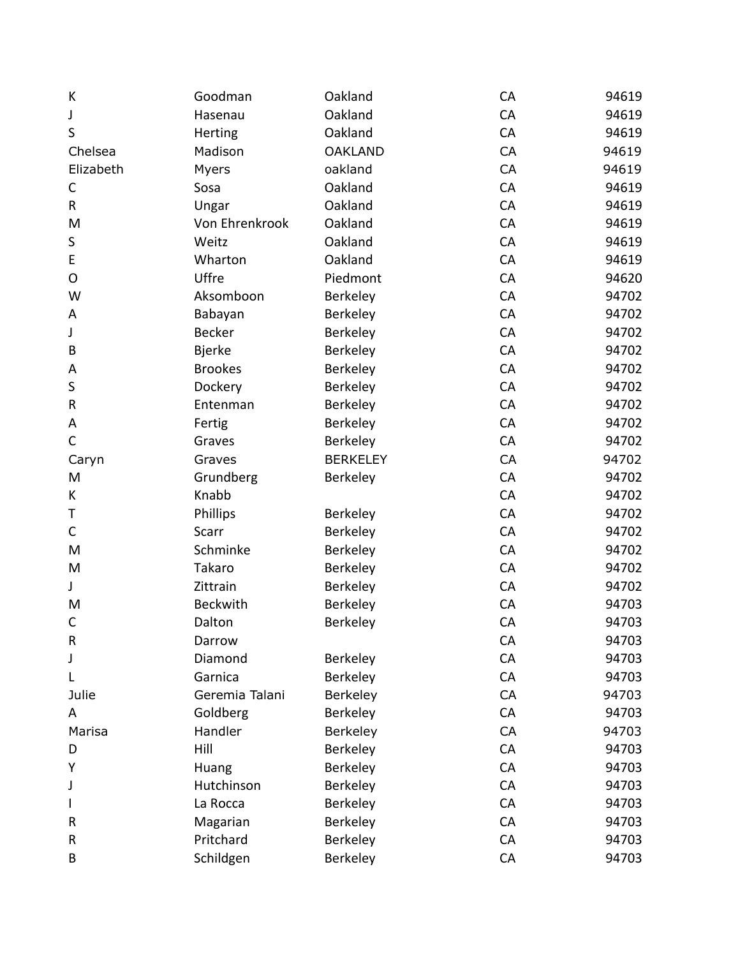| К            | Goodman         | Oakland         | CA | 94619 |
|--------------|-----------------|-----------------|----|-------|
| J            | Hasenau         | Oakland         | CA | 94619 |
| S            | Herting         | Oakland         | CA | 94619 |
| Chelsea      | Madison         | <b>OAKLAND</b>  | CA | 94619 |
| Elizabeth    | Myers           | oakland         | CA | 94619 |
| $\mathsf C$  | Sosa            | Oakland         | CA | 94619 |
| $\mathsf{R}$ | Ungar           | Oakland         | CA | 94619 |
| M            | Von Ehrenkrook  | Oakland         | CA | 94619 |
| S            | Weitz           | Oakland         | CA | 94619 |
| E            | Wharton         | Oakland         | CA | 94619 |
| O            | Uffre           | Piedmont        | CA | 94620 |
| W            | Aksomboon       | Berkeley        | CA | 94702 |
| A            | Babayan         | Berkeley        | CA | 94702 |
| J            | <b>Becker</b>   | Berkeley        | CA | 94702 |
| B            | <b>Bjerke</b>   | Berkeley        | CA | 94702 |
| A            | <b>Brookes</b>  | Berkeley        | CA | 94702 |
| S            | Dockery         | Berkeley        | CA | 94702 |
| ${\sf R}$    | Entenman        | Berkeley        | CA | 94702 |
| Α            | Fertig          | Berkeley        | CA | 94702 |
| $\mathsf C$  | Graves          | Berkeley        | CA | 94702 |
| Caryn        | Graves          | <b>BERKELEY</b> | CA | 94702 |
| M            | Grundberg       | Berkeley        | CA | 94702 |
| K            | Knabb           |                 | CA | 94702 |
| Τ            | Phillips        | Berkeley        | CA | 94702 |
| $\mathsf C$  | Scarr           | Berkeley        | CA | 94702 |
| M            | Schminke        | Berkeley        | CA | 94702 |
| M            | Takaro          | Berkeley        | CA | 94702 |
| J            | Zittrain        | Berkeley        | CA | 94702 |
| M            | <b>Beckwith</b> | Berkeley        | CA | 94703 |
| $\mathsf C$  | Dalton          | Berkeley        | CA | 94703 |
| $\mathsf R$  | Darrow          |                 | CA | 94703 |
| J            | Diamond         | Berkeley        | CA | 94703 |
| L            | Garnica         | Berkeley        | CA | 94703 |
| Julie        | Geremia Talani  | Berkeley        | CA | 94703 |
| A            | Goldberg        | Berkeley        | CA | 94703 |
| Marisa       | Handler         | Berkeley        | CA | 94703 |
| D            | Hill            | Berkeley        | CA | 94703 |
| Υ            | Huang           | Berkeley        | CA | 94703 |
| J            | Hutchinson      | Berkeley        | CA | 94703 |
|              | La Rocca        | Berkeley        | CA | 94703 |
| R            | Magarian        | Berkeley        | CA | 94703 |
| R            | Pritchard       | Berkeley        | CA | 94703 |
| B            | Schildgen       | Berkeley        | CA | 94703 |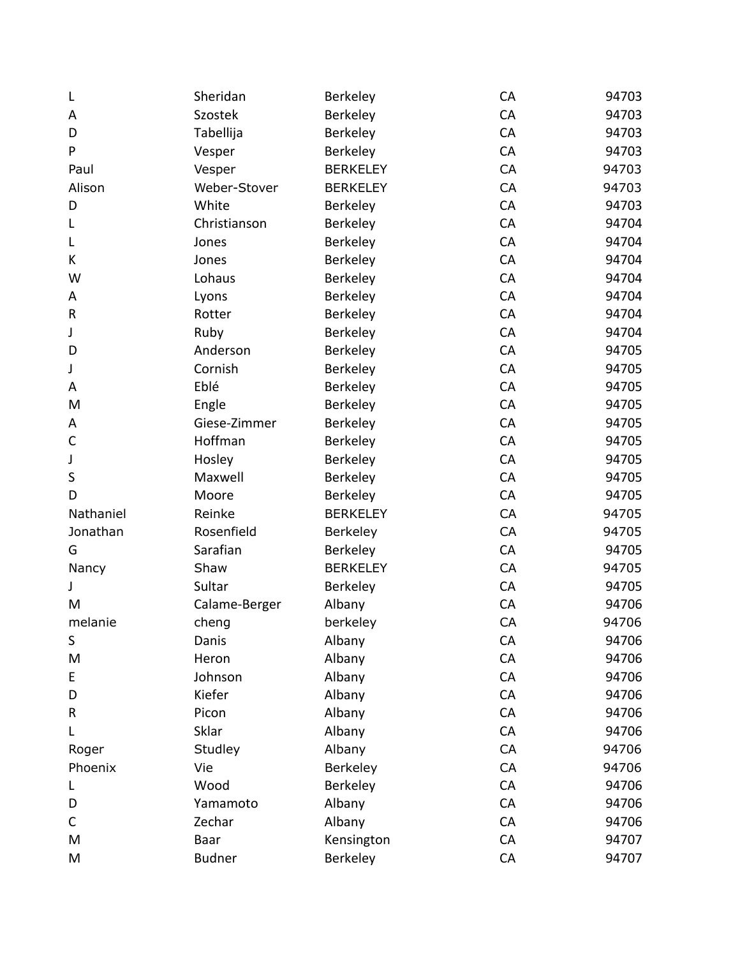| L         | Sheridan      | Berkeley        | CA | 94703 |
|-----------|---------------|-----------------|----|-------|
| A         | Szostek       | Berkeley        | CA | 94703 |
| D         | Tabellija     | Berkeley        | CA | 94703 |
| P         | Vesper        | Berkeley        | CA | 94703 |
| Paul      | Vesper        | <b>BERKELEY</b> | CA | 94703 |
| Alison    | Weber-Stover  | <b>BERKELEY</b> | CA | 94703 |
| D         | White         | Berkeley        | CA | 94703 |
| L         | Christianson  | Berkeley        | CA | 94704 |
| L         | Jones         | Berkeley        | CA | 94704 |
| K         | Jones         | Berkeley        | CA | 94704 |
| W         | Lohaus        | Berkeley        | CA | 94704 |
| A         | Lyons         | Berkeley        | CA | 94704 |
| R         | Rotter        | Berkeley        | CA | 94704 |
| J         | Ruby          | Berkeley        | CA | 94704 |
| D         | Anderson      | Berkeley        | CA | 94705 |
| J         | Cornish       | Berkeley        | CA | 94705 |
| A         | Eblé          | Berkeley        | CA | 94705 |
| M         | Engle         | Berkeley        | CA | 94705 |
| Α         | Giese-Zimmer  | Berkeley        | CA | 94705 |
| C         | Hoffman       | Berkeley        | CA | 94705 |
| J         | Hosley        | Berkeley        | CA | 94705 |
| $\sf S$   | Maxwell       | Berkeley        | CA | 94705 |
| D         | Moore         | Berkeley        | CA | 94705 |
| Nathaniel | Reinke        | <b>BERKELEY</b> | CA | 94705 |
| Jonathan  | Rosenfield    | Berkeley        | CA | 94705 |
| G         | Sarafian      | Berkeley        | CA | 94705 |
| Nancy     | Shaw          | <b>BERKELEY</b> | CA | 94705 |
| J         | Sultar        | Berkeley        | CA | 94705 |
| M         | Calame-Berger | Albany          | CA | 94706 |
| melanie   | cheng         | berkeley        | CA | 94706 |
| S         | Danis         | Albany          | CA | 94706 |
| M         | Heron         | Albany          | CA | 94706 |
| E         | Johnson       | Albany          | CA | 94706 |
| D         | Kiefer        | Albany          | CA | 94706 |
| R         | Picon         | Albany          | CA | 94706 |
| L         | Sklar         | Albany          | CA | 94706 |
| Roger     | Studley       | Albany          | CA | 94706 |
| Phoenix   | Vie           | Berkeley        | CA | 94706 |
| L         | Wood          | Berkeley        | CA | 94706 |
| D         | Yamamoto      | Albany          | CA | 94706 |
| C         | Zechar        | Albany          | CA | 94706 |
| M         | Baar          | Kensington      | CA | 94707 |
| M         | <b>Budner</b> | Berkeley        | CA | 94707 |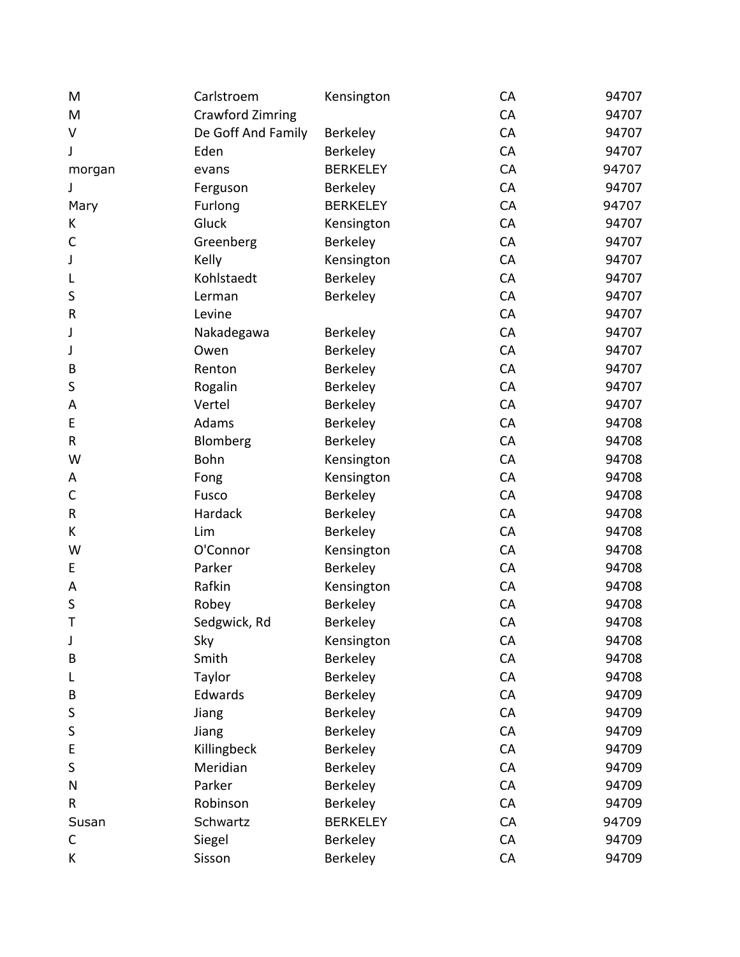| M           | Carlstroem              | Kensington      | CA | 94707 |
|-------------|-------------------------|-----------------|----|-------|
| M           | <b>Crawford Zimring</b> |                 | CA | 94707 |
| V           | De Goff And Family      | Berkeley        | CA | 94707 |
| J           | Eden                    | Berkeley        | CA | 94707 |
| morgan      | evans                   | <b>BERKELEY</b> | CA | 94707 |
| J           | Ferguson                | Berkeley        | CA | 94707 |
| Mary        | Furlong                 | <b>BERKELEY</b> | CA | 94707 |
| К           | Gluck                   | Kensington      | CA | 94707 |
| C           | Greenberg               | Berkeley        | CA | 94707 |
| J           | Kelly                   | Kensington      | CA | 94707 |
| L           | Kohlstaedt              | Berkeley        | CA | 94707 |
| S           | Lerman                  | Berkeley        | CA | 94707 |
| $\mathsf R$ | Levine                  |                 | CA | 94707 |
| J           | Nakadegawa              | <b>Berkeley</b> | CA | 94707 |
| J           | Owen                    | Berkeley        | CA | 94707 |
| B           | Renton                  | Berkeley        | CA | 94707 |
| S           | Rogalin                 | Berkeley        | CA | 94707 |
| A           | Vertel                  | Berkeley        | CA | 94707 |
| E           | Adams                   | Berkeley        | CA | 94708 |
| R           | Blomberg                | Berkeley        | CA | 94708 |
| W           | Bohn                    | Kensington      | CA | 94708 |
| Α           | Fong                    | Kensington      | CA | 94708 |
| C           | Fusco                   | Berkeley        | CA | 94708 |
| $\sf R$     | Hardack                 | Berkeley        | CA | 94708 |
| K           | Lim                     | Berkeley        | CA | 94708 |
| W           | O'Connor                | Kensington      | CA | 94708 |
| E           | Parker                  | Berkeley        | CA | 94708 |
| A           | Rafkin                  | Kensington      | CA | 94708 |
| S           | Robey                   | Berkeley        | CA | 94708 |
| T           | Sedgwick, Rd            | Berkeley        | CA | 94708 |
| J           | Sky                     | Kensington      | CA | 94708 |
| B           | Smith                   | Berkeley        | CA | 94708 |
| L           | Taylor                  | Berkeley        | CA | 94708 |
| B           | Edwards                 | Berkeley        | CA | 94709 |
| S           | Jiang                   | Berkeley        | CA | 94709 |
| S           | Jiang                   | Berkeley        | CA | 94709 |
| E           | Killingbeck             | Berkeley        | CA | 94709 |
| S           | Meridian                | Berkeley        | CA | 94709 |
| N           | Parker                  | Berkeley        | CA | 94709 |
| R           | Robinson                | Berkeley        | CA | 94709 |
| Susan       | Schwartz                | <b>BERKELEY</b> | CA | 94709 |
| C           | Siegel                  | Berkeley        | CA | 94709 |
| K           | Sisson                  | Berkeley        | CA | 94709 |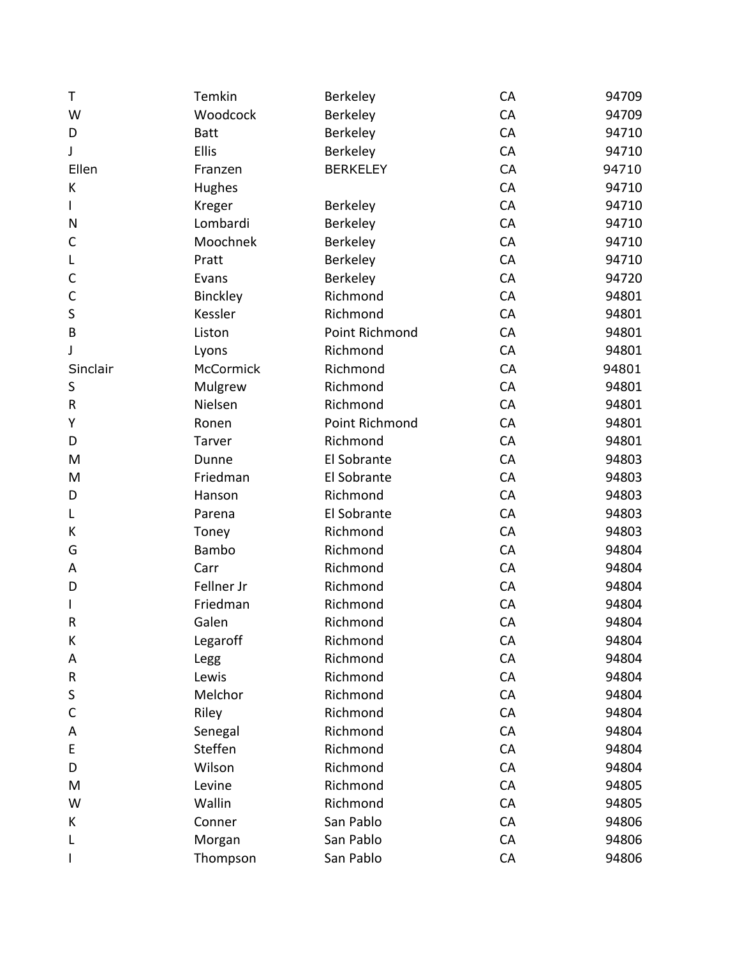| T         | Temkin           | Berkeley        | CA | 94709 |
|-----------|------------------|-----------------|----|-------|
| W         | Woodcock         | Berkeley        | CA | 94709 |
| D         | <b>Batt</b>      | Berkeley        | CA | 94710 |
| J         | Ellis            | Berkeley        | CA | 94710 |
| Ellen     | Franzen          | <b>BERKELEY</b> | CA | 94710 |
| K         | Hughes           |                 | CA | 94710 |
|           | Kreger           | Berkeley        | CA | 94710 |
| N         | Lombardi         | Berkeley        | CA | 94710 |
| С         | Moochnek         | Berkeley        | CA | 94710 |
| L         | Pratt            | Berkeley        | CA | 94710 |
| C         | Evans            | Berkeley        | CA | 94720 |
| C         | Binckley         | Richmond        | CA | 94801 |
| S         | Kessler          | Richmond        | CA | 94801 |
| B         | Liston           | Point Richmond  | CA | 94801 |
| J         | Lyons            | Richmond        | CA | 94801 |
| Sinclair  | <b>McCormick</b> | Richmond        | CA | 94801 |
| S         | Mulgrew          | Richmond        | CA | 94801 |
| ${\sf R}$ | Nielsen          | Richmond        | CA | 94801 |
| Υ         | Ronen            | Point Richmond  | CA | 94801 |
| D         | Tarver           | Richmond        | CA | 94801 |
| M         | Dunne            | El Sobrante     | CA | 94803 |
| M         | Friedman         | El Sobrante     | CA | 94803 |
| D         | Hanson           | Richmond        | CA | 94803 |
| L         | Parena           | El Sobrante     | CA | 94803 |
| К         | Toney            | Richmond        | CA | 94803 |
| G         | Bambo            | Richmond        | CA | 94804 |
| A         | Carr             | Richmond        | CA | 94804 |
| D         | Fellner Jr       | Richmond        | CA | 94804 |
|           | Friedman         | Richmond        | CA | 94804 |
| R         | Galen            | Richmond        | CA | 94804 |
| К         | Legaroff         | Richmond        | CA | 94804 |
| Α         | Legg             | Richmond        | CA | 94804 |
| R         | Lewis            | Richmond        | CA | 94804 |
| S         | Melchor          | Richmond        | CA | 94804 |
| C         | Riley            | Richmond        | CA | 94804 |
| Α         | Senegal          | Richmond        | CA | 94804 |
| E         | Steffen          | Richmond        | CA | 94804 |
| D         | Wilson           | Richmond        | CA | 94804 |
| M         | Levine           | Richmond        | CA | 94805 |
| W         | Wallin           | Richmond        | CA | 94805 |
| К         | Conner           | San Pablo       | CA | 94806 |
| L         | Morgan           | San Pablo       | CA | 94806 |
|           | Thompson         | San Pablo       | CA | 94806 |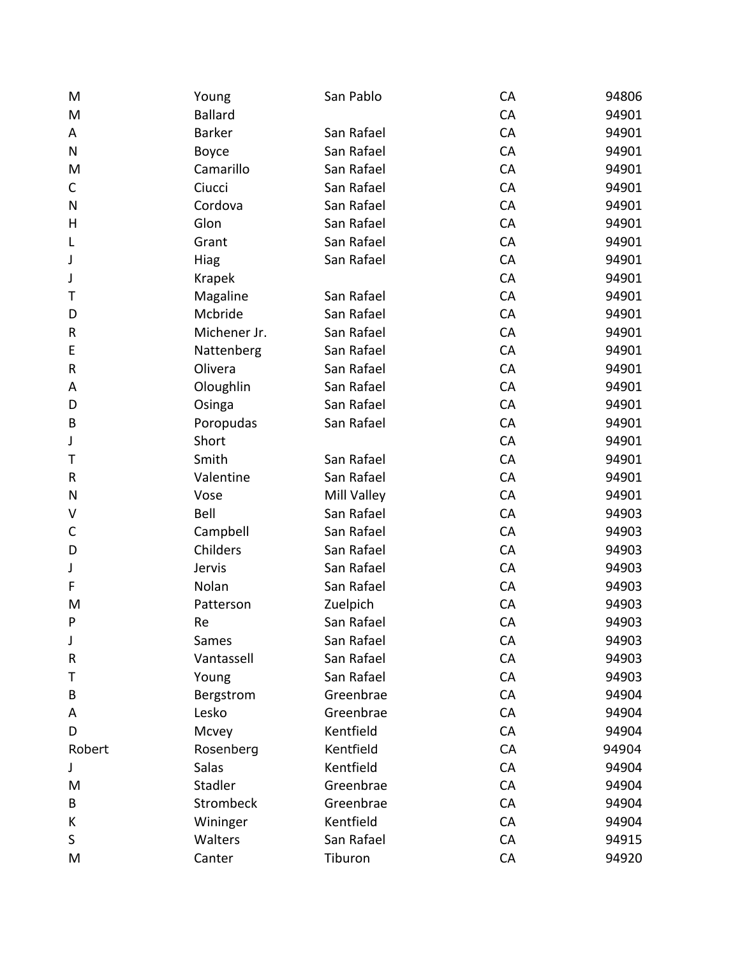| M         | Young          | San Pablo   | CA | 94806 |
|-----------|----------------|-------------|----|-------|
| M         | <b>Ballard</b> |             | CA | 94901 |
| A         | <b>Barker</b>  | San Rafael  | CA | 94901 |
| ${\sf N}$ | Boyce          | San Rafael  | CA | 94901 |
| M         | Camarillo      | San Rafael  | CA | 94901 |
| С         | Ciucci         | San Rafael  | CA | 94901 |
| N         | Cordova        | San Rafael  | CA | 94901 |
| H         | Glon           | San Rafael  | CA | 94901 |
| L         | Grant          | San Rafael  | CA | 94901 |
| J         | <b>Hiag</b>    | San Rafael  | CA | 94901 |
| J         | Krapek         |             | CA | 94901 |
| т         | Magaline       | San Rafael  | CA | 94901 |
| D         | Mcbride        | San Rafael  | CA | 94901 |
| R         | Michener Jr.   | San Rafael  | CA | 94901 |
| E         | Nattenberg     | San Rafael  | CA | 94901 |
| R         | Olivera        | San Rafael  | CA | 94901 |
| A         | Oloughlin      | San Rafael  | CA | 94901 |
| D         | Osinga         | San Rafael  | CA | 94901 |
| B         | Poropudas      | San Rafael  | CA | 94901 |
| J         | Short          |             | CA | 94901 |
| Τ         | Smith          | San Rafael  | CA | 94901 |
| R         | Valentine      | San Rafael  | CA | 94901 |
| N         | Vose           | Mill Valley | CA | 94901 |
| V         | Bell           | San Rafael  | CA | 94903 |
| C         | Campbell       | San Rafael  | CA | 94903 |
| D         | Childers       | San Rafael  | CA | 94903 |
| J         | Jervis         | San Rafael  | CA | 94903 |
| F         | Nolan          | San Rafael  | CA | 94903 |
| M         | Patterson      | Zuelpich    | CA | 94903 |
| P         | Re             | San Rafael  | CA | 94903 |
| J         | Sames          | San Rafael  | CA | 94903 |
| R         | Vantassell     | San Rafael  | CA | 94903 |
| т         | Young          | San Rafael  | CA | 94903 |
| B         | Bergstrom      | Greenbrae   | CA | 94904 |
| A         | Lesko          | Greenbrae   | CA | 94904 |
| D         | Mcvey          | Kentfield   | CA | 94904 |
| Robert    | Rosenberg      | Kentfield   | CA | 94904 |
| J         | Salas          | Kentfield   | CA | 94904 |
| M         | Stadler        | Greenbrae   | CA | 94904 |
| B         | Strombeck      | Greenbrae   | CA | 94904 |
| К         | Wininger       | Kentfield   | CA | 94904 |
| S         | Walters        | San Rafael  | CA | 94915 |
| M         | Canter         | Tiburon     | CA | 94920 |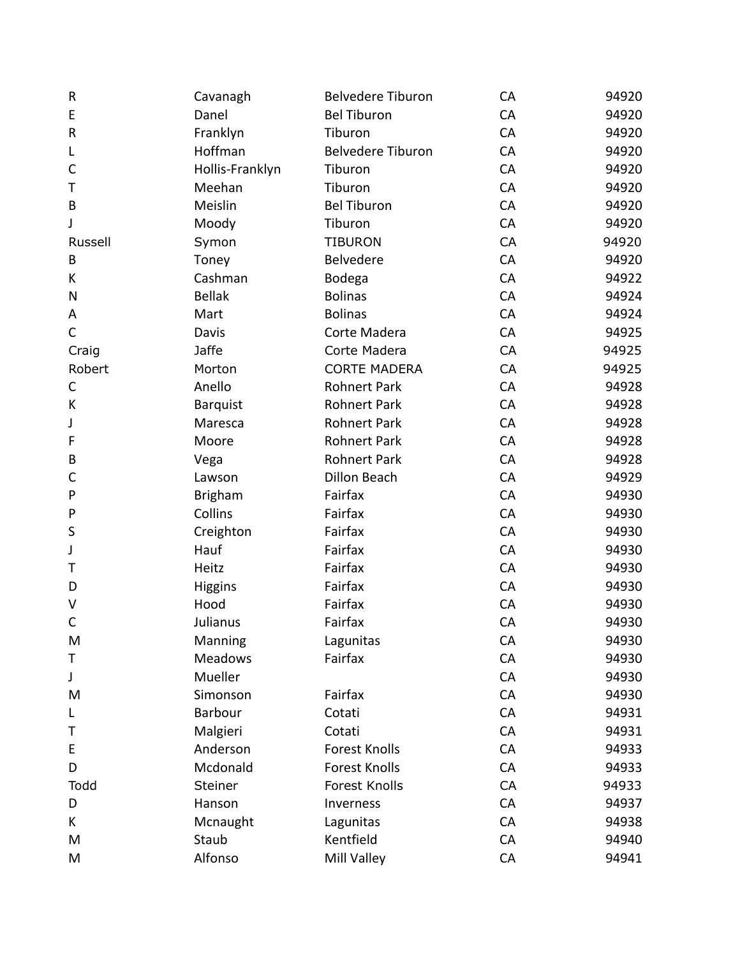| ${\sf R}$   | Cavanagh        | <b>Belvedere Tiburon</b> | CA | 94920 |
|-------------|-----------------|--------------------------|----|-------|
| E           | Danel           | <b>Bel Tiburon</b>       | CA | 94920 |
| ${\sf R}$   | Franklyn        | Tiburon                  | CA | 94920 |
| L           | Hoffman         | <b>Belvedere Tiburon</b> | CA | 94920 |
| C           | Hollis-Franklyn | Tiburon                  | CA | 94920 |
| Τ           | Meehan          | Tiburon                  | CA | 94920 |
| $\sf B$     | Meislin         | <b>Bel Tiburon</b>       | CA | 94920 |
| J           | Moody           | Tiburon                  | CA | 94920 |
| Russell     | Symon           | <b>TIBURON</b>           | CA | 94920 |
| B           | Toney           | Belvedere                | CA | 94920 |
| K           | Cashman         | Bodega                   | CA | 94922 |
| ${\sf N}$   | <b>Bellak</b>   | <b>Bolinas</b>           | CA | 94924 |
| Α           | Mart            | <b>Bolinas</b>           | CA | 94924 |
| $\mathsf C$ | Davis           | Corte Madera             | CA | 94925 |
| Craig       | <b>Jaffe</b>    | Corte Madera             | CA | 94925 |
| Robert      | Morton          | <b>CORTE MADERA</b>      | CA | 94925 |
| С           | Anello          | <b>Rohnert Park</b>      | CA | 94928 |
| K           | <b>Barquist</b> | Rohnert Park             | CA | 94928 |
| J           | Maresca         | <b>Rohnert Park</b>      | CA | 94928 |
| F           | Moore           | <b>Rohnert Park</b>      | CA | 94928 |
| B           | Vega            | <b>Rohnert Park</b>      | CA | 94928 |
| C           | Lawson          | Dillon Beach             | CA | 94929 |
| ${\sf P}$   | <b>Brigham</b>  | Fairfax                  | CA | 94930 |
| ${\sf P}$   | Collins         | Fairfax                  | CA | 94930 |
| S           | Creighton       | Fairfax                  | CA | 94930 |
| J           | Hauf            | Fairfax                  | CA | 94930 |
| Τ           | Heitz           | Fairfax                  | CA | 94930 |
| D           | <b>Higgins</b>  | Fairfax                  | CA | 94930 |
| V           | Hood            | Fairfax                  | CA | 94930 |
| C           | Julianus        | Fairfax                  | CA | 94930 |
| M           | Manning         | Lagunitas                | CA | 94930 |
| Τ           | <b>Meadows</b>  | Fairfax                  | CA | 94930 |
| J           | Mueller         |                          | CA | 94930 |
| M           | Simonson        | Fairfax                  | CA | 94930 |
| L           | Barbour         | Cotati                   | CA | 94931 |
| Τ           | Malgieri        | Cotati                   | CA | 94931 |
| E           | Anderson        | <b>Forest Knolls</b>     | CA | 94933 |
| D           | Mcdonald        | <b>Forest Knolls</b>     | CA | 94933 |
| Todd        | Steiner         | Forest Knolls            | CA | 94933 |
| D           | Hanson          | Inverness                | CA | 94937 |
| K           | Mcnaught        | Lagunitas                | CA | 94938 |
| M           | Staub           | Kentfield                | CA | 94940 |
| M           | Alfonso         | Mill Valley              | CA | 94941 |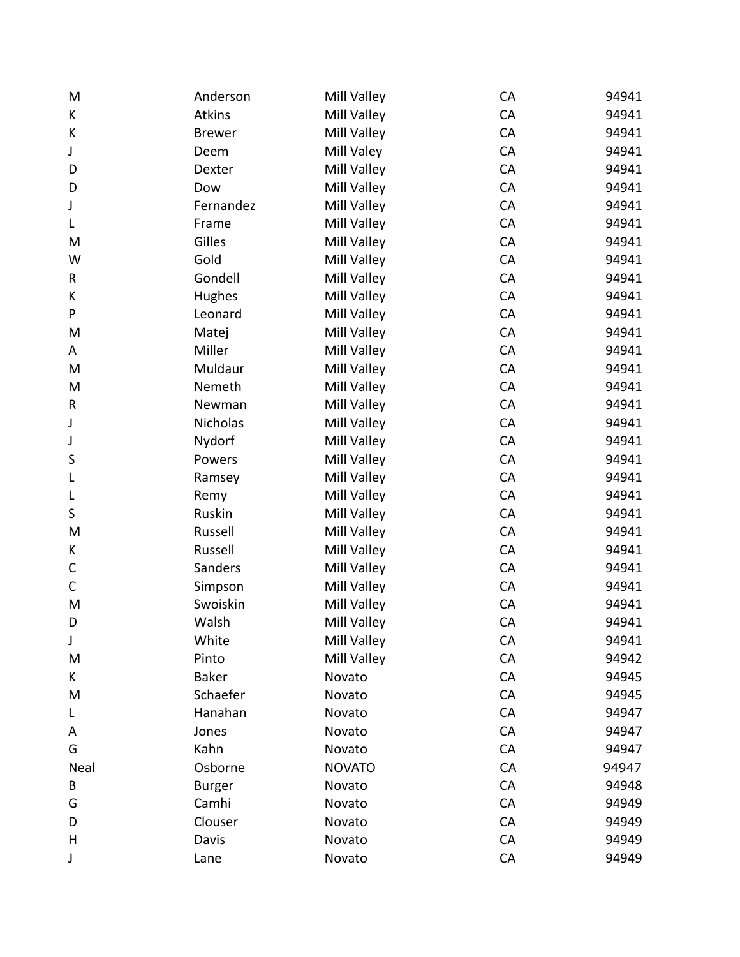| M            | Anderson      | Mill Valley   | CA | 94941 |
|--------------|---------------|---------------|----|-------|
| K            | <b>Atkins</b> | Mill Valley   | CA | 94941 |
| К            | <b>Brewer</b> | Mill Valley   | CA | 94941 |
| J            | Deem          | Mill Valey    | CA | 94941 |
| D            | Dexter        | Mill Valley   | CA | 94941 |
| D            | Dow           | Mill Valley   | CA | 94941 |
| J            | Fernandez     | Mill Valley   | CA | 94941 |
| L            | Frame         | Mill Valley   | CA | 94941 |
| M            | Gilles        | Mill Valley   | CA | 94941 |
| W            | Gold          | Mill Valley   | CA | 94941 |
| R            | Gondell       | Mill Valley   | CA | 94941 |
| K            | Hughes        | Mill Valley   | CA | 94941 |
| P            | Leonard       | Mill Valley   | CA | 94941 |
| M            | Matej         | Mill Valley   | CA | 94941 |
| A            | Miller        | Mill Valley   | CA | 94941 |
| M            | Muldaur       | Mill Valley   | CA | 94941 |
| M            | Nemeth        | Mill Valley   | CA | 94941 |
| $\mathsf{R}$ | Newman        | Mill Valley   | CA | 94941 |
| J            | Nicholas      | Mill Valley   | CA | 94941 |
| J            | Nydorf        | Mill Valley   | CA | 94941 |
| S            | Powers        | Mill Valley   | CA | 94941 |
| L            | Ramsey        | Mill Valley   | CA | 94941 |
| L            | Remy          | Mill Valley   | CA | 94941 |
| S            | Ruskin        | Mill Valley   | CA | 94941 |
| M            | Russell       | Mill Valley   | CA | 94941 |
| K            | Russell       | Mill Valley   | CA | 94941 |
| $\mathsf C$  | Sanders       | Mill Valley   | CA | 94941 |
| $\mathsf C$  | Simpson       | Mill Valley   | CA | 94941 |
| M            | Swoiskin      | Mill Valley   | CA | 94941 |
| D            | Walsh         | Mill Valley   | CA | 94941 |
| J            | White         | Mill Valley   | CA | 94941 |
| M            | Pinto         | Mill Valley   | CA | 94942 |
| K            | <b>Baker</b>  | Novato        | CA | 94945 |
| M            | Schaefer      | Novato        | CA | 94945 |
| L            | Hanahan       | Novato        | CA | 94947 |
| Α            | Jones         | Novato        | CA | 94947 |
| G            | Kahn          | Novato        | CA | 94947 |
| Neal         | Osborne       | <b>NOVATO</b> | CA | 94947 |
| B            | <b>Burger</b> | Novato        | CA | 94948 |
| G            | Camhi         | Novato        | CA | 94949 |
| D            | Clouser       | Novato        | CA | 94949 |
| H            | Davis         | Novato        | CA | 94949 |
| J            | Lane          | Novato        | CA | 94949 |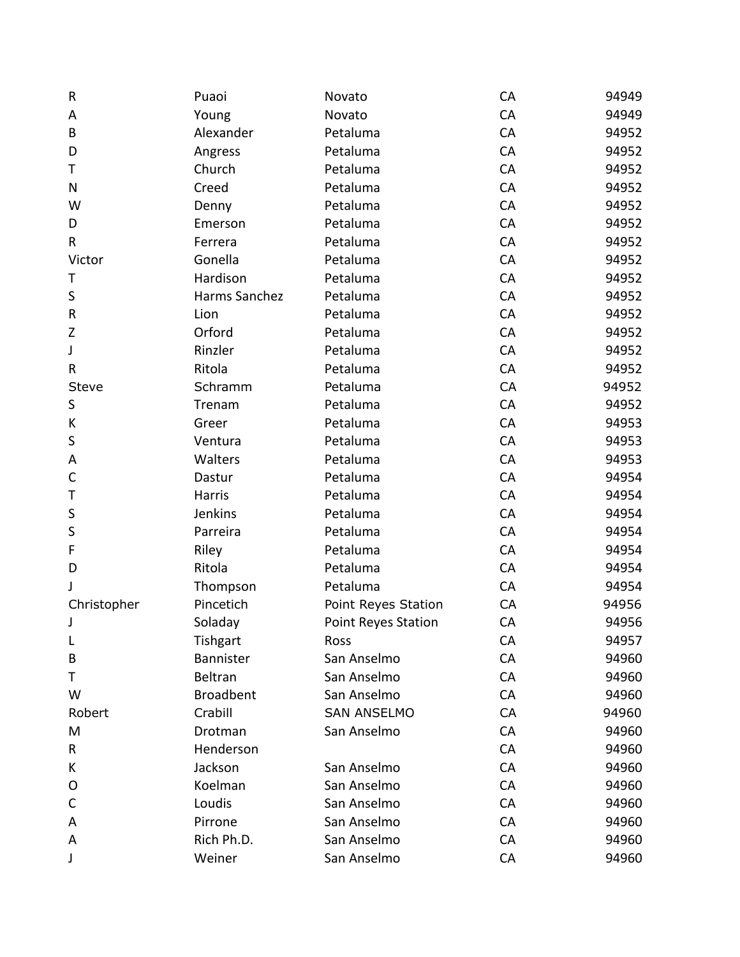| $\sf R$      | Puaoi            | Novato                     | CA | 94949 |
|--------------|------------------|----------------------------|----|-------|
| A            | Young            | Novato                     | CA | 94949 |
| B            | Alexander        | Petaluma                   | CA | 94952 |
| D            | Angress          | Petaluma                   | CA | 94952 |
| T            | Church           | Petaluma                   | CA | 94952 |
| ${\sf N}$    | Creed            | Petaluma                   | CA | 94952 |
| W            | Denny            | Petaluma                   | CA | 94952 |
| D            | Emerson          | Petaluma                   | CA | 94952 |
| $\mathsf{R}$ | Ferrera          | Petaluma                   | CA | 94952 |
| Victor       | Gonella          | Petaluma                   | CA | 94952 |
| Τ            | Hardison         | Petaluma                   | CA | 94952 |
| $\sf S$      | Harms Sanchez    | Petaluma                   | CA | 94952 |
| ${\sf R}$    | Lion             | Petaluma                   | CA | 94952 |
| $\mathsf Z$  | Orford           | Petaluma                   | CA | 94952 |
| J            | Rinzler          | Petaluma                   | CA | 94952 |
| ${\sf R}$    | Ritola           | Petaluma                   | CA | 94952 |
| Steve        | Schramm          | Petaluma                   | CA | 94952 |
| $\sf S$      | Trenam           | Petaluma                   | CA | 94952 |
| К            | Greer            | Petaluma                   | CA | 94953 |
| S            | Ventura          | Petaluma                   | CA | 94953 |
| A            | Walters          | Petaluma                   | CA | 94953 |
| $\mathsf C$  | Dastur           | Petaluma                   | CA | 94954 |
| Т            | Harris           | Petaluma                   | CA | 94954 |
| S            | Jenkins          | Petaluma                   | CA | 94954 |
| S            | Parreira         | Petaluma                   | CA | 94954 |
| F            | Riley            | Petaluma                   | CA | 94954 |
| D            | Ritola           | Petaluma                   | CA | 94954 |
| J            | Thompson         | Petaluma                   | CA | 94954 |
| Christopher  | Pincetich        | Point Reyes Station        | CA | 94956 |
| J            | Soladay          | <b>Point Reyes Station</b> | CA | 94956 |
| L            | Tishgart         | Ross                       | CA | 94957 |
| B            | Bannister        | San Anselmo                | CA | 94960 |
| Τ            | Beltran          | San Anselmo                | CA | 94960 |
| W            | <b>Broadbent</b> | San Anselmo                | CA | 94960 |
| Robert       | Crabill          | <b>SAN ANSELMO</b>         | CA | 94960 |
| M            | Drotman          | San Anselmo                | CA | 94960 |
| R            | Henderson        |                            | CA | 94960 |
| К            | Jackson          | San Anselmo                | CA | 94960 |
| O            | Koelman          | San Anselmo                | CA | 94960 |
| С            | Loudis           | San Anselmo                | CA | 94960 |
| Α            | Pirrone          | San Anselmo                | CA | 94960 |
| Α            | Rich Ph.D.       | San Anselmo                | CA | 94960 |
| J            | Weiner           | San Anselmo                | CA | 94960 |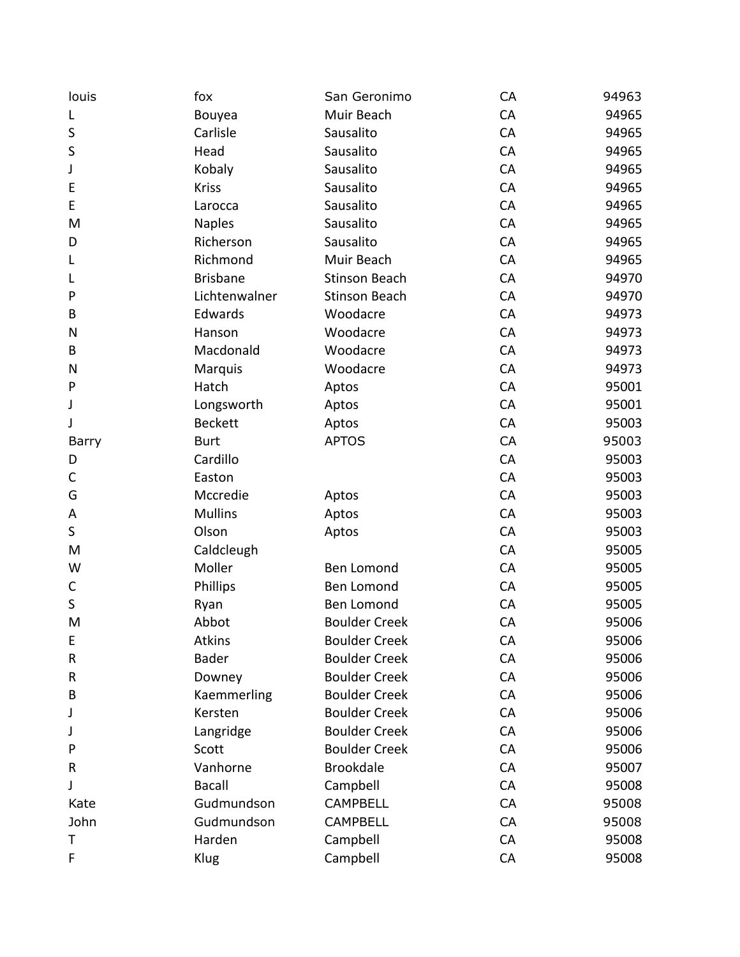| louis     | fox             | San Geronimo         | CA | 94963 |
|-----------|-----------------|----------------------|----|-------|
| L         | Bouyea          | Muir Beach           | CA | 94965 |
| S         | Carlisle        | Sausalito            | CA | 94965 |
| S         | Head            | Sausalito            | CA | 94965 |
| J         | Kobaly          | Sausalito            | CA | 94965 |
| E         | <b>Kriss</b>    | Sausalito            | CA | 94965 |
| E         | Larocca         | Sausalito            | CA | 94965 |
| M         | <b>Naples</b>   | Sausalito            | CA | 94965 |
| D         | Richerson       | Sausalito            | CA | 94965 |
| L         | Richmond        | Muir Beach           | CA | 94965 |
| L         | <b>Brisbane</b> | <b>Stinson Beach</b> | CA | 94970 |
| P         | Lichtenwalner   | <b>Stinson Beach</b> | CA | 94970 |
| B         | Edwards         | Woodacre             | CA | 94973 |
| N         | Hanson          | Woodacre             | CA | 94973 |
| B         | Macdonald       | Woodacre             | CA | 94973 |
| N         | Marquis         | Woodacre             | CA | 94973 |
| P         | Hatch           | Aptos                | CA | 95001 |
| J         | Longsworth      | Aptos                | CA | 95001 |
| J         | <b>Beckett</b>  | Aptos                | CA | 95003 |
| Barry     | <b>Burt</b>     | <b>APTOS</b>         | CA | 95003 |
| D         | Cardillo        |                      | CA | 95003 |
| C         | Easton          |                      | CA | 95003 |
| G         | Mccredie        | Aptos                | CA | 95003 |
| A         | <b>Mullins</b>  | Aptos                | CA | 95003 |
| $\sf S$   | Olson           | Aptos                | CA | 95003 |
| M         | Caldcleugh      |                      | CA | 95005 |
| W         | Moller          | Ben Lomond           | CA | 95005 |
| C         | Phillips        | Ben Lomond           | CA | 95005 |
| $\sf S$   | Ryan            | Ben Lomond           | CA | 95005 |
| M         | Abbot           | <b>Boulder Creek</b> | CA | 95006 |
| E         | <b>Atkins</b>   | <b>Boulder Creek</b> | CA | 95006 |
| ${\sf R}$ | <b>Bader</b>    | <b>Boulder Creek</b> | CA | 95006 |
| R         | Downey          | <b>Boulder Creek</b> | CA | 95006 |
| B         | Kaemmerling     | <b>Boulder Creek</b> | CA | 95006 |
| J         | Kersten         | <b>Boulder Creek</b> | CA | 95006 |
| J         | Langridge       | <b>Boulder Creek</b> | CA | 95006 |
| P         | Scott           | <b>Boulder Creek</b> | CA | 95006 |
| R         | Vanhorne        | <b>Brookdale</b>     | CA | 95007 |
| J         | <b>Bacall</b>   | Campbell             | CA | 95008 |
| Kate      | Gudmundson      | <b>CAMPBELL</b>      | CA | 95008 |
| John      | Gudmundson      | <b>CAMPBELL</b>      | CA | 95008 |
| Τ         | Harden          | Campbell             | CA | 95008 |
| F         | Klug            | Campbell             | CA | 95008 |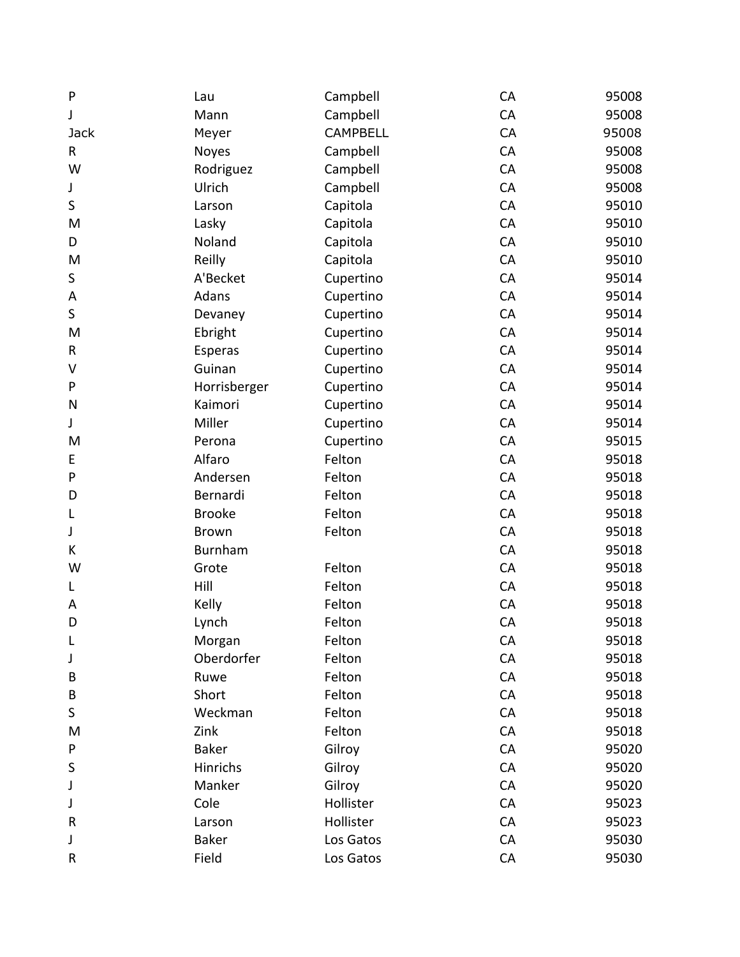| P            | Lau            | Campbell        | CA | 95008 |
|--------------|----------------|-----------------|----|-------|
| J            | Mann           | Campbell        | CA | 95008 |
| <b>Jack</b>  | Meyer          | <b>CAMPBELL</b> | CA | 95008 |
| R            | Noyes          | Campbell        | CA | 95008 |
| W            | Rodriguez      | Campbell        | CA | 95008 |
| J            | Ulrich         | Campbell        | CA | 95008 |
| $\sf S$      | Larson         | Capitola        | CA | 95010 |
| M            | Lasky          | Capitola        | CA | 95010 |
| D            | Noland         | Capitola        | CA | 95010 |
| M            | Reilly         | Capitola        | CA | 95010 |
| S            | A'Becket       | Cupertino       | CA | 95014 |
| A            | Adans          | Cupertino       | CA | 95014 |
| S            | Devaney        | Cupertino       | CA | 95014 |
| M            | Ebright        | Cupertino       | CA | 95014 |
| R            | Esperas        | Cupertino       | CA | 95014 |
| V            | Guinan         | Cupertino       | CA | 95014 |
| P            | Horrisberger   | Cupertino       | CA | 95014 |
| N            | Kaimori        | Cupertino       | CA | 95014 |
| J            | Miller         | Cupertino       | CA | 95014 |
| M            | Perona         | Cupertino       | CA | 95015 |
| E            | Alfaro         | Felton          | CA | 95018 |
| $\mathsf{P}$ | Andersen       | Felton          | CA | 95018 |
| D            | Bernardi       | Felton          | CA | 95018 |
| L            | <b>Brooke</b>  | Felton          | CA | 95018 |
| J            | <b>Brown</b>   | Felton          | CA | 95018 |
| К            | <b>Burnham</b> |                 | CA | 95018 |
| W            | Grote          | Felton          | CA | 95018 |
| L            | Hill           | Felton          | CA | 95018 |
| A            | Kelly          | Felton          | CA | 95018 |
| D            | Lynch          | Felton          | CA | 95018 |
| L            | Morgan         | Felton          | CA | 95018 |
| J            | Oberdorfer     | Felton          | CA | 95018 |
| B            | Ruwe           | Felton          | CA | 95018 |
| B            | Short          | Felton          | CA | 95018 |
| S            | Weckman        | Felton          | CA | 95018 |
| M            | Zink           | Felton          | CA | 95018 |
| P            | <b>Baker</b>   | Gilroy          | CA | 95020 |
| S            | Hinrichs       | Gilroy          | CA | 95020 |
| J            | Manker         | Gilroy          | CA | 95020 |
| J            | Cole           | Hollister       | CA | 95023 |
| R            | Larson         | Hollister       | CA | 95023 |
| J            | <b>Baker</b>   | Los Gatos       | CA | 95030 |
| R            | Field          | Los Gatos       | CA | 95030 |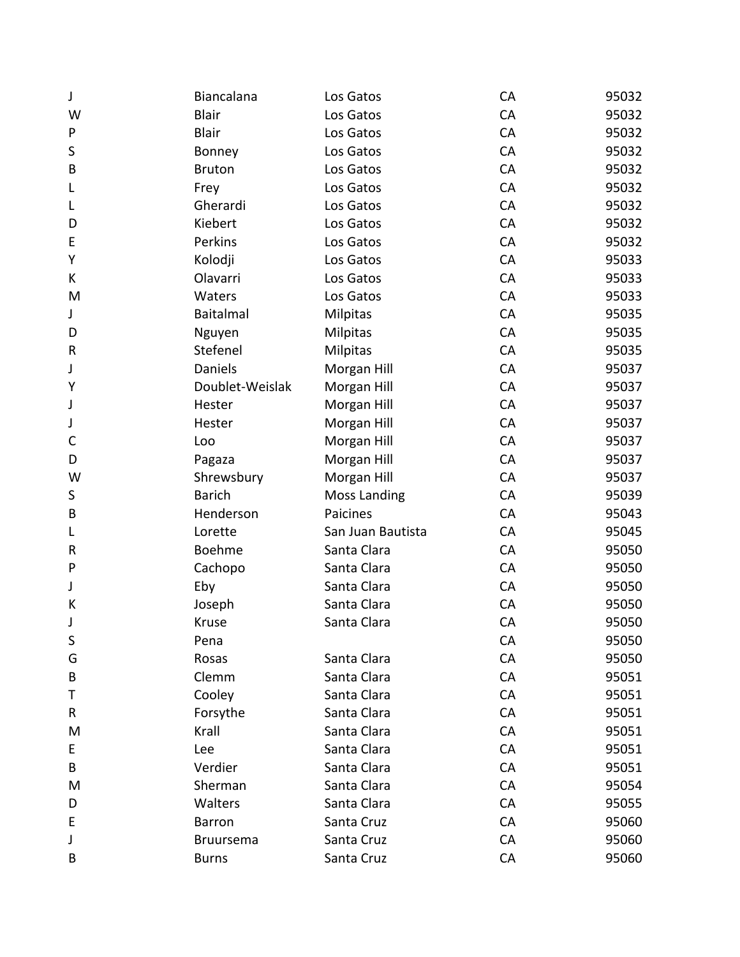| J       | Biancalana       | Los Gatos           | CA | 95032 |
|---------|------------------|---------------------|----|-------|
| W       | <b>Blair</b>     | Los Gatos           | CA | 95032 |
| P       | <b>Blair</b>     | Los Gatos           | CA | 95032 |
| $\sf S$ | Bonney           | Los Gatos           | CA | 95032 |
| B       | <b>Bruton</b>    | Los Gatos           | CA | 95032 |
| L       | Frey             | Los Gatos           | CA | 95032 |
| L       | Gherardi         | Los Gatos           | CA | 95032 |
| D       | Kiebert          | Los Gatos           | CA | 95032 |
| E       | Perkins          | Los Gatos           | CA | 95032 |
| Υ       | Kolodji          | Los Gatos           | CA | 95033 |
| K       | Olavarri         | Los Gatos           | CA | 95033 |
| M       | Waters           | Los Gatos           | CA | 95033 |
| J       | <b>Baitalmal</b> | Milpitas            | CA | 95035 |
| D       | Nguyen           | Milpitas            | CA | 95035 |
| R       | Stefenel         | <b>Milpitas</b>     | CA | 95035 |
| J       | Daniels          | Morgan Hill         | CA | 95037 |
| Υ       | Doublet-Weislak  | Morgan Hill         | CA | 95037 |
| J       | Hester           | Morgan Hill         | CA | 95037 |
| J       | Hester           | Morgan Hill         | CA | 95037 |
| C       | Loo              | Morgan Hill         | CA | 95037 |
| D       | Pagaza           | Morgan Hill         | CA | 95037 |
| W       | Shrewsbury       | Morgan Hill         | CA | 95037 |
| S       | <b>Barich</b>    | <b>Moss Landing</b> | CA | 95039 |
| B       | Henderson        | Paicines            | CA | 95043 |
| L       | Lorette          | San Juan Bautista   | CA | 95045 |
| R       | Boehme           | Santa Clara         | CA | 95050 |
| P       | Cachopo          | Santa Clara         | CA | 95050 |
| J       | Eby              | Santa Clara         | CA | 95050 |
| К       | Joseph           | Santa Clara         | CA | 95050 |
| J       | Kruse            | Santa Clara         | CA | 95050 |
| S       | Pena             |                     | CA | 95050 |
| G       | Rosas            | Santa Clara         | CA | 95050 |
| B       | Clemm            | Santa Clara         | CA | 95051 |
| Τ       | Cooley           | Santa Clara         | CA | 95051 |
| R       | Forsythe         | Santa Clara         | CA | 95051 |
| M       | Krall            | Santa Clara         | CA | 95051 |
| E       | Lee              | Santa Clara         | CA | 95051 |
| B       | Verdier          | Santa Clara         | CA | 95051 |
| M       | Sherman          | Santa Clara         | CA | 95054 |
| D       | Walters          | Santa Clara         | CA | 95055 |
| E       | <b>Barron</b>    | Santa Cruz          | CA | 95060 |
| J       | <b>Bruursema</b> | Santa Cruz          | CA | 95060 |
| B       | <b>Burns</b>     | Santa Cruz          | CA | 95060 |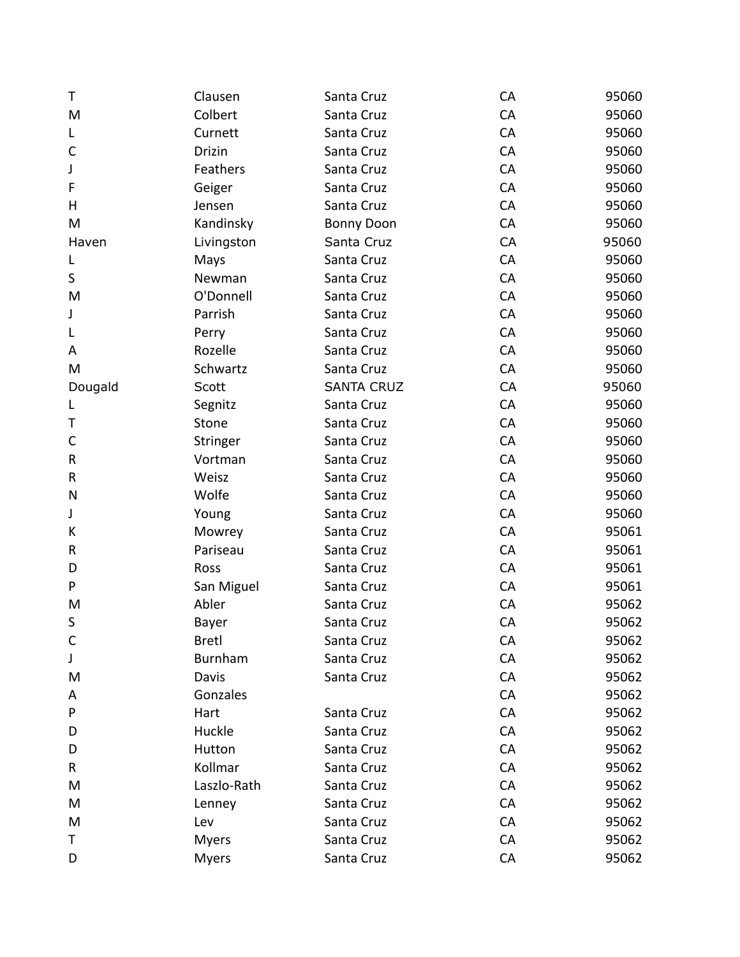| T       | Clausen      | Santa Cruz        | CA | 95060 |
|---------|--------------|-------------------|----|-------|
| M       | Colbert      | Santa Cruz        | CA | 95060 |
| L       | Curnett      | Santa Cruz        | CA | 95060 |
| C       | Drizin       | Santa Cruz        | CA | 95060 |
| J       | Feathers     | Santa Cruz        | CA | 95060 |
| F       | Geiger       | Santa Cruz        | CA | 95060 |
| H       | Jensen       | Santa Cruz        | CA | 95060 |
| M       | Kandinsky    | <b>Bonny Doon</b> | CA | 95060 |
| Haven   | Livingston   | Santa Cruz        | CA | 95060 |
| L       | Mays         | Santa Cruz        | CA | 95060 |
| S       | Newman       | Santa Cruz        | CA | 95060 |
| M       | O'Donnell    | Santa Cruz        | CA | 95060 |
| J       | Parrish      | Santa Cruz        | CA | 95060 |
| L       | Perry        | Santa Cruz        | CA | 95060 |
| A       | Rozelle      | Santa Cruz        | CA | 95060 |
| M       | Schwartz     | Santa Cruz        | CA | 95060 |
| Dougald | Scott        | <b>SANTA CRUZ</b> | CA | 95060 |
| L       | Segnitz      | Santa Cruz        | CA | 95060 |
| Τ       | Stone        | Santa Cruz        | CA | 95060 |
| C       | Stringer     | Santa Cruz        | CA | 95060 |
| R       | Vortman      | Santa Cruz        | CA | 95060 |
| R       | Weisz        | Santa Cruz        | CA | 95060 |
| N       | Wolfe        | Santa Cruz        | CA | 95060 |
| J       | Young        | Santa Cruz        | CA | 95060 |
| К       | Mowrey       | Santa Cruz        | CA | 95061 |
| R       | Pariseau     | Santa Cruz        | CA | 95061 |
| D       | Ross         | Santa Cruz        | CA | 95061 |
| P       | San Miguel   | Santa Cruz        | CA | 95061 |
| M       | Abler        | Santa Cruz        | CA | 95062 |
| S       | Bayer        | Santa Cruz        | CA | 95062 |
| C       | <b>Bretl</b> | Santa Cruz        | CA | 95062 |
| J       | Burnham      | Santa Cruz        | CA | 95062 |
| M       | Davis        | Santa Cruz        | CA | 95062 |
| A       | Gonzales     |                   | CA | 95062 |
| P       | Hart         | Santa Cruz        | CA | 95062 |
| D       | Huckle       | Santa Cruz        | CA | 95062 |
| D       | Hutton       | Santa Cruz        | CA | 95062 |
| R       | Kollmar      | Santa Cruz        | CA | 95062 |
| M       | Laszlo-Rath  | Santa Cruz        | CA | 95062 |
| M       | Lenney       | Santa Cruz        | CA | 95062 |
| M       | Lev          | Santa Cruz        | CA | 95062 |
| Τ       | <b>Myers</b> | Santa Cruz        | CA | 95062 |
| D       | <b>Myers</b> | Santa Cruz        | CA | 95062 |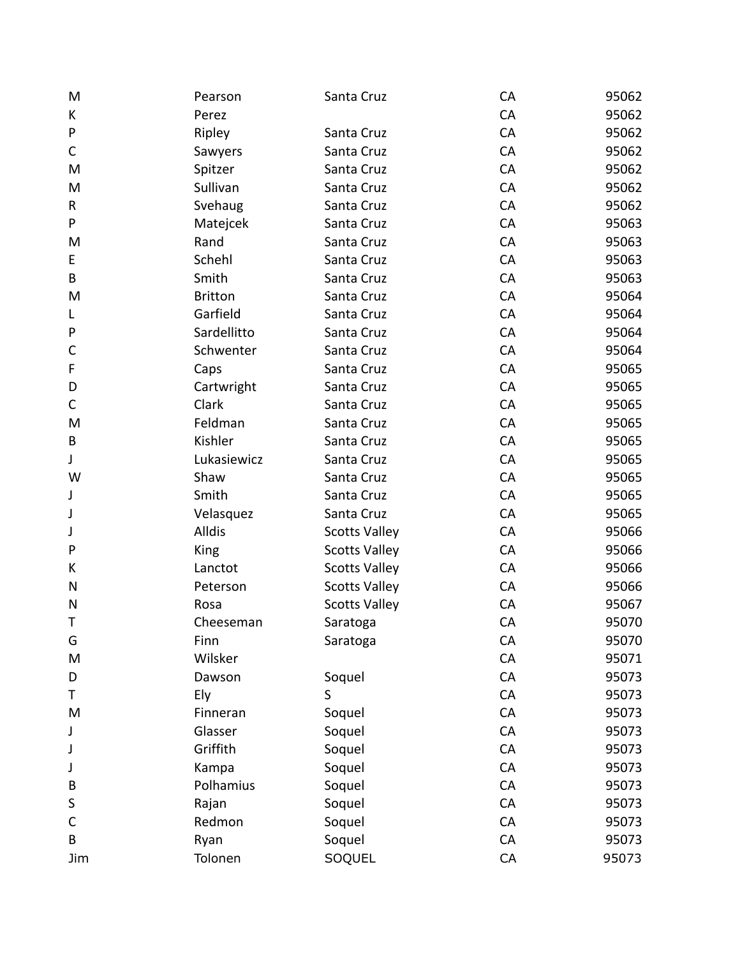| M            | Pearson        | Santa Cruz           | CA | 95062 |
|--------------|----------------|----------------------|----|-------|
| K            | Perez          |                      | CA | 95062 |
| ${\sf P}$    | Ripley         | Santa Cruz           | CA | 95062 |
| $\mathsf C$  | Sawyers        | Santa Cruz           | CA | 95062 |
| M            | Spitzer        | Santa Cruz           | CA | 95062 |
| M            | Sullivan       | Santa Cruz           | CA | 95062 |
| $\mathsf{R}$ | Svehaug        | Santa Cruz           | CA | 95062 |
| P            | Matejcek       | Santa Cruz           | CA | 95063 |
| M            | Rand           | Santa Cruz           | CA | 95063 |
| E            | Schehl         | Santa Cruz           | CA | 95063 |
| B            | Smith          | Santa Cruz           | CA | 95063 |
| M            | <b>Britton</b> | Santa Cruz           | CA | 95064 |
| L            | Garfield       | Santa Cruz           | CA | 95064 |
| ${\sf P}$    | Sardellitto    | Santa Cruz           | CA | 95064 |
| $\mathsf{C}$ | Schwenter      | Santa Cruz           | CA | 95064 |
| F            | Caps           | Santa Cruz           | CA | 95065 |
| D            | Cartwright     | Santa Cruz           | CA | 95065 |
| $\mathsf C$  | Clark          | Santa Cruz           | CA | 95065 |
| M            | Feldman        | Santa Cruz           | CA | 95065 |
| B            | Kishler        | Santa Cruz           | CA | 95065 |
| J            | Lukasiewicz    | Santa Cruz           | CA | 95065 |
| W            | Shaw           | Santa Cruz           | CA | 95065 |
| J            | Smith          | Santa Cruz           | CA | 95065 |
| J            | Velasquez      | Santa Cruz           | CA | 95065 |
| J            | <b>Alldis</b>  | <b>Scotts Valley</b> | CA | 95066 |
| $\mathsf{P}$ | King           | <b>Scotts Valley</b> | CA | 95066 |
| К            | Lanctot        | <b>Scotts Valley</b> | CA | 95066 |
| N            | Peterson       | <b>Scotts Valley</b> | CA | 95066 |
| N            | Rosa           | <b>Scotts Valley</b> | CA | 95067 |
| Τ            | Cheeseman      | Saratoga             | CA | 95070 |
| G            | Finn           | Saratoga             | CA | 95070 |
| M            | Wilsker        |                      | CA | 95071 |
| D            | Dawson         | Soquel               | CA | 95073 |
| Τ            | Ely            | S                    | CA | 95073 |
| M            | Finneran       | Soquel               | CA | 95073 |
| J            | Glasser        | Soquel               | CA | 95073 |
| J            | Griffith       | Soquel               | CA | 95073 |
| J            | Kampa          | Soquel               | CA | 95073 |
| B            | Polhamius      | Soquel               | CA | 95073 |
| S            | Rajan          | Soquel               | CA | 95073 |
| C            | Redmon         | Soquel               | CA | 95073 |
| B            | Ryan           | Soquel               | CA | 95073 |
| Jim          | Tolonen        | SOQUEL               | CA | 95073 |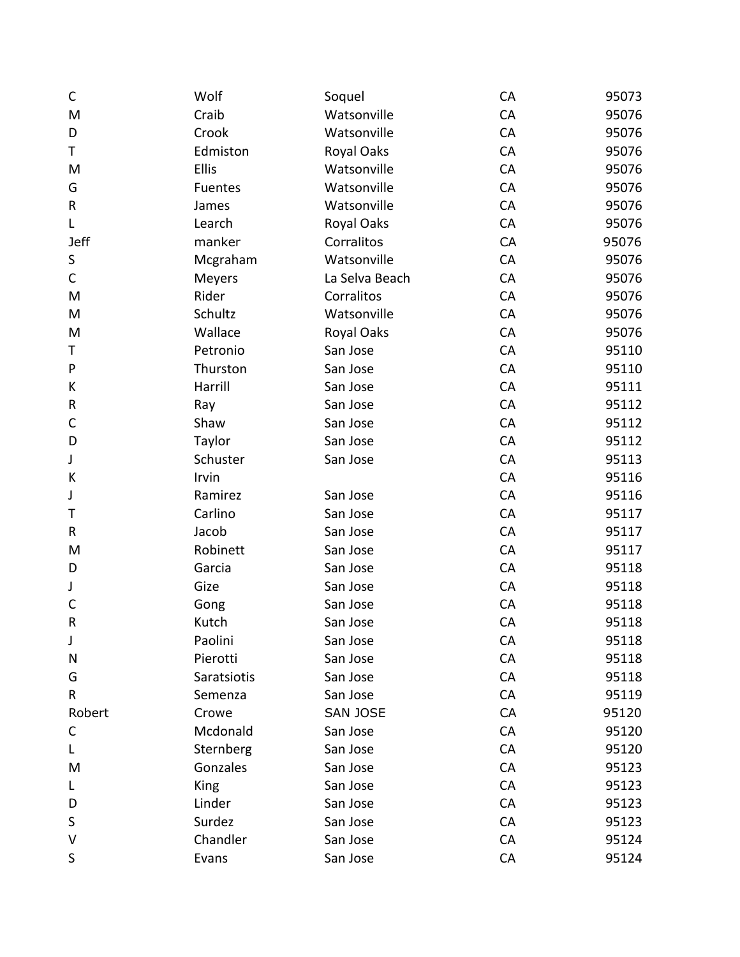| $\mathsf C$  | Wolf        | Soquel         | CA | 95073 |
|--------------|-------------|----------------|----|-------|
| M            | Craib       | Watsonville    | CA | 95076 |
| D            | Crook       | Watsonville    | CA | 95076 |
| T            | Edmiston    | Royal Oaks     | CA | 95076 |
| M            | Ellis       | Watsonville    | CA | 95076 |
| G            | Fuentes     | Watsonville    | CA | 95076 |
| R            | James       | Watsonville    | CA | 95076 |
| L            | Learch      | Royal Oaks     | CA | 95076 |
| <b>Jeff</b>  | manker      | Corralitos     | CA | 95076 |
| S            | Mcgraham    | Watsonville    | CA | 95076 |
| $\mathsf{C}$ | Meyers      | La Selva Beach | CA | 95076 |
| M            | Rider       | Corralitos     | CA | 95076 |
| M            | Schultz     | Watsonville    | CA | 95076 |
| M            | Wallace     | Royal Oaks     | CA | 95076 |
| Τ            | Petronio    | San Jose       | CA | 95110 |
| P            | Thurston    | San Jose       | CA | 95110 |
| K            | Harrill     | San Jose       | CA | 95111 |
| R            | Ray         | San Jose       | CA | 95112 |
| C            | Shaw        | San Jose       | CA | 95112 |
| D            | Taylor      | San Jose       | CA | 95112 |
| J            | Schuster    | San Jose       | CA | 95113 |
| К            | Irvin       |                | CA | 95116 |
| J            | Ramirez     | San Jose       | CA | 95116 |
| Т            | Carlino     | San Jose       | CA | 95117 |
| R            | Jacob       | San Jose       | CA | 95117 |
| M            | Robinett    | San Jose       | CA | 95117 |
| D            | Garcia      | San Jose       | CA | 95118 |
| J            | Gize        | San Jose       | CA | 95118 |
| $\mathsf{C}$ | Gong        | San Jose       | CA | 95118 |
| R            | Kutch       | San Jose       | CA | 95118 |
| J            | Paolini     | San Jose       | CA | 95118 |
| Ν            | Pierotti    | San Jose       | CA | 95118 |
| G            | Saratsiotis | San Jose       | CA | 95118 |
| R            | Semenza     | San Jose       | CA | 95119 |
| Robert       | Crowe       | SAN JOSE       | CA | 95120 |
| C            | Mcdonald    | San Jose       | CA | 95120 |
| L            | Sternberg   | San Jose       | CA | 95120 |
| M            | Gonzales    | San Jose       | CA | 95123 |
| L            | King        | San Jose       | CA | 95123 |
| D            | Linder      | San Jose       | CA | 95123 |
| S            | Surdez      | San Jose       | CA | 95123 |
| V            | Chandler    | San Jose       | CA | 95124 |
| S            | Evans       | San Jose       | CA | 95124 |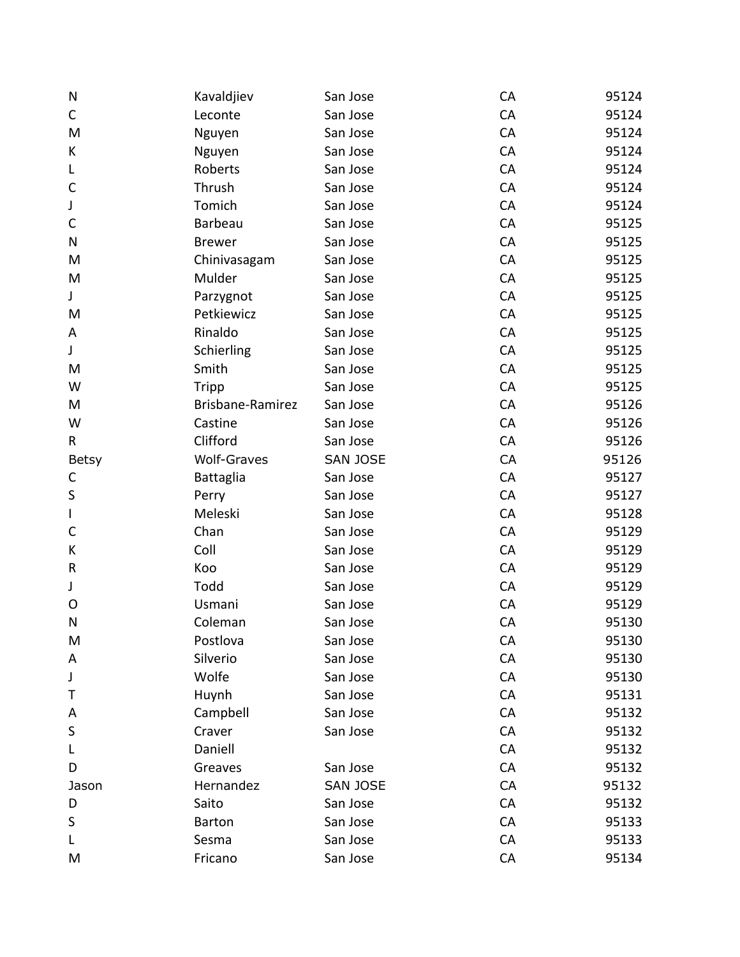| N            | Kavaldjiev         | San Jose        | CA | 95124 |
|--------------|--------------------|-----------------|----|-------|
| C            | Leconte            | San Jose        | CA | 95124 |
| M            | Nguyen             | San Jose        | CA | 95124 |
| К            | Nguyen             | San Jose        | CA | 95124 |
| L            | Roberts            | San Jose        | CA | 95124 |
| $\mathsf{C}$ | Thrush             | San Jose        | CA | 95124 |
| J            | Tomich             | San Jose        | CA | 95124 |
| $\mathsf{C}$ | Barbeau            | San Jose        | CA | 95125 |
| N            | <b>Brewer</b>      | San Jose        | CA | 95125 |
| M            | Chinivasagam       | San Jose        | CA | 95125 |
| M            | Mulder             | San Jose        | CA | 95125 |
| J            | Parzygnot          | San Jose        | CA | 95125 |
| M            | Petkiewicz         | San Jose        | CA | 95125 |
| A            | Rinaldo            | San Jose        | CA | 95125 |
| J            | Schierling         | San Jose        | CA | 95125 |
| M            | Smith              | San Jose        | CA | 95125 |
| W            | Tripp              | San Jose        | CA | 95125 |
| M            | Brisbane-Ramirez   | San Jose        | CA | 95126 |
| W            | Castine            | San Jose        | CA | 95126 |
| $\mathsf{R}$ | Clifford           | San Jose        | CA | 95126 |
| Betsy        | <b>Wolf-Graves</b> | <b>SAN JOSE</b> | CA | 95126 |
| C            | Battaglia          | San Jose        | CA | 95127 |
| $\sf S$      | Perry              | San Jose        | CA | 95127 |
| $\mathsf{I}$ | Meleski            | San Jose        | CA | 95128 |
| $\mathsf{C}$ | Chan               | San Jose        | CA | 95129 |
| К            | Coll               | San Jose        | CA | 95129 |
| $\mathsf R$  | Koo                | San Jose        | CA | 95129 |
| J            | Todd               | San Jose        | CA | 95129 |
| O            | Usmani             | San Jose        | CA | 95129 |
| N            | Coleman            | San Jose        | CA | 95130 |
| M            | Postlova           | San Jose        | CA | 95130 |
| A            | Silverio           | San Jose        | CA | 95130 |
| J            | Wolfe              | San Jose        | CA | 95130 |
| Τ            | Huynh              | San Jose        | CA | 95131 |
| A            | Campbell           | San Jose        | CA | 95132 |
| $\sf S$      | Craver             | San Jose        | CA | 95132 |
| L            | Daniell            |                 | CA | 95132 |
| D            | Greaves            | San Jose        | CA | 95132 |
| Jason        | Hernandez          | <b>SAN JOSE</b> | CA | 95132 |
| D            | Saito              | San Jose        | CA | 95132 |
| S            | <b>Barton</b>      | San Jose        | CA | 95133 |
| L            | Sesma              | San Jose        | CA | 95133 |
| M            | Fricano            | San Jose        | CA | 95134 |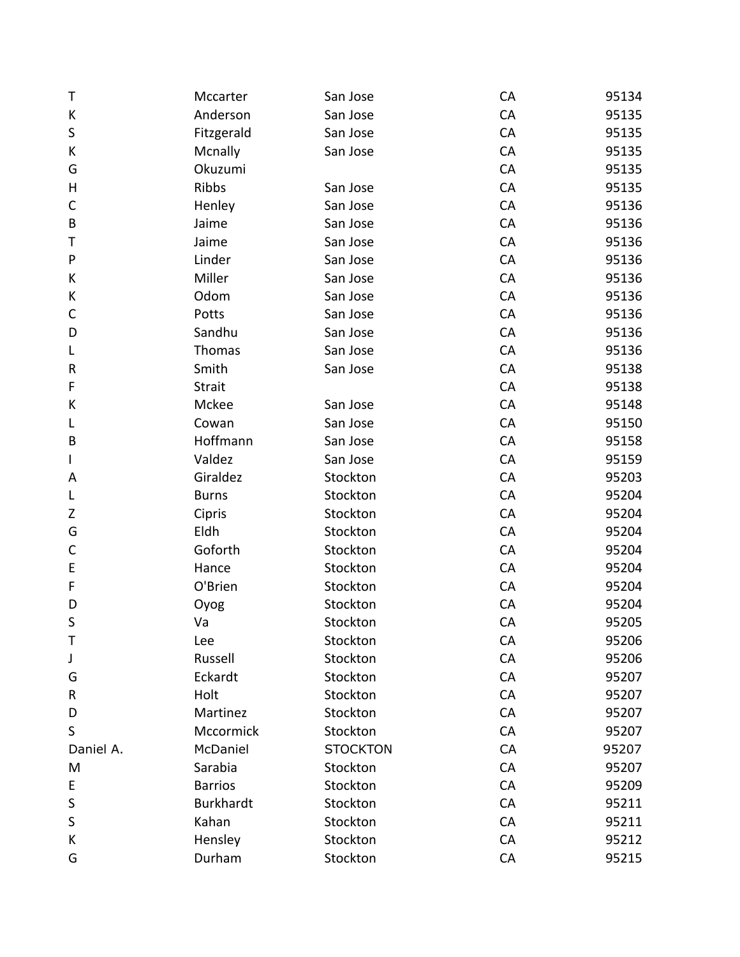| Τ            | Mccarter         | San Jose        | CA | 95134 |
|--------------|------------------|-----------------|----|-------|
| К            | Anderson         | San Jose        | CA | 95135 |
| $\sf S$      | Fitzgerald       | San Jose        | CA | 95135 |
| К            | Mcnally          | San Jose        | CA | 95135 |
| G            | Okuzumi          |                 | CA | 95135 |
| Н            | Ribbs            | San Jose        | CA | 95135 |
| $\mathsf{C}$ | Henley           | San Jose        | CA | 95136 |
| B            | Jaime            | San Jose        | CA | 95136 |
| Τ            | Jaime            | San Jose        | CA | 95136 |
| ${\sf P}$    | Linder           | San Jose        | CA | 95136 |
| К            | Miller           | San Jose        | CA | 95136 |
| К            | Odom             | San Jose        | CA | 95136 |
| $\mathsf{C}$ | Potts            | San Jose        | CA | 95136 |
| D            | Sandhu           | San Jose        | CA | 95136 |
| L            | Thomas           | San Jose        | CA | 95136 |
| ${\sf R}$    | Smith            | San Jose        | CA | 95138 |
| F            | <b>Strait</b>    |                 | CA | 95138 |
| К            | Mckee            | San Jose        | CA | 95148 |
| L            | Cowan            | San Jose        | CA | 95150 |
| B            | Hoffmann         | San Jose        | CA | 95158 |
| I            | Valdez           | San Jose        | CA | 95159 |
| Α            | Giraldez         | Stockton        | CA | 95203 |
| L            | <b>Burns</b>     | Stockton        | CA | 95204 |
| Z            | Cipris           | Stockton        | CA | 95204 |
| G            | Eldh             | Stockton        | CA | 95204 |
| $\mathsf C$  | Goforth          | Stockton        | CA | 95204 |
| E            | Hance            | Stockton        | CA | 95204 |
| F            | O'Brien          | Stockton        | CA | 95204 |
| D            | Oyog             | Stockton        | CA | 95204 |
| S            | Va               | Stockton        | CA | 95205 |
| Τ            | Lee              | Stockton        | CA | 95206 |
| J            | Russell          | Stockton        | CA | 95206 |
| G            | Eckardt          | Stockton        | CA | 95207 |
| R            | Holt             | Stockton        | CA | 95207 |
| D            | Martinez         | Stockton        | CA | 95207 |
| $\sf S$      | Mccormick        | Stockton        | CA | 95207 |
| Daniel A.    | McDaniel         | <b>STOCKTON</b> | CA | 95207 |
| M            | Sarabia          | Stockton        | CA | 95207 |
| E            | <b>Barrios</b>   | Stockton        | CA | 95209 |
| $\sf S$      | <b>Burkhardt</b> | Stockton        | CA | 95211 |
| $\sf S$      | Kahan            | Stockton        | CA | 95211 |
| К            | Hensley          | Stockton        | CA | 95212 |
| G            | Durham           | Stockton        | CA | 95215 |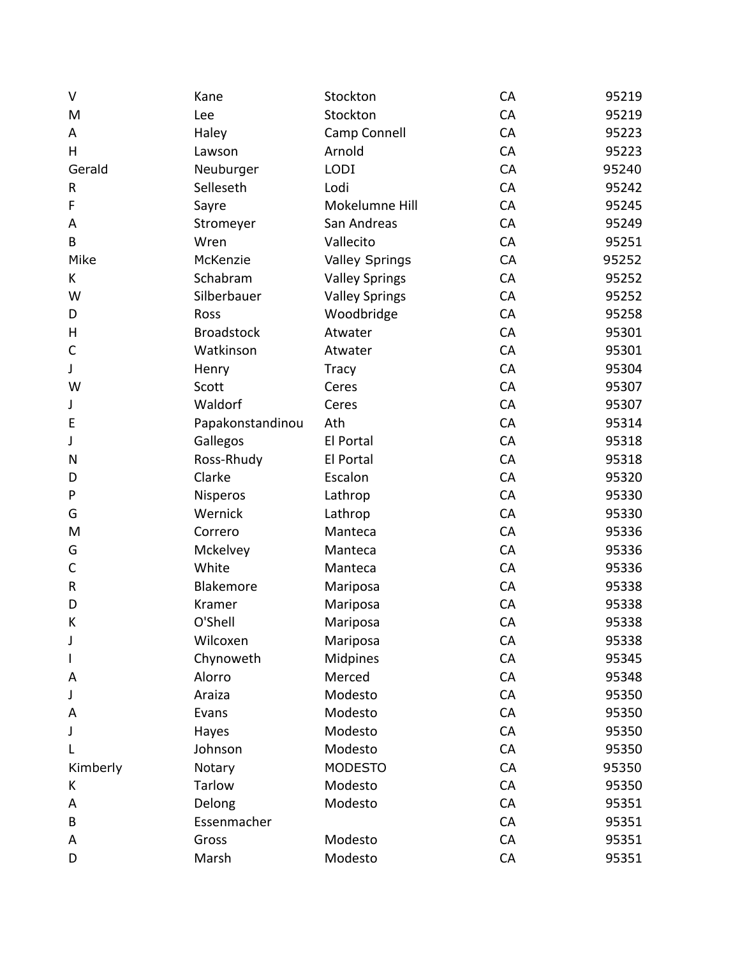| $\vee$       | Kane              | Stockton              | CA | 95219 |
|--------------|-------------------|-----------------------|----|-------|
| M            | Lee               | Stockton              | CA | 95219 |
| A            | Haley             | Camp Connell          | CA | 95223 |
| H            | Lawson            | Arnold                | CA | 95223 |
| Gerald       | Neuburger         | <b>LODI</b>           | CA | 95240 |
| ${\sf R}$    | Selleseth         | Lodi                  | CA | 95242 |
| F            | Sayre             | Mokelumne Hill        | CA | 95245 |
| Α            | Stromeyer         | San Andreas           | CA | 95249 |
| B            | Wren              | Vallecito             | CA | 95251 |
| Mike         | McKenzie          | <b>Valley Springs</b> | CA | 95252 |
| K            | Schabram          | <b>Valley Springs</b> | CA | 95252 |
| W            | Silberbauer       | <b>Valley Springs</b> | CA | 95252 |
| D            | Ross              | Woodbridge            | CA | 95258 |
| Н            | <b>Broadstock</b> | Atwater               | CA | 95301 |
| $\mathsf C$  | Watkinson         | Atwater               | CA | 95301 |
| J            | Henry             | <b>Tracy</b>          | CA | 95304 |
| W            | Scott             | Ceres                 | CA | 95307 |
| J            | Waldorf           | Ceres                 | CA | 95307 |
| E            | Papakonstandinou  | Ath                   | CA | 95314 |
| J            | Gallegos          | El Portal             | CA | 95318 |
| N            | Ross-Rhudy        | El Portal             | CA | 95318 |
| D            | Clarke            | Escalon               | CA | 95320 |
| P            | <b>Nisperos</b>   | Lathrop               | CA | 95330 |
| G            | Wernick           | Lathrop               | CA | 95330 |
| M            | Correro           | Manteca               | CA | 95336 |
| G            | Mckelvey          | Manteca               | CA | 95336 |
| $\mathsf C$  | White             | Manteca               | CA | 95336 |
| ${\sf R}$    | Blakemore         | Mariposa              | CA | 95338 |
| D            | Kramer            | Mariposa              | CA | 95338 |
| К            | O'Shell           | Mariposa              | CA | 95338 |
| J            | Wilcoxen          | Mariposa              | CA | 95338 |
| $\mathsf{l}$ | Chynoweth         | Midpines              | CA | 95345 |
| A            | Alorro            | Merced                | CA | 95348 |
| J            | Araiza            | Modesto               | CA | 95350 |
| A            | Evans             | Modesto               | CA | 95350 |
| J            | Hayes             | Modesto               | CA | 95350 |
| L            | Johnson           | Modesto               | CA | 95350 |
| Kimberly     | Notary            | <b>MODESTO</b>        | CA | 95350 |
| К            | Tarlow            | Modesto               | CA | 95350 |
| A            | Delong            | Modesto               | CA | 95351 |
| B            | Essenmacher       |                       | CA | 95351 |
| Α            | Gross             | Modesto               | CA | 95351 |
| D            | Marsh             | Modesto               | CA | 95351 |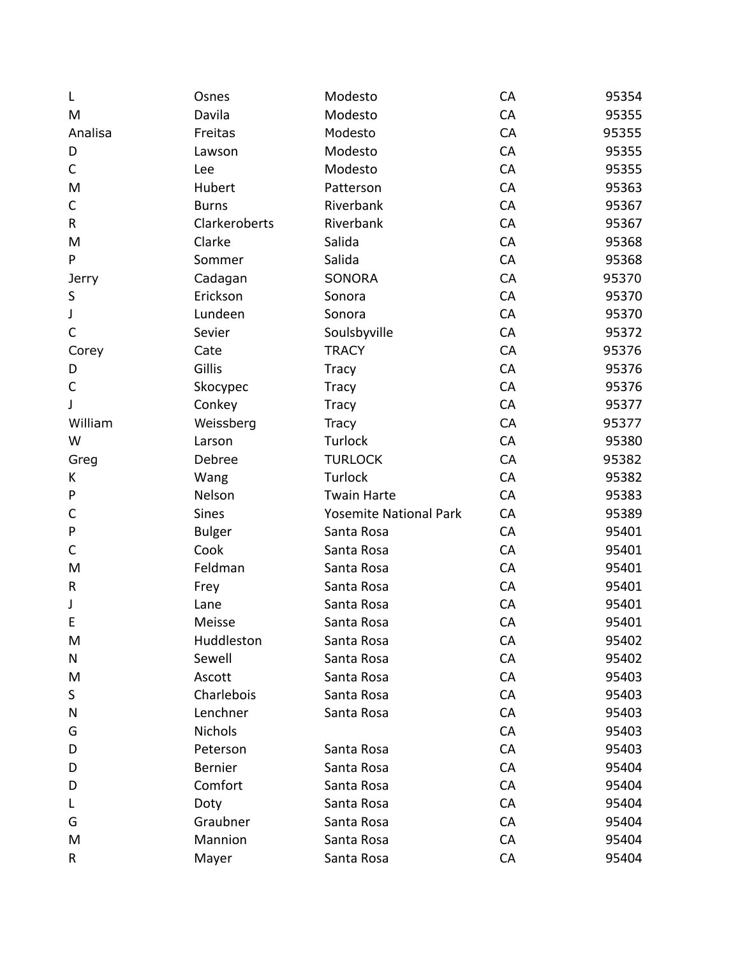| L            | Osnes         | Modesto                       | CA | 95354 |
|--------------|---------------|-------------------------------|----|-------|
| M            | Davila        | Modesto                       | CA | 95355 |
| Analisa      | Freitas       | Modesto                       | CA | 95355 |
| D            | Lawson        | Modesto                       | CA | 95355 |
| C            | Lee           | Modesto                       | CA | 95355 |
| M            | Hubert        | Patterson                     | CA | 95363 |
| C            | <b>Burns</b>  | Riverbank                     | CA | 95367 |
| $\mathsf R$  | Clarkeroberts | Riverbank                     | CA | 95367 |
| M            | Clarke        | Salida                        | CA | 95368 |
| P            | Sommer        | Salida                        | CA | 95368 |
| <b>Jerry</b> | Cadagan       | SONORA                        | CA | 95370 |
| S            | Erickson      | Sonora                        | CA | 95370 |
| J            | Lundeen       | Sonora                        | CA | 95370 |
| $\mathsf C$  | Sevier        | Soulsbyville                  | CA | 95372 |
| Corey        | Cate          | <b>TRACY</b>                  | CA | 95376 |
| D            | Gillis        | <b>Tracy</b>                  | CA | 95376 |
| C            | Skocypec      | <b>Tracy</b>                  | CA | 95376 |
| J            | Conkey        | <b>Tracy</b>                  | CA | 95377 |
| William      | Weissberg     | <b>Tracy</b>                  | CA | 95377 |
| W            | Larson        | Turlock                       | CA | 95380 |
| Greg         | Debree        | <b>TURLOCK</b>                | CA | 95382 |
| К            | Wang          | Turlock                       | CA | 95382 |
| P            | Nelson        | <b>Twain Harte</b>            | CA | 95383 |
| C            | Sines         | <b>Yosemite National Park</b> | CA | 95389 |
| P            | <b>Bulger</b> | Santa Rosa                    | CA | 95401 |
| $\mathsf C$  | Cook          | Santa Rosa                    | CA | 95401 |
| M            | Feldman       | Santa Rosa                    | CA | 95401 |
| R            | Frey          | Santa Rosa                    | CA | 95401 |
| J            | Lane          | Santa Rosa                    | CA | 95401 |
| E            | Meisse        | Santa Rosa                    | CA | 95401 |
| M            | Huddleston    | Santa Rosa                    | CA | 95402 |
| N            | Sewell        | Santa Rosa                    | CA | 95402 |
| M            | Ascott        | Santa Rosa                    | CA | 95403 |
| S            | Charlebois    | Santa Rosa                    | CA | 95403 |
| N            | Lenchner      | Santa Rosa                    | CA | 95403 |
| G            | Nichols       |                               | CA | 95403 |
| D            | Peterson      | Santa Rosa                    | CA | 95403 |
| D            | Bernier       | Santa Rosa                    | CA | 95404 |
| D            | Comfort       | Santa Rosa                    | CA | 95404 |
| L            | Doty          | Santa Rosa                    | CA | 95404 |
| G            | Graubner      | Santa Rosa                    | CA | 95404 |
| M            | Mannion       | Santa Rosa                    | CA | 95404 |
| R            | Mayer         | Santa Rosa                    | CA | 95404 |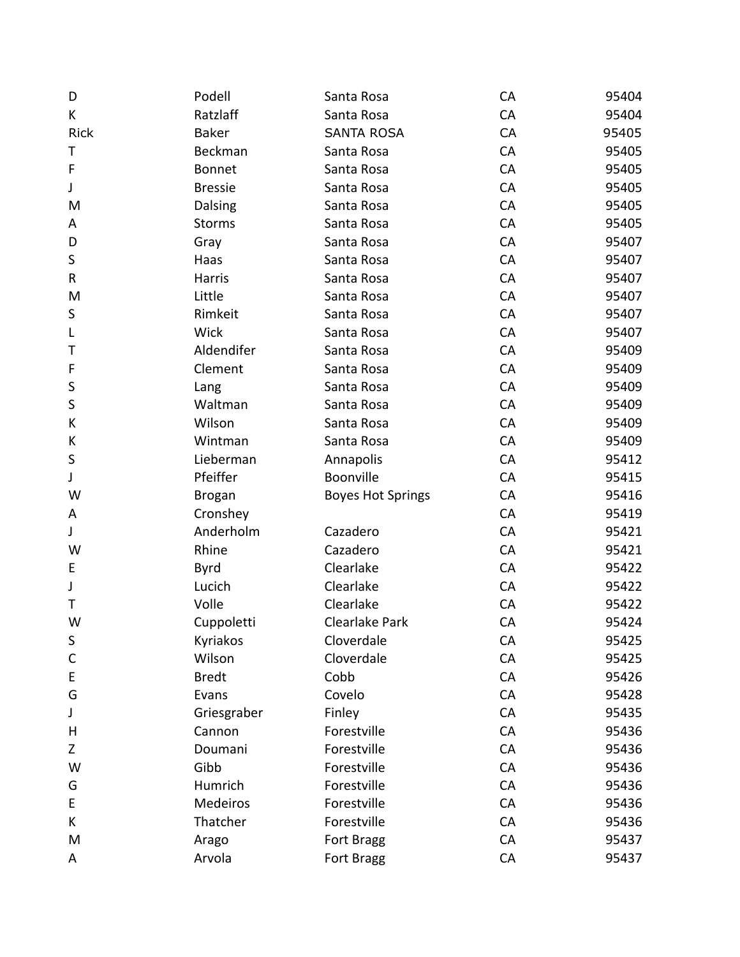| D            | Podell         | Santa Rosa               | CA | 95404 |
|--------------|----------------|--------------------------|----|-------|
| K            | Ratzlaff       | Santa Rosa               | CA | 95404 |
| <b>Rick</b>  | <b>Baker</b>   | <b>SANTA ROSA</b>        | CA | 95405 |
| Τ            | Beckman        | Santa Rosa               | CA | 95405 |
| F            | <b>Bonnet</b>  | Santa Rosa               | CA | 95405 |
| J            | <b>Bressie</b> | Santa Rosa               | CA | 95405 |
| M            | Dalsing        | Santa Rosa               | CA | 95405 |
| Α            | <b>Storms</b>  | Santa Rosa               | CA | 95405 |
| D            | Gray           | Santa Rosa               | CA | 95407 |
| $\sf S$      | Haas           | Santa Rosa               | CA | 95407 |
| $\mathsf R$  | Harris         | Santa Rosa               | CA | 95407 |
| M            | Little         | Santa Rosa               | CA | 95407 |
| S            | Rimkeit        | Santa Rosa               | CA | 95407 |
| L            | <b>Wick</b>    | Santa Rosa               | CA | 95407 |
| т            | Aldendifer     | Santa Rosa               | CA | 95409 |
| F            | Clement        | Santa Rosa               | CA | 95409 |
| S            | Lang           | Santa Rosa               | CA | 95409 |
| S            | Waltman        | Santa Rosa               | CA | 95409 |
| К            | Wilson         | Santa Rosa               | CA | 95409 |
| К            | Wintman        | Santa Rosa               | CA | 95409 |
| $\sf S$      | Lieberman      | Annapolis                | CA | 95412 |
| J            | Pfeiffer       | Boonville                | CA | 95415 |
| W            | <b>Brogan</b>  | <b>Boyes Hot Springs</b> | CA | 95416 |
| Α            | Cronshey       |                          | CA | 95419 |
| J            | Anderholm      | Cazadero                 | CA | 95421 |
| W            | Rhine          | Cazadero                 | CA | 95421 |
| E            | <b>Byrd</b>    | Clearlake                | CA | 95422 |
| J            | Lucich         | Clearlake                | CA | 95422 |
| T            | Volle          | Clearlake                | CA | 95422 |
| W            | Cuppoletti     | Clearlake Park           | CA | 95424 |
| S            | Kyriakos       | Cloverdale               | CA | 95425 |
| $\mathsf{C}$ | Wilson         | Cloverdale               | CA | 95425 |
| E            | <b>Bredt</b>   | Cobb                     | CA | 95426 |
| G            | Evans          | Covelo                   | CA | 95428 |
| J            | Griesgraber    | Finley                   | CA | 95435 |
| Н            | Cannon         | Forestville              | CA | 95436 |
| Z            | Doumani        | Forestville              | CA | 95436 |
| W            | Gibb           | Forestville              | CA | 95436 |
| G            | Humrich        | Forestville              | CA | 95436 |
| E            | Medeiros       | Forestville              | CA | 95436 |
| K            | Thatcher       | Forestville              | CA | 95436 |
| M            | Arago          | Fort Bragg               | CA | 95437 |
| A            | Arvola         | Fort Bragg               | CA | 95437 |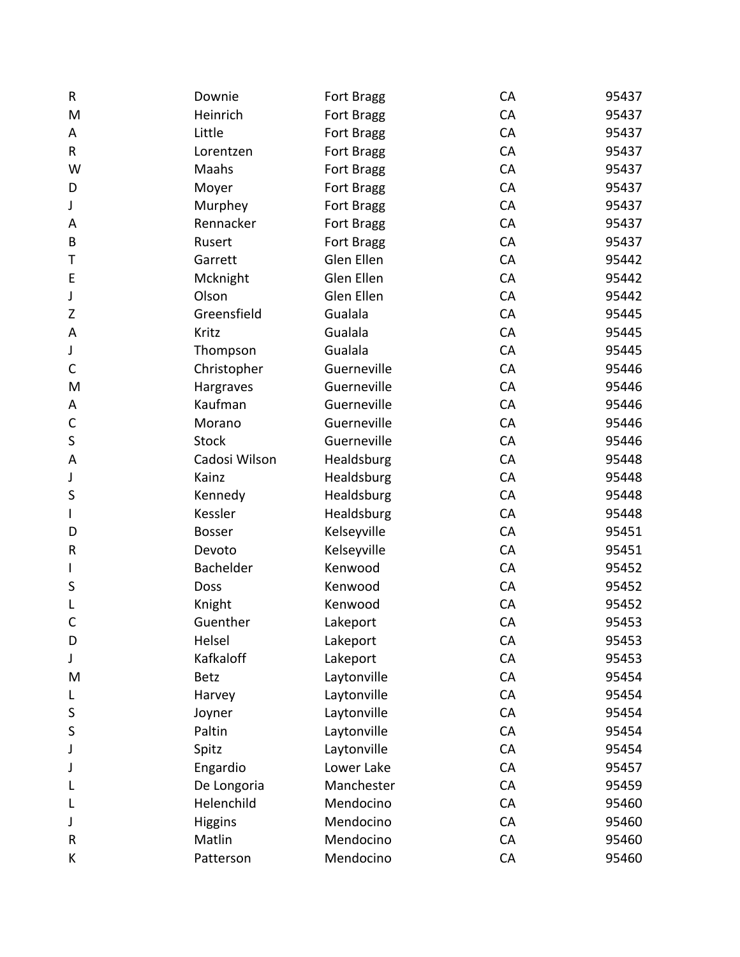| ${\sf R}$    | Downie         | Fort Bragg  | CA | 95437 |
|--------------|----------------|-------------|----|-------|
| M            | Heinrich       | Fort Bragg  | CA | 95437 |
| Α            | Little         | Fort Bragg  | CA | 95437 |
| $\mathsf R$  | Lorentzen      | Fort Bragg  | CA | 95437 |
| W            | Maahs          | Fort Bragg  | CA | 95437 |
| D            | Moyer          | Fort Bragg  | CA | 95437 |
| J            | Murphey        | Fort Bragg  | CA | 95437 |
| A            | Rennacker      | Fort Bragg  | CA | 95437 |
| B            | Rusert         | Fort Bragg  | CA | 95437 |
| Τ            | Garrett        | Glen Ellen  | CA | 95442 |
| E            | Mcknight       | Glen Ellen  | CA | 95442 |
| J            | Olson          | Glen Ellen  | CA | 95442 |
| Z            | Greensfield    | Gualala     | CA | 95445 |
| A            | Kritz          | Gualala     | CA | 95445 |
| J            | Thompson       | Gualala     | CA | 95445 |
| $\mathsf{C}$ | Christopher    | Guerneville | CA | 95446 |
| M            | Hargraves      | Guerneville | CA | 95446 |
| Α            | Kaufman        | Guerneville | CA | 95446 |
| $\mathsf{C}$ | Morano         | Guerneville | CA | 95446 |
| $\sf S$      | <b>Stock</b>   | Guerneville | CA | 95446 |
| A            | Cadosi Wilson  | Healdsburg  | CA | 95448 |
| J            | Kainz          | Healdsburg  | CA | 95448 |
| S            | Kennedy        | Healdsburg  | CA | 95448 |
| I            | Kessler        | Healdsburg  | CA | 95448 |
| D            | <b>Bosser</b>  | Kelseyville | CA | 95451 |
| ${\sf R}$    | Devoto         | Kelseyville | CA | 95451 |
| I            | Bachelder      | Kenwood     | CA | 95452 |
| S            | Doss           | Kenwood     | CA | 95452 |
| L            | Knight         | Kenwood     | CA | 95452 |
| $\mathsf{C}$ | Guenther       | Lakeport    | CA | 95453 |
| D            | Helsel         | Lakeport    | CA | 95453 |
| J            | Kafkaloff      | Lakeport    | CA | 95453 |
| M            | <b>Betz</b>    | Laytonville | CA | 95454 |
| L            | Harvey         | Laytonville | CA | 95454 |
| S            | Joyner         | Laytonville | CA | 95454 |
| S            | Paltin         | Laytonville | CA | 95454 |
| J            | Spitz          | Laytonville | CA | 95454 |
| J            | Engardio       | Lower Lake  | CA | 95457 |
| L            | De Longoria    | Manchester  | CA | 95459 |
| L            | Helenchild     | Mendocino   | CA | 95460 |
| J            | <b>Higgins</b> | Mendocino   | CA | 95460 |
| ${\sf R}$    | Matlin         | Mendocino   | CA | 95460 |
| K            | Patterson      | Mendocino   | CA | 95460 |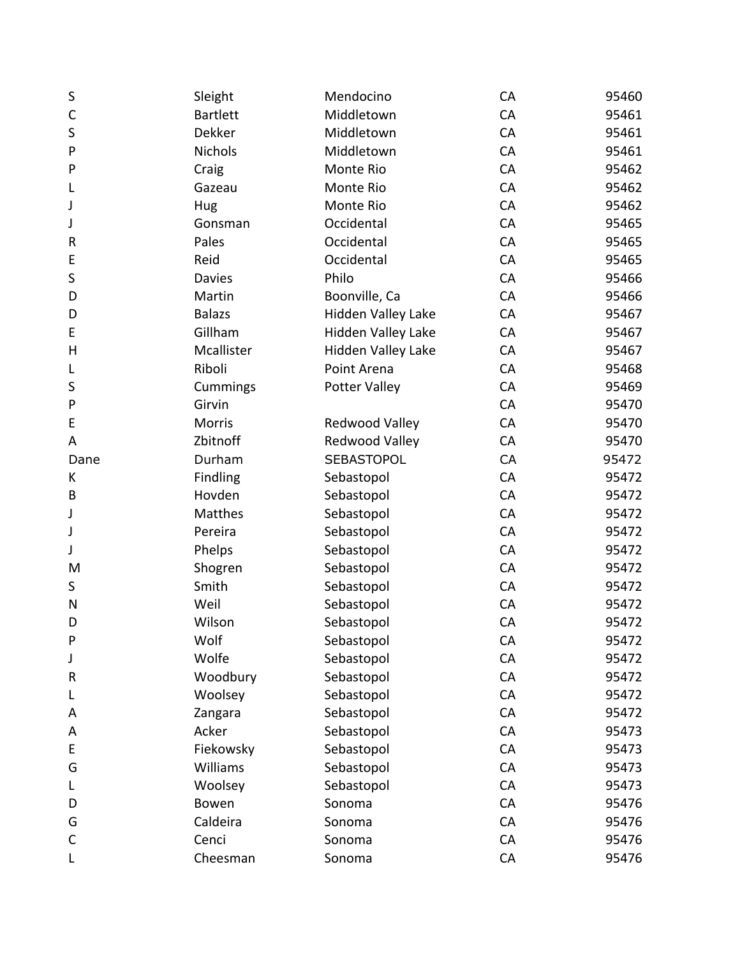| S            | Sleight         | Mendocino          | CA | 95460 |
|--------------|-----------------|--------------------|----|-------|
| $\mathsf{C}$ | <b>Bartlett</b> | Middletown         | CA | 95461 |
| S            | <b>Dekker</b>   | Middletown         | CA | 95461 |
| P            | <b>Nichols</b>  | Middletown         | CA | 95461 |
| P            | Craig           | Monte Rio          | CA | 95462 |
| L            | Gazeau          | Monte Rio          | CA | 95462 |
| J            | Hug             | Monte Rio          | CA | 95462 |
| J            | Gonsman         | Occidental         | CA | 95465 |
| R            | Pales           | Occidental         | CA | 95465 |
| E            | Reid            | Occidental         | CA | 95465 |
| S            | <b>Davies</b>   | Philo              | CA | 95466 |
| D            | Martin          | Boonville, Ca      | CA | 95466 |
| D            | <b>Balazs</b>   | Hidden Valley Lake | CA | 95467 |
| E            | Gillham         | Hidden Valley Lake | CA | 95467 |
| H            | Mcallister      | Hidden Valley Lake | CA | 95467 |
| L            | Riboli          | Point Arena        | CA | 95468 |
| S            | Cummings        | Potter Valley      | CA | 95469 |
| P            | Girvin          |                    | CA | 95470 |
| E            | <b>Morris</b>   | Redwood Valley     | CA | 95470 |
| A            | Zbitnoff        | Redwood Valley     | CA | 95470 |
| Dane         | Durham          | <b>SEBASTOPOL</b>  | CA | 95472 |
| К            | Findling        | Sebastopol         | CA | 95472 |
| B            | Hovden          | Sebastopol         | CA | 95472 |
| J            | Matthes         | Sebastopol         | CA | 95472 |
| J            | Pereira         | Sebastopol         | CA | 95472 |
| J            | Phelps          | Sebastopol         | CA | 95472 |
| M            | Shogren         | Sebastopol         | CA | 95472 |
| S            | Smith           | Sebastopol         | CA | 95472 |
| N            | Weil            | Sebastopol         | CA | 95472 |
| D            | Wilson          | Sebastopol         | CA | 95472 |
| P            | Wolf            | Sebastopol         | CA | 95472 |
| J            | Wolfe           | Sebastopol         | CA | 95472 |
| R            | Woodbury        | Sebastopol         | CA | 95472 |
| L            | Woolsey         | Sebastopol         | CA | 95472 |
| A            | Zangara         | Sebastopol         | CA | 95472 |
| A            | Acker           | Sebastopol         | CA | 95473 |
| E            | Fiekowsky       | Sebastopol         | CA | 95473 |
| G            | Williams        | Sebastopol         | CA | 95473 |
| L            | Woolsey         | Sebastopol         | CA | 95473 |
| D            | Bowen           | Sonoma             | CA | 95476 |
| G            | Caldeira        | Sonoma             | CA | 95476 |
| $\mathsf{C}$ | Cenci           | Sonoma             | CA | 95476 |
| L            | Cheesman        | Sonoma             | CA | 95476 |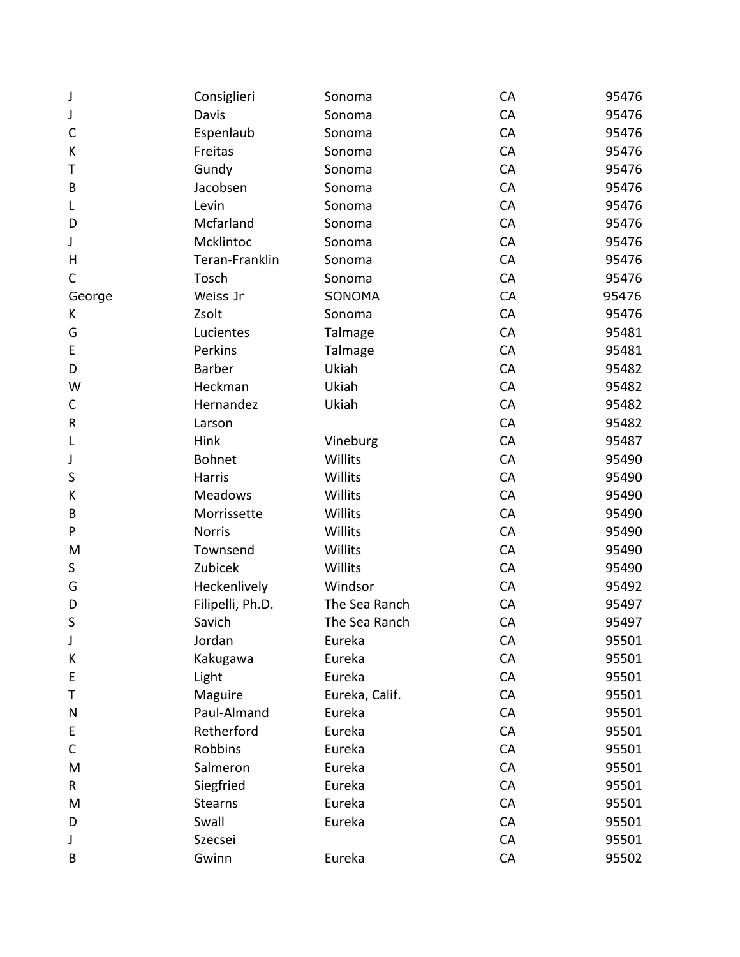| J           | Consiglieri      | Sonoma         | CA | 95476 |
|-------------|------------------|----------------|----|-------|
| J           | Davis            | Sonoma         | CA | 95476 |
| C           | Espenlaub        | Sonoma         | CA | 95476 |
| К           | Freitas          | Sonoma         | CA | 95476 |
| Т           | Gundy            | Sonoma         | CA | 95476 |
| B           | Jacobsen         | Sonoma         | CA | 95476 |
| L           | Levin            | Sonoma         | CA | 95476 |
| D           | Mcfarland        | Sonoma         | CA | 95476 |
| J           | Mcklintoc        | Sonoma         | CA | 95476 |
| H           | Teran-Franklin   | Sonoma         | CA | 95476 |
| C           | Tosch            | Sonoma         | CA | 95476 |
| George      | Weiss Jr         | SONOMA         | CA | 95476 |
| K           | Zsolt            | Sonoma         | CA | 95476 |
| G           | Lucientes        | Talmage        | CA | 95481 |
| E           | Perkins          | Talmage        | CA | 95481 |
| D           | <b>Barber</b>    | Ukiah          | CA | 95482 |
| W           | Heckman          | Ukiah          | CA | 95482 |
| C           | Hernandez        | Ukiah          | CA | 95482 |
| R           | Larson           |                | CA | 95482 |
| L           | Hink             | Vineburg       | CA | 95487 |
| J           | Bohnet           | Willits        | CA | 95490 |
| S           | Harris           | Willits        | CA | 95490 |
| К           | <b>Meadows</b>   | Willits        | CA | 95490 |
| B           | Morrissette      | Willits        | CA | 95490 |
| P           | <b>Norris</b>    | Willits        | CA | 95490 |
| M           | Townsend         | Willits        | CA | 95490 |
| S           | Zubicek          | Willits        | CA | 95490 |
| G           | Heckenlively     | Windsor        | CA | 95492 |
| D           | Filipelli, Ph.D. | The Sea Ranch  | CA | 95497 |
| S           | Savich           | The Sea Ranch  | CA | 95497 |
| J           | Jordan           | Eureka         | CA | 95501 |
| К           | Kakugawa         | Eureka         | CA | 95501 |
| E           | Light            | Eureka         | CA | 95501 |
| Т           | Maguire          | Eureka, Calif. | CA | 95501 |
| N           | Paul-Almand      | Eureka         | CA | 95501 |
| E           | Retherford       | Eureka         | CA | 95501 |
| $\mathsf C$ | Robbins          | Eureka         | CA | 95501 |
| M           | Salmeron         | Eureka         | CA | 95501 |
| R           | Siegfried        | Eureka         | CA | 95501 |
| M           | <b>Stearns</b>   | Eureka         | CA | 95501 |
| D           | Swall            | Eureka         | CA | 95501 |
| J           | Szecsei          |                | CA | 95501 |
| B           | Gwinn            | Eureka         | CA | 95502 |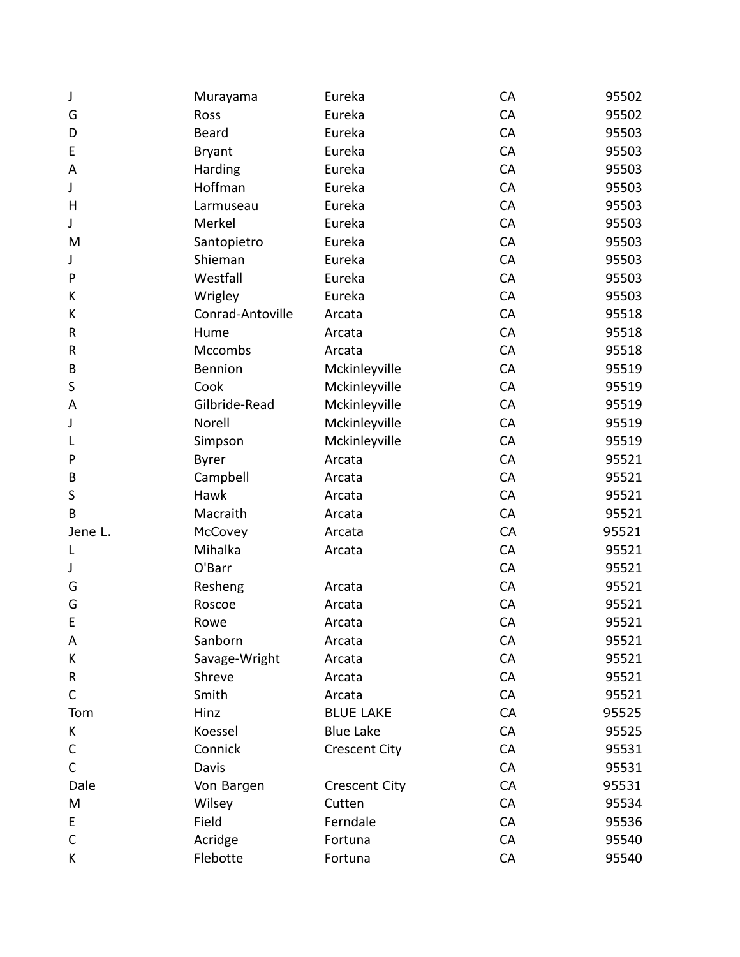| J           | Murayama         | Eureka               | CA | 95502 |
|-------------|------------------|----------------------|----|-------|
| G           | Ross             | Eureka               | CA | 95502 |
| D           | <b>Beard</b>     | Eureka               | CA | 95503 |
| E           | <b>Bryant</b>    | Eureka               | CA | 95503 |
| A           | Harding          | Eureka               | CA | 95503 |
| J           | Hoffman          | Eureka               | CA | 95503 |
| Н           | Larmuseau        | Eureka               | CA | 95503 |
| J           | Merkel           | Eureka               | CA | 95503 |
| M           | Santopietro      | Eureka               | CA | 95503 |
| J           | Shieman          | Eureka               | CA | 95503 |
| P           | Westfall         | Eureka               | CA | 95503 |
| К           | Wrigley          | Eureka               | CA | 95503 |
| К           | Conrad-Antoville | Arcata               | CA | 95518 |
| R           | Hume             | Arcata               | CA | 95518 |
| R           | <b>Mccombs</b>   | Arcata               | CA | 95518 |
| B           | Bennion          | Mckinleyville        | CA | 95519 |
| S           | Cook             | Mckinleyville        | CA | 95519 |
| A           | Gilbride-Read    | Mckinleyville        | CA | 95519 |
| J           | Norell           | Mckinleyville        | CA | 95519 |
| L           | Simpson          | Mckinleyville        | CA | 95519 |
| P           | <b>Byrer</b>     | Arcata               | CA | 95521 |
| B           | Campbell         | Arcata               | CA | 95521 |
| S           | Hawk             | Arcata               | CA | 95521 |
| B           | Macraith         | Arcata               | CA | 95521 |
| Jene L.     | McCovey          | Arcata               | CA | 95521 |
| L           | Mihalka          | Arcata               | CA | 95521 |
| J           | O'Barr           |                      | CA | 95521 |
| G           | Resheng          | Arcata               | CA | 95521 |
| G           | Roscoe           | Arcata               | CA | 95521 |
| E           | Rowe             | Arcata               | CA | 95521 |
| A           | Sanborn          | Arcata               | CA | 95521 |
| К           | Savage-Wright    | Arcata               | CA | 95521 |
| R           | Shreve           | Arcata               | CA | 95521 |
| $\mathsf C$ | Smith            | Arcata               | CA | 95521 |
| Tom         | Hinz             | <b>BLUE LAKE</b>     | CA | 95525 |
| К           | Koessel          | <b>Blue Lake</b>     | CA | 95525 |
| C           | Connick          | <b>Crescent City</b> | CA | 95531 |
| $\mathsf C$ | Davis            |                      | CA | 95531 |
| Dale        | Von Bargen       | <b>Crescent City</b> | CA | 95531 |
| M           | Wilsey           | Cutten               | CA | 95534 |
| E           | Field            | Ferndale             | CA | 95536 |
| $\mathsf C$ | Acridge          | Fortuna              | CA | 95540 |
| К           | Flebotte         | Fortuna              | CA | 95540 |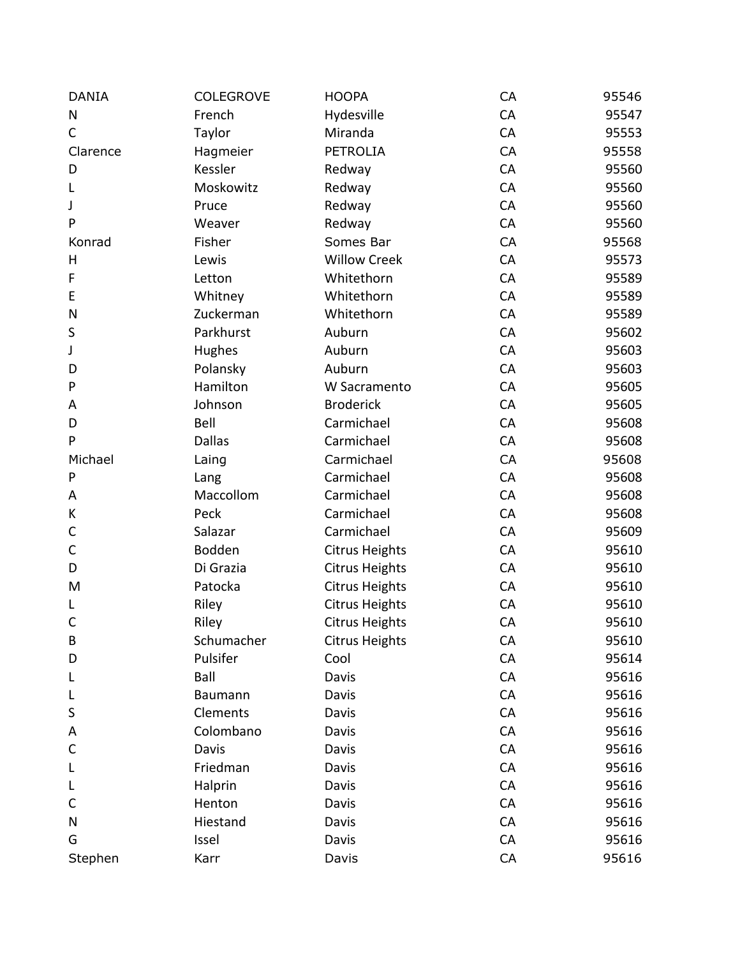| <b>DANIA</b> | <b>COLEGROVE</b> | <b>HOOPA</b>          | CA | 95546 |
|--------------|------------------|-----------------------|----|-------|
| N            | French           | Hydesville            | CA | 95547 |
| $\mathsf{C}$ | Taylor           | Miranda               | CA | 95553 |
| Clarence     | Hagmeier         | <b>PETROLIA</b>       | CA | 95558 |
| D            | Kessler          | Redway                | CA | 95560 |
| L            | Moskowitz        | Redway                | CA | 95560 |
| J            | Pruce            | Redway                | CA | 95560 |
| P            | Weaver           | Redway                | CA | 95560 |
| Konrad       | Fisher           | Somes Bar             | CA | 95568 |
| H            | Lewis            | <b>Willow Creek</b>   | CA | 95573 |
| F            | Letton           | Whitethorn            | CA | 95589 |
| E            | Whitney          | Whitethorn            | CA | 95589 |
| N            | Zuckerman        | Whitethorn            | CA | 95589 |
| S            | Parkhurst        | Auburn                | CA | 95602 |
| J            | Hughes           | Auburn                | CA | 95603 |
| D            | Polansky         | Auburn                | CA | 95603 |
| P            | Hamilton         | W Sacramento          | CA | 95605 |
| Α            | Johnson          | <b>Broderick</b>      | CA | 95605 |
| D            | Bell             | Carmichael            | CA | 95608 |
| P            | <b>Dallas</b>    | Carmichael            | CA | 95608 |
| Michael      | Laing            | Carmichael            | CA | 95608 |
| P            | Lang             | Carmichael            | CA | 95608 |
| Α            | Maccollom        | Carmichael            | CA | 95608 |
| К            | Peck             | Carmichael            | CA | 95608 |
| C            | Salazar          | Carmichael            | CA | 95609 |
| C            | Bodden           | <b>Citrus Heights</b> | CA | 95610 |
| D            | Di Grazia        | <b>Citrus Heights</b> | CA | 95610 |
| M            | Patocka          | <b>Citrus Heights</b> | CA | 95610 |
| L            | Riley            | <b>Citrus Heights</b> | CA | 95610 |
| C            | Riley            | <b>Citrus Heights</b> | CA | 95610 |
| B            | Schumacher       | <b>Citrus Heights</b> | CA | 95610 |
| D            | Pulsifer         | Cool                  | CA | 95614 |
| L            | Ball             | Davis                 | CA | 95616 |
|              | Baumann          | Davis                 | CA | 95616 |
| S            | Clements         | Davis                 | CA | 95616 |
| Α            | Colombano        | Davis                 | CA | 95616 |
| C            | Davis            | Davis                 | CA | 95616 |
|              | Friedman         | Davis                 | CA | 95616 |
| L            | Halprin          | Davis                 | CA | 95616 |
| C            | Henton           | Davis                 | CA | 95616 |
| N            | Hiestand         | Davis                 | CA | 95616 |
| G            | Issel            | Davis                 | CA | 95616 |
| Stephen      | Karr             | Davis                 | CA | 95616 |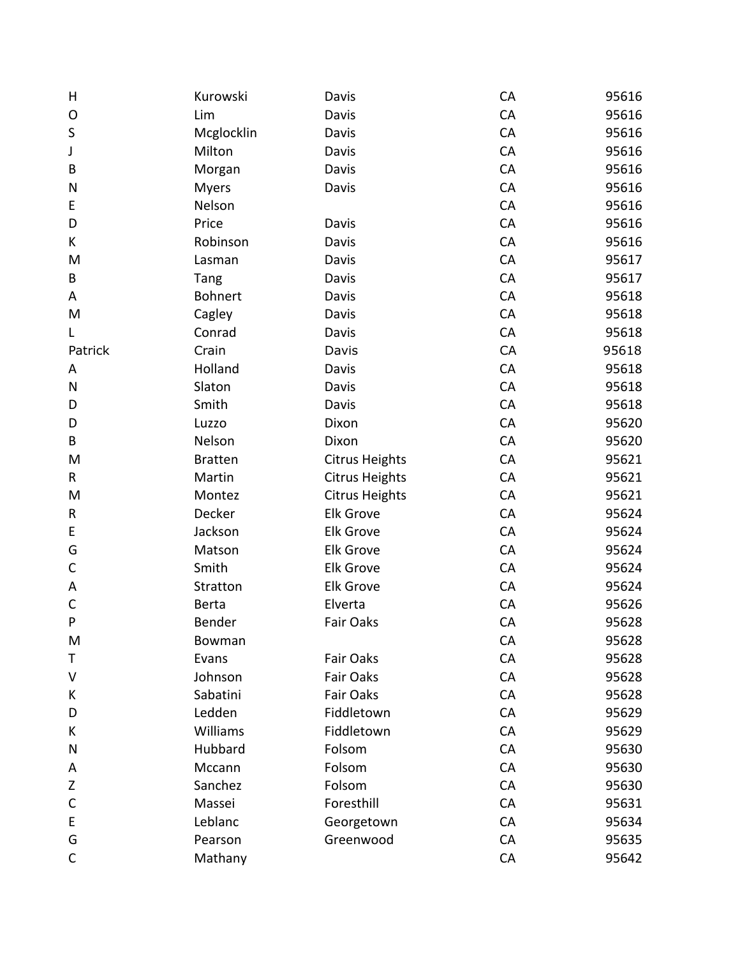| Н           | Kurowski       | Davis                 | CA | 95616 |
|-------------|----------------|-----------------------|----|-------|
| O           | Lim            | Davis                 | CA | 95616 |
| $\sf S$     | Mcglocklin     | Davis                 | CA | 95616 |
| J           | Milton         | Davis                 | CA | 95616 |
| B           | Morgan         | Davis                 | CA | 95616 |
| N           | <b>Myers</b>   | Davis                 | CA | 95616 |
| Е           | Nelson         |                       | CA | 95616 |
| D           | Price          | Davis                 | CA | 95616 |
| K           | Robinson       | Davis                 | CA | 95616 |
| M           | Lasman         | Davis                 | CA | 95617 |
| B           | Tang           | Davis                 | CA | 95617 |
| A           | Bohnert        | Davis                 | CA | 95618 |
| M           | Cagley         | Davis                 | CA | 95618 |
| L           | Conrad         | Davis                 | CA | 95618 |
| Patrick     | Crain          | Davis                 | CA | 95618 |
| Α           | Holland        | Davis                 | CA | 95618 |
| N           | Slaton         | Davis                 | CA | 95618 |
| D           | Smith          | Davis                 | CA | 95618 |
| D           | Luzzo          | Dixon                 | CA | 95620 |
| B           | Nelson         | Dixon                 | CA | 95620 |
| M           | <b>Bratten</b> | <b>Citrus Heights</b> | CA | 95621 |
| R           | Martin         | <b>Citrus Heights</b> | CA | 95621 |
| M           | Montez         | <b>Citrus Heights</b> | CA | 95621 |
| R           | Decker         | <b>Elk Grove</b>      | CA | 95624 |
| E           | Jackson        | <b>Elk Grove</b>      | CA | 95624 |
| G           | Matson         | <b>Elk Grove</b>      | CA | 95624 |
| C           | Smith          | <b>Elk Grove</b>      | CA | 95624 |
| Α           | Stratton       | <b>Elk Grove</b>      | CA | 95624 |
| $\mathsf C$ | Berta          | Elverta               | CA | 95626 |
| P           | Bender         | Fair Oaks             | CA | 95628 |
| M           | Bowman         |                       | CA | 95628 |
| Τ           | Evans          | Fair Oaks             | CA | 95628 |
| $\vee$      | Johnson        | Fair Oaks             | CA | 95628 |
| K           | Sabatini       | Fair Oaks             | CA | 95628 |
| D           | Ledden         | Fiddletown            | CA | 95629 |
| K           | Williams       | Fiddletown            | CA | 95629 |
| Ν           | Hubbard        | Folsom                | CA | 95630 |
| A           | Mccann         | Folsom                | CA | 95630 |
| Z           | Sanchez        | Folsom                | CA | 95630 |
| $\mathsf C$ | Massei         | Foresthill            | CA | 95631 |
| E           | Leblanc        | Georgetown            | CA | 95634 |
| G           | Pearson        | Greenwood             | CA | 95635 |
| $\mathsf C$ | Mathany        |                       | CA | 95642 |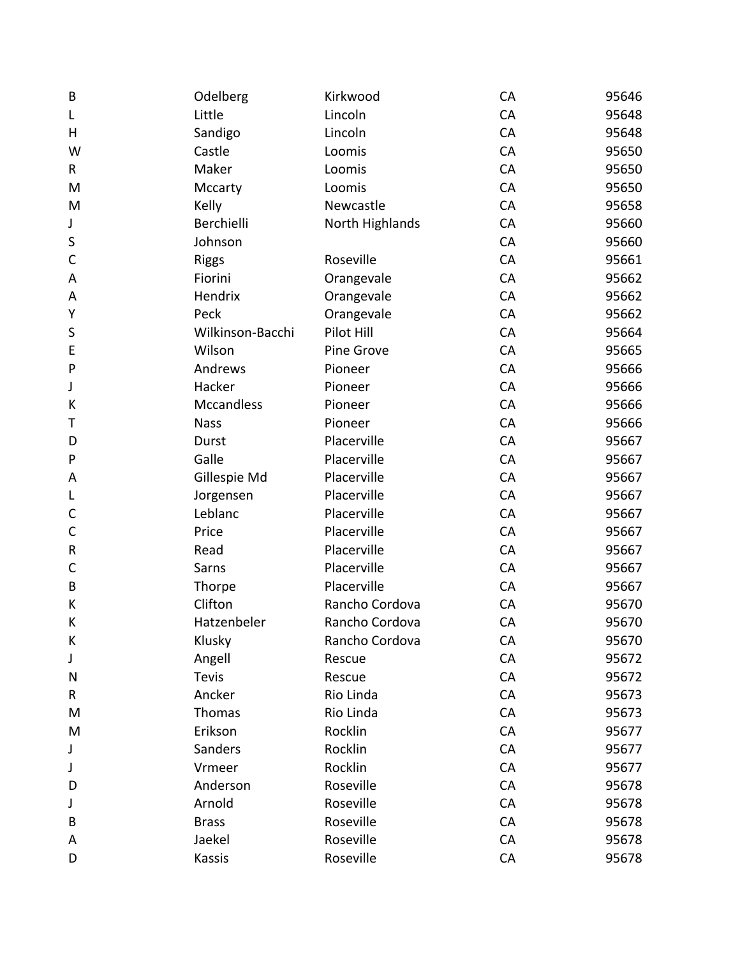| B            | Odelberg         | Kirkwood        | CA | 95646 |
|--------------|------------------|-----------------|----|-------|
| L            | Little           | Lincoln         | CA | 95648 |
| н            | Sandigo          | Lincoln         | CA | 95648 |
| W            | Castle           | Loomis          | CA | 95650 |
| R            | Maker            | Loomis          | CA | 95650 |
| M            | Mccarty          | Loomis          | CA | 95650 |
| M            | Kelly            | Newcastle       | CA | 95658 |
| J            | Berchielli       | North Highlands | CA | 95660 |
| S            | Johnson          |                 | CA | 95660 |
| $\mathsf{C}$ | <b>Riggs</b>     | Roseville       | CA | 95661 |
| A            | Fiorini          | Orangevale      | CA | 95662 |
| A            | Hendrix          | Orangevale      | CA | 95662 |
| Υ            | Peck             | Orangevale      | CA | 95662 |
| S            | Wilkinson-Bacchi | Pilot Hill      | CA | 95664 |
| E            | Wilson           | Pine Grove      | CA | 95665 |
| P            | Andrews          | Pioneer         | CA | 95666 |
| J            | Hacker           | Pioneer         | CA | 95666 |
| К            | Mccandless       | Pioneer         | CA | 95666 |
| т            | <b>Nass</b>      | Pioneer         | CA | 95666 |
| D            | Durst            | Placerville     | CA | 95667 |
| P            | Galle            | Placerville     | CA | 95667 |
| A            | Gillespie Md     | Placerville     | CA | 95667 |
| L            | Jorgensen        | Placerville     | CA | 95667 |
| $\mathsf{C}$ | Leblanc          | Placerville     | CA | 95667 |
| $\mathsf{C}$ | Price            | Placerville     | CA | 95667 |
| ${\sf R}$    | Read             | Placerville     | CA | 95667 |
| C            | Sarns            | Placerville     | CA | 95667 |
| B            | Thorpe           | Placerville     | CA | 95667 |
| К            | Clifton          | Rancho Cordova  | CA | 95670 |
| К            | Hatzenbeler      | Rancho Cordova  | CA | 95670 |
| К            | Klusky           | Rancho Cordova  | CA | 95670 |
| J            | Angell           | Rescue          | CA | 95672 |
| N            | <b>Tevis</b>     | Rescue          | CA | 95672 |
| R            | Ancker           | Rio Linda       | CA | 95673 |
| M            | Thomas           | Rio Linda       | CA | 95673 |
| M            | Erikson          | Rocklin         | CA | 95677 |
| J            | Sanders          | Rocklin         | CA | 95677 |
| J            | Vrmeer           | Rocklin         | CA | 95677 |
| D            | Anderson         | Roseville       | CA | 95678 |
| J            | Arnold           | Roseville       | CA | 95678 |
| B            | <b>Brass</b>     | Roseville       | CA | 95678 |
| Α            | Jaekel           | Roseville       | CA | 95678 |
| D            | Kassis           | Roseville       | CA | 95678 |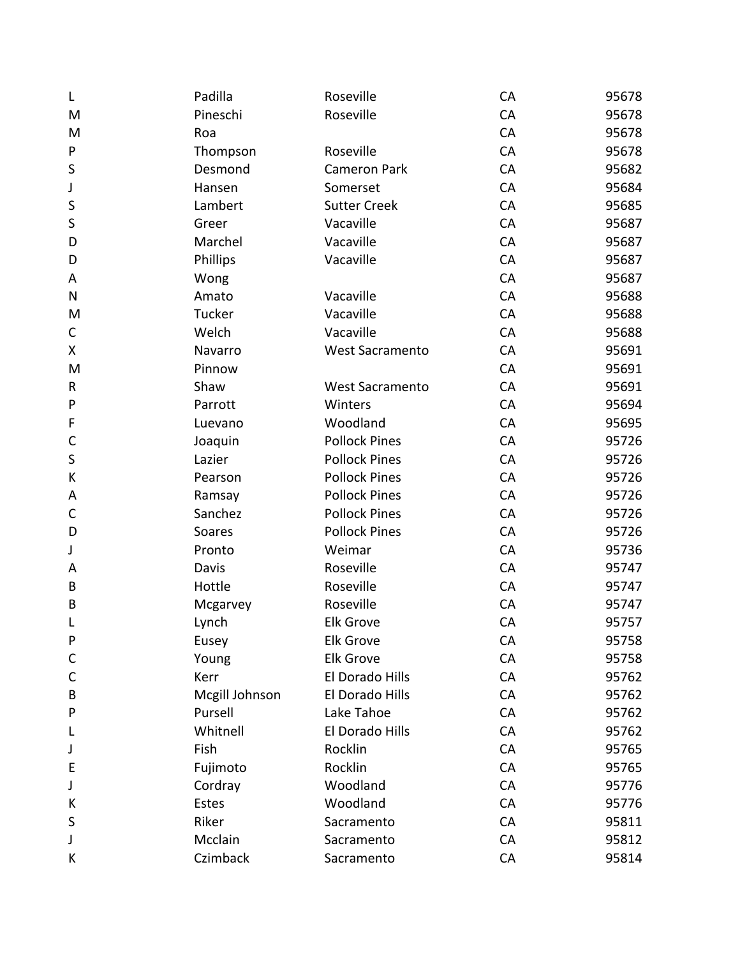| L            | Padilla        | Roseville              | CA | 95678 |
|--------------|----------------|------------------------|----|-------|
| M            | Pineschi       | Roseville              | CA | 95678 |
| M            | Roa            |                        | CA | 95678 |
| ${\sf P}$    | Thompson       | Roseville              | CA | 95678 |
| $\sf S$      | Desmond        | <b>Cameron Park</b>    | CA | 95682 |
| J            | Hansen         | Somerset               | CA | 95684 |
| S            | Lambert        | <b>Sutter Creek</b>    | CA | 95685 |
| S            | Greer          | Vacaville              | CA | 95687 |
| D            | Marchel        | Vacaville              | CA | 95687 |
| D            | Phillips       | Vacaville              | CA | 95687 |
| A            | Wong           |                        | CA | 95687 |
| ${\sf N}$    | Amato          | Vacaville              | CA | 95688 |
| M            | Tucker         | Vacaville              | CA | 95688 |
| C            | Welch          | Vacaville              | CA | 95688 |
| X            | Navarro        | <b>West Sacramento</b> | CA | 95691 |
| M            | Pinnow         |                        | CA | 95691 |
| R            | Shaw           | West Sacramento        | CA | 95691 |
| ${\sf P}$    | Parrott        | Winters                | CA | 95694 |
| F            | Luevano        | Woodland               | CA | 95695 |
| $\mathsf{C}$ | Joaquin        | <b>Pollock Pines</b>   | CA | 95726 |
| $\sf S$      | Lazier         | <b>Pollock Pines</b>   | CA | 95726 |
| К            | Pearson        | <b>Pollock Pines</b>   | CA | 95726 |
| Α            | Ramsay         | <b>Pollock Pines</b>   | CA | 95726 |
| $\mathsf C$  | Sanchez        | <b>Pollock Pines</b>   | CA | 95726 |
| D            | Soares         | <b>Pollock Pines</b>   | CA | 95726 |
| J            | Pronto         | Weimar                 | CA | 95736 |
| Α            | Davis          | Roseville              | CA | 95747 |
| B            | Hottle         | Roseville              | CA | 95747 |
| $\sf B$      | Mcgarvey       | Roseville              | CA | 95747 |
| L            | Lynch          | <b>Elk Grove</b>       | CA | 95757 |
| P            | Eusey          | <b>Elk Grove</b>       | CA | 95758 |
| C            | Young          | <b>Elk Grove</b>       | CA | 95758 |
| C            | Kerr           | El Dorado Hills        | CA | 95762 |
| B            | Mcgill Johnson | El Dorado Hills        | CA | 95762 |
| P            | Pursell        | Lake Tahoe             | CA | 95762 |
| L            | Whitnell       | El Dorado Hills        | CA | 95762 |
| J            | Fish           | Rocklin                | CA | 95765 |
| Е            | Fujimoto       | Rocklin                | CA | 95765 |
| J            | Cordray        | Woodland               | CA | 95776 |
| К            | Estes          | Woodland               | CA | 95776 |
| S            | Riker          | Sacramento             | CA | 95811 |
| J            | Mcclain        | Sacramento             | CA | 95812 |
| К            | Czimback       | Sacramento             | CA | 95814 |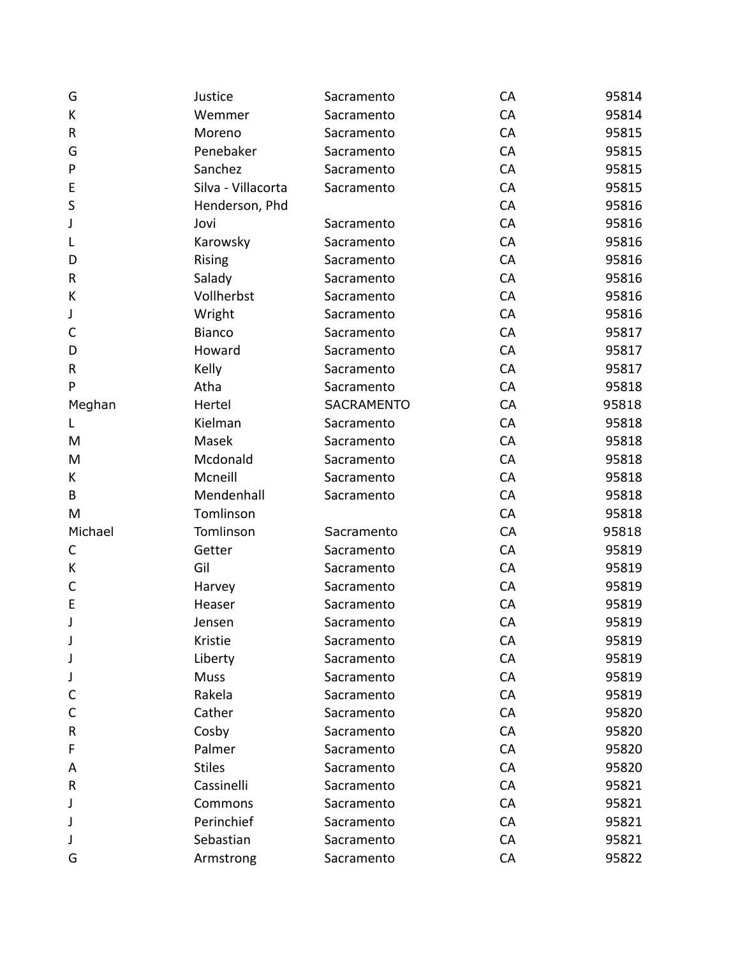| G           | Justice            | Sacramento        | CA | 95814 |
|-------------|--------------------|-------------------|----|-------|
| К           | Wemmer             | Sacramento        | CA | 95814 |
| ${\sf R}$   | Moreno             | Sacramento        | CA | 95815 |
| G           | Penebaker          | Sacramento        | CA | 95815 |
| P           | Sanchez            | Sacramento        | CA | 95815 |
| E           | Silva - Villacorta | Sacramento        | CA | 95815 |
| S           | Henderson, Phd     |                   | CA | 95816 |
| J           | Jovi               | Sacramento        | CA | 95816 |
| L           | Karowsky           | Sacramento        | CA | 95816 |
| D           | <b>Rising</b>      | Sacramento        | CA | 95816 |
| ${\sf R}$   | Salady             | Sacramento        | CA | 95816 |
| К           | Vollherbst         | Sacramento        | CA | 95816 |
| J           | Wright             | Sacramento        | CA | 95816 |
| $\mathsf C$ | <b>Bianco</b>      | Sacramento        | CA | 95817 |
| D           | Howard             | Sacramento        | CA | 95817 |
| ${\sf R}$   | Kelly              | Sacramento        | CA | 95817 |
| P           | Atha               | Sacramento        | CA | 95818 |
| Meghan      | Hertel             | <b>SACRAMENTO</b> | CA | 95818 |
| L           | Kielman            | Sacramento        | CA | 95818 |
| M           | Masek              | Sacramento        | CA | 95818 |
| M           | Mcdonald           | Sacramento        | CA | 95818 |
| K           | Mcneill            | Sacramento        | CA | 95818 |
| B           | Mendenhall         | Sacramento        | CA | 95818 |
| M           | Tomlinson          |                   | CA | 95818 |
| Michael     | Tomlinson          | Sacramento        | CA | 95818 |
| $\mathsf C$ | Getter             | Sacramento        | CA | 95819 |
| К           | Gil                | Sacramento        | CA | 95819 |
| $\mathsf C$ | Harvey             | Sacramento        | CA | 95819 |
| $\mathsf E$ | Heaser             | Sacramento        | CA | 95819 |
| J           | Jensen             | Sacramento        | CA | 95819 |
| J           | Kristie            | Sacramento        | CA | 95819 |
| J           | Liberty            | Sacramento        | CA | 95819 |
| J           | <b>Muss</b>        | Sacramento        | CA | 95819 |
| C           | Rakela             | Sacramento        | CA | 95819 |
| C           | Cather             | Sacramento        | CA | 95820 |
| R           | Cosby              | Sacramento        | CA | 95820 |
| F           | Palmer             | Sacramento        | CA | 95820 |
| A           | <b>Stiles</b>      | Sacramento        | CA | 95820 |
| R           | Cassinelli         | Sacramento        | CA | 95821 |
| J           | Commons            | Sacramento        | CA | 95821 |
| J           | Perinchief         | Sacramento        | CA | 95821 |
| J           | Sebastian          | Sacramento        | CA | 95821 |
| G           | Armstrong          | Sacramento        | CA | 95822 |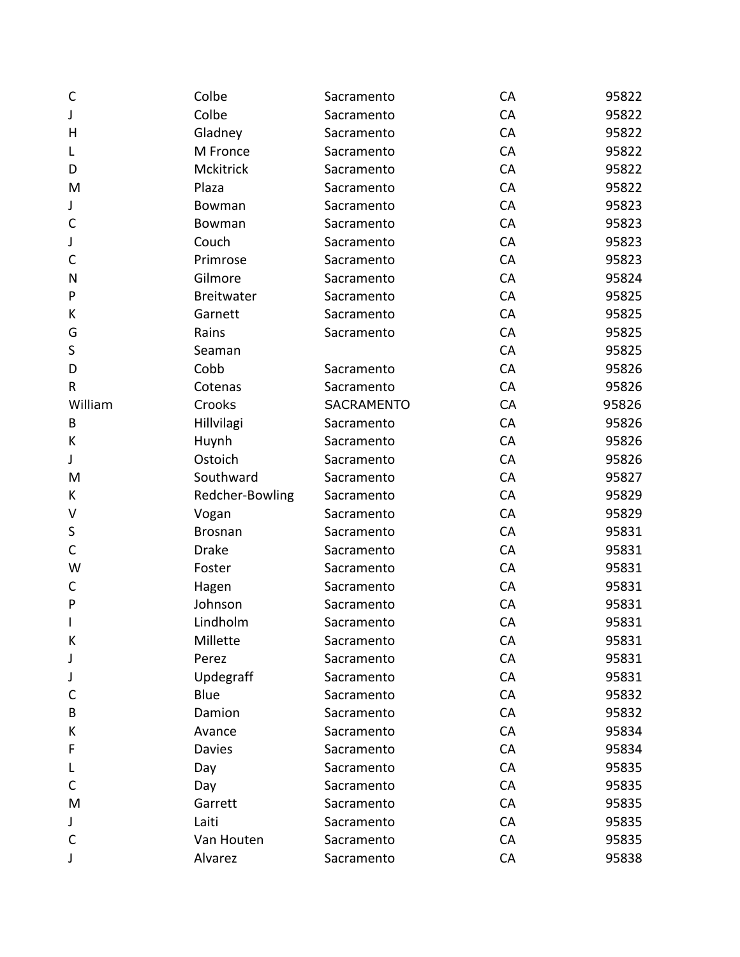| $\mathsf{C}$ | Colbe             | Sacramento        | CA | 95822 |
|--------------|-------------------|-------------------|----|-------|
| J            | Colbe             | Sacramento        | CA | 95822 |
| H            | Gladney           | Sacramento        | CA | 95822 |
| L            | M Fronce          | Sacramento        | CA | 95822 |
| D            | Mckitrick         | Sacramento        | CA | 95822 |
| M            | Plaza             | Sacramento        | CA | 95822 |
| J            | Bowman            | Sacramento        | CA | 95823 |
| $\mathsf C$  | Bowman            | Sacramento        | CA | 95823 |
| J            | Couch             | Sacramento        | CA | 95823 |
| $\mathsf C$  | Primrose          | Sacramento        | CA | 95823 |
| N            | Gilmore           | Sacramento        | CA | 95824 |
| P            | <b>Breitwater</b> | Sacramento        | CA | 95825 |
| К            | Garnett           | Sacramento        | CA | 95825 |
| G            | Rains             | Sacramento        | CA | 95825 |
| $\sf S$      | Seaman            |                   | CA | 95825 |
| D            | Cobb              | Sacramento        | CA | 95826 |
| $\mathsf R$  | Cotenas           | Sacramento        | CA | 95826 |
| William      | Crooks            | <b>SACRAMENTO</b> | CA | 95826 |
| B            | Hillvilagi        | Sacramento        | CA | 95826 |
| К            | Huynh             | Sacramento        | CA | 95826 |
| J            | Ostoich           | Sacramento        | CA | 95826 |
| M            | Southward         | Sacramento        | CA | 95827 |
| К            | Redcher-Bowling   | Sacramento        | CA | 95829 |
| V            | Vogan             | Sacramento        | CA | 95829 |
| $\sf S$      | <b>Brosnan</b>    | Sacramento        | CA | 95831 |
| $\mathsf C$  | <b>Drake</b>      | Sacramento        | CA | 95831 |
| W            | Foster            | Sacramento        | CA | 95831 |
| C            | Hagen             | Sacramento        | CA | 95831 |
| ${\sf P}$    | Johnson           | Sacramento        | CA | 95831 |
| $\mathsf I$  | Lindholm          | Sacramento        | CA | 95831 |
| К            | Millette          | Sacramento        | CA | 95831 |
| J            | Perez             | Sacramento        | CA | 95831 |
| J            | Updegraff         | Sacramento        | CA | 95831 |
| C            | Blue              | Sacramento        | CA | 95832 |
| B            | Damion            | Sacramento        | CA | 95832 |
| К            | Avance            | Sacramento        | CA | 95834 |
| F            | <b>Davies</b>     | Sacramento        | CA | 95834 |
| L            | Day               | Sacramento        | CA | 95835 |
| C            | Day               | Sacramento        | CA | 95835 |
| M            | Garrett           | Sacramento        | CA | 95835 |
| J            | Laiti             | Sacramento        | CA | 95835 |
| $\mathsf{C}$ | Van Houten        | Sacramento        | CA | 95835 |
| J            | Alvarez           | Sacramento        | CA | 95838 |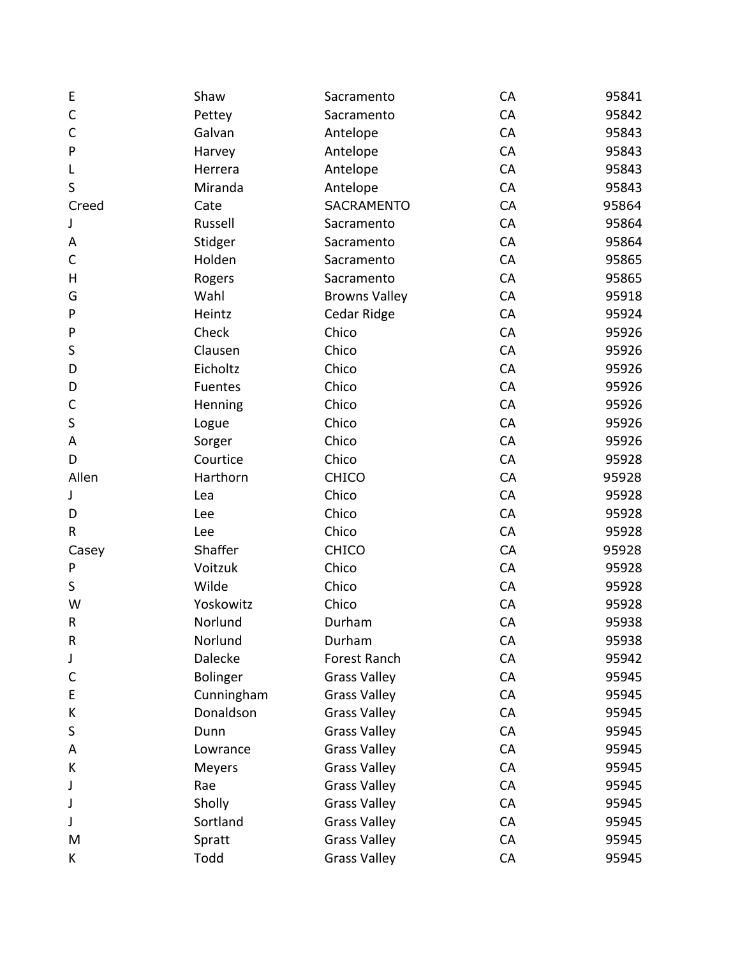| E       | Shaw            | Sacramento           | CA | 95841 |
|---------|-----------------|----------------------|----|-------|
| C       | Pettey          | Sacramento           | CA | 95842 |
| C       | Galvan          | Antelope             | CA | 95843 |
| P       | Harvey          | Antelope             | CA | 95843 |
| L       | Herrera         | Antelope             | CA | 95843 |
| S       | Miranda         | Antelope             | CA | 95843 |
| Creed   | Cate            | <b>SACRAMENTO</b>    | CA | 95864 |
| J       | Russell         | Sacramento           | CA | 95864 |
| A       | Stidger         | Sacramento           | CA | 95864 |
| C       | Holden          | Sacramento           | CA | 95865 |
| Н       | Rogers          | Sacramento           | CA | 95865 |
| G       | Wahl            | <b>Browns Valley</b> | CA | 95918 |
| P       | Heintz          | Cedar Ridge          | CA | 95924 |
| P       | Check           | Chico                | CA | 95926 |
| S       | Clausen         | Chico                | CA | 95926 |
| D       | Eicholtz        | Chico                | CA | 95926 |
| D       | Fuentes         | Chico                | CA | 95926 |
| С       | Henning         | Chico                | CA | 95926 |
| $\sf S$ | Logue           | Chico                | CA | 95926 |
| A       | Sorger          | Chico                | CA | 95926 |
| D       | Courtice        | Chico                | CA | 95928 |
| Allen   | Harthorn        | <b>CHICO</b>         | CA | 95928 |
| J       | Lea             | Chico                | CA | 95928 |
| D       | Lee             | Chico                | CA | 95928 |
| R       | Lee             | Chico                | CA | 95928 |
| Casey   | Shaffer         | <b>CHICO</b>         | CA | 95928 |
| P       | Voitzuk         | Chico                | CA | 95928 |
| S       | Wilde           | Chico                | CA | 95928 |
| W       | Yoskowitz       | Chico                | CA | 95928 |
| R       | Norlund         | Durham               | CA | 95938 |
| R       | Norlund         | Durham               | CA | 95938 |
| J       | Dalecke         | Forest Ranch         | CA | 95942 |
| С       | <b>Bolinger</b> | <b>Grass Valley</b>  | CA | 95945 |
| E       | Cunningham      | <b>Grass Valley</b>  | CA | 95945 |
| К       | Donaldson       | <b>Grass Valley</b>  | CA | 95945 |
| S       | Dunn            | <b>Grass Valley</b>  | CA | 95945 |
| A       | Lowrance        | <b>Grass Valley</b>  | CA | 95945 |
| K       | Meyers          | <b>Grass Valley</b>  | CA | 95945 |
| J       | Rae             | <b>Grass Valley</b>  | CA | 95945 |
| J       | Sholly          | <b>Grass Valley</b>  | CA | 95945 |
| J       | Sortland        | <b>Grass Valley</b>  | CA | 95945 |
| M       | Spratt          | <b>Grass Valley</b>  | CA | 95945 |
| K       | Todd            | <b>Grass Valley</b>  | CA | 95945 |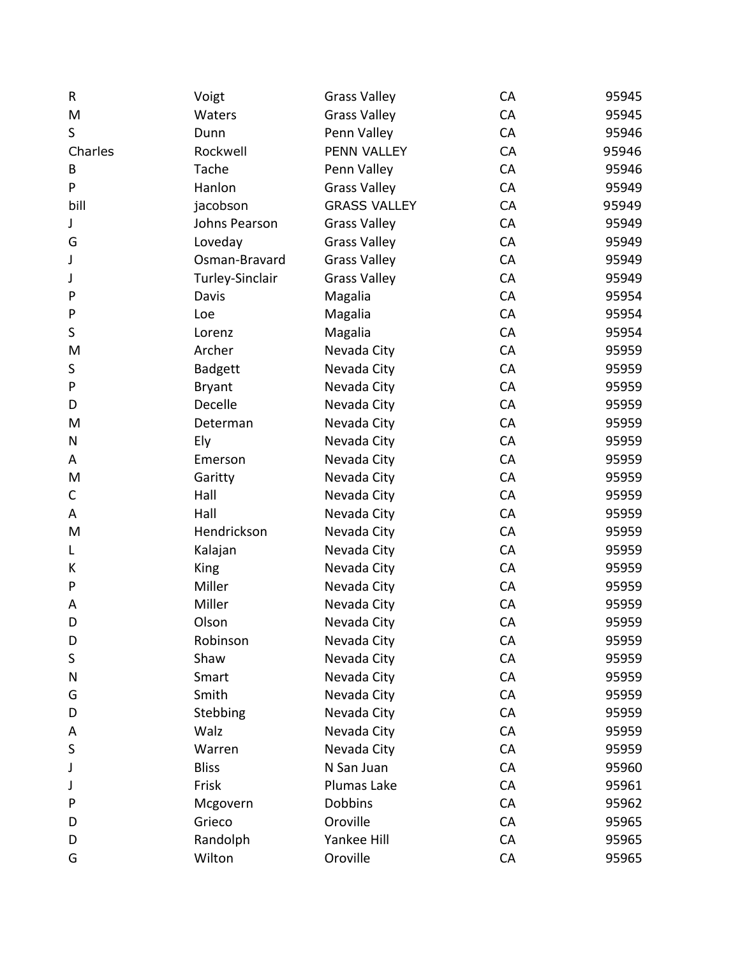| R           | Voigt           | <b>Grass Valley</b> | CA | 95945 |
|-------------|-----------------|---------------------|----|-------|
| M           | Waters          | <b>Grass Valley</b> | CA | 95945 |
| S           | Dunn            | Penn Valley         | CA | 95946 |
| Charles     | Rockwell        | PENN VALLEY         | CA | 95946 |
| B           | Tache           | Penn Valley         | CA | 95946 |
| P           | Hanlon          | <b>Grass Valley</b> | CA | 95949 |
| bill        | jacobson        | <b>GRASS VALLEY</b> | CA | 95949 |
| J           | Johns Pearson   | <b>Grass Valley</b> | CA | 95949 |
| G           | Loveday         | <b>Grass Valley</b> | CA | 95949 |
| J           | Osman-Bravard   | <b>Grass Valley</b> | CA | 95949 |
| J           | Turley-Sinclair | <b>Grass Valley</b> | CA | 95949 |
| P           | Davis           | Magalia             | CA | 95954 |
| P           | Loe             | Magalia             | CA | 95954 |
| $\sf S$     | Lorenz          | Magalia             | CA | 95954 |
| M           | Archer          | Nevada City         | CA | 95959 |
| $\sf S$     | <b>Badgett</b>  | Nevada City         | CA | 95959 |
| ${\sf P}$   | <b>Bryant</b>   | Nevada City         | CA | 95959 |
| D           | Decelle         | Nevada City         | CA | 95959 |
| M           | Determan        | Nevada City         | CA | 95959 |
| N           | Ely             | Nevada City         | CA | 95959 |
| A           | Emerson         | Nevada City         | CA | 95959 |
| M           | Garitty         | Nevada City         | CA | 95959 |
| $\mathsf C$ | Hall            | Nevada City         | CA | 95959 |
| A           | Hall            | Nevada City         | CA | 95959 |
| M           | Hendrickson     | Nevada City         | CA | 95959 |
| L           | Kalajan         | Nevada City         | CA | 95959 |
| К           | <b>King</b>     | Nevada City         | CA | 95959 |
| P           | Miller          | Nevada City         | CA | 95959 |
| A           | Miller          | Nevada City         | CA | 95959 |
| D           | Olson           | Nevada City         | CA | 95959 |
| D           | Robinson        | Nevada City         | CA | 95959 |
| S           | Shaw            | Nevada City         | CA | 95959 |
| N           | Smart           | Nevada City         | CA | 95959 |
| G           | Smith           | Nevada City         | CA | 95959 |
| D           | Stebbing        | Nevada City         | CA | 95959 |
| A           | Walz            | Nevada City         | CA | 95959 |
| S           | Warren          | Nevada City         | CA | 95959 |
| J           | <b>Bliss</b>    | N San Juan          | CA | 95960 |
| J           | Frisk           | Plumas Lake         | CA | 95961 |
| P           | Mcgovern        | <b>Dobbins</b>      | CA | 95962 |
| D           | Grieco          | Oroville            | CA | 95965 |
| D           | Randolph        | Yankee Hill         | CA | 95965 |
| G           | Wilton          | Oroville            | CA | 95965 |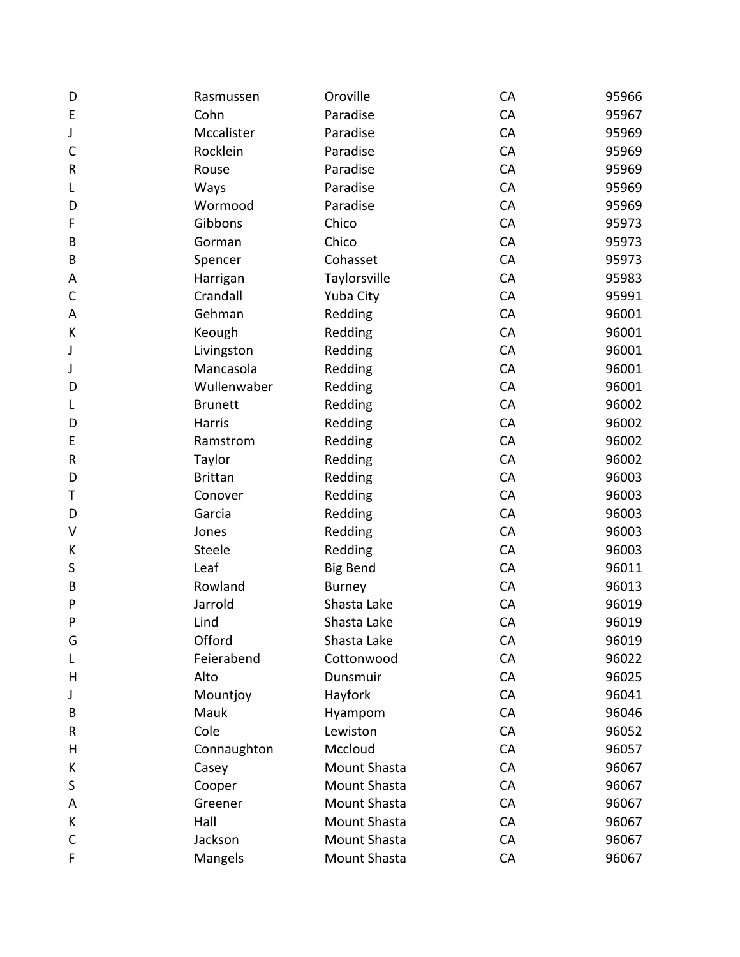| D            | Rasmussen      | Oroville        | CA        | 95966 |
|--------------|----------------|-----------------|-----------|-------|
| E            | Cohn           | Paradise        | CA        | 95967 |
| J            | Mccalister     | Paradise        | CA        | 95969 |
| $\mathsf{C}$ | Rocklein       | Paradise        | CA        | 95969 |
| R            | Rouse          | Paradise        | CA        | 95969 |
| L            | Ways           | Paradise        | CA        | 95969 |
| D            | Wormood        | Paradise        | CA        | 95969 |
| F            | Gibbons        | Chico           | CA        | 95973 |
| B            | Gorman         | Chico           | CA        | 95973 |
| B            | Spencer        | Cohasset        | CA        | 95973 |
| Α            | Harrigan       | Taylorsville    | CA        | 95983 |
| C            | Crandall       | Yuba City       | CA        | 95991 |
| A            | Gehman         | Redding         | CA        | 96001 |
| К            | Keough         | Redding         | CA        | 96001 |
| J            | Livingston     | Redding         | CA        | 96001 |
| J            | Mancasola      | Redding         | CA        | 96001 |
| D            | Wullenwaber    | Redding         | CA        | 96001 |
| L            | <b>Brunett</b> | Redding         | CA        | 96002 |
| D            | Harris         | Redding         | CA        | 96002 |
| E            | Ramstrom       | Redding         | CA        | 96002 |
| R            | Taylor         | Redding         | CA        | 96002 |
| D            | <b>Brittan</b> | Redding         | CA        | 96003 |
| Τ            | Conover        | Redding         | CA        | 96003 |
| D            | Garcia         | Redding         | CA        | 96003 |
| V            | Jones          | Redding         | CA        | 96003 |
| К            | <b>Steele</b>  | Redding         | CA        | 96003 |
| S            | Leaf           | <b>Big Bend</b> | CA        | 96011 |
| B            | Rowland        | <b>Burney</b>   | CA        | 96013 |
| P            | Jarrold        | Shasta Lake     | CA        | 96019 |
| P            | Lind           | Shasta Lake     | CA        | 96019 |
| G            | Offord         | Shasta Lake     | CA        | 96019 |
| L            | Feierabend     | Cottonwood      | CA        | 96022 |
| Н            | Alto           | Dunsmuir        | CA        | 96025 |
| J            | Mountjoy       | Hayfork         | CA        | 96041 |
| В            | Mauk           | Hyampom         | CA        | 96046 |
| R            | Cole           | Lewiston        | CA        | 96052 |
| Н            | Connaughton    | Mccloud         | CA        | 96057 |
| К            | Casey          | Mount Shasta    | CA        | 96067 |
| S            | Cooper         | Mount Shasta    | CA        | 96067 |
| A            | Greener        | Mount Shasta    | CA        | 96067 |
| К            | Hall           | Mount Shasta    | <b>CA</b> | 96067 |
| C            | Jackson        | Mount Shasta    | CA        | 96067 |
| F            | Mangels        | Mount Shasta    | CA        | 96067 |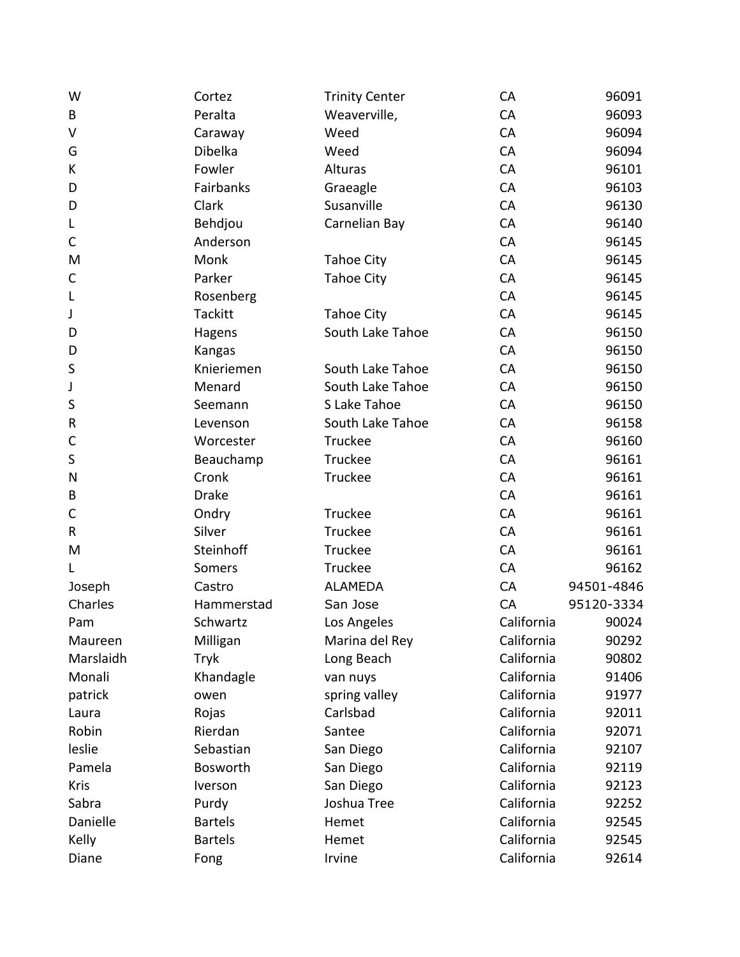| W            | Cortez         | <b>Trinity Center</b> | CA         | 96091      |
|--------------|----------------|-----------------------|------------|------------|
| B            | Peralta        | Weaverville,          | CA         | 96093      |
| V            | Caraway        | Weed                  | CA         | 96094      |
| G            | Dibelka        | Weed                  | CA         | 96094      |
| К            | Fowler         | Alturas               | CA         | 96101      |
| D            | Fairbanks      | Graeagle              | CA         | 96103      |
| D            | Clark          | Susanville            | CA         | 96130      |
| L            | Behdjou        | Carnelian Bay         | CA         | 96140      |
| C            | Anderson       |                       | CA         | 96145      |
| M            | Monk           | <b>Tahoe City</b>     | CA         | 96145      |
| C            | Parker         | <b>Tahoe City</b>     | CA         | 96145      |
| L            | Rosenberg      |                       | CA         | 96145      |
| J            | Tackitt        | <b>Tahoe City</b>     | CA         | 96145      |
| D            | Hagens         | South Lake Tahoe      | CA         | 96150      |
| D            | Kangas         |                       | CA         | 96150      |
| S            | Knieriemen     | South Lake Tahoe      | CA         | 96150      |
| J            | Menard         | South Lake Tahoe      | CA         | 96150      |
| S            | Seemann        | S Lake Tahoe          | CA         | 96150      |
| $\sf R$      | Levenson       | South Lake Tahoe      | CA         | 96158      |
| $\mathsf{C}$ | Worcester      | Truckee               | CA         | 96160      |
| $\sf S$      | Beauchamp      | Truckee               | CA         | 96161      |
| N            | Cronk          | Truckee               | CA         | 96161      |
| B            | <b>Drake</b>   |                       | CA         | 96161      |
| C            | Ondry          | Truckee               | CA         | 96161      |
| $\mathsf R$  | Silver         | Truckee               | CA         | 96161      |
| M            | Steinhoff      | Truckee               | CA         | 96161      |
| L            | Somers         | Truckee               | CA         | 96162      |
| Joseph       | Castro         | <b>ALAMEDA</b>        | CA         | 94501-4846 |
| Charles      | Hammerstad     | San Jose              | CA         | 95120-3334 |
| Pam          | Schwartz       | Los Angeles           | California | 90024      |
| Maureen      | Milligan       | Marina del Rey        | California | 90292      |
| Marslaidh    | Tryk           | Long Beach            | California | 90802      |
| Monali       | Khandagle      | van nuys              | California | 91406      |
| patrick      | owen           | spring valley         | California | 91977      |
| Laura        | Rojas          | Carlsbad              | California | 92011      |
| Robin        | Rierdan        | Santee                | California | 92071      |
| leslie       | Sebastian      | San Diego             | California | 92107      |
| Pamela       | Bosworth       | San Diego             | California | 92119      |
| <b>Kris</b>  | Iverson        | San Diego             | California | 92123      |
| Sabra        | Purdy          | Joshua Tree           | California | 92252      |
| Danielle     | <b>Bartels</b> | Hemet                 | California | 92545      |
| Kelly        | <b>Bartels</b> | Hemet                 | California | 92545      |
| Diane        | Fong           | Irvine                | California | 92614      |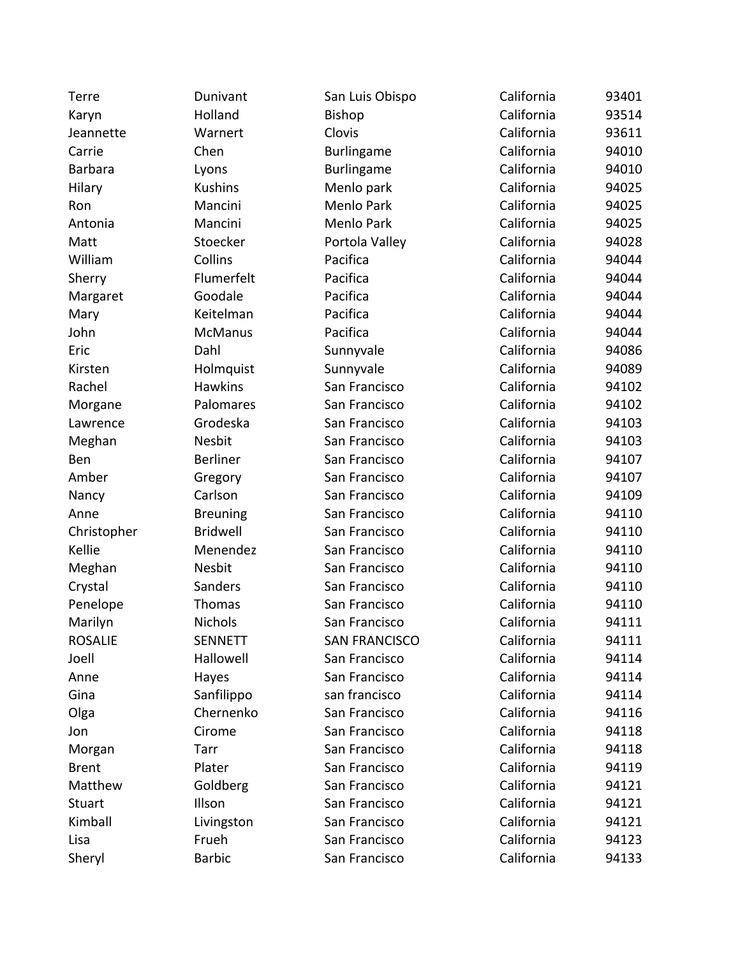| Terre          | Dunivant        | San Luis Obispo      | California | 93401 |
|----------------|-----------------|----------------------|------------|-------|
| Karyn          | Holland         | <b>Bishop</b>        | California | 93514 |
| Jeannette      | Warnert         | Clovis               | California | 93611 |
| Carrie         | Chen            | <b>Burlingame</b>    | California | 94010 |
| <b>Barbara</b> | Lyons           | Burlingame           | California | 94010 |
| Hilary         | <b>Kushins</b>  | Menlo park           | California | 94025 |
| Ron            | Mancini         | Menlo Park           | California | 94025 |
| Antonia        | Mancini         | Menlo Park           | California | 94025 |
| Matt           | Stoecker        | Portola Valley       | California | 94028 |
| William        | Collins         | Pacifica             | California | 94044 |
| Sherry         | Flumerfelt      | Pacifica             | California | 94044 |
| Margaret       | Goodale         | Pacifica             | California | 94044 |
| Mary           | Keitelman       | Pacifica             | California | 94044 |
| John           | <b>McManus</b>  | Pacifica             | California | 94044 |
| Eric           | Dahl            | Sunnyvale            | California | 94086 |
| Kirsten        | Holmquist       | Sunnyvale            | California | 94089 |
| Rachel         | <b>Hawkins</b>  | San Francisco        | California | 94102 |
| Morgane        | Palomares       | San Francisco        | California | 94102 |
| Lawrence       | Grodeska        | San Francisco        | California | 94103 |
| Meghan         | Nesbit          | San Francisco        | California | 94103 |
| Ben            | <b>Berliner</b> | San Francisco        | California | 94107 |
| Amber          | Gregory         | San Francisco        | California | 94107 |
| Nancy          | Carlson         | San Francisco        | California | 94109 |
| Anne           | <b>Breuning</b> | San Francisco        | California | 94110 |
| Christopher    | <b>Bridwell</b> | San Francisco        | California | 94110 |
| Kellie         | Menendez        | San Francisco        | California | 94110 |
| Meghan         | Nesbit          | San Francisco        | California | 94110 |
| Crystal        | Sanders         | San Francisco        | California | 94110 |
| Penelope       | Thomas          | San Francisco        | California | 94110 |
| Marilyn        | <b>Nichols</b>  | San Francisco        | California | 94111 |
| <b>ROSALIE</b> | <b>SENNETT</b>  | <b>SAN FRANCISCO</b> | California | 94111 |
| Joell          | Hallowell       | San Francisco        | California | 94114 |
| Anne           | Hayes           | San Francisco        | California | 94114 |
| Gina           | Sanfilippo      | san francisco        | California | 94114 |
| Olga           | Chernenko       | San Francisco        | California | 94116 |
| Jon            | Cirome          | San Francisco        | California | 94118 |
| Morgan         | Tarr            | San Francisco        | California | 94118 |
| <b>Brent</b>   | Plater          | San Francisco        | California | 94119 |
| Matthew        | Goldberg        | San Francisco        | California | 94121 |
| <b>Stuart</b>  | Illson          | San Francisco        | California | 94121 |
| Kimball        | Livingston      | San Francisco        | California | 94121 |
| Lisa           | Frueh           | San Francisco        | California | 94123 |
| Sheryl         | <b>Barbic</b>   | San Francisco        | California | 94133 |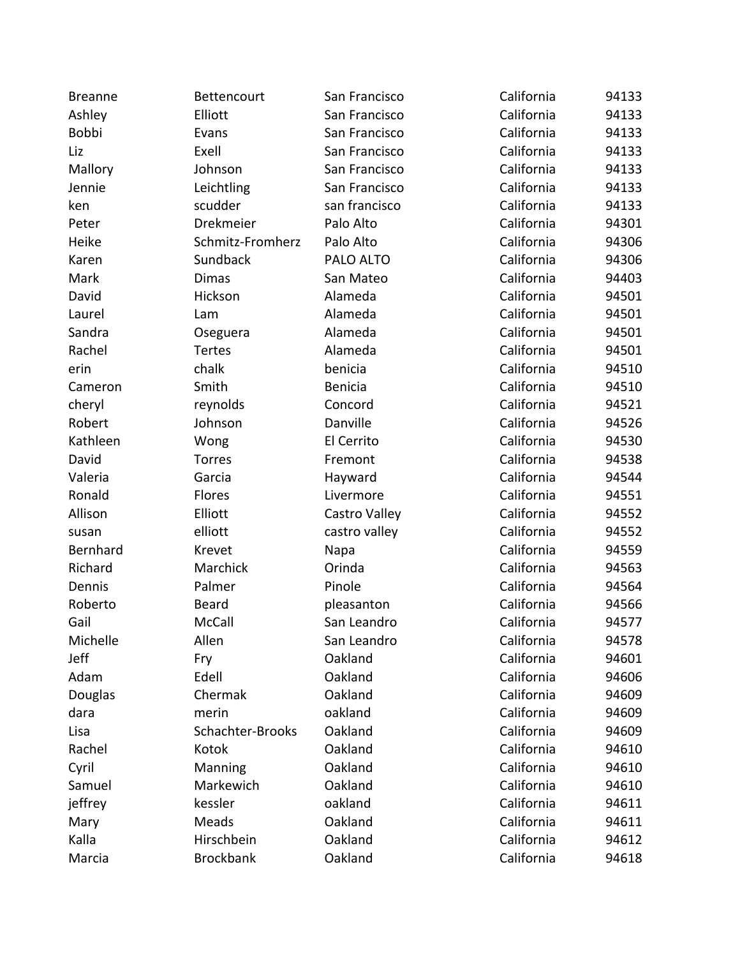| <b>Breanne</b> | Bettencourt      | San Francisco  | California | 94133 |
|----------------|------------------|----------------|------------|-------|
| Ashley         | Elliott          | San Francisco  | California | 94133 |
| Bobbi          | Evans            | San Francisco  | California | 94133 |
| Liz            | Exell            | San Francisco  | California | 94133 |
| Mallory        | Johnson          | San Francisco  | California | 94133 |
| Jennie         | Leichtling       | San Francisco  | California | 94133 |
| ken            | scudder          | san francisco  | California | 94133 |
| Peter          | Drekmeier        | Palo Alto      | California | 94301 |
| Heike          | Schmitz-Fromherz | Palo Alto      | California | 94306 |
| Karen          | Sundback         | PALO ALTO      | California | 94306 |
| Mark           | <b>Dimas</b>     | San Mateo      | California | 94403 |
| David          | Hickson          | Alameda        | California | 94501 |
| Laurel         | Lam              | Alameda        | California | 94501 |
| Sandra         | Oseguera         | Alameda        | California | 94501 |
| Rachel         | Tertes           | Alameda        | California | 94501 |
| erin           | chalk            | benicia        | California | 94510 |
| Cameron        | Smith            | <b>Benicia</b> | California | 94510 |
| cheryl         | reynolds         | Concord        | California | 94521 |
| Robert         | Johnson          | Danville       | California | 94526 |
| Kathleen       | Wong             | El Cerrito     | California | 94530 |
| David          | Torres           | Fremont        | California | 94538 |
| Valeria        | Garcia           | Hayward        | California | 94544 |
| Ronald         | Flores           | Livermore      | California | 94551 |
| Allison        | Elliott          | Castro Valley  | California | 94552 |
| susan          | elliott          | castro valley  | California | 94552 |
| Bernhard       | Krevet           | Napa           | California | 94559 |
| Richard        | Marchick         | Orinda         | California | 94563 |
| Dennis         | Palmer           | Pinole         | California | 94564 |
| Roberto        | <b>Beard</b>     | pleasanton     | California | 94566 |
| Gail           | <b>McCall</b>    | San Leandro    | California | 94577 |
| Michelle       | Allen            | San Leandro    | California | 94578 |
| Jeff           | Fry              | Oakland        | California | 94601 |
| Adam           | Edell            | Oakland        | California | 94606 |
| <b>Douglas</b> | Chermak          | Oakland        | California | 94609 |
| dara           | merin            | oakland        | California | 94609 |
| Lisa           | Schachter-Brooks | Oakland        | California | 94609 |
| Rachel         | Kotok            | Oakland        | California | 94610 |
| Cyril          | Manning          | Oakland        | California | 94610 |
| Samuel         | Markewich        | Oakland        | California | 94610 |
| jeffrey        | kessler          | oakland        | California | 94611 |
| Mary           | Meads            | Oakland        | California | 94611 |
| Kalla          | Hirschbein       | Oakland        | California | 94612 |
| Marcia         | <b>Brockbank</b> | Oakland        | California | 94618 |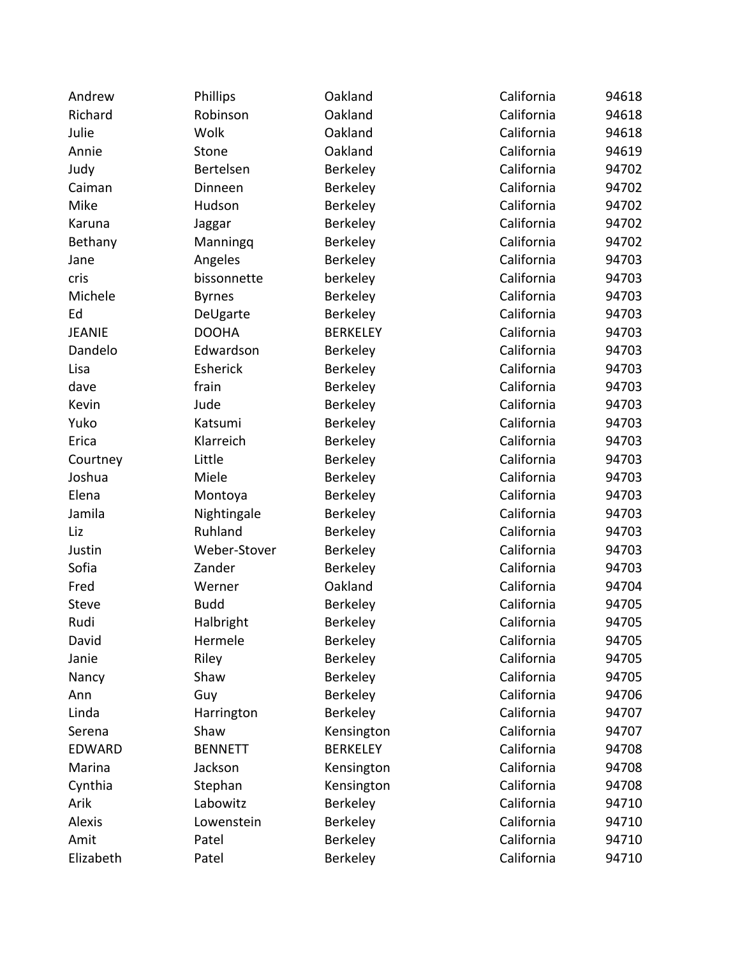| Andrew        | <b>Phillips</b> | Oakland         | California | 94618 |
|---------------|-----------------|-----------------|------------|-------|
| Richard       | Robinson        | Oakland         | California | 94618 |
| Julie         | Wolk            | Oakland         | California | 94618 |
| Annie         | Stone           | Oakland         | California | 94619 |
| Judy          | Bertelsen       | Berkeley        | California | 94702 |
| Caiman        | Dinneen         | Berkeley        | California | 94702 |
| Mike          | Hudson          | Berkeley        | California | 94702 |
| Karuna        | Jaggar          | Berkeley        | California | 94702 |
| Bethany       | Manningq        | Berkeley        | California | 94702 |
| Jane          | Angeles         | Berkeley        | California | 94703 |
| cris          | bissonnette     | berkeley        | California | 94703 |
| Michele       | <b>Byrnes</b>   | Berkeley        | California | 94703 |
| Ed            | DeUgarte        | Berkeley        | California | 94703 |
| <b>JEANIE</b> | <b>DOOHA</b>    | <b>BERKELEY</b> | California | 94703 |
| Dandelo       | Edwardson       | Berkeley        | California | 94703 |
| Lisa          | Esherick        | Berkeley        | California | 94703 |
| dave          | frain           | Berkeley        | California | 94703 |
| Kevin         | Jude            | Berkeley        | California | 94703 |
| Yuko          | Katsumi         | Berkeley        | California | 94703 |
| Erica         | Klarreich       | Berkeley        | California | 94703 |
| Courtney      | Little          | Berkeley        | California | 94703 |
| Joshua        | Miele           | Berkeley        | California | 94703 |
| Elena         | Montoya         | Berkeley        | California | 94703 |
| Jamila        | Nightingale     | Berkeley        | California | 94703 |
| Liz           | Ruhland         | Berkeley        | California | 94703 |
| Justin        | Weber-Stover    | Berkeley        | California | 94703 |
| Sofia         | Zander          | Berkeley        | California | 94703 |
| Fred          | Werner          | Oakland         | California | 94704 |
| <b>Steve</b>  | <b>Budd</b>     | Berkeley        | California | 94705 |
| Rudi          | Halbright       | Berkeley        | California | 94705 |
| David         | Hermele         | Berkeley        | California | 94705 |
| Janie         | Riley           | Berkeley        | California | 94705 |
| Nancy         | Shaw            | Berkeley        | California | 94705 |
| Ann           | Guy             | Berkeley        | California | 94706 |
| Linda         | Harrington      | Berkeley        | California | 94707 |
| Serena        | Shaw            | Kensington      | California | 94707 |
| <b>EDWARD</b> | <b>BENNETT</b>  | <b>BERKELEY</b> | California | 94708 |
| Marina        | Jackson         | Kensington      | California | 94708 |
| Cynthia       | Stephan         | Kensington      | California | 94708 |
| Arik          | Labowitz        | Berkeley        | California | 94710 |
| <b>Alexis</b> | Lowenstein      | Berkeley        | California | 94710 |
| Amit          | Patel           | Berkeley        | California | 94710 |
| Elizabeth     | Patel           | Berkeley        | California | 94710 |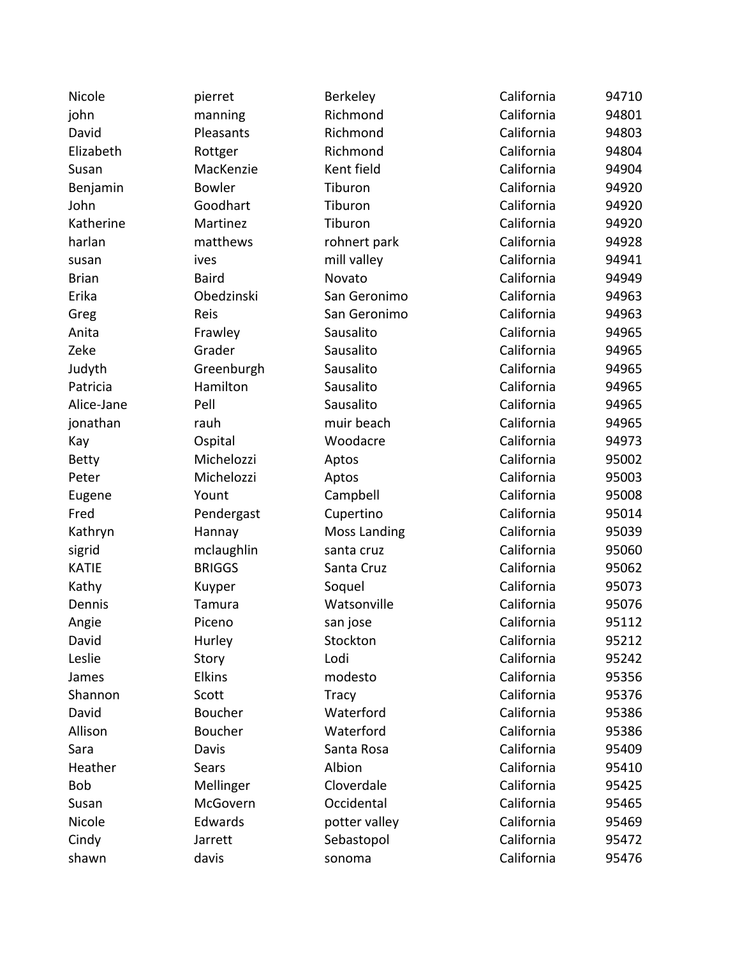Nicole **19. pierret Berkeley California** 94710 john manning Richmond California 94801 David Pleasants Richmond California 94803 Elizabeth **Rottger** Richmond California 94804 Susan MacKenzie Kent field California 94904 Benjamin Bowler Tiburon California 94920 John Goodhart Tiburon California 94920 Katherine Martinez Tiburon California 94920 harlan matthews rohnert park California 94928 susan ives ives mill valley California 94941 Brian Baird Novato California 94949 Erika Obedzinski San Geronimo California 94963 Greg San Geronimo California 94963 Anita Frawley Sausalito California 94965 Zeke Grader Sausalito California 94965 Judyth Greenburgh Sausalito California 94965 Patricia **Mamilton** Sausalito California 94965 Alice-Jane Pell Sausalito California 94965 ionathan muir beach California 94965 Kay **COSPITAL COSPITAL CONSTREE CALL** California 94973 Betty Michelozzi Aptos California 95002 Peter Michelozzi Aptos California 95003 Eugene Yount Campbell California 95008 Fred Pendergast Cupertino California 95014 Kathryn **Hannay** Moss Landing California 95039 sigrid mclaughlin santa cruz California 95060 KATIE BRIGGS Santa Cruz California 95062 Kathy Muyper Soquel California 95073 Dennis Tamura Watsonville California 95076 Angie **Piceno** san jose California 95112 David Murley Stockton California 95212 Leslie Story Lodi California 95242 James Elkins modesto California 95356 Shannon Scott Tracy California 95376 David Boucher Waterford California 95386 Allison Boucher Waterford California 95386 Sara Davis Santa Rosa California 95409 Heather Sears Albion California 95410 Bob Mellinger Cloverdale Contract California 95425 Susan McGovern Occidental California 95465 Nicole **Edwards Edwards** potter valley **California** 95469 Cindy **California** Jarrett **Sebastopol** California 95472 shawn davis sonoma California 95476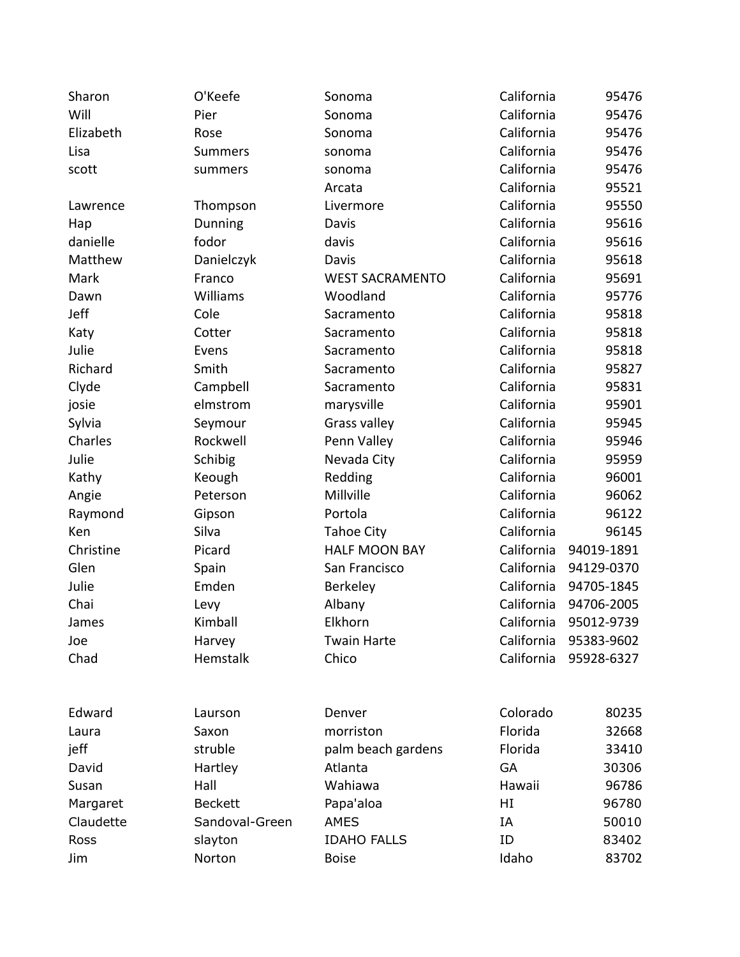| Sharon    | O'Keefe        | Sonoma                 | California | 95476      |
|-----------|----------------|------------------------|------------|------------|
| Will      | Pier           | Sonoma                 | California | 95476      |
| Elizabeth | Rose           | Sonoma                 | California | 95476      |
| Lisa      | <b>Summers</b> | sonoma                 | California | 95476      |
| scott     | summers        | sonoma                 | California | 95476      |
|           |                | Arcata                 | California | 95521      |
| Lawrence  | Thompson       | Livermore              | California | 95550      |
| Hap       | Dunning        | Davis                  | California | 95616      |
| danielle  | fodor          | davis                  | California | 95616      |
| Matthew   | Danielczyk     | Davis                  | California | 95618      |
| Mark      | Franco         | <b>WEST SACRAMENTO</b> | California | 95691      |
| Dawn      | Williams       | Woodland               | California | 95776      |
| Jeff      | Cole           | Sacramento             | California | 95818      |
| Katy      | Cotter         | Sacramento             | California | 95818      |
| Julie     | Evens          | Sacramento             | California | 95818      |
| Richard   | Smith          | Sacramento             | California | 95827      |
| Clyde     | Campbell       | Sacramento             | California | 95831      |
| josie     | elmstrom       | marysville             | California | 95901      |
| Sylvia    | Seymour        | Grass valley           | California | 95945      |
| Charles   | Rockwell       | Penn Valley            | California | 95946      |
| Julie     | Schibig        | Nevada City            | California | 95959      |
| Kathy     | Keough         | Redding                | California | 96001      |
| Angie     | Peterson       | Millville              | California | 96062      |
| Raymond   | Gipson         | Portola                | California | 96122      |
| Ken       | Silva          | <b>Tahoe City</b>      | California | 96145      |
| Christine | Picard         | <b>HALF MOON BAY</b>   | California | 94019-1891 |
| Glen      | Spain          | San Francisco          | California | 94129-0370 |
| Julie     | Emden          | Berkeley               | California | 94705-1845 |
| Chai      | Levy           | Albany                 | California | 94706-2005 |
| James     | Kimball        | Elkhorn                | California | 95012-9739 |
| Joe       | Harvey         | <b>Twain Harte</b>     | California | 95383-9602 |
| Chad      | Hemstalk       | Chico                  | California | 95928-6327 |
| Edward    | Laurson        | Denver                 | Colorado   | 80235      |
| Laura     | Saxon          | morriston              | Florida    | 32668      |
| jeff      | struble        | palm beach gardens     | Florida    | 33410      |
| David     | Hartley        | Atlanta                | <b>GA</b>  | 30306      |
| Susan     | Hall           | Wahiawa                | Hawaii     | 96786      |
| Margaret  | <b>Beckett</b> | Papa'aloa              | HI         | 96780      |
| Claudette | Sandoval-Green | <b>AMES</b>            | IA         | 50010      |
| Ross      | slayton        | <b>IDAHO FALLS</b>     | ID         | 83402      |
| Jim       | Norton         | <b>Boise</b>           | Idaho      | 83702      |
|           |                |                        |            |            |